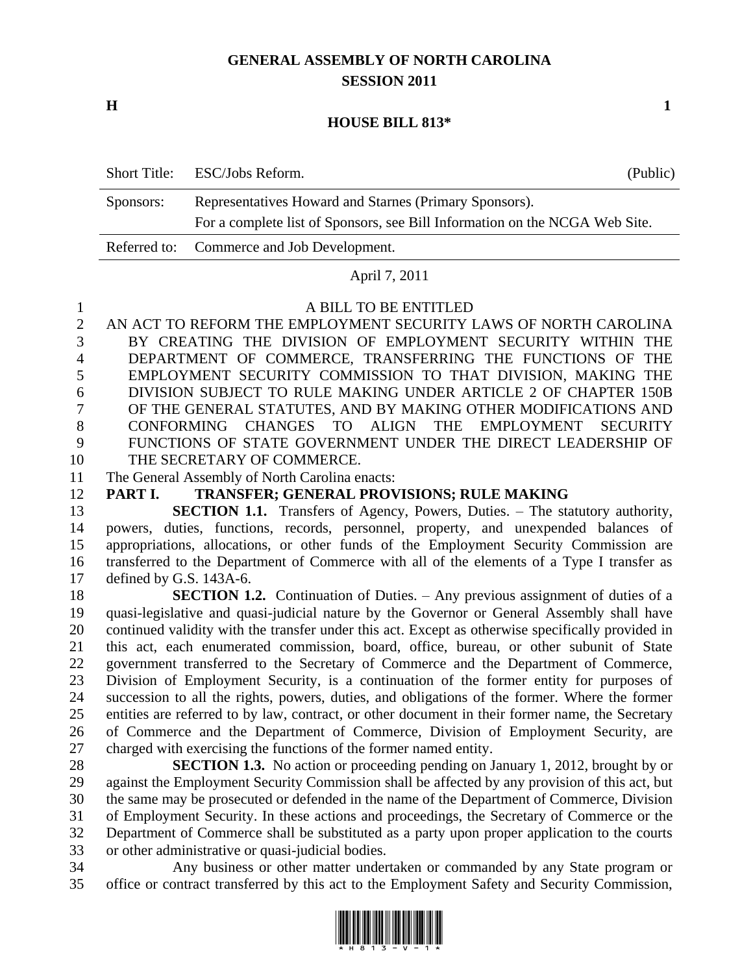# **GENERAL ASSEMBLY OF NORTH CAROLINA SESSION 2011**

**H 1**

#### **HOUSE BILL 813\***

|           | Short Title: ESC/Jobs Reform.                                               | (Public) |
|-----------|-----------------------------------------------------------------------------|----------|
| Sponsors: | Representatives Howard and Starnes (Primary Sponsors).                      |          |
|           | For a complete list of Sponsors, see Bill Information on the NCGA Web Site. |          |
|           | Referred to: Commerce and Job Development.                                  |          |

#### April 7, 2011

#### A BILL TO BE ENTITLED

 AN ACT TO REFORM THE EMPLOYMENT SECURITY LAWS OF NORTH CAROLINA BY CREATING THE DIVISION OF EMPLOYMENT SECURITY WITHIN THE DEPARTMENT OF COMMERCE, TRANSFERRING THE FUNCTIONS OF THE EMPLOYMENT SECURITY COMMISSION TO THAT DIVISION, MAKING THE DIVISION SUBJECT TO RULE MAKING UNDER ARTICLE 2 OF CHAPTER 150B OF THE GENERAL STATUTES, AND BY MAKING OTHER MODIFICATIONS AND CONFORMING CHANGES TO ALIGN THE EMPLOYMENT SECURITY FUNCTIONS OF STATE GOVERNMENT UNDER THE DIRECT LEADERSHIP OF THE SECRETARY OF COMMERCE.

- The General Assembly of North Carolina enacts:
- **PART I. TRANSFER; GENERAL PROVISIONS; RULE MAKING**

 **SECTION 1.1.** Transfers of Agency, Powers, Duties. – The statutory authority, powers, duties, functions, records, personnel, property, and unexpended balances of appropriations, allocations, or other funds of the Employment Security Commission are transferred to the Department of Commerce with all of the elements of a Type I transfer as defined by G.S. 143A-6.

 **SECTION 1.2.** Continuation of Duties. – Any previous assignment of duties of a quasi-legislative and quasi-judicial nature by the Governor or General Assembly shall have continued validity with the transfer under this act. Except as otherwise specifically provided in this act, each enumerated commission, board, office, bureau, or other subunit of State government transferred to the Secretary of Commerce and the Department of Commerce, Division of Employment Security, is a continuation of the former entity for purposes of succession to all the rights, powers, duties, and obligations of the former. Where the former entities are referred to by law, contract, or other document in their former name, the Secretary of Commerce and the Department of Commerce, Division of Employment Security, are charged with exercising the functions of the former named entity.

 **SECTION 1.3.** No action or proceeding pending on January 1, 2012, brought by or against the Employment Security Commission shall be affected by any provision of this act, but the same may be prosecuted or defended in the name of the Department of Commerce, Division of Employment Security. In these actions and proceedings, the Secretary of Commerce or the Department of Commerce shall be substituted as a party upon proper application to the courts or other administrative or quasi-judicial bodies.

 Any business or other matter undertaken or commanded by any State program or office or contract transferred by this act to the Employment Safety and Security Commission,

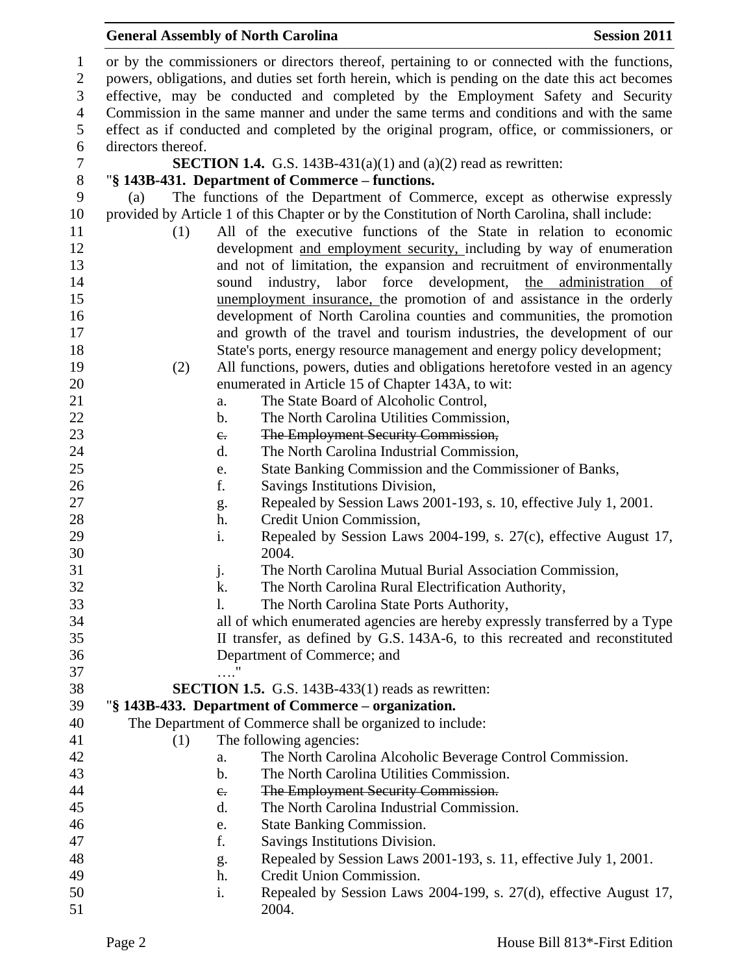or by the commissioners or directors thereof, pertaining to or connected with the functions, powers, obligations, and duties set forth herein, which is pending on the date this act becomes effective, may be conducted and completed by the Employment Safety and Security Commission in the same manner and under the same terms and conditions and with the same effect as if conducted and completed by the original program, office, or commissioners, or directors thereof. **SECTION 1.4.** G.S. 143B-431(a)(1) and (a)(2) read as rewritten: "**§ 143B-431. Department of Commerce – functions.** (a) The functions of the Department of Commerce, except as otherwise expressly provided by Article 1 of this Chapter or by the Constitution of North Carolina, shall include: (1) All of the executive functions of the State in relation to economic development and employment security, including by way of enumeration and not of limitation, the expansion and recruitment of environmentally sound industry, labor force development, the administration of unemployment insurance, the promotion of and assistance in the orderly development of North Carolina counties and communities, the promotion and growth of the travel and tourism industries, the development of our State's ports, energy resource management and energy policy development; (2) All functions, powers, duties and obligations heretofore vested in an agency enumerated in Article 15 of Chapter 143A, to wit: 21 a. The State Board of Alcoholic Control, b. The North Carolina Utilities Commission, 23 c. The Employment Security Commission, d. The North Carolina Industrial Commission, e. State Banking Commission and the Commissioner of Banks, f. Savings Institutions Division, g. Repealed by Session Laws 2001-193, s. 10, effective July 1, 2001. h. Credit Union Commission, i. Repealed by Session Laws 2004-199, s. 27(c), effective August 17, 2004. j. The North Carolina Mutual Burial Association Commission, k. The North Carolina Rural Electrification Authority, l. The North Carolina State Ports Authority, all of which enumerated agencies are hereby expressly transferred by a Type II transfer, as defined by G.S. 143A-6, to this recreated and reconstituted Department of Commerce; and …." **SECTION 1.5.** G.S. 143B-433(1) reads as rewritten: "**§ 143B-433. Department of Commerce – organization.** The Department of Commerce shall be organized to include: (1) The following agencies: a. The North Carolina Alcoholic Beverage Control Commission. b. The North Carolina Utilities Commission. 44 c. The Employment Security Commission. d. The North Carolina Industrial Commission. e. State Banking Commission. f. Savings Institutions Division. g. Repealed by Session Laws 2001-193, s. 11, effective July 1, 2001. h. Credit Union Commission. i. Repealed by Session Laws 2004-199, s. 27(d), effective August 17, 2004.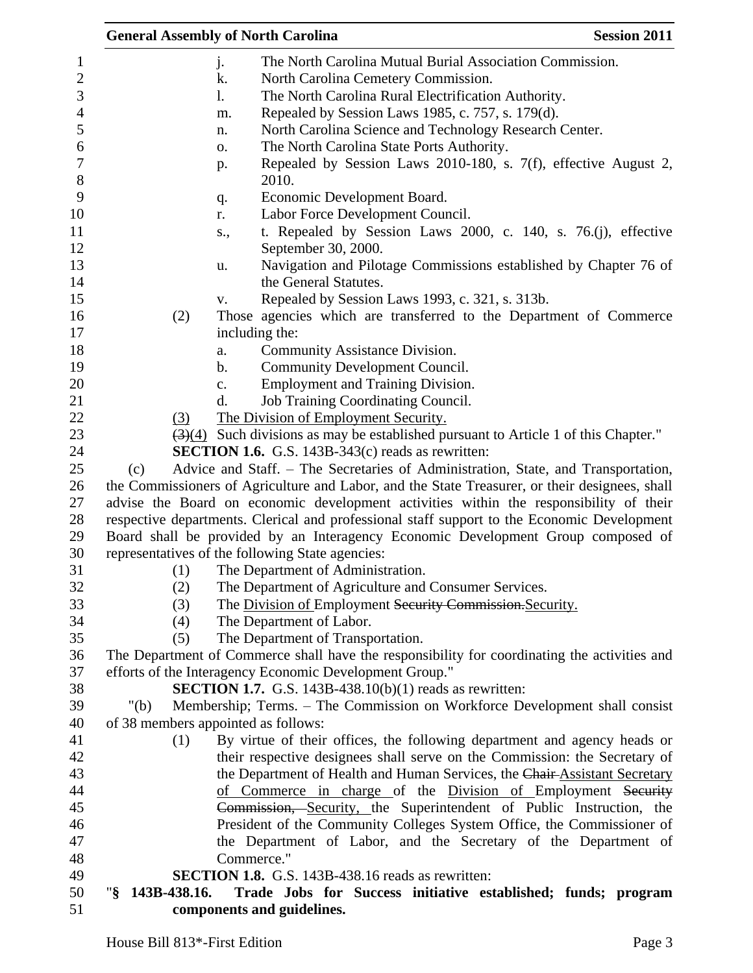|                                     |                | <b>General Assembly of North Carolina</b>                                                               | <b>Session 2011</b> |
|-------------------------------------|----------------|---------------------------------------------------------------------------------------------------------|---------------------|
|                                     | j.             | The North Carolina Mutual Burial Association Commission.                                                |                     |
|                                     | k.             | North Carolina Cemetery Commission.                                                                     |                     |
|                                     | 1.             | The North Carolina Rural Electrification Authority.                                                     |                     |
|                                     | m.             | Repealed by Session Laws 1985, c. 757, s. 179(d).                                                       |                     |
|                                     | n.             | North Carolina Science and Technology Research Center.                                                  |                     |
|                                     | 0.             | The North Carolina State Ports Authority.                                                               |                     |
|                                     | p.             | Repealed by Session Laws 2010-180, s. 7(f), effective August 2,                                         |                     |
|                                     |                | 2010.                                                                                                   |                     |
|                                     | q.             | Economic Development Board.                                                                             |                     |
|                                     | r.             | Labor Force Development Council.                                                                        |                     |
|                                     | s.,            | t. Repealed by Session Laws 2000, c. 140, s. 76.(j), effective                                          |                     |
|                                     |                | September 30, 2000.                                                                                     |                     |
|                                     | u.             | Navigation and Pilotage Commissions established by Chapter 76 of                                        |                     |
|                                     |                | the General Statutes.                                                                                   |                     |
|                                     | V.             | Repealed by Session Laws 1993, c. 321, s. 313b.                                                         |                     |
| (2)                                 |                | Those agencies which are transferred to the Department of Commerce                                      |                     |
|                                     |                | including the:                                                                                          |                     |
|                                     | a.             | Community Assistance Division.                                                                          |                     |
|                                     | b.             | <b>Community Development Council.</b>                                                                   |                     |
|                                     | $\mathbf{c}$ . | <b>Employment and Training Division.</b>                                                                |                     |
|                                     | d.             | Job Training Coordinating Council.                                                                      |                     |
| (3)                                 |                | The Division of Employment Security.                                                                    |                     |
|                                     |                | $\left(\frac{3}{4}\right)$ Such divisions as may be established pursuant to Article 1 of this Chapter." |                     |
|                                     |                | <b>SECTION 1.6.</b> G.S. 143B-343 $(c)$ reads as rewritten:                                             |                     |
| (c)                                 |                | Advice and Staff. - The Secretaries of Administration, State, and Transportation,                       |                     |
|                                     |                | the Commissioners of Agriculture and Labor, and the State Treasurer, or their designees, shall          |                     |
|                                     |                | advise the Board on economic development activities within the responsibility of their                  |                     |
|                                     |                | respective departments. Clerical and professional staff support to the Economic Development             |                     |
|                                     |                | Board shall be provided by an Interagency Economic Development Group composed of                        |                     |
|                                     |                | representatives of the following State agencies:                                                        |                     |
| (1)                                 |                | The Department of Administration.                                                                       |                     |
| (2)                                 |                | The Department of Agriculture and Consumer Services.                                                    |                     |
| (3)                                 |                | The Division of Employment Security Commission. Security.                                               |                     |
| (4)                                 |                | The Department of Labor.                                                                                |                     |
| (5)                                 |                | The Department of Transportation.                                                                       |                     |
|                                     |                | The Department of Commerce shall have the responsibility for coordinating the activities and            |                     |
|                                     |                | efforts of the Interagency Economic Development Group."                                                 |                     |
|                                     |                | <b>SECTION 1.7.</b> G.S. 143B-438.10(b)(1) reads as rewritten:                                          |                     |
| " $(b)$                             |                | Membership; Terms. - The Commission on Workforce Development shall consist                              |                     |
| of 38 members appointed as follows: |                |                                                                                                         |                     |
| (1)                                 |                | By virtue of their offices, the following department and agency heads or                                |                     |
|                                     |                | their respective designees shall serve on the Commission: the Secretary of                              |                     |
|                                     |                | the Department of Health and Human Services, the Chair-Assistant Secretary                              |                     |
|                                     |                | of Commerce in charge of the Division of Employment Security                                            |                     |
|                                     |                | Commission, Security, the Superintendent of Public Instruction, the                                     |                     |
|                                     |                | President of the Community Colleges System Office, the Commissioner of                                  |                     |
|                                     |                | the Department of Labor, and the Secretary of the Department of                                         |                     |
|                                     | Commerce."     |                                                                                                         |                     |
| 143B-438.16.<br>"§                  |                | SECTION 1.8. G.S. 143B-438.16 reads as rewritten:                                                       |                     |
|                                     |                | Trade Jobs for Success initiative established; funds; program<br>components and guidelines.             |                     |
|                                     |                |                                                                                                         |                     |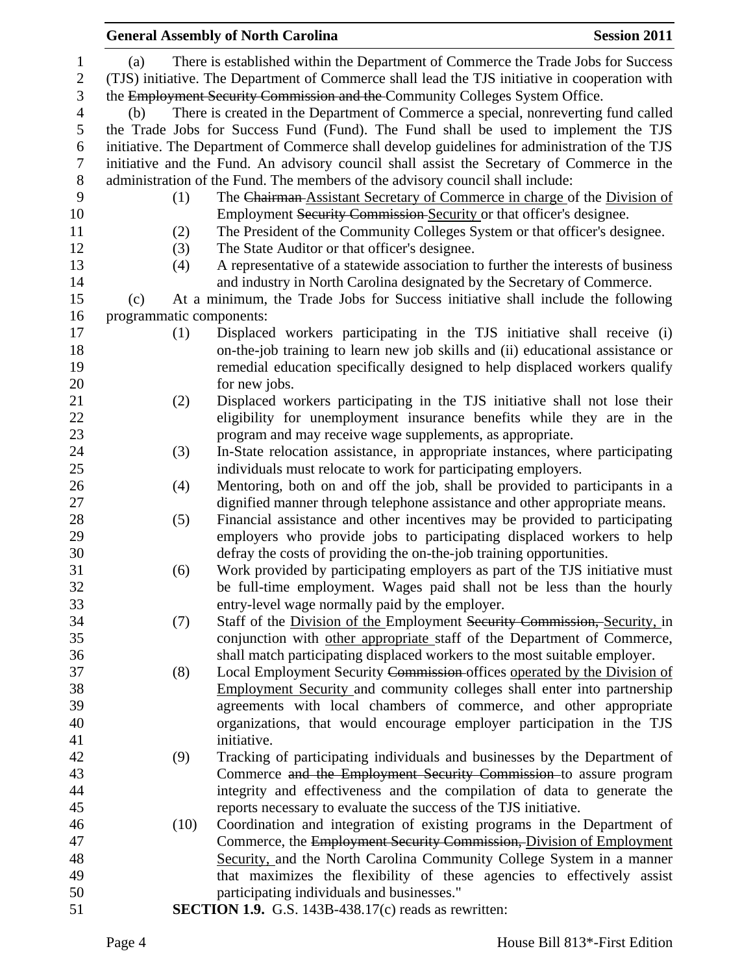|              |                          | <b>General Assembly of North Carolina</b>                                                      | <b>Session 2011</b> |
|--------------|--------------------------|------------------------------------------------------------------------------------------------|---------------------|
| $\mathbf{1}$ | (a)                      | There is established within the Department of Commerce the Trade Jobs for Success              |                     |
| $\mathbf{2}$ |                          | (TJS) initiative. The Department of Commerce shall lead the TJS initiative in cooperation with |                     |
| 3            |                          | the Employment Security Commission and the Community Colleges System Office.                   |                     |
| 4            | (b)                      | There is created in the Department of Commerce a special, nonreverting fund called             |                     |
| 5            |                          | the Trade Jobs for Success Fund (Fund). The Fund shall be used to implement the TJS            |                     |
| 6            |                          | initiative. The Department of Commerce shall develop guidelines for administration of the TJS  |                     |
| 7            |                          | initiative and the Fund. An advisory council shall assist the Secretary of Commerce in the     |                     |
| $8\,$        |                          | administration of the Fund. The members of the advisory council shall include:                 |                     |
| 9            | (1)                      | The Chairman Assistant Secretary of Commerce in charge of the Division of                      |                     |
| 10           |                          | Employment Security Commission Security or that officer's designee.                            |                     |
| 11           | (2)                      | The President of the Community Colleges System or that officer's designee.                     |                     |
| 12           | (3)                      | The State Auditor or that officer's designee.                                                  |                     |
| 13           | (4)                      | A representative of a statewide association to further the interests of business               |                     |
| 14           |                          | and industry in North Carolina designated by the Secretary of Commerce.                        |                     |
| 15           | (c)                      | At a minimum, the Trade Jobs for Success initiative shall include the following                |                     |
| 16           | programmatic components: |                                                                                                |                     |
| 17           | (1)                      | Displaced workers participating in the TJS initiative shall receive (i)                        |                     |
| 18           |                          | on-the-job training to learn new job skills and (ii) educational assistance or                 |                     |
| 19           |                          | remedial education specifically designed to help displaced workers qualify                     |                     |
| 20           |                          | for new jobs.                                                                                  |                     |
| 21           | (2)                      | Displaced workers participating in the TJS initiative shall not lose their                     |                     |
| 22           |                          | eligibility for unemployment insurance benefits while they are in the                          |                     |
| 23           |                          | program and may receive wage supplements, as appropriate.                                      |                     |
| 24           | (3)                      | In-State relocation assistance, in appropriate instances, where participating                  |                     |
| 25           |                          | individuals must relocate to work for participating employers.                                 |                     |
| 26           | (4)                      | Mentoring, both on and off the job, shall be provided to participants in a                     |                     |
| 27           |                          | dignified manner through telephone assistance and other appropriate means.                     |                     |
| 28           | (5)                      | Financial assistance and other incentives may be provided to participating                     |                     |
| 29           |                          | employers who provide jobs to participating displaced workers to help                          |                     |
| 30           |                          | defray the costs of providing the on-the-job training opportunities.                           |                     |
| 31           | (6)                      | Work provided by participating employers as part of the TJS initiative must                    |                     |
| 32           |                          | be full-time employment. Wages paid shall not be less than the hourly                          |                     |
| 33           |                          | entry-level wage normally paid by the employer.                                                |                     |
| 34           | (7)                      | Staff of the Division of the Employment Security Commission, Security, in                      |                     |
| 35           |                          | conjunction with other appropriate staff of the Department of Commerce,                        |                     |
| 36           |                          | shall match participating displaced workers to the most suitable employer.                     |                     |
| 37           | (8)                      | Local Employment Security Commission offices operated by the Division of                       |                     |
| 38           |                          | Employment Security and community colleges shall enter into partnership                        |                     |
| 39           |                          | agreements with local chambers of commerce, and other appropriate                              |                     |
| 40           |                          | organizations, that would encourage employer participation in the TJS                          |                     |
| 41           |                          | initiative.                                                                                    |                     |
| 42           | (9)                      | Tracking of participating individuals and businesses by the Department of                      |                     |
| 43           |                          | Commerce and the Employment Security Commission to assure program                              |                     |
| 44           |                          | integrity and effectiveness and the compilation of data to generate the                        |                     |
| 45           |                          | reports necessary to evaluate the success of the TJS initiative.                               |                     |
| 46           | (10)                     | Coordination and integration of existing programs in the Department of                         |                     |
| 47           |                          | Commerce, the Employment Security Commission, Division of Employment                           |                     |
| 48           |                          | Security, and the North Carolina Community College System in a manner                          |                     |
| 49<br>50     |                          | that maximizes the flexibility of these agencies to effectively assist                         |                     |
| 51           |                          | participating individuals and businesses."                                                     |                     |
|              |                          | <b>SECTION 1.9.</b> G.S. 143B-438.17 $(c)$ reads as rewritten:                                 |                     |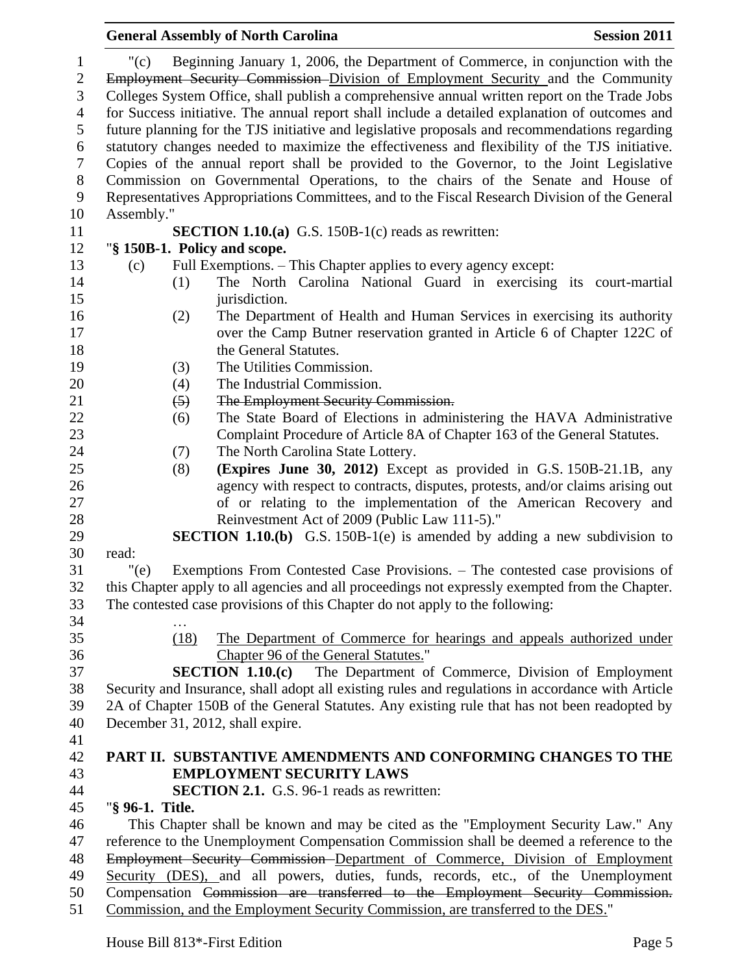|                 |                  | <b>General Assembly of North Carolina</b>                                                                                                                                                                                                                                                                                                                                                                                                                                                                                                                                                                                                                                                                                                                                                                                                               | <b>Session 2011</b> |
|-----------------|------------------|---------------------------------------------------------------------------------------------------------------------------------------------------------------------------------------------------------------------------------------------------------------------------------------------------------------------------------------------------------------------------------------------------------------------------------------------------------------------------------------------------------------------------------------------------------------------------------------------------------------------------------------------------------------------------------------------------------------------------------------------------------------------------------------------------------------------------------------------------------|---------------------|
| " $(c)$         |                  | Beginning January 1, 2006, the Department of Commerce, in conjunction with the<br>Employment Security Commission Division of Employment Security and the Community<br>Colleges System Office, shall publish a comprehensive annual written report on the Trade Jobs<br>for Success initiative. The annual report shall include a detailed explanation of outcomes and<br>future planning for the TJS initiative and legislative proposals and recommendations regarding<br>statutory changes needed to maximize the effectiveness and flexibility of the TJS initiative.<br>Copies of the annual report shall be provided to the Governor, to the Joint Legislative<br>Commission on Governmental Operations, to the chairs of the Senate and House of<br>Representatives Appropriations Committees, and to the Fiscal Research Division of the General |                     |
| Assembly."      |                  |                                                                                                                                                                                                                                                                                                                                                                                                                                                                                                                                                                                                                                                                                                                                                                                                                                                         |                     |
|                 |                  | <b>SECTION 1.10.(a)</b> G.S. 150B-1(c) reads as rewritten:<br>"§ 150B-1. Policy and scope.                                                                                                                                                                                                                                                                                                                                                                                                                                                                                                                                                                                                                                                                                                                                                              |                     |
| (c)             |                  | Full Exemptions. – This Chapter applies to every agency except:                                                                                                                                                                                                                                                                                                                                                                                                                                                                                                                                                                                                                                                                                                                                                                                         |                     |
|                 | (1)              | The North Carolina National Guard in exercising its court-martial<br>jurisdiction.                                                                                                                                                                                                                                                                                                                                                                                                                                                                                                                                                                                                                                                                                                                                                                      |                     |
|                 | (2)              | The Department of Health and Human Services in exercising its authority<br>over the Camp Butner reservation granted in Article 6 of Chapter 122C of<br>the General Statutes.                                                                                                                                                                                                                                                                                                                                                                                                                                                                                                                                                                                                                                                                            |                     |
|                 | (3)              | The Utilities Commission.                                                                                                                                                                                                                                                                                                                                                                                                                                                                                                                                                                                                                                                                                                                                                                                                                               |                     |
|                 | (4)              | The Industrial Commission.                                                                                                                                                                                                                                                                                                                                                                                                                                                                                                                                                                                                                                                                                                                                                                                                                              |                     |
|                 | $\left(5\right)$ | The Employment Security Commission.                                                                                                                                                                                                                                                                                                                                                                                                                                                                                                                                                                                                                                                                                                                                                                                                                     |                     |
|                 | (6)              | The State Board of Elections in administering the HAVA Administrative                                                                                                                                                                                                                                                                                                                                                                                                                                                                                                                                                                                                                                                                                                                                                                                   |                     |
|                 |                  | Complaint Procedure of Article 8A of Chapter 163 of the General Statutes.                                                                                                                                                                                                                                                                                                                                                                                                                                                                                                                                                                                                                                                                                                                                                                               |                     |
|                 | (7)              | The North Carolina State Lottery.                                                                                                                                                                                                                                                                                                                                                                                                                                                                                                                                                                                                                                                                                                                                                                                                                       |                     |
|                 | (8)              | (Expires June 30, 2012) Except as provided in G.S. 150B-21.1B, any                                                                                                                                                                                                                                                                                                                                                                                                                                                                                                                                                                                                                                                                                                                                                                                      |                     |
|                 |                  | agency with respect to contracts, disputes, protests, and/or claims arising out<br>of or relating to the implementation of the American Recovery and                                                                                                                                                                                                                                                                                                                                                                                                                                                                                                                                                                                                                                                                                                    |                     |
|                 |                  | Reinvestment Act of 2009 (Public Law 111-5)."                                                                                                                                                                                                                                                                                                                                                                                                                                                                                                                                                                                                                                                                                                                                                                                                           |                     |
|                 |                  | <b>SECTION 1.10.(b)</b> G.S. 150B-1(e) is amended by adding a new subdivision to                                                                                                                                                                                                                                                                                                                                                                                                                                                                                                                                                                                                                                                                                                                                                                        |                     |
| read:           |                  |                                                                                                                                                                                                                                                                                                                                                                                                                                                                                                                                                                                                                                                                                                                                                                                                                                                         |                     |
| " $(e)$         |                  | Exemptions From Contested Case Provisions. - The contested case provisions of<br>this Chapter apply to all agencies and all proceedings not expressly exempted from the Chapter.<br>The contested case provisions of this Chapter do not apply to the following:                                                                                                                                                                                                                                                                                                                                                                                                                                                                                                                                                                                        |                     |
|                 |                  |                                                                                                                                                                                                                                                                                                                                                                                                                                                                                                                                                                                                                                                                                                                                                                                                                                                         |                     |
|                 | (18)             | The Department of Commerce for hearings and appeals authorized under                                                                                                                                                                                                                                                                                                                                                                                                                                                                                                                                                                                                                                                                                                                                                                                    |                     |
|                 |                  | Chapter 96 of the General Statutes."                                                                                                                                                                                                                                                                                                                                                                                                                                                                                                                                                                                                                                                                                                                                                                                                                    |                     |
|                 |                  | The Department of Commerce, Division of Employment<br>SECTION $1.10(c)$                                                                                                                                                                                                                                                                                                                                                                                                                                                                                                                                                                                                                                                                                                                                                                                 |                     |
|                 |                  | Security and Insurance, shall adopt all existing rules and regulations in accordance with Article                                                                                                                                                                                                                                                                                                                                                                                                                                                                                                                                                                                                                                                                                                                                                       |                     |
|                 |                  | 2A of Chapter 150B of the General Statutes. Any existing rule that has not been readopted by                                                                                                                                                                                                                                                                                                                                                                                                                                                                                                                                                                                                                                                                                                                                                            |                     |
|                 |                  | December 31, 2012, shall expire.                                                                                                                                                                                                                                                                                                                                                                                                                                                                                                                                                                                                                                                                                                                                                                                                                        |                     |
|                 |                  |                                                                                                                                                                                                                                                                                                                                                                                                                                                                                                                                                                                                                                                                                                                                                                                                                                                         |                     |
|                 |                  | PART II. SUBSTANTIVE AMENDMENTS AND CONFORMING CHANGES TO THE                                                                                                                                                                                                                                                                                                                                                                                                                                                                                                                                                                                                                                                                                                                                                                                           |                     |
|                 |                  | <b>EMPLOYMENT SECURITY LAWS</b>                                                                                                                                                                                                                                                                                                                                                                                                                                                                                                                                                                                                                                                                                                                                                                                                                         |                     |
|                 |                  | <b>SECTION 2.1.</b> G.S. 96-1 reads as rewritten:                                                                                                                                                                                                                                                                                                                                                                                                                                                                                                                                                                                                                                                                                                                                                                                                       |                     |
| "§ 96-1. Title. |                  |                                                                                                                                                                                                                                                                                                                                                                                                                                                                                                                                                                                                                                                                                                                                                                                                                                                         |                     |
|                 |                  | This Chapter shall be known and may be cited as the "Employment Security Law." Any                                                                                                                                                                                                                                                                                                                                                                                                                                                                                                                                                                                                                                                                                                                                                                      |                     |
|                 |                  | reference to the Unemployment Compensation Commission shall be deemed a reference to the                                                                                                                                                                                                                                                                                                                                                                                                                                                                                                                                                                                                                                                                                                                                                                |                     |
|                 |                  | Employment Security Commission Department of Commerce, Division of Employment                                                                                                                                                                                                                                                                                                                                                                                                                                                                                                                                                                                                                                                                                                                                                                           |                     |
|                 |                  | Security (DES), and all powers, duties, funds, records, etc., of the Unemployment                                                                                                                                                                                                                                                                                                                                                                                                                                                                                                                                                                                                                                                                                                                                                                       |                     |
|                 |                  | Compensation Commission are transferred to the Employment Security Commission.                                                                                                                                                                                                                                                                                                                                                                                                                                                                                                                                                                                                                                                                                                                                                                          |                     |
|                 |                  | Commission, and the Employment Security Commission, are transferred to the DES."                                                                                                                                                                                                                                                                                                                                                                                                                                                                                                                                                                                                                                                                                                                                                                        |                     |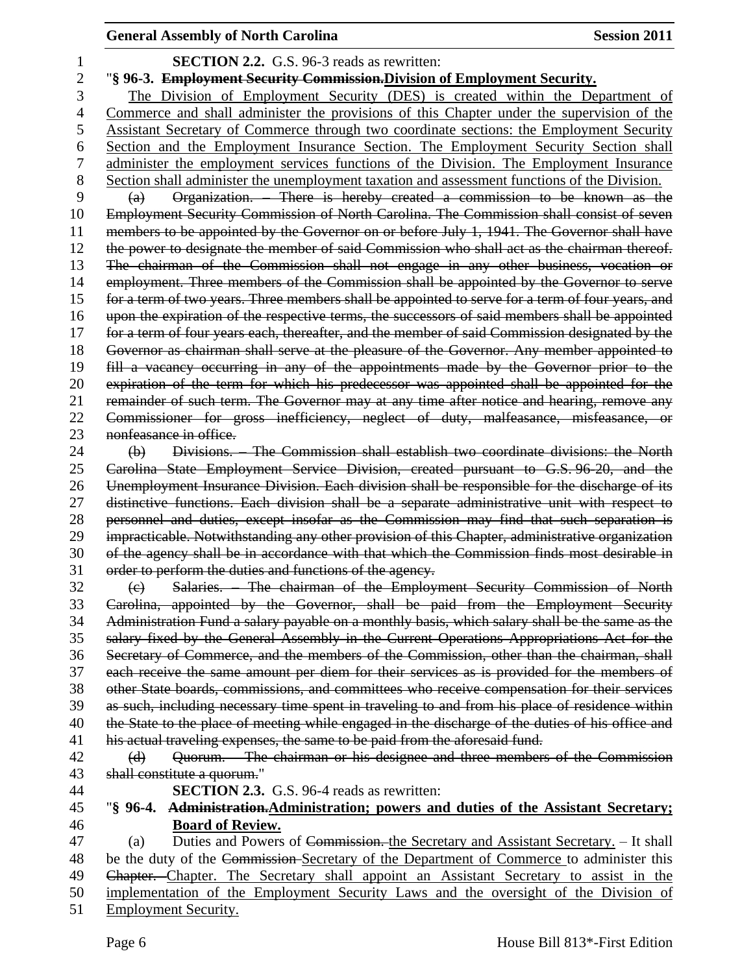## **SECTION 2.2.** G.S. 96-3 reads as rewritten: "**§ 96-3. Employment Security Commission.Division of Employment Security.** The Division of Employment Security (DES) is created within the Department of Commerce and shall administer the provisions of this Chapter under the supervision of the Assistant Secretary of Commerce through two coordinate sections: the Employment Security Section and the Employment Insurance Section. The Employment Security Section shall administer the employment services functions of the Division. The Employment Insurance 8 Section shall administer the unemployment taxation and assessment functions of the Division. (a) Organization. – There is hereby created a commission to be known as the 10 Employment Security Commission of North Carolina. The Commission shall consist of seven 11 members to be appointed by the Governor on or before July 1, 1941. The Governor shall have the power to designate the member of said Commission who shall act as the chairman thereof. The chairman of the Commission shall not engage in any other business, vocation or employment. Three members of the Commission shall be appointed by the Governor to serve 15 for a term of two years. Three members shall be appointed to serve for a term of four years, and upon the expiration of the respective terms, the successors of said members shall be appointed for a term of four years each, thereafter, and the member of said Commission designated by the Governor as chairman shall serve at the pleasure of the Governor. Any member appointed to fill a vacancy occurring in any of the appointments made by the Governor prior to the expiration of the term for which his predecessor was appointed shall be appointed for the 21 remainder of such term. The Governor may at any time after notice and hearing, remove any Commissioner for gross inefficiency, neglect of duty, malfeasance, misfeasance, or 23 nonfeasance in office. (b) Divisions. – The Commission shall establish two coordinate divisions: the North Carolina State Employment Service Division, created pursuant to G.S. 96-20, and the Unemployment Insurance Division. Each division shall be responsible for the discharge of its distinctive functions. Each division shall be a separate administrative unit with respect to personnel and duties, except insofar as the Commission may find that such separation is impracticable. Notwithstanding any other provision of this Chapter, administrative organization of the agency shall be in accordance with that which the Commission finds most desirable in order to perform the duties and functions of the agency. (c) Salaries. – The chairman of the Employment Security Commission of North Carolina, appointed by the Governor, shall be paid from the Employment Security Administration Fund a salary payable on a monthly basis, which salary shall be the same as the salary fixed by the General Assembly in the Current Operations Appropriations Act for the Secretary of Commerce, and the members of the Commission, other than the chairman, shall each receive the same amount per diem for their services as is provided for the members of other State boards, commissions, and committees who receive compensation for their services as such, including necessary time spent in traveling to and from his place of residence within 40 the State to the place of meeting while engaged in the discharge of the duties of his office and 41 his actual traveling expenses, the same to be paid from the aforesaid fund. (d) Quorum. – The chairman or his designee and three members of the Commission shall constitute a quorum." **SECTION 2.3.** G.S. 96-4 reads as rewritten: "**§ 96-4. Administration.Administration; powers and duties of the Assistant Secretary; Board of Review.** (a) Duties and Powers of Commission. the Secretary and Assistant Secretary. – It shall 48 be the duty of the Commission-Secretary of the Department of Commerce to administer this Chapter. Chapter. The Secretary shall appoint an Assistant Secretary to assist in the implementation of the Employment Security Laws and the oversight of the Division of Employment Security.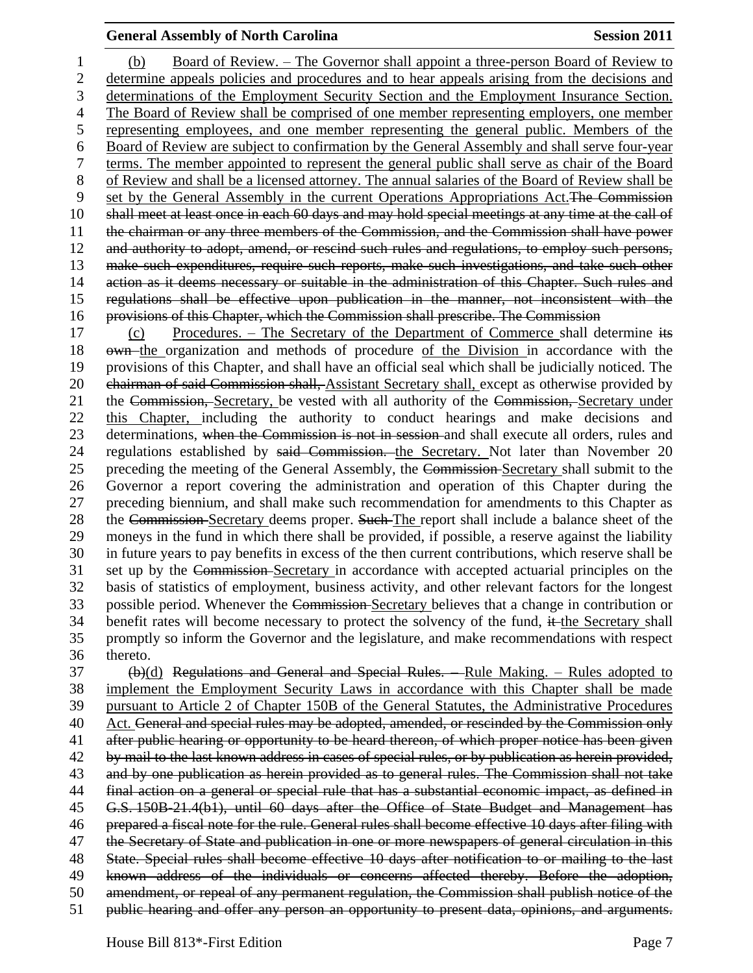(b) Board of Review. – The Governor shall appoint a three-person Board of Review to determine appeals policies and procedures and to hear appeals arising from the decisions and determinations of the Employment Security Section and the Employment Insurance Section. The Board of Review shall be comprised of one member representing employers, one member representing employees, and one member representing the general public. Members of the Board of Review are subject to confirmation by the General Assembly and shall serve four-year terms. The member appointed to represent the general public shall serve as chair of the Board of Review and shall be a licensed attorney. The annual salaries of the Board of Review shall be set by the General Assembly in the current Operations Appropriations Act.The Commission 10 shall meet at least once in each 60 days and may hold special meetings at any time at the call of the chairman or any three members of the Commission, and the Commission shall have power and authority to adopt, amend, or rescind such rules and regulations, to employ such persons, make such expenditures, require such reports, make such investigations, and take such other 14 action as it deems necessary or suitable in the administration of this Chapter. Such rules and regulations shall be effective upon publication in the manner, not inconsistent with the provisions of this Chapter, which the Commission shall prescribe. The Commission

 (c) Procedures. – The Secretary of the Department of Commerce shall determine its 18 own the organization and methods of procedure of the Division in accordance with the provisions of this Chapter, and shall have an official seal which shall be judicially noticed. The 20 chairman of said Commission shall, Assistant Secretary shall, except as otherwise provided by 21 the Commission, Secretary, be vested with all authority of the Commission, Secretary under this Chapter, including the authority to conduct hearings and make decisions and 23 determinations, when the Commission is not in session and shall execute all orders, rules and 24 regulations established by said Commission. the Secretary. Not later than November 20 25 preceding the meeting of the General Assembly, the Commission-Secretary shall submit to the Governor a report covering the administration and operation of this Chapter during the preceding biennium, and shall make such recommendation for amendments to this Chapter as 28 the Commission-Secretary deems proper. Such The report shall include a balance sheet of the moneys in the fund in which there shall be provided, if possible, a reserve against the liability in future years to pay benefits in excess of the then current contributions, which reserve shall be set up by the Commission Secretary in accordance with accepted actuarial principles on the basis of statistics of employment, business activity, and other relevant factors for the longest possible period. Whenever the Commission Secretary believes that a change in contribution or 34 benefit rates will become necessary to protect the solvency of the fund, it the Secretary shall promptly so inform the Governor and the legislature, and make recommendations with respect thereto.

 (b)(d) Regulations and General and Special Rules. – Rule Making. – Rules adopted to implement the Employment Security Laws in accordance with this Chapter shall be made pursuant to Article 2 of Chapter 150B of the General Statutes, the Administrative Procedures 40 Act. General and special rules may be adopted, amended, or rescinded by the Commission only 41 after public hearing or opportunity to be heard thereon, of which proper notice has been given by mail to the last known address in cases of special rules, or by publication as herein provided, and by one publication as herein provided as to general rules. The Commission shall not take final action on a general or special rule that has a substantial economic impact, as defined in G.S. 150B-21.4(b1), until 60 days after the Office of State Budget and Management has prepared a fiscal note for the rule. General rules shall become effective 10 days after filing with the Secretary of State and publication in one or more newspapers of general circulation in this State. Special rules shall become effective 10 days after notification to or mailing to the last known address of the individuals or concerns affected thereby. Before the adoption, amendment, or repeal of any permanent regulation, the Commission shall publish notice of the public hearing and offer any person an opportunity to present data, opinions, and arguments.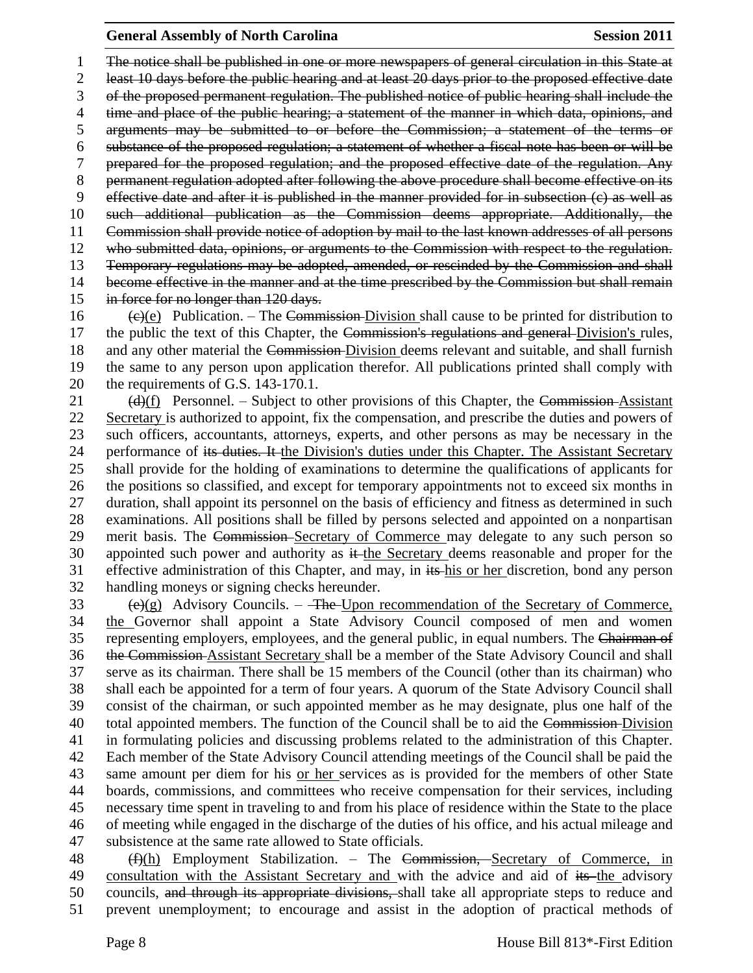The notice shall be published in one or more newspapers of general circulation in this State at least 10 days before the public hearing and at least 20 days prior to the proposed effective date of the proposed permanent regulation. The published notice of public hearing shall include the time and place of the public hearing; a statement of the manner in which data, opinions, and arguments may be submitted to or before the Commission; a statement of the terms or substance of the proposed regulation; a statement of whether a fiscal note has been or will be prepared for the proposed regulation; and the proposed effective date of the regulation. Any permanent regulation adopted after following the above procedure shall become effective on its effective date and after it is published in the manner provided for in subsection (c) as well as such additional publication as the Commission deems appropriate. Additionally, the Commission shall provide notice of adoption by mail to the last known addresses of all persons who submitted data, opinions, or arguments to the Commission with respect to the regulation. Temporary regulations may be adopted, amended, or rescinded by the Commission and shall 14 become effective in the manner and at the time prescribed by the Commission but shall remain in force for no longer than 120 days.

16 (e)(e) Publication. – The Commission-Division shall cause to be printed for distribution to 17 the public the text of this Chapter, the Commission's regulations and general Division's rules, 18 and any other material the Commission-Division deems relevant and suitable, and shall furnish the same to any person upon application therefor. All publications printed shall comply with the requirements of G.S. 143-170.1.

 $(d)(f)$  Personnel. – Subject to other provisions of this Chapter, the Commission-Assistant Secretary is authorized to appoint, fix the compensation, and prescribe the duties and powers of such officers, accountants, attorneys, experts, and other persons as may be necessary in the 24 performance of its duties. It the Division's duties under this Chapter. The Assistant Secretary shall provide for the holding of examinations to determine the qualifications of applicants for the positions so classified, and except for temporary appointments not to exceed six months in duration, shall appoint its personnel on the basis of efficiency and fitness as determined in such examinations. All positions shall be filled by persons selected and appointed on a nonpartisan merit basis. The Commission Secretary of Commerce may delegate to any such person so 30 appointed such power and authority as it the Secretary deems reasonable and proper for the effective administration of this Chapter, and may, in its his or her discretion, bond any person handling moneys or signing checks hereunder.

 $\left(\frac{e}{g}\right)$  Advisory Councils. – The Upon recommendation of the Secretary of Commerce, the Governor shall appoint a State Advisory Council composed of men and women 35 representing employers, employees, and the general public, in equal numbers. The Chairman of the Commission Assistant Secretary shall be a member of the State Advisory Council and shall serve as its chairman. There shall be 15 members of the Council (other than its chairman) who shall each be appointed for a term of four years. A quorum of the State Advisory Council shall consist of the chairman, or such appointed member as he may designate, plus one half of the 40 total appointed members. The function of the Council shall be to aid the Commission-Division in formulating policies and discussing problems related to the administration of this Chapter. Each member of the State Advisory Council attending meetings of the Council shall be paid the same amount per diem for his or her services as is provided for the members of other State boards, commissions, and committees who receive compensation for their services, including necessary time spent in traveling to and from his place of residence within the State to the place of meeting while engaged in the discharge of the duties of his office, and his actual mileage and subsistence at the same rate allowed to State officials.

48 (f)(h) Employment Stabilization. – The Commission, Secretary of Commerce, in 49 consultation with the Assistant Secretary and with the advice and aid of its the advisory councils, and through its appropriate divisions, shall take all appropriate steps to reduce and prevent unemployment; to encourage and assist in the adoption of practical methods of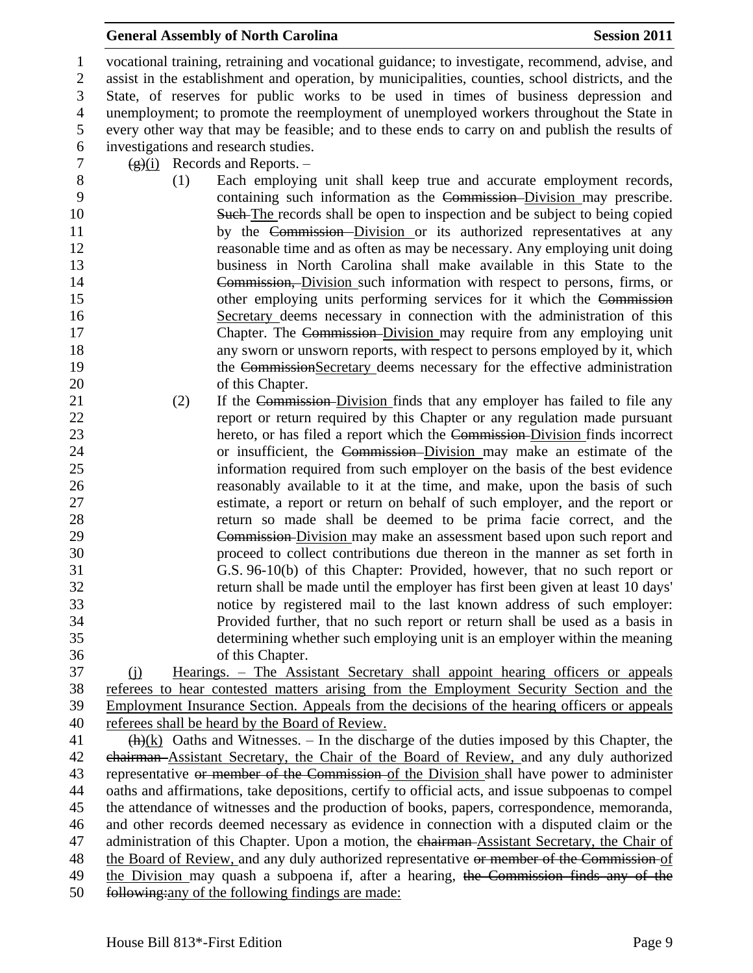vocational training, retraining and vocational guidance; to investigate, recommend, advise, and assist in the establishment and operation, by municipalities, counties, school districts, and the State, of reserves for public works to be used in times of business depression and unemployment; to promote the reemployment of unemployed workers throughout the State in every other way that may be feasible; and to these ends to carry on and publish the results of investigations and research studies.

- 7  $(g)(i)$  Records and Reports. –
- (1) Each employing unit shall keep true and accurate employment records, containing such information as the Commission Division may prescribe. 10 Such The records shall be open to inspection and be subject to being copied 11 by the Commission Division or its authorized representatives at any reasonable time and as often as may be necessary. Any employing unit doing business in North Carolina shall make available in this State to the Commission, Division such information with respect to persons, firms, or 15 other employing units performing services for it which the Commission Secretary deems necessary in connection with the administration of this 17 Chapter. The Commission-Division may require from any employing unit any sworn or unsworn reports, with respect to persons employed by it, which 19 the CommissionSecretary deems necessary for the effective administration 20 of this Chapter.
- 21 (2) If the Commission-Division finds that any employer has failed to file any report or return required by this Chapter or any regulation made pursuant hereto, or has filed a report which the Commission Division finds incorrect or insufficient, the Commission Division may make an estimate of the information required from such employer on the basis of the best evidence reasonably available to it at the time, and make, upon the basis of such estimate, a report or return on behalf of such employer, and the report or return so made shall be deemed to be prima facie correct, and the Commission Division may make an assessment based upon such report and proceed to collect contributions due thereon in the manner as set forth in G.S. 96-10(b) of this Chapter: Provided, however, that no such report or return shall be made until the employer has first been given at least 10 days' notice by registered mail to the last known address of such employer: Provided further, that no such report or return shall be used as a basis in determining whether such employing unit is an employer within the meaning of this Chapter.
- (j) Hearings. The Assistant Secretary shall appoint hearing officers or appeals referees to hear contested matters arising from the Employment Security Section and the Employment Insurance Section. Appeals from the decisions of the hearing officers or appeals referees shall be heard by the Board of Review.
- $\frac{41}{h}(k)$  Oaths and Witnesses. In the discharge of the duties imposed by this Chapter, the chairman Assistant Secretary, the Chair of the Board of Review, and any duly authorized 43 representative or member of the Commission of the Division shall have power to administer oaths and affirmations, take depositions, certify to official acts, and issue subpoenas to compel the attendance of witnesses and the production of books, papers, correspondence, memoranda, and other records deemed necessary as evidence in connection with a disputed claim or the 47 administration of this Chapter. Upon a motion, the chairman-Assistant Secretary, the Chair of 48 the Board of Review, and any duly authorized representative or member of the Commission of 49 the Division may quash a subpoena if, after a hearing, the Commission finds any of the following:any of the following findings are made: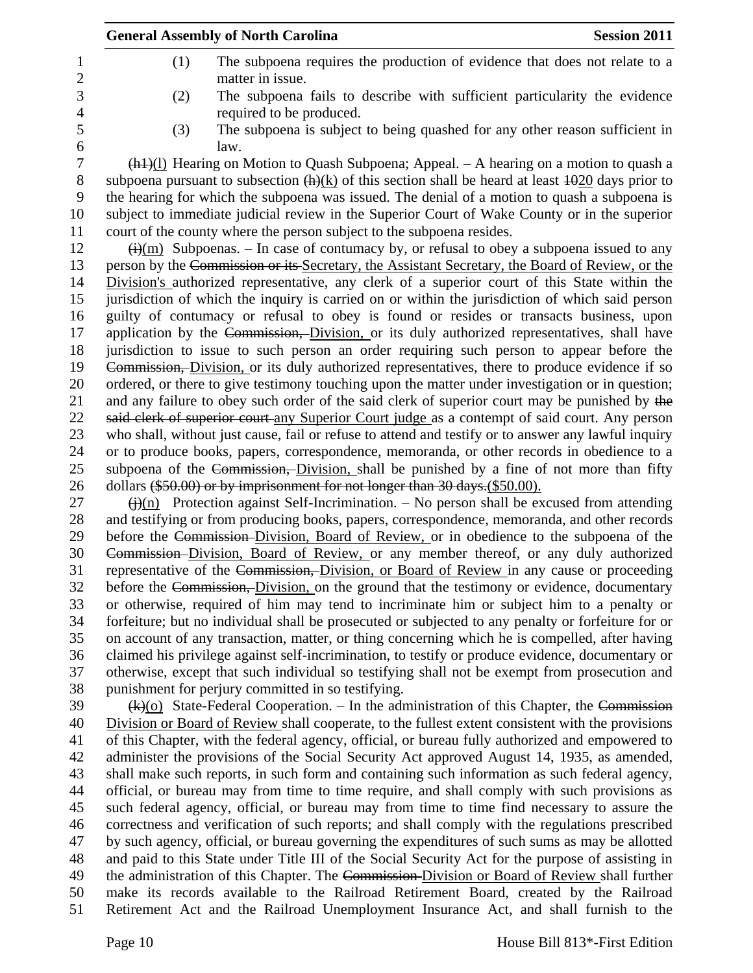|                     | <b>General Assembly of North Carolina</b>                                                                                                                                                                   | <b>Session 2011</b> |
|---------------------|-------------------------------------------------------------------------------------------------------------------------------------------------------------------------------------------------------------|---------------------|
| 1<br>$\overline{c}$ | The subpoena requires the production of evidence that does not relate to a<br>(1)<br>matter in issue.                                                                                                       |                     |
| 3<br>4              | The subpoena fails to describe with sufficient particularity the evidence<br>(2)<br>required to be produced.                                                                                                |                     |
| 5<br>6              | (3)<br>The subpoena is subject to being quashed for any other reason sufficient in<br>law.                                                                                                                  |                     |
| $\tau$<br>8         | $\frac{h(1)}{1}$ Hearing on Motion to Quash Subpoena; Appeal. – A hearing on a motion to quash a<br>subpoena pursuant to subsection $(h)(k)$ of this section shall be heard at least $1020$ days prior to   |                     |
| 9<br>10             | the hearing for which the subpoena was issued. The denial of a motion to quash a subpoena is<br>subject to immediate judicial review in the Superior Court of Wake County or in the superior                |                     |
| 11<br>12            | court of the county where the person subject to the subpoena resides.<br>$\frac{f(x)}{f(x)}$ Subpoenas. – In case of contumacy by, or refusal to obey a subpoena issued to any                              |                     |
| 13                  | person by the Commission or its Secretary, the Assistant Secretary, the Board of Review, or the                                                                                                             |                     |
| 14<br>15            | Division's authorized representative, any clerk of a superior court of this State within the<br>jurisdiction of which the inquiry is carried on or within the jurisdiction of which said person             |                     |
| 16<br>17            | guilty of contumacy or refusal to obey is found or resides or transacts business, upon<br>application by the Commission, Division, or its duly authorized representatives, shall have                       |                     |
| 18<br>19            | jurisdiction to issue to such person an order requiring such person to appear before the<br>Commission, Division, or its duly authorized representatives, there to produce evidence if so                   |                     |
| 20<br>21            | ordered, or there to give testimony touching upon the matter under investigation or in question;<br>and any failure to obey such order of the said clerk of superior court may be punished by the           |                     |
| 22<br>23            | said clerk of superior court-any Superior Court judge as a contempt of said court. Any person<br>who shall, without just cause, fail or refuse to attend and testify or to answer any lawful inquiry        |                     |
| 24<br>25            | or to produce books, papers, correspondence, memoranda, or other records in obedience to a<br>subpoena of the Commission, Division, shall be punished by a fine of not more than fifty                      |                     |
| 26<br>27            | dollars (\$50.00) or by imprisonment for not longer than 30 days.(\$50.00).<br>$\frac{f(x)}{g(x)}$ Protection against Self-Incrimination. – No person shall be excused from attending                       |                     |
| 28<br>29            | and testifying or from producing books, papers, correspondence, memoranda, and other records<br>before the Commission-Division, Board of Review, or in obedience to the subpoena of the                     |                     |
| 30                  | Commission–Division, Board of Review, or any member thereof, or any duly authorized                                                                                                                         |                     |
| 31<br>32            | representative of the Commission, Division, or Board of Review in any cause or proceeding<br>before the Commission, Division, on the ground that the testimony or evidence, documentary                     |                     |
| 33<br>34            | or otherwise, required of him may tend to incriminate him or subject him to a penalty or<br>forfeiture; but no individual shall be prosecuted or subjected to any penalty or forfeiture for or              |                     |
| 35<br>36            | on account of any transaction, matter, or thing concerning which he is compelled, after having<br>claimed his privilege against self-incrimination, to testify or produce evidence, documentary or          |                     |
| 37<br>38            | otherwise, except that such individual so testifying shall not be exempt from prosecution and<br>punishment for perjury committed in so testifying.                                                         |                     |
| 39<br>40            | $\frac{f(k)(0)}{k}$ State-Federal Cooperation. – In the administration of this Chapter, the Commission<br>Division or Board of Review shall cooperate, to the fullest extent consistent with the provisions |                     |
| 41<br>42            | of this Chapter, with the federal agency, official, or bureau fully authorized and empowered to<br>administer the provisions of the Social Security Act approved August 14, 1935, as amended,               |                     |
| 43<br>44            | shall make such reports, in such form and containing such information as such federal agency,<br>official, or bureau may from time to time require, and shall comply with such provisions as                |                     |

 such federal agency, official, or bureau may from time to time find necessary to assure the correctness and verification of such reports; and shall comply with the regulations prescribed by such agency, official, or bureau governing the expenditures of such sums as may be allotted and paid to this State under Title III of the Social Security Act for the purpose of assisting in

49 the administration of this Chapter. The Commission-Division or Board of Review shall further make its records available to the Railroad Retirement Board, created by the Railroad

Retirement Act and the Railroad Unemployment Insurance Act, and shall furnish to the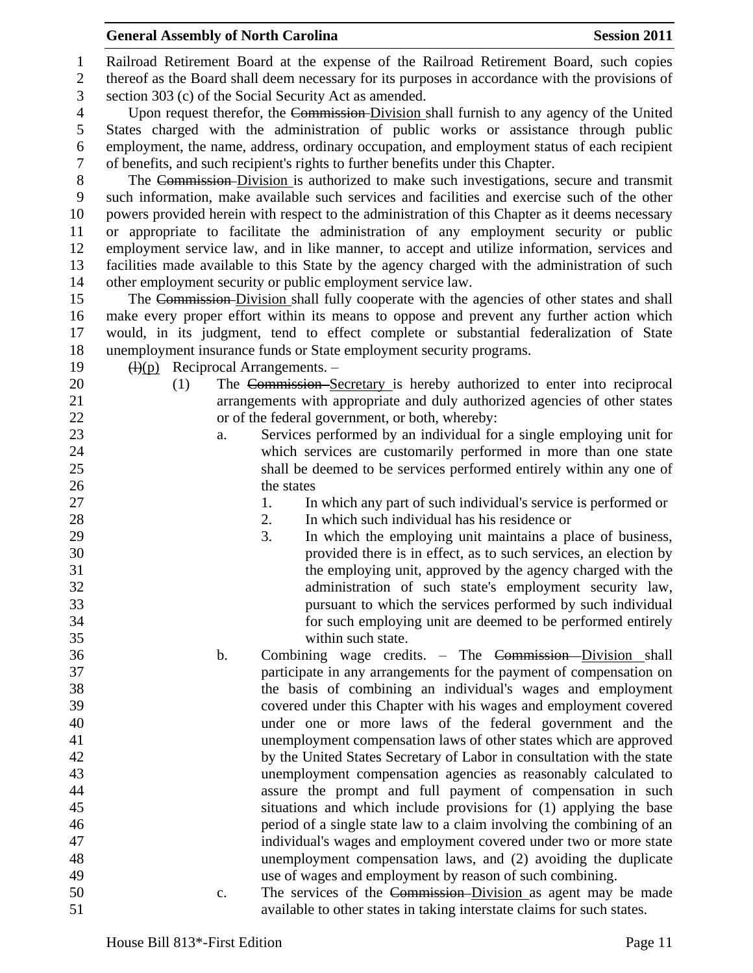Railroad Retirement Board at the expense of the Railroad Retirement Board, such copies thereof as the Board shall deem necessary for its purposes in accordance with the provisions of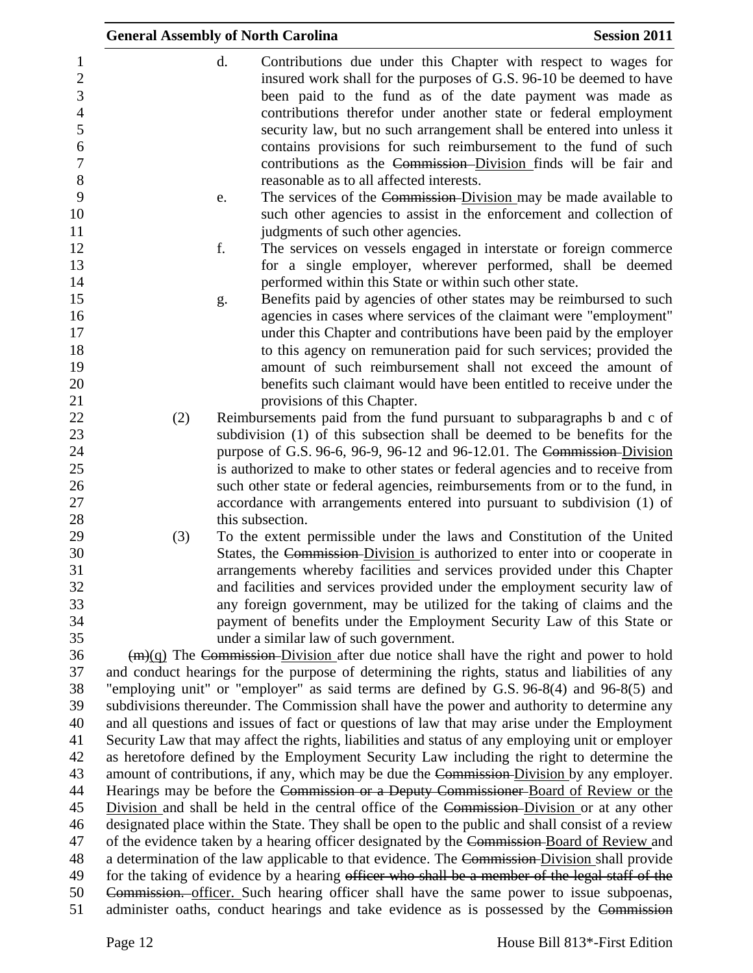|                                                                                 | <b>General Assembly of North Carolina</b> |    |                                                                                                                                                                                                                                                                                                                                                                                                                                                                                                                                 | <b>Session 2011</b> |
|---------------------------------------------------------------------------------|-------------------------------------------|----|---------------------------------------------------------------------------------------------------------------------------------------------------------------------------------------------------------------------------------------------------------------------------------------------------------------------------------------------------------------------------------------------------------------------------------------------------------------------------------------------------------------------------------|---------------------|
| 1<br>$\sqrt{2}$<br>3<br>$\overline{4}$<br>5<br>6<br>$\boldsymbol{7}$<br>$\,8\,$ |                                           | d. | Contributions due under this Chapter with respect to wages for<br>insured work shall for the purposes of G.S. 96-10 be deemed to have<br>been paid to the fund as of the date payment was made as<br>contributions therefor under another state or federal employment<br>security law, but no such arrangement shall be entered into unless it<br>contains provisions for such reimbursement to the fund of such<br>contributions as the Commission–Division finds will be fair and<br>reasonable as to all affected interests. |                     |
| 9<br>10<br>11                                                                   |                                           | e. | The services of the Commission-Division may be made available to<br>such other agencies to assist in the enforcement and collection of<br>judgments of such other agencies.                                                                                                                                                                                                                                                                                                                                                     |                     |
| 12<br>13<br>14                                                                  |                                           | f. | The services on vessels engaged in interstate or foreign commerce<br>for a single employer, wherever performed, shall be deemed<br>performed within this State or within such other state.                                                                                                                                                                                                                                                                                                                                      |                     |
| 15<br>16<br>17<br>18<br>19<br>20<br>21                                          |                                           | g. | Benefits paid by agencies of other states may be reimbursed to such<br>agencies in cases where services of the claimant were "employment"<br>under this Chapter and contributions have been paid by the employer<br>to this agency on remuneration paid for such services; provided the<br>amount of such reimbursement shall not exceed the amount of<br>benefits such claimant would have been entitled to receive under the<br>provisions of this Chapter.                                                                   |                     |
| 22                                                                              | (2)                                       |    | Reimbursements paid from the fund pursuant to subparagraphs b and c of                                                                                                                                                                                                                                                                                                                                                                                                                                                          |                     |
| 23                                                                              |                                           |    | subdivision (1) of this subsection shall be deemed to be benefits for the                                                                                                                                                                                                                                                                                                                                                                                                                                                       |                     |
| 24                                                                              |                                           |    | purpose of G.S. 96-6, 96-9, 96-12 and 96-12.01. The Commission-Division                                                                                                                                                                                                                                                                                                                                                                                                                                                         |                     |
| 25                                                                              |                                           |    | is authorized to make to other states or federal agencies and to receive from                                                                                                                                                                                                                                                                                                                                                                                                                                                   |                     |
| 26<br>27                                                                        |                                           |    | such other state or federal agencies, reimbursements from or to the fund, in<br>accordance with arrangements entered into pursuant to subdivision (1) of                                                                                                                                                                                                                                                                                                                                                                        |                     |
| 28                                                                              |                                           |    | this subsection.                                                                                                                                                                                                                                                                                                                                                                                                                                                                                                                |                     |
| 29                                                                              | (3)                                       |    | To the extent permissible under the laws and Constitution of the United                                                                                                                                                                                                                                                                                                                                                                                                                                                         |                     |
| 30                                                                              |                                           |    | States, the Commission-Division is authorized to enter into or cooperate in                                                                                                                                                                                                                                                                                                                                                                                                                                                     |                     |
| 31<br>32                                                                        |                                           |    | arrangements whereby facilities and services provided under this Chapter<br>and facilities and services provided under the employment security law of                                                                                                                                                                                                                                                                                                                                                                           |                     |
| 33<br>34                                                                        |                                           |    | any foreign government, may be utilized for the taking of claims and the                                                                                                                                                                                                                                                                                                                                                                                                                                                        |                     |
| 35                                                                              |                                           |    | payment of benefits under the Employment Security Law of this State or<br>under a similar law of such government.                                                                                                                                                                                                                                                                                                                                                                                                               |                     |
| 36                                                                              |                                           |    | $(m)(q)$ The Commission Division after due notice shall have the right and power to hold                                                                                                                                                                                                                                                                                                                                                                                                                                        |                     |
| 37                                                                              |                                           |    | and conduct hearings for the purpose of determining the rights, status and liabilities of any                                                                                                                                                                                                                                                                                                                                                                                                                                   |                     |
| 38                                                                              |                                           |    | "employing unit" or "employer" as said terms are defined by G.S. 96-8(4) and 96-8(5) and                                                                                                                                                                                                                                                                                                                                                                                                                                        |                     |
| 39                                                                              |                                           |    | subdivisions thereunder. The Commission shall have the power and authority to determine any                                                                                                                                                                                                                                                                                                                                                                                                                                     |                     |
| 40<br>41                                                                        |                                           |    | and all questions and issues of fact or questions of law that may arise under the Employment<br>Security Law that may affect the rights, liabilities and status of any employing unit or employer                                                                                                                                                                                                                                                                                                                               |                     |
| 42                                                                              |                                           |    | as heretofore defined by the Employment Security Law including the right to determine the                                                                                                                                                                                                                                                                                                                                                                                                                                       |                     |
| 43                                                                              |                                           |    | amount of contributions, if any, which may be due the Commission-Division by any employer.                                                                                                                                                                                                                                                                                                                                                                                                                                      |                     |
| 44                                                                              |                                           |    | Hearings may be before the Commission or a Deputy Commissioner-Board of Review or the                                                                                                                                                                                                                                                                                                                                                                                                                                           |                     |
| 45                                                                              |                                           |    | Division and shall be held in the central office of the Commission-Division or at any other                                                                                                                                                                                                                                                                                                                                                                                                                                     |                     |
| 46                                                                              |                                           |    | designated place within the State. They shall be open to the public and shall consist of a review                                                                                                                                                                                                                                                                                                                                                                                                                               |                     |
| 47                                                                              |                                           |    | of the evidence taken by a hearing officer designated by the Commission-Board of Review and                                                                                                                                                                                                                                                                                                                                                                                                                                     |                     |
| 48<br>49                                                                        |                                           |    | a determination of the law applicable to that evidence. The Commission-Division shall provide<br>for the taking of evidence by a hearing officer who shall be a member of the legal staff of the                                                                                                                                                                                                                                                                                                                                |                     |
| 50<br>51                                                                        |                                           |    | Commission. officer. Such hearing officer shall have the same power to issue subpoenas,<br>administer oaths, conduct hearings and take evidence as is possessed by the Commission                                                                                                                                                                                                                                                                                                                                               |                     |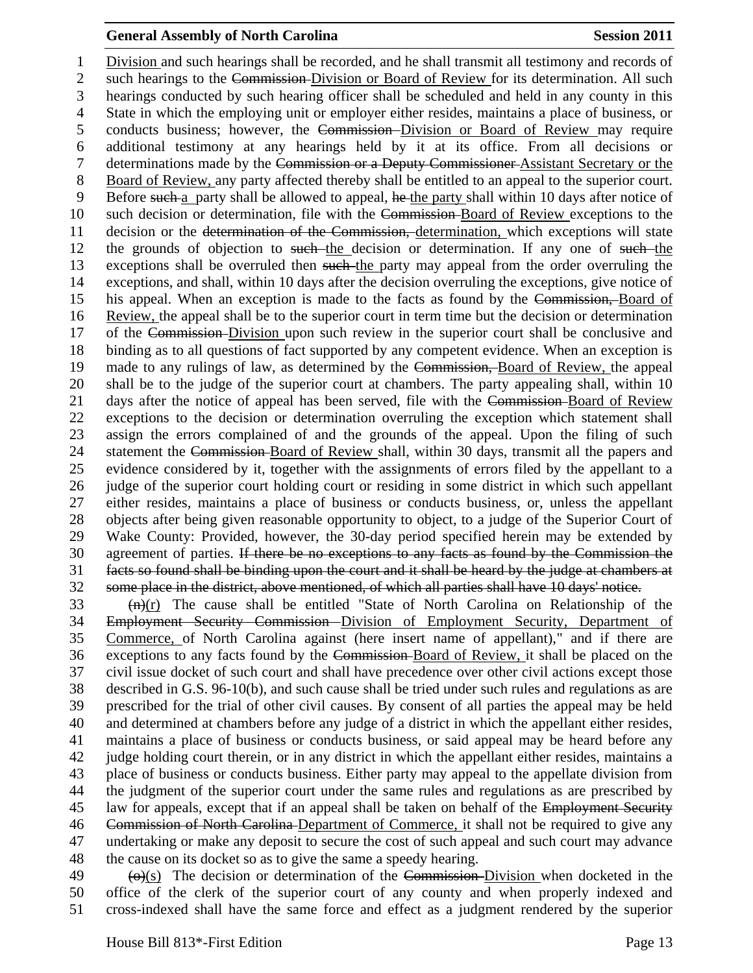Division and such hearings shall be recorded, and he shall transmit all testimony and records of 2 such hearings to the Commission-Division or Board of Review for its determination. All such hearings conducted by such hearing officer shall be scheduled and held in any county in this State in which the employing unit or employer either resides, maintains a place of business, or conducts business; however, the Commission Division or Board of Review may require additional testimony at any hearings held by it at its office. From all decisions or determinations made by the Commission or a Deputy Commissioner Assistant Secretary or the Board of Review, any party affected thereby shall be entitled to an appeal to the superior court. 9 Before such a party shall be allowed to appeal, he the party shall within 10 days after notice of such decision or determination, file with the Commission Board of Review exceptions to the 11 decision or the <del>determination of the Commission, determination</del>, which exceptions will state 12 the grounds of objection to such the decision or determination. If any one of such the 13 exceptions shall be overruled then such the party may appeal from the order overruling the exceptions, and shall, within 10 days after the decision overruling the exceptions, give notice of his appeal. When an exception is made to the facts as found by the Commission, Board of Review, the appeal shall be to the superior court in term time but the decision or determination of the Commission Division upon such review in the superior court shall be conclusive and binding as to all questions of fact supported by any competent evidence. When an exception is made to any rulings of law, as determined by the Commission, Board of Review, the appeal shall be to the judge of the superior court at chambers. The party appealing shall, within 10 days after the notice of appeal has been served, file with the Commission Board of Review exceptions to the decision or determination overruling the exception which statement shall assign the errors complained of and the grounds of the appeal. Upon the filing of such 24 statement the Commission-Board of Review shall, within 30 days, transmit all the papers and evidence considered by it, together with the assignments of errors filed by the appellant to a judge of the superior court holding court or residing in some district in which such appellant either resides, maintains a place of business or conducts business, or, unless the appellant objects after being given reasonable opportunity to object, to a judge of the Superior Court of Wake County: Provided, however, the 30-day period specified herein may be extended by agreement of parties. If there be no exceptions to any facts as found by the Commission the facts so found shall be binding upon the court and it shall be heard by the judge at chambers at some place in the district, above mentioned, of which all parties shall have 10 days' notice.

 (n)(r) The cause shall be entitled "State of North Carolina on Relationship of the Employment Security Commission Division of Employment Security, Department of Commerce, of North Carolina against (here insert name of appellant)," and if there are exceptions to any facts found by the Commission Board of Review, it shall be placed on the civil issue docket of such court and shall have precedence over other civil actions except those described in G.S. 96-10(b), and such cause shall be tried under such rules and regulations as are prescribed for the trial of other civil causes. By consent of all parties the appeal may be held and determined at chambers before any judge of a district in which the appellant either resides, maintains a place of business or conducts business, or said appeal may be heard before any judge holding court therein, or in any district in which the appellant either resides, maintains a place of business or conducts business. Either party may appeal to the appellate division from the judgment of the superior court under the same rules and regulations as are prescribed by 45 law for appeals, except that if an appeal shall be taken on behalf of the Employment Security Commission of North Carolina Department of Commerce, it shall not be required to give any undertaking or make any deposit to secure the cost of such appeal and such court may advance the cause on its docket so as to give the same a speedy hearing.

 $49 \left( \Theta \right)(s)$  The decision or determination of the Commission-Division when docketed in the office of the clerk of the superior court of any county and when properly indexed and cross-indexed shall have the same force and effect as a judgment rendered by the superior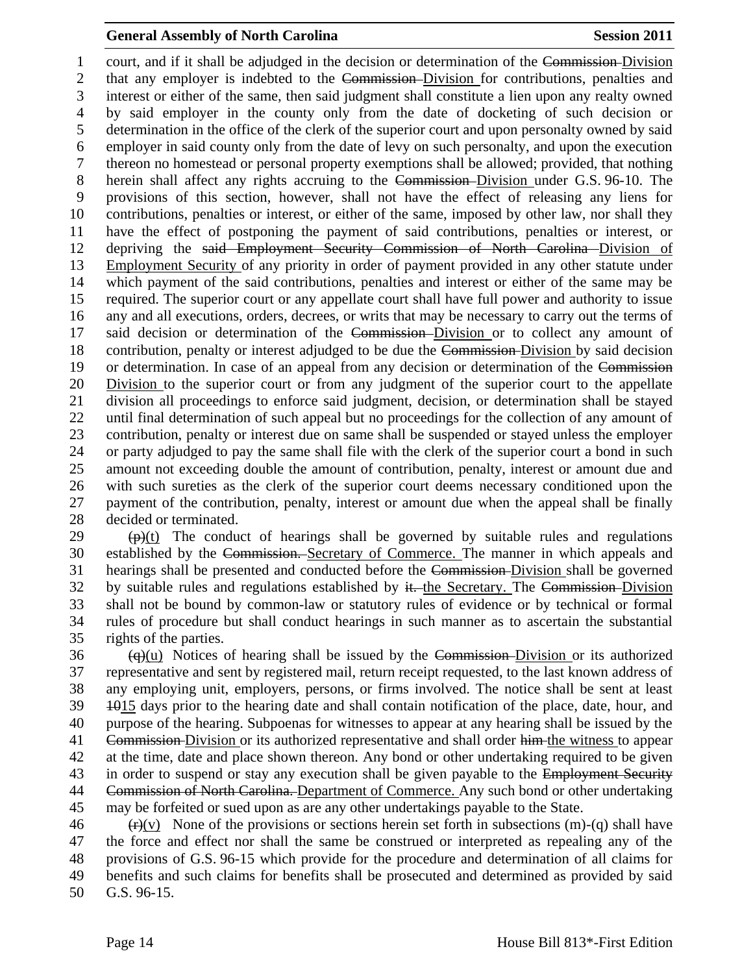court, and if it shall be adjudged in the decision or determination of the Commission Division that any employer is indebted to the Commission Division for contributions, penalties and interest or either of the same, then said judgment shall constitute a lien upon any realty owned by said employer in the county only from the date of docketing of such decision or determination in the office of the clerk of the superior court and upon personalty owned by said employer in said county only from the date of levy on such personalty, and upon the execution thereon no homestead or personal property exemptions shall be allowed; provided, that nothing herein shall affect any rights accruing to the Commission Division under G.S. 96-10. The provisions of this section, however, shall not have the effect of releasing any liens for contributions, penalties or interest, or either of the same, imposed by other law, nor shall they have the effect of postponing the payment of said contributions, penalties or interest, or depriving the said Employment Security Commission of North Carolina Division of Employment Security of any priority in order of payment provided in any other statute under which payment of the said contributions, penalties and interest or either of the same may be required. The superior court or any appellate court shall have full power and authority to issue any and all executions, orders, decrees, or writs that may be necessary to carry out the terms of said decision or determination of the Commission Division or to collect any amount of contribution, penalty or interest adjudged to be due the Commission Division by said decision 19 or determination. In case of an appeal from any decision or determination of the Commission 20 Division to the superior court or from any judgment of the superior court to the appellate division all proceedings to enforce said judgment, decision, or determination shall be stayed until final determination of such appeal but no proceedings for the collection of any amount of contribution, penalty or interest due on same shall be suspended or stayed unless the employer or party adjudged to pay the same shall file with the clerk of the superior court a bond in such amount not exceeding double the amount of contribution, penalty, interest or amount due and with such sureties as the clerk of the superior court deems necessary conditioned upon the payment of the contribution, penalty, interest or amount due when the appeal shall be finally decided or terminated.

 (p)(t) The conduct of hearings shall be governed by suitable rules and regulations established by the Commission. Secretary of Commerce. The manner in which appeals and hearings shall be presented and conducted before the Commission Division shall be governed 32 by suitable rules and regulations established by it. the Secretary. The Commission Division shall not be bound by common-law or statutory rules of evidence or by technical or formal rules of procedure but shall conduct hearings in such manner as to ascertain the substantial rights of the parties.

  $\qquad$   $\qquad$   $\qquad$  (q)(u) Notices of hearing shall be issued by the Commission-Division or its authorized representative and sent by registered mail, return receipt requested, to the last known address of any employing unit, employers, persons, or firms involved. The notice shall be sent at least 1015 days prior to the hearing date and shall contain notification of the place, date, hour, and purpose of the hearing. Subpoenas for witnesses to appear at any hearing shall be issued by the 41 Commission Division or its authorized representative and shall order him the witness to appear at the time, date and place shown thereon. Any bond or other undertaking required to be given 43 in order to suspend or stay any execution shall be given payable to the Employment Security 44 Commission of North Carolina. Department of Commerce. Any such bond or other undertaking may be forfeited or sued upon as are any other undertakings payable to the State.

 $\overline{(f)}(v)$  None of the provisions or sections herein set forth in subsections (m)-(q) shall have the force and effect nor shall the same be construed or interpreted as repealing any of the provisions of G.S. 96-15 which provide for the procedure and determination of all claims for benefits and such claims for benefits shall be prosecuted and determined as provided by said G.S. 96-15.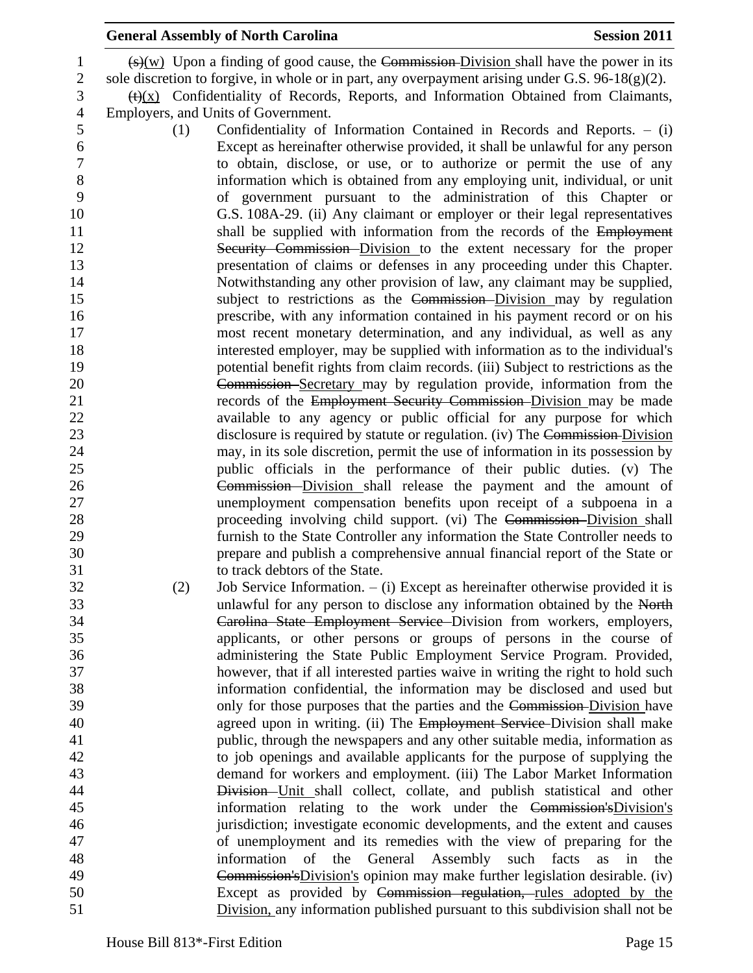|                                                  |     | <b>General Assembly of North Carolina</b>                                                                                                                                                                                                                                                                         | <b>Session 2011</b> |
|--------------------------------------------------|-----|-------------------------------------------------------------------------------------------------------------------------------------------------------------------------------------------------------------------------------------------------------------------------------------------------------------------|---------------------|
| $\mathbf{1}$<br>$\overline{2}$<br>$\mathfrak{Z}$ |     | $\frac{f(x)}{g(x)}$ Upon a finding of good cause, the Commission-Division shall have the power in its<br>sole discretion to forgive, in whole or in part, any overpayment arising under G.S. $96-18(g)(2)$ .<br>$\frac{f(t)(x)}{x}$ Confidentiality of Records, Reports, and Information Obtained from Claimants, |                     |
| $\overline{4}$                                   |     | Employers, and Units of Government.                                                                                                                                                                                                                                                                               |                     |
| 5                                                | (1) | Confidentiality of Information Contained in Records and Reports. $-$ (i)                                                                                                                                                                                                                                          |                     |
| 6                                                |     | Except as hereinafter otherwise provided, it shall be unlawful for any person                                                                                                                                                                                                                                     |                     |
| $\boldsymbol{7}$                                 |     | to obtain, disclose, or use, or to authorize or permit the use of any                                                                                                                                                                                                                                             |                     |
| $8\,$<br>9                                       |     | information which is obtained from any employing unit, individual, or unit<br>of government pursuant to the administration of this Chapter or                                                                                                                                                                     |                     |
| 10<br>11                                         |     | G.S. 108A-29. (ii) Any claimant or employer or their legal representatives<br>shall be supplied with information from the records of the Employment                                                                                                                                                               |                     |
| 12                                               |     | Security Commission Division to the extent necessary for the proper                                                                                                                                                                                                                                               |                     |
| 13                                               |     | presentation of claims or defenses in any proceeding under this Chapter.                                                                                                                                                                                                                                          |                     |
| 14                                               |     | Notwithstanding any other provision of law, any claimant may be supplied,                                                                                                                                                                                                                                         |                     |
| 15                                               |     | subject to restrictions as the Commission-Division may by regulation                                                                                                                                                                                                                                              |                     |
| 16<br>17                                         |     | prescribe, with any information contained in his payment record or on his                                                                                                                                                                                                                                         |                     |
| 18                                               |     | most recent monetary determination, and any individual, as well as any<br>interested employer, may be supplied with information as to the individual's                                                                                                                                                            |                     |
| 19                                               |     | potential benefit rights from claim records. (iii) Subject to restrictions as the                                                                                                                                                                                                                                 |                     |
| 20                                               |     | Commission Secretary may by regulation provide, information from the                                                                                                                                                                                                                                              |                     |
| 21                                               |     | records of the Employment Security Commission-Division may be made                                                                                                                                                                                                                                                |                     |
| 22                                               |     | available to any agency or public official for any purpose for which                                                                                                                                                                                                                                              |                     |
| 23                                               |     | disclosure is required by statute or regulation. (iv) The Commission-Division                                                                                                                                                                                                                                     |                     |
| 24                                               |     | may, in its sole discretion, permit the use of information in its possession by                                                                                                                                                                                                                                   |                     |
| 25                                               |     | public officials in the performance of their public duties. (v) The                                                                                                                                                                                                                                               |                     |
| 26                                               |     | Commission Division shall release the payment and the amount of                                                                                                                                                                                                                                                   |                     |
| 27<br>28                                         |     | unemployment compensation benefits upon receipt of a subpoena in a                                                                                                                                                                                                                                                |                     |
| 29                                               |     | proceeding involving child support. (vi) The Commission-Division shall<br>furnish to the State Controller any information the State Controller needs to                                                                                                                                                           |                     |
|                                                  |     | prepare and publish a comprehensive annual financial report of the State or                                                                                                                                                                                                                                       |                     |
|                                                  |     | to track debtors of the State.                                                                                                                                                                                                                                                                                    |                     |
|                                                  | (2) | Job Service Information. $-$ (i) Except as hereinafter otherwise provided it is                                                                                                                                                                                                                                   |                     |
|                                                  |     | unlawful for any person to disclose any information obtained by the North                                                                                                                                                                                                                                         |                     |
| 34                                               |     | Carolina State Employment Service Division from workers, employers,                                                                                                                                                                                                                                               |                     |
| 35                                               |     | applicants, or other persons or groups of persons in the course of                                                                                                                                                                                                                                                |                     |
| 36<br>37                                         |     | administering the State Public Employment Service Program. Provided,                                                                                                                                                                                                                                              |                     |
|                                                  |     | however, that if all interested parties waive in writing the right to hold such<br>information confidential, the information may be disclosed and used but                                                                                                                                                        |                     |
| 38<br>39                                         |     | only for those purposes that the parties and the Commission-Division have                                                                                                                                                                                                                                         |                     |
|                                                  |     | agreed upon in writing. (ii) The Employment Service-Division shall make                                                                                                                                                                                                                                           |                     |
|                                                  |     | public, through the newspapers and any other suitable media, information as                                                                                                                                                                                                                                       |                     |
|                                                  |     | to job openings and available applicants for the purpose of supplying the                                                                                                                                                                                                                                         |                     |
|                                                  |     | demand for workers and employment. (iii) The Labor Market Information                                                                                                                                                                                                                                             |                     |
| 44                                               |     | Division-Unit shall collect, collate, and publish statistical and other                                                                                                                                                                                                                                           |                     |
|                                                  |     | information relating to the work under the Commission's Division's                                                                                                                                                                                                                                                |                     |
| 46<br>47                                         |     | jurisdiction; investigate economic developments, and the extent and causes                                                                                                                                                                                                                                        |                     |
| 48                                               |     | of unemployment and its remedies with the view of preparing for the                                                                                                                                                                                                                                               |                     |
| 49                                               |     | information<br>of<br>the<br>General<br>Assembly<br>such facts<br>Commission's Division's opinion may make further legislation desirable. (iv)                                                                                                                                                                     | as<br>in<br>the     |
| 50                                               |     | Except as provided by Commission regulation, rules adopted by the                                                                                                                                                                                                                                                 |                     |
|                                                  |     | Division, any information published pursuant to this subdivision shall not be                                                                                                                                                                                                                                     |                     |
| 51                                               |     |                                                                                                                                                                                                                                                                                                                   |                     |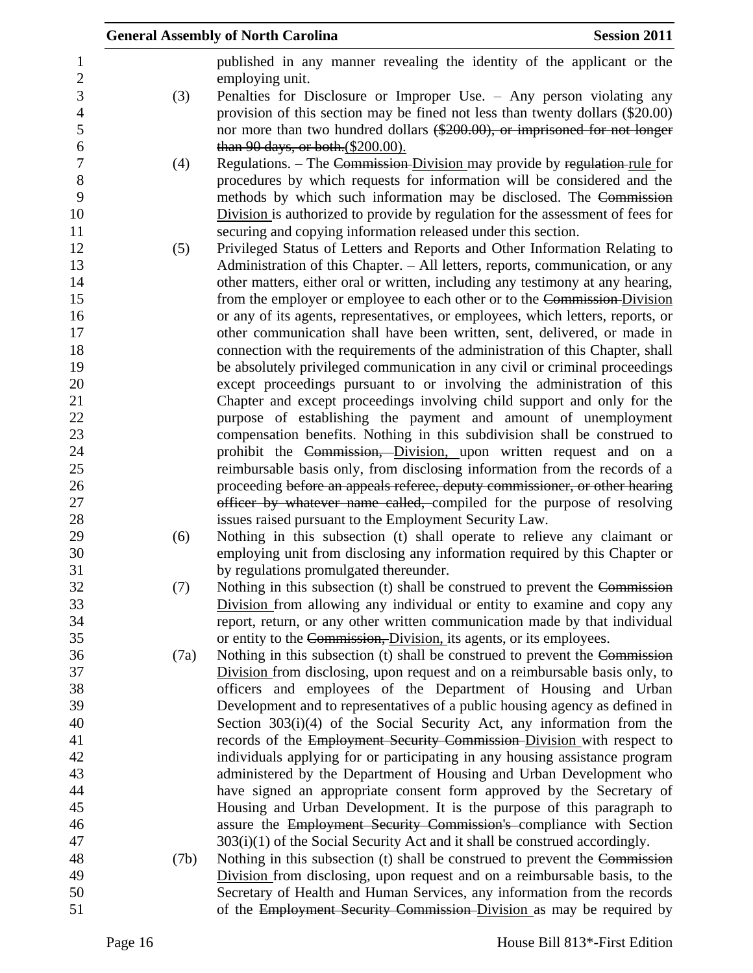|                 |      | <b>General Assembly of North Carolina</b>                                                                             | <b>Session 2011</b> |
|-----------------|------|-----------------------------------------------------------------------------------------------------------------------|---------------------|
| $\mathbf{1}$    |      | published in any manner revealing the identity of the applicant or the                                                |                     |
| $\sqrt{2}$<br>3 |      | employing unit.<br>Penalties for Disclosure or Improper Use. $-$ Any person violating any                             |                     |
| $\overline{4}$  | (3)  | provision of this section may be fined not less than twenty dollars (\$20.00)                                         |                     |
| 5               |      | nor more than two hundred dollars (\$200.00), or imprisoned for not longer                                            |                     |
| 6               |      | than 90 days, or both. (\$200.00).                                                                                    |                     |
| $\overline{7}$  | (4)  | Regulations. - The Commission-Division may provide by regulation-rule for                                             |                     |
| $8\,$           |      | procedures by which requests for information will be considered and the                                               |                     |
| 9               |      | methods by which such information may be disclosed. The Commission                                                    |                     |
| 10              |      | Division is authorized to provide by regulation for the assessment of fees for                                        |                     |
| 11              |      | securing and copying information released under this section.                                                         |                     |
| 12              | (5)  | Privileged Status of Letters and Reports and Other Information Relating to                                            |                     |
| 13              |      | Administration of this Chapter. – All letters, reports, communication, or any                                         |                     |
| 14              |      | other matters, either oral or written, including any testimony at any hearing,                                        |                     |
| 15              |      | from the employer or employee to each other or to the Commission-Division                                             |                     |
| 16              |      | or any of its agents, representatives, or employees, which letters, reports, or                                       |                     |
| 17              |      | other communication shall have been written, sent, delivered, or made in                                              |                     |
| 18              |      | connection with the requirements of the administration of this Chapter, shall                                         |                     |
| 19              |      | be absolutely privileged communication in any civil or criminal proceedings                                           |                     |
| 20              |      | except proceedings pursuant to or involving the administration of this                                                |                     |
| 21              |      | Chapter and except proceedings involving child support and only for the                                               |                     |
| 22              |      | purpose of establishing the payment and amount of unemployment                                                        |                     |
| 23              |      | compensation benefits. Nothing in this subdivision shall be construed to                                              |                     |
| 24              |      | prohibit the Commission, Division, upon written request and on a                                                      |                     |
| 25              |      | reimbursable basis only, from disclosing information from the records of a                                            |                     |
| 26              |      | proceeding before an appeals referee, deputy commissioner, or other hearing                                           |                     |
| 27              |      | officer by whatever name called, compiled for the purpose of resolving                                                |                     |
| 28              |      | issues raised pursuant to the Employment Security Law.                                                                |                     |
| 29              | (6)  | Nothing in this subsection (t) shall operate to relieve any claimant or                                               |                     |
| 30<br>31        |      | employing unit from disclosing any information required by this Chapter or                                            |                     |
| 32              | (7)  | by regulations promulgated thereunder.<br>Nothing in this subsection (t) shall be construed to prevent the Commission |                     |
| 33              |      | Division from allowing any individual or entity to examine and copy any                                               |                     |
| 34              |      | report, return, or any other written communication made by that individual                                            |                     |
| 35              |      | or entity to the Commission, Division, its agents, or its employees.                                                  |                     |
| 36              | (7a) | Nothing in this subsection (t) shall be construed to prevent the Commission                                           |                     |
| 37              |      | Division from disclosing, upon request and on a reimbursable basis only, to                                           |                     |
| 38              |      | officers and employees of the Department of Housing and Urban                                                         |                     |
| 39              |      | Development and to representatives of a public housing agency as defined in                                           |                     |
| 40              |      | Section $303(i)(4)$ of the Social Security Act, any information from the                                              |                     |
| 41              |      | records of the Employment Security Commission-Division with respect to                                                |                     |
| 42              |      | individuals applying for or participating in any housing assistance program                                           |                     |
| 43              |      | administered by the Department of Housing and Urban Development who                                                   |                     |
| 44              |      | have signed an appropriate consent form approved by the Secretary of                                                  |                     |
| 45              |      | Housing and Urban Development. It is the purpose of this paragraph to                                                 |                     |
| 46              |      | assure the Employment Security Commission's compliance with Section                                                   |                     |
| 47              |      | $303(i)(1)$ of the Social Security Act and it shall be construed accordingly.                                         |                     |
| 48              | (7b) | Nothing in this subsection (t) shall be construed to prevent the Commission                                           |                     |
| 49              |      | Division from disclosing, upon request and on a reimbursable basis, to the                                            |                     |
| 50              |      | Secretary of Health and Human Services, any information from the records                                              |                     |
| 51              |      | of the Employment Security Commission-Division as may be required by                                                  |                     |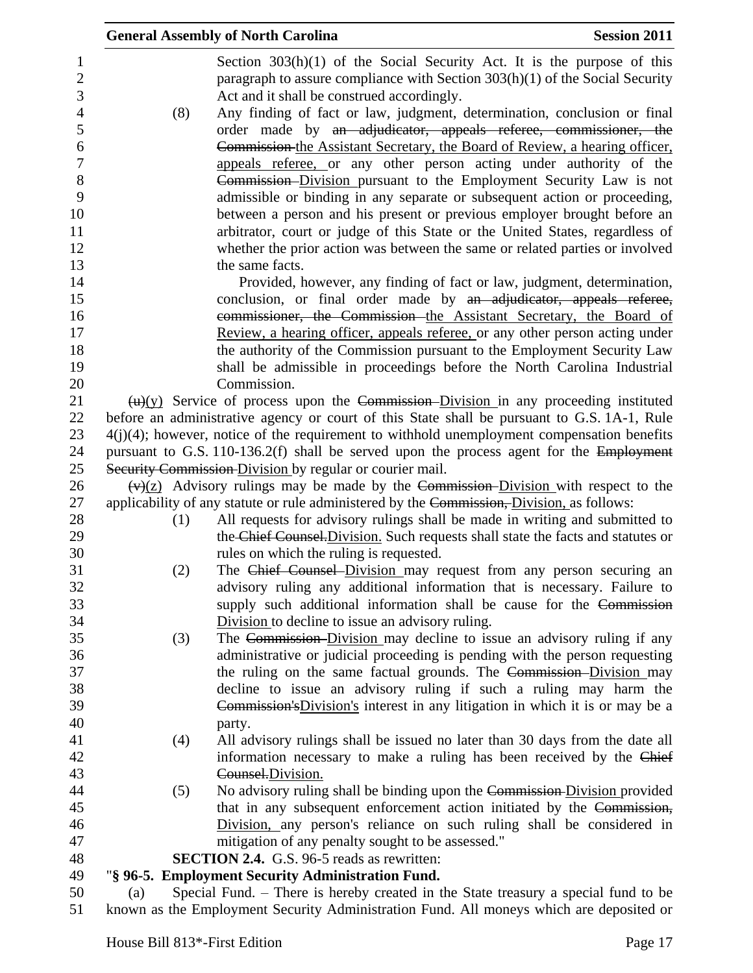|     | <b>Session 2011</b><br><b>General Assembly of North Carolina</b>                                                                                                                                          |
|-----|-----------------------------------------------------------------------------------------------------------------------------------------------------------------------------------------------------------|
|     | Section $303(h)(1)$ of the Social Security Act. It is the purpose of this<br>paragraph to assure compliance with Section $303(h)(1)$ of the Social Security<br>Act and it shall be construed accordingly. |
| (8) | Any finding of fact or law, judgment, determination, conclusion or final                                                                                                                                  |
|     | order made by an adjudicator, appeals referee, commissioner, the                                                                                                                                          |
|     | Commission the Assistant Secretary, the Board of Review, a hearing officer,                                                                                                                               |
|     | appeals referee, or any other person acting under authority of the                                                                                                                                        |
|     | Commission–Division pursuant to the Employment Security Law is not                                                                                                                                        |
|     | admissible or binding in any separate or subsequent action or proceeding,                                                                                                                                 |
|     | between a person and his present or previous employer brought before an                                                                                                                                   |
|     | arbitrator, court or judge of this State or the United States, regardless of<br>whether the prior action was between the same or related parties or involved                                              |
|     | the same facts.                                                                                                                                                                                           |
|     | Provided, however, any finding of fact or law, judgment, determination,                                                                                                                                   |
|     | conclusion, or final order made by an adjudicator, appeals referee,                                                                                                                                       |
|     | commissioner, the Commission-the Assistant Secretary, the Board of                                                                                                                                        |
|     | Review, a hearing officer, appeals referee, or any other person acting under                                                                                                                              |
|     | the authority of the Commission pursuant to the Employment Security Law                                                                                                                                   |
|     | shall be admissible in proceedings before the North Carolina Industrial                                                                                                                                   |
|     | Commission.                                                                                                                                                                                               |
|     | $\frac{H(x)}{g(x)}$ Service of process upon the Commission-Division in any proceeding instituted                                                                                                          |
|     | before an administrative agency or court of this State shall be pursuant to G.S. 1A-1, Rule                                                                                                               |
|     | $4(j)(4)$ ; however, notice of the requirement to withhold unemployment compensation benefits                                                                                                             |
|     | pursuant to G.S. 110-136.2(f) shall be served upon the process agent for the Employment                                                                                                                   |
|     | Security Commission Division by regular or courier mail.                                                                                                                                                  |
|     | $\frac{f(x)}{2}$ Advisory rulings may be made by the Commission-Division with respect to the                                                                                                              |
|     | applicability of any statute or rule administered by the Commission, Division, as follows:                                                                                                                |
| (1) | All requests for advisory rulings shall be made in writing and submitted to                                                                                                                               |
|     | the Chief Counsel. Division. Such requests shall state the facts and statutes or                                                                                                                          |
|     | rules on which the ruling is requested.                                                                                                                                                                   |
| (2) | The Chief Counsel Division may request from any person securing an<br>advisory ruling any additional information that is necessary. Failure to                                                            |
|     | supply such additional information shall be cause for the Commission                                                                                                                                      |
|     | Division to decline to issue an advisory ruling.                                                                                                                                                          |
| (3) | The Commission-Division may decline to issue an advisory ruling if any                                                                                                                                    |
|     | administrative or judicial proceeding is pending with the person requesting                                                                                                                               |
|     | the ruling on the same factual grounds. The Commission-Division may                                                                                                                                       |
|     | decline to issue an advisory ruling if such a ruling may harm the                                                                                                                                         |
|     | Commission's Division's interest in any litigation in which it is or may be a                                                                                                                             |
|     | party.                                                                                                                                                                                                    |
| (4) | All advisory rulings shall be issued no later than 30 days from the date all                                                                                                                              |
|     | information necessary to make a ruling has been received by the Chief                                                                                                                                     |
|     | Counsel.Division.                                                                                                                                                                                         |
| (5) | No advisory ruling shall be binding upon the Commission-Division provided                                                                                                                                 |
|     | that in any subsequent enforcement action initiated by the Commission,                                                                                                                                    |
|     | Division, any person's reliance on such ruling shall be considered in                                                                                                                                     |
|     | mitigation of any penalty sought to be assessed."                                                                                                                                                         |
|     | <b>SECTION 2.4.</b> G.S. 96-5 reads as rewritten:                                                                                                                                                         |
|     | "§ 96-5. Employment Security Administration Fund.                                                                                                                                                         |
| (a) | Special Fund. - There is hereby created in the State treasury a special fund to be                                                                                                                        |
|     | known as the Employment Security Administration Fund. All moneys which are deposited or                                                                                                                   |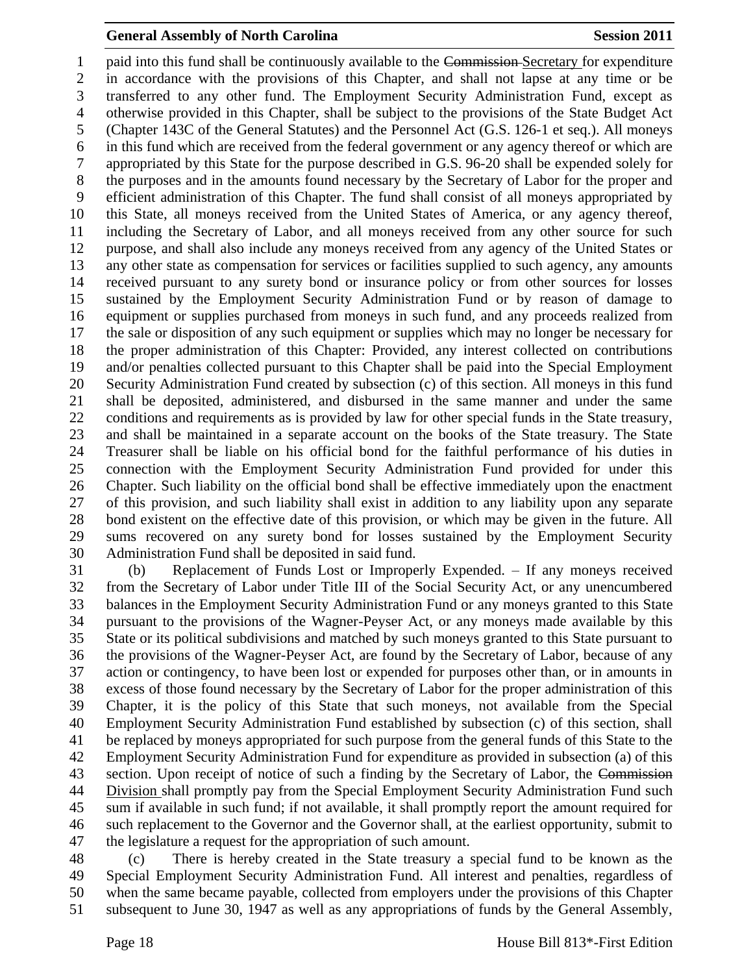1 paid into this fund shall be continuously available to the Commission-Secretary for expenditure in accordance with the provisions of this Chapter, and shall not lapse at any time or be transferred to any other fund. The Employment Security Administration Fund, except as otherwise provided in this Chapter, shall be subject to the provisions of the State Budget Act (Chapter 143C of the General Statutes) and the Personnel Act (G.S. 126-1 et seq.). All moneys in this fund which are received from the federal government or any agency thereof or which are appropriated by this State for the purpose described in G.S. 96-20 shall be expended solely for the purposes and in the amounts found necessary by the Secretary of Labor for the proper and efficient administration of this Chapter. The fund shall consist of all moneys appropriated by this State, all moneys received from the United States of America, or any agency thereof, including the Secretary of Labor, and all moneys received from any other source for such purpose, and shall also include any moneys received from any agency of the United States or any other state as compensation for services or facilities supplied to such agency, any amounts received pursuant to any surety bond or insurance policy or from other sources for losses sustained by the Employment Security Administration Fund or by reason of damage to equipment or supplies purchased from moneys in such fund, and any proceeds realized from the sale or disposition of any such equipment or supplies which may no longer be necessary for the proper administration of this Chapter: Provided, any interest collected on contributions and/or penalties collected pursuant to this Chapter shall be paid into the Special Employment Security Administration Fund created by subsection (c) of this section. All moneys in this fund shall be deposited, administered, and disbursed in the same manner and under the same conditions and requirements as is provided by law for other special funds in the State treasury, and shall be maintained in a separate account on the books of the State treasury. The State Treasurer shall be liable on his official bond for the faithful performance of his duties in connection with the Employment Security Administration Fund provided for under this Chapter. Such liability on the official bond shall be effective immediately upon the enactment of this provision, and such liability shall exist in addition to any liability upon any separate bond existent on the effective date of this provision, or which may be given in the future. All sums recovered on any surety bond for losses sustained by the Employment Security Administration Fund shall be deposited in said fund.

 (b) Replacement of Funds Lost or Improperly Expended. – If any moneys received from the Secretary of Labor under Title III of the Social Security Act, or any unencumbered balances in the Employment Security Administration Fund or any moneys granted to this State pursuant to the provisions of the Wagner-Peyser Act, or any moneys made available by this State or its political subdivisions and matched by such moneys granted to this State pursuant to the provisions of the Wagner-Peyser Act, are found by the Secretary of Labor, because of any action or contingency, to have been lost or expended for purposes other than, or in amounts in excess of those found necessary by the Secretary of Labor for the proper administration of this Chapter, it is the policy of this State that such moneys, not available from the Special Employment Security Administration Fund established by subsection (c) of this section, shall be replaced by moneys appropriated for such purpose from the general funds of this State to the Employment Security Administration Fund for expenditure as provided in subsection (a) of this 43 section. Upon receipt of notice of such a finding by the Secretary of Labor, the Commission Division shall promptly pay from the Special Employment Security Administration Fund such sum if available in such fund; if not available, it shall promptly report the amount required for such replacement to the Governor and the Governor shall, at the earliest opportunity, submit to the legislature a request for the appropriation of such amount.

 (c) There is hereby created in the State treasury a special fund to be known as the Special Employment Security Administration Fund. All interest and penalties, regardless of when the same became payable, collected from employers under the provisions of this Chapter subsequent to June 30, 1947 as well as any appropriations of funds by the General Assembly,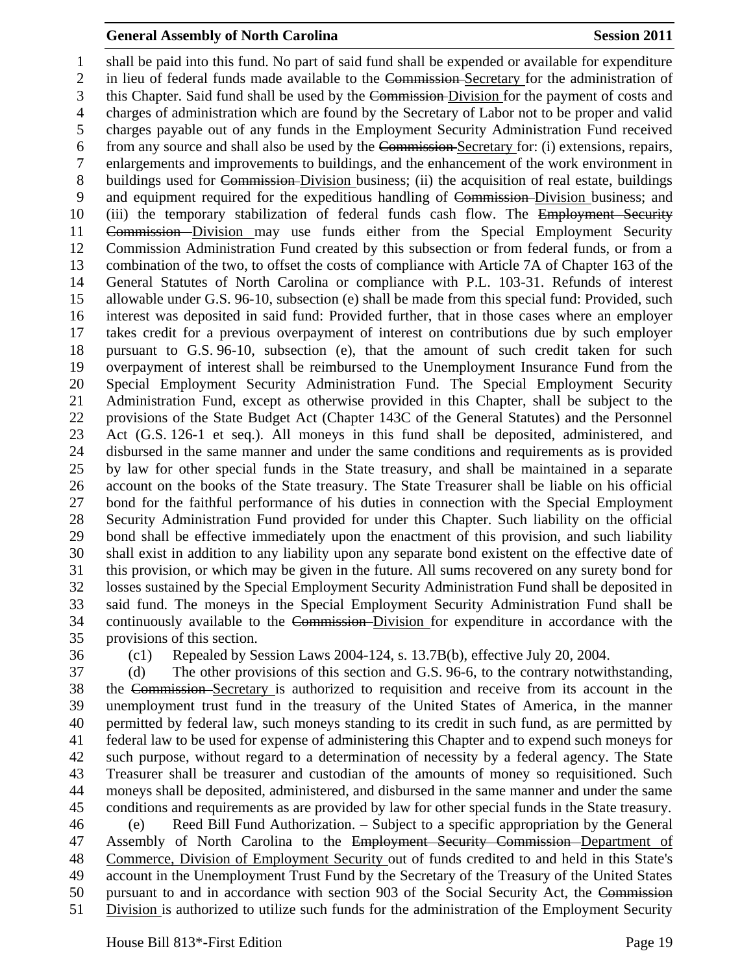shall be paid into this fund. No part of said fund shall be expended or available for expenditure in lieu of federal funds made available to the Commission Secretary for the administration of 3 this Chapter. Said fund shall be used by the Commission-Division for the payment of costs and charges of administration which are found by the Secretary of Labor not to be proper and valid charges payable out of any funds in the Employment Security Administration Fund received from any source and shall also be used by the Commission Secretary for: (i) extensions, repairs, enlargements and improvements to buildings, and the enhancement of the work environment in 8 buildings used for Commission-Division business; (ii) the acquisition of real estate, buildings and equipment required for the expeditious handling of Commission Division business; and 10 (iii) the temporary stabilization of federal funds cash flow. The Employment Security Commission Division may use funds either from the Special Employment Security Commission Administration Fund created by this subsection or from federal funds, or from a combination of the two, to offset the costs of compliance with Article 7A of Chapter 163 of the General Statutes of North Carolina or compliance with P.L. 103-31. Refunds of interest allowable under G.S. 96-10, subsection (e) shall be made from this special fund: Provided, such interest was deposited in said fund: Provided further, that in those cases where an employer takes credit for a previous overpayment of interest on contributions due by such employer pursuant to G.S. 96-10, subsection (e), that the amount of such credit taken for such overpayment of interest shall be reimbursed to the Unemployment Insurance Fund from the Special Employment Security Administration Fund. The Special Employment Security Administration Fund, except as otherwise provided in this Chapter, shall be subject to the provisions of the State Budget Act (Chapter 143C of the General Statutes) and the Personnel Act (G.S. 126-1 et seq.). All moneys in this fund shall be deposited, administered, and disbursed in the same manner and under the same conditions and requirements as is provided by law for other special funds in the State treasury, and shall be maintained in a separate account on the books of the State treasury. The State Treasurer shall be liable on his official bond for the faithful performance of his duties in connection with the Special Employment Security Administration Fund provided for under this Chapter. Such liability on the official bond shall be effective immediately upon the enactment of this provision, and such liability shall exist in addition to any liability upon any separate bond existent on the effective date of this provision, or which may be given in the future. All sums recovered on any surety bond for losses sustained by the Special Employment Security Administration Fund shall be deposited in said fund. The moneys in the Special Employment Security Administration Fund shall be continuously available to the Commission Division for expenditure in accordance with the provisions of this section.

(c1) Repealed by Session Laws 2004-124, s. 13.7B(b), effective July 20, 2004.

 (d) The other provisions of this section and G.S. 96-6, to the contrary notwithstanding, the Commission Secretary is authorized to requisition and receive from its account in the unemployment trust fund in the treasury of the United States of America, in the manner permitted by federal law, such moneys standing to its credit in such fund, as are permitted by federal law to be used for expense of administering this Chapter and to expend such moneys for such purpose, without regard to a determination of necessity by a federal agency. The State Treasurer shall be treasurer and custodian of the amounts of money so requisitioned. Such moneys shall be deposited, administered, and disbursed in the same manner and under the same conditions and requirements as are provided by law for other special funds in the State treasury. (e) Reed Bill Fund Authorization. – Subject to a specific appropriation by the General 47 Assembly of North Carolina to the Employment Security Commission–Department of Commerce, Division of Employment Security out of funds credited to and held in this State's account in the Unemployment Trust Fund by the Secretary of the Treasury of the United States pursuant to and in accordance with section 903 of the Social Security Act, the Commission Division is authorized to utilize such funds for the administration of the Employment Security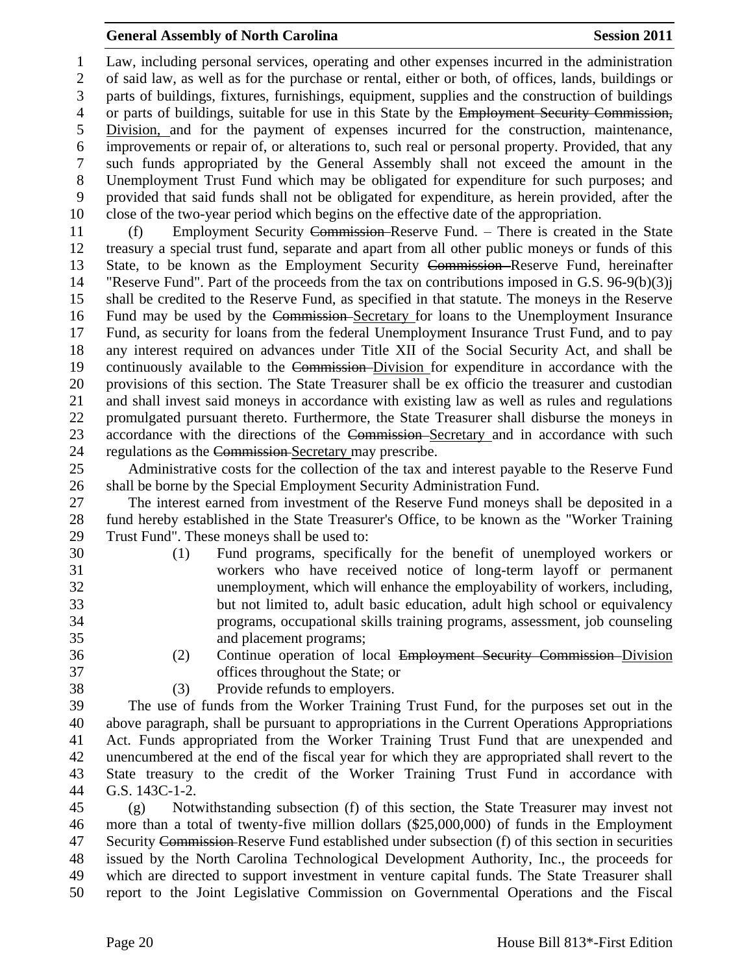Law, including personal services, operating and other expenses incurred in the administration of said law, as well as for the purchase or rental, either or both, of offices, lands, buildings or parts of buildings, fixtures, furnishings, equipment, supplies and the construction of buildings 4 or parts of buildings, suitable for use in this State by the Employment Security Commission, Division, and for the payment of expenses incurred for the construction, maintenance, improvements or repair of, or alterations to, such real or personal property. Provided, that any such funds appropriated by the General Assembly shall not exceed the amount in the Unemployment Trust Fund which may be obligated for expenditure for such purposes; and provided that said funds shall not be obligated for expenditure, as herein provided, after the close of the two-year period which begins on the effective date of the appropriation.

 (f) Employment Security Commission Reserve Fund. – There is created in the State treasury a special trust fund, separate and apart from all other public moneys or funds of this State, to be known as the Employment Security Commission Reserve Fund, hereinafter "Reserve Fund". Part of the proceeds from the tax on contributions imposed in G.S. 96-9(b)(3)j shall be credited to the Reserve Fund, as specified in that statute. The moneys in the Reserve Fund may be used by the Commission Secretary for loans to the Unemployment Insurance Fund, as security for loans from the federal Unemployment Insurance Trust Fund, and to pay any interest required on advances under Title XII of the Social Security Act, and shall be continuously available to the Commission Division for expenditure in accordance with the provisions of this section. The State Treasurer shall be ex officio the treasurer and custodian and shall invest said moneys in accordance with existing law as well as rules and regulations promulgated pursuant thereto. Furthermore, the State Treasurer shall disburse the moneys in accordance with the directions of the Commission Secretary and in accordance with such regulations as the Commission Secretary may prescribe.

 Administrative costs for the collection of the tax and interest payable to the Reserve Fund shall be borne by the Special Employment Security Administration Fund.

 The interest earned from investment of the Reserve Fund moneys shall be deposited in a fund hereby established in the State Treasurer's Office, to be known as the "Worker Training Trust Fund". These moneys shall be used to:

- 
- (1) Fund programs, specifically for the benefit of unemployed workers or workers who have received notice of long-term layoff or permanent unemployment, which will enhance the employability of workers, including, but not limited to, adult basic education, adult high school or equivalency programs, occupational skills training programs, assessment, job counseling and placement programs;
- (2) Continue operation of local Employment Security Commission Division
- 
- offices throughout the State; or
- 38 (3) Provide refunds to employers.

 The use of funds from the Worker Training Trust Fund, for the purposes set out in the above paragraph, shall be pursuant to appropriations in the Current Operations Appropriations Act. Funds appropriated from the Worker Training Trust Fund that are unexpended and unencumbered at the end of the fiscal year for which they are appropriated shall revert to the State treasury to the credit of the Worker Training Trust Fund in accordance with G.S. 143C-1-2.

 (g) Notwithstanding subsection (f) of this section, the State Treasurer may invest not more than a total of twenty-five million dollars (\$25,000,000) of funds in the Employment 47 Security Commission-Reserve Fund established under subsection (f) of this section in securities issued by the North Carolina Technological Development Authority, Inc., the proceeds for which are directed to support investment in venture capital funds. The State Treasurer shall report to the Joint Legislative Commission on Governmental Operations and the Fiscal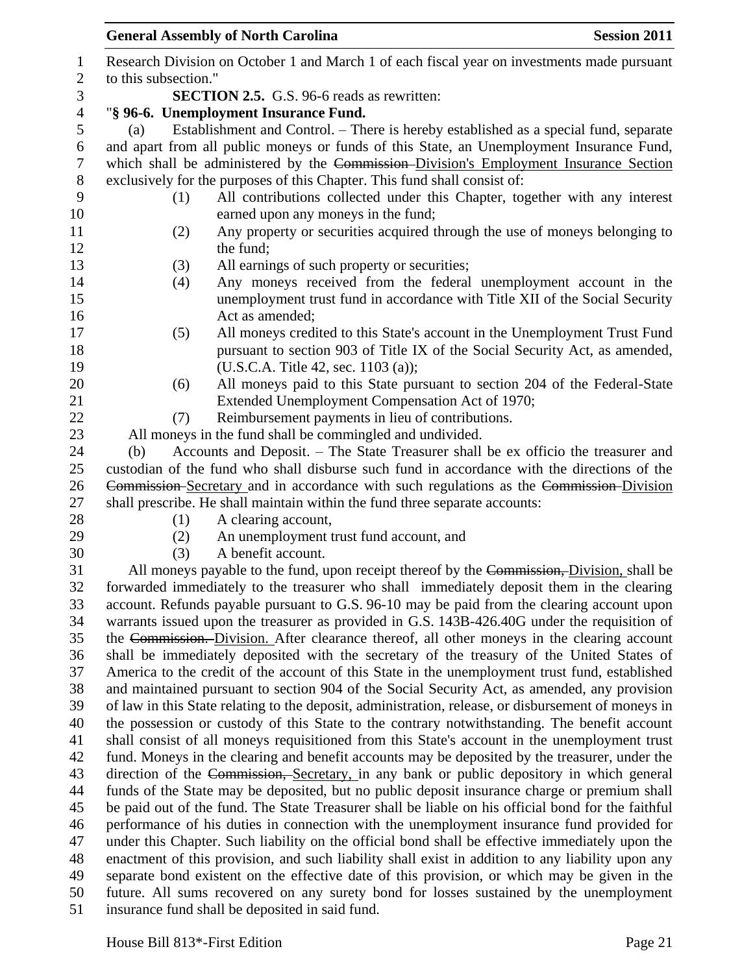|                                                                                                                                           | <b>General Assembly of North Carolina</b><br><b>Session 2011</b>                                                                                                                                |  |
|-------------------------------------------------------------------------------------------------------------------------------------------|-------------------------------------------------------------------------------------------------------------------------------------------------------------------------------------------------|--|
|                                                                                                                                           | Research Division on October 1 and March 1 of each fiscal year on investments made pursuant                                                                                                     |  |
| to this subsection."                                                                                                                      |                                                                                                                                                                                                 |  |
|                                                                                                                                           | <b>SECTION 2.5.</b> G.S. 96-6 reads as rewritten:                                                                                                                                               |  |
|                                                                                                                                           | "§ 96-6. Unemployment Insurance Fund.                                                                                                                                                           |  |
| (a)                                                                                                                                       | Establishment and Control. – There is hereby established as a special fund, separate                                                                                                            |  |
|                                                                                                                                           | and apart from all public moneys or funds of this State, an Unemployment Insurance Fund,                                                                                                        |  |
|                                                                                                                                           | which shall be administered by the Commission-Division's Employment Insurance Section                                                                                                           |  |
|                                                                                                                                           | exclusively for the purposes of this Chapter. This fund shall consist of:                                                                                                                       |  |
| (1)                                                                                                                                       | All contributions collected under this Chapter, together with any interest                                                                                                                      |  |
|                                                                                                                                           | earned upon any moneys in the fund;                                                                                                                                                             |  |
| (2)                                                                                                                                       | Any property or securities acquired through the use of moneys belonging to                                                                                                                      |  |
|                                                                                                                                           | the fund;                                                                                                                                                                                       |  |
| (3)                                                                                                                                       | All earnings of such property or securities;                                                                                                                                                    |  |
| (4)                                                                                                                                       | Any moneys received from the federal unemployment account in the                                                                                                                                |  |
|                                                                                                                                           | unemployment trust fund in accordance with Title XII of the Social Security                                                                                                                     |  |
|                                                                                                                                           | Act as amended;                                                                                                                                                                                 |  |
| (5)                                                                                                                                       | All moneys credited to this State's account in the Unemployment Trust Fund                                                                                                                      |  |
|                                                                                                                                           | pursuant to section 903 of Title IX of the Social Security Act, as amended,                                                                                                                     |  |
|                                                                                                                                           | (U.S.C.A. Title 42, sec. 1103 (a));                                                                                                                                                             |  |
| (6)                                                                                                                                       | All moneys paid to this State pursuant to section 204 of the Federal-State                                                                                                                      |  |
|                                                                                                                                           | Extended Unemployment Compensation Act of 1970;                                                                                                                                                 |  |
| (7)                                                                                                                                       | Reimbursement payments in lieu of contributions.                                                                                                                                                |  |
|                                                                                                                                           | All moneys in the fund shall be commingled and undivided.                                                                                                                                       |  |
| (b)                                                                                                                                       | Accounts and Deposit. – The State Treasurer shall be ex officio the treasurer and                                                                                                               |  |
|                                                                                                                                           | custodian of the fund who shall disburse such fund in accordance with the directions of the                                                                                                     |  |
|                                                                                                                                           | Commission Secretary and in accordance with such regulations as the Commission-Division                                                                                                         |  |
|                                                                                                                                           | shall prescribe. He shall maintain within the fund three separate accounts:                                                                                                                     |  |
| (1)                                                                                                                                       | A clearing account,                                                                                                                                                                             |  |
| (2)                                                                                                                                       | An unemployment trust fund account, and                                                                                                                                                         |  |
| (3)                                                                                                                                       | A benefit account.                                                                                                                                                                              |  |
|                                                                                                                                           | All moneys payable to the fund, upon receipt thereof by the Commission, Division, shall be                                                                                                      |  |
|                                                                                                                                           | forwarded immediately to the treasurer who shall immediately deposit them in the clearing                                                                                                       |  |
|                                                                                                                                           | account. Refunds payable pursuant to G.S. 96-10 may be paid from the clearing account upon                                                                                                      |  |
|                                                                                                                                           | warrants issued upon the treasurer as provided in G.S. 143B-426.40G under the requisition of                                                                                                    |  |
|                                                                                                                                           | the Commission. Division. After clearance thereof, all other moneys in the clearing account                                                                                                     |  |
|                                                                                                                                           | shall be immediately deposited with the secretary of the treasury of the United States of                                                                                                       |  |
|                                                                                                                                           | America to the credit of the account of this State in the unemployment trust fund, established                                                                                                  |  |
|                                                                                                                                           | and maintained pursuant to section 904 of the Social Security Act, as amended, any provision                                                                                                    |  |
|                                                                                                                                           | of law in this State relating to the deposit, administration, release, or disbursement of moneys in                                                                                             |  |
|                                                                                                                                           | the possession or custody of this State to the contrary notwithstanding. The benefit account                                                                                                    |  |
|                                                                                                                                           | shall consist of all moneys requisitioned from this State's account in the unemployment trust                                                                                                   |  |
|                                                                                                                                           | fund. Moneys in the clearing and benefit accounts may be deposited by the treasurer, under the                                                                                                  |  |
|                                                                                                                                           | direction of the Commission, Secretary, in any bank or public depository in which general                                                                                                       |  |
|                                                                                                                                           | funds of the State may be deposited, but no public deposit insurance charge or premium shall                                                                                                    |  |
|                                                                                                                                           | be paid out of the fund. The State Treasurer shall be liable on his official bond for the faithful<br>performance of his duties in connection with the unemployment insurance fund provided for |  |
|                                                                                                                                           | under this Chapter. Such liability on the official bond shall be effective immediately upon the                                                                                                 |  |
|                                                                                                                                           | enactment of this provision, and such liability shall exist in addition to any liability upon any                                                                                               |  |
|                                                                                                                                           | separate bond existent on the effective date of this provision, or which may be given in the                                                                                                    |  |
|                                                                                                                                           |                                                                                                                                                                                                 |  |
|                                                                                                                                           |                                                                                                                                                                                                 |  |
| future. All sums recovered on any surety bond for losses sustained by the unemployment<br>insurance fund shall be deposited in said fund. |                                                                                                                                                                                                 |  |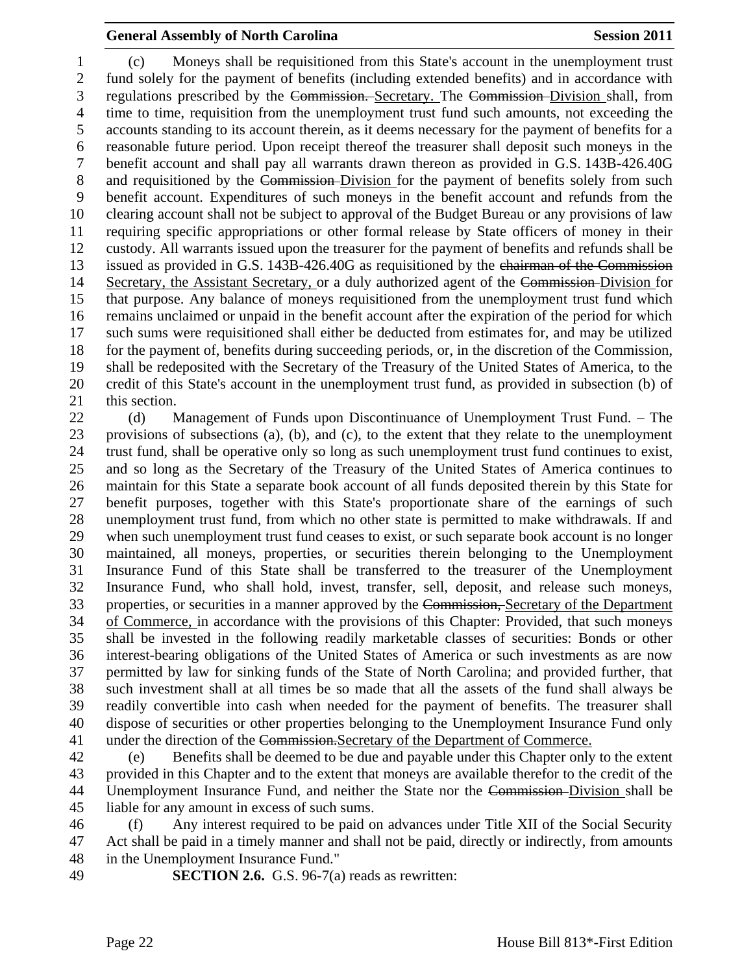(c) Moneys shall be requisitioned from this State's account in the unemployment trust fund solely for the payment of benefits (including extended benefits) and in accordance with regulations prescribed by the Commission. Secretary. The Commission Division shall, from time to time, requisition from the unemployment trust fund such amounts, not exceeding the accounts standing to its account therein, as it deems necessary for the payment of benefits for a reasonable future period. Upon receipt thereof the treasurer shall deposit such moneys in the benefit account and shall pay all warrants drawn thereon as provided in G.S. 143B-426.40G 8 and requisitioned by the Commission-Division for the payment of benefits solely from such benefit account. Expenditures of such moneys in the benefit account and refunds from the clearing account shall not be subject to approval of the Budget Bureau or any provisions of law requiring specific appropriations or other formal release by State officers of money in their custody. All warrants issued upon the treasurer for the payment of benefits and refunds shall be issued as provided in G.S. 143B-426.40G as requisitioned by the chairman of the Commission Secretary, the Assistant Secretary, or a duly authorized agent of the Commission Division for that purpose. Any balance of moneys requisitioned from the unemployment trust fund which remains unclaimed or unpaid in the benefit account after the expiration of the period for which such sums were requisitioned shall either be deducted from estimates for, and may be utilized for the payment of, benefits during succeeding periods, or, in the discretion of the Commission, shall be redeposited with the Secretary of the Treasury of the United States of America, to the credit of this State's account in the unemployment trust fund, as provided in subsection (b) of this section.

 (d) Management of Funds upon Discontinuance of Unemployment Trust Fund. – The provisions of subsections (a), (b), and (c), to the extent that they relate to the unemployment trust fund, shall be operative only so long as such unemployment trust fund continues to exist, and so long as the Secretary of the Treasury of the United States of America continues to maintain for this State a separate book account of all funds deposited therein by this State for benefit purposes, together with this State's proportionate share of the earnings of such unemployment trust fund, from which no other state is permitted to make withdrawals. If and when such unemployment trust fund ceases to exist, or such separate book account is no longer maintained, all moneys, properties, or securities therein belonging to the Unemployment Insurance Fund of this State shall be transferred to the treasurer of the Unemployment Insurance Fund, who shall hold, invest, transfer, sell, deposit, and release such moneys, 33 properties, or securities in a manner approved by the Commission, Secretary of the Department of Commerce, in accordance with the provisions of this Chapter: Provided, that such moneys shall be invested in the following readily marketable classes of securities: Bonds or other interest-bearing obligations of the United States of America or such investments as are now permitted by law for sinking funds of the State of North Carolina; and provided further, that such investment shall at all times be so made that all the assets of the fund shall always be readily convertible into cash when needed for the payment of benefits. The treasurer shall dispose of securities or other properties belonging to the Unemployment Insurance Fund only 41 under the direction of the Commission. Secretary of the Department of Commerce.

 (e) Benefits shall be deemed to be due and payable under this Chapter only to the extent provided in this Chapter and to the extent that moneys are available therefor to the credit of the Unemployment Insurance Fund, and neither the State nor the Commission Division shall be liable for any amount in excess of such sums.

 (f) Any interest required to be paid on advances under Title XII of the Social Security Act shall be paid in a timely manner and shall not be paid, directly or indirectly, from amounts in the Unemployment Insurance Fund."

**SECTION 2.6.** G.S. 96-7(a) reads as rewritten: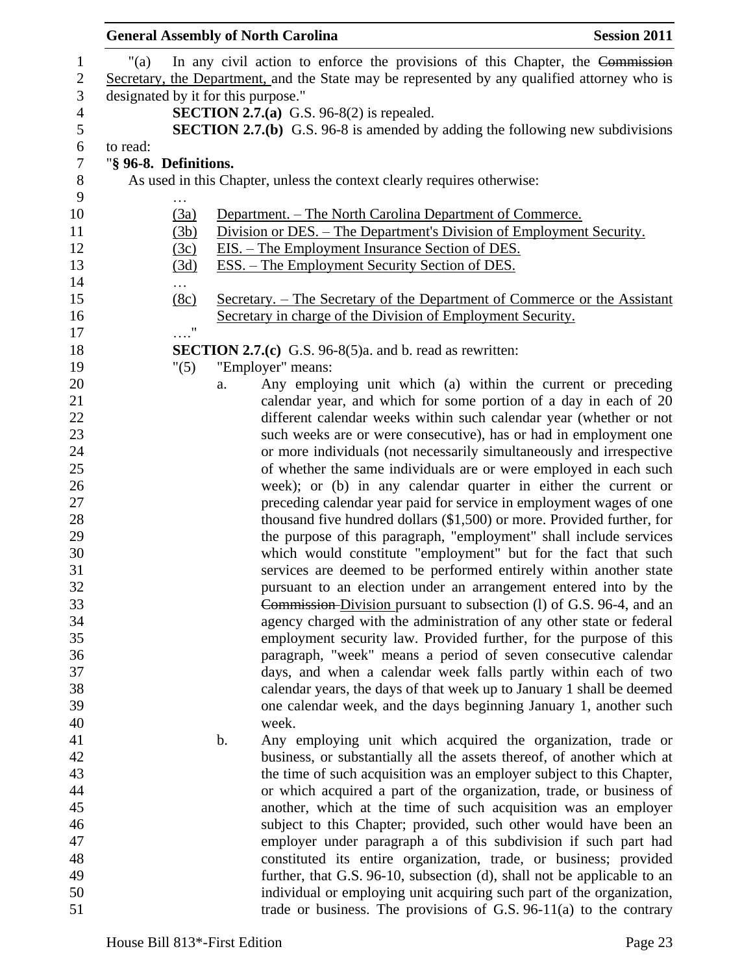|                                   | <b>General Assembly of North Carolina</b>      |    | <b>Session 2011</b>                                                                                                                                                           |
|-----------------------------------|------------------------------------------------|----|-------------------------------------------------------------------------------------------------------------------------------------------------------------------------------|
| 1<br>$\sqrt{2}$<br>$\mathfrak{Z}$ | " $(a)$<br>designated by it for this purpose." |    | In any civil action to enforce the provisions of this Chapter, the Commission<br>Secretary, the Department, and the State may be represented by any qualified attorney who is |
| $\overline{4}$<br>5               |                                                |    | <b>SECTION 2.7.(a)</b> G.S. 96-8(2) is repealed.<br><b>SECTION 2.7.(b)</b> G.S. 96-8 is amended by adding the following new subdivisions                                      |
| 6                                 | to read:                                       |    |                                                                                                                                                                               |
| 7                                 | "§ 96-8. Definitions.                          |    |                                                                                                                                                                               |
| 8                                 |                                                |    | As used in this Chapter, unless the context clearly requires otherwise:                                                                                                       |
| 9                                 |                                                |    |                                                                                                                                                                               |
| 10                                | (3a)                                           |    | <u> Department. – The North Carolina Department of Commerce.</u>                                                                                                              |
| 11                                | (3b)                                           |    | Division or DES. – The Department's Division of Employment Security.                                                                                                          |
| 12                                | (3c)                                           |    | <u>EIS. – The Employment Insurance Section of DES.</u>                                                                                                                        |
| 13                                | (3d)                                           |    | ESS. – The Employment Security Section of DES.                                                                                                                                |
| 14<br>15                          | $\cdots$<br>(8c)                               |    | Secretary. – The Secretary of the Department of Commerce or the Assistant                                                                                                     |
| 16                                |                                                |    | Secretary in charge of the Division of Employment Security.                                                                                                                   |
| 17                                | $\ldots$ <sup>0</sup>                          |    |                                                                                                                                                                               |
| 18<br>19                          |                                                |    | <b>SECTION 2.7.(c)</b> G.S. 96-8(5)a. and b. read as rewritten:                                                                                                               |
| 20                                | "(5)                                           |    | "Employer" means:<br>Any employing unit which (a) within the current or preceding                                                                                             |
| 21                                |                                                | a. | calendar year, and which for some portion of a day in each of 20                                                                                                              |
| 22                                |                                                |    | different calendar weeks within such calendar year (whether or not                                                                                                            |
| 23                                |                                                |    | such weeks are or were consecutive), has or had in employment one                                                                                                             |
| 24                                |                                                |    | or more individuals (not necessarily simultaneously and irrespective                                                                                                          |
| 25                                |                                                |    | of whether the same individuals are or were employed in each such                                                                                                             |
| 26                                |                                                |    | week); or (b) in any calendar quarter in either the current or                                                                                                                |
| 27                                |                                                |    | preceding calendar year paid for service in employment wages of one                                                                                                           |
| 28                                |                                                |    | thousand five hundred dollars (\$1,500) or more. Provided further, for                                                                                                        |
| 29                                |                                                |    | the purpose of this paragraph, "employment" shall include services                                                                                                            |
| 30                                |                                                |    | which would constitute "employment" but for the fact that such                                                                                                                |
| 31                                |                                                |    | services are deemed to be performed entirely within another state                                                                                                             |
| 32                                |                                                |    | pursuant to an election under an arrangement entered into by the                                                                                                              |
| 33                                |                                                |    | Commission-Division pursuant to subsection (l) of G.S. 96-4, and an                                                                                                           |
| 34                                |                                                |    | agency charged with the administration of any other state or federal                                                                                                          |
| 35                                |                                                |    | employment security law. Provided further, for the purpose of this                                                                                                            |
| 36<br>37                          |                                                |    | paragraph, "week" means a period of seven consecutive calendar<br>days, and when a calendar week falls partly within each of two                                              |
| 38                                |                                                |    | calendar years, the days of that week up to January 1 shall be deemed                                                                                                         |
| 39                                |                                                |    | one calendar week, and the days beginning January 1, another such                                                                                                             |
| 40                                |                                                |    | week.                                                                                                                                                                         |
|                                   |                                                | b. | Any employing unit which acquired the organization, trade or                                                                                                                  |
| 41<br>42                          |                                                |    | business, or substantially all the assets thereof, of another which at                                                                                                        |
| 43                                |                                                |    | the time of such acquisition was an employer subject to this Chapter,                                                                                                         |
|                                   |                                                |    | or which acquired a part of the organization, trade, or business of                                                                                                           |
|                                   |                                                |    | another, which at the time of such acquisition was an employer                                                                                                                |
|                                   |                                                |    | subject to this Chapter; provided, such other would have been an                                                                                                              |
| 46<br>47                          |                                                |    | employer under paragraph a of this subdivision if such part had                                                                                                               |
| 48                                |                                                |    | constituted its entire organization, trade, or business; provided                                                                                                             |
| 49<br>50                          |                                                |    | further, that G.S. 96-10, subsection (d), shall not be applicable to an                                                                                                       |
|                                   |                                                |    | individual or employing unit acquiring such part of the organization,                                                                                                         |
| 51                                |                                                |    | trade or business. The provisions of G.S. $96-11(a)$ to the contrary                                                                                                          |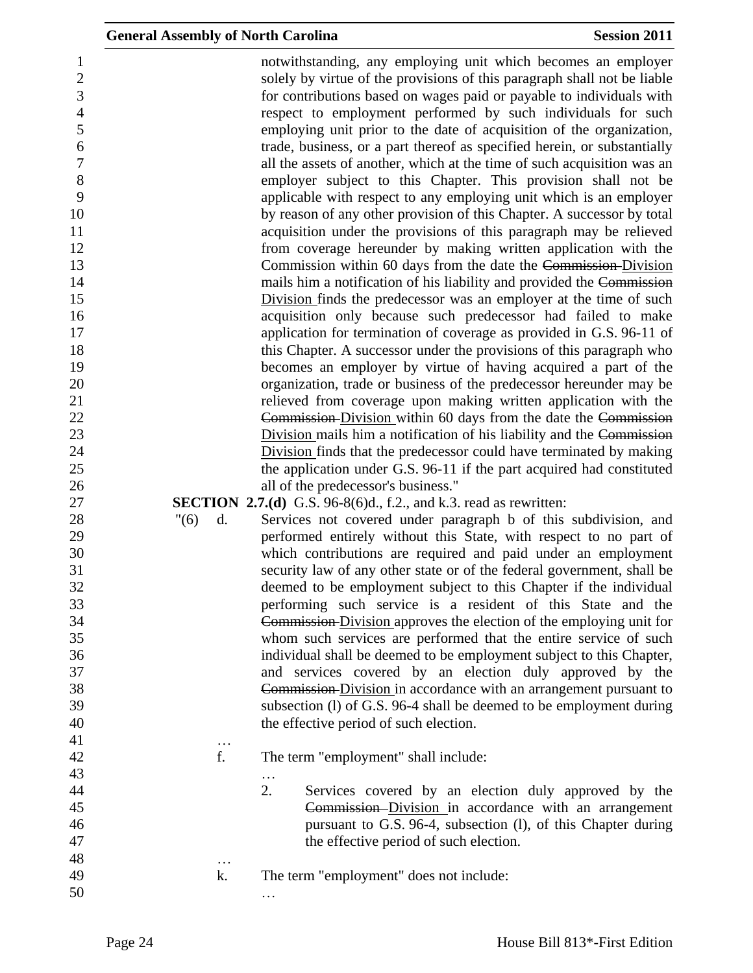| $\mathbf{1}$     |            | notwithstanding, any employing unit which becomes an employer              |
|------------------|------------|----------------------------------------------------------------------------|
| $\mathbf{2}$     |            | solely by virtue of the provisions of this paragraph shall not be liable   |
| 3                |            | for contributions based on wages paid or payable to individuals with       |
| $\overline{4}$   |            | respect to employment performed by such individuals for such               |
| $\mathfrak s$    |            | employing unit prior to the date of acquisition of the organization,       |
| 6                |            | trade, business, or a part thereof as specified herein, or substantially   |
| $\boldsymbol{7}$ |            | all the assets of another, which at the time of such acquisition was an    |
| $\, 8$           |            | employer subject to this Chapter. This provision shall not be              |
| 9                |            | applicable with respect to any employing unit which is an employer         |
| 10               |            | by reason of any other provision of this Chapter. A successor by total     |
| 11               |            | acquisition under the provisions of this paragraph may be relieved         |
| 12               |            | from coverage hereunder by making written application with the             |
| 13               |            | Commission within 60 days from the date the Commission-Division            |
| 14               |            | mails him a notification of his liability and provided the Commission      |
| 15               |            | Division finds the predecessor was an employer at the time of such         |
| 16               |            | acquisition only because such predecessor had failed to make               |
| 17               |            | application for termination of coverage as provided in G.S. 96-11 of       |
| 18               |            | this Chapter. A successor under the provisions of this paragraph who       |
| 19               |            | becomes an employer by virtue of having acquired a part of the             |
| 20               |            | organization, trade or business of the predecessor hereunder may be        |
| 21               |            | relieved from coverage upon making written application with the            |
| 22               |            | Commission Division within 60 days from the date the Commission            |
| 23               |            | Division mails him a notification of his liability and the Commission      |
| 24               |            | Division finds that the predecessor could have terminated by making        |
| 25               |            | the application under G.S. 96-11 if the part acquired had constituted      |
| 26               |            | all of the predecessor's business."                                        |
| 27               |            | <b>SECTION</b> 2.7.(d) G.S. 96-8(6)d., f.2., and k.3. read as rewritten:   |
| 28               | "(6)<br>d. | Services not covered under paragraph b of this subdivision, and            |
| 29               |            | performed entirely without this State, with respect to no part of          |
| 30               |            | which contributions are required and paid under an employment              |
| 31               |            | security law of any other state or of the federal government, shall be     |
| 32               |            | deemed to be employment subject to this Chapter if the individual          |
| 33               |            | performing such service is a resident of this State and the                |
| 34               |            | <b>Commission-Division approves the election of the employing unit for</b> |
| 35               |            | whom such services are performed that the entire service of such           |
| 36               |            | individual shall be deemed to be employment subject to this Chapter,       |
| 37               |            | and services covered by an election duly approved by the                   |
| 38               |            | Commission-Division in accordance with an arrangement pursuant to          |
| 39               |            | subsection (l) of G.S. 96-4 shall be deemed to be employment during        |
| 40               |            | the effective period of such election.                                     |
| 41               | $\ddots$   |                                                                            |
| 42               | f.         | The term "employment" shall include:                                       |
| 43               |            |                                                                            |
| 44               |            | 2.<br>Services covered by an election duly approved by the                 |
| 45               |            | Commission-Division in accordance with an arrangement                      |
| 46               |            | pursuant to G.S. 96-4, subsection (l), of this Chapter during              |
| 47               |            | the effective period of such election.                                     |
| 48               | $\ldots$   |                                                                            |
| 49               | k.         | The term "employment" does not include:                                    |
| 50               |            |                                                                            |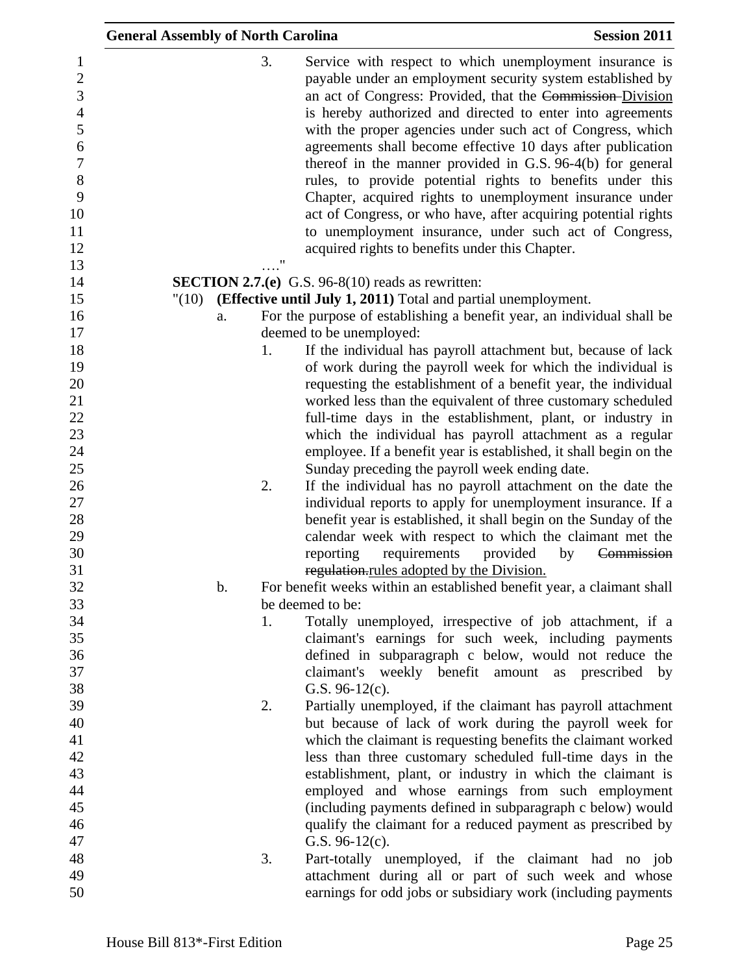|                                                                                                                         | <b>General Assembly of North Carolina</b> |                                                                                                                                                                                                                                                                                                                                                                                                                                                                                                                                                                                                                                                                                                                                                      | <b>Session 2011</b> |
|-------------------------------------------------------------------------------------------------------------------------|-------------------------------------------|------------------------------------------------------------------------------------------------------------------------------------------------------------------------------------------------------------------------------------------------------------------------------------------------------------------------------------------------------------------------------------------------------------------------------------------------------------------------------------------------------------------------------------------------------------------------------------------------------------------------------------------------------------------------------------------------------------------------------------------------------|---------------------|
| $\mathbf{1}$<br>$\overline{c}$<br>3<br>$\overline{\mathcal{L}}$<br>5<br>6<br>$\overline{7}$<br>8<br>9<br>10<br>11<br>12 | 3.                                        | Service with respect to which unemployment insurance is<br>payable under an employment security system established by<br>an act of Congress: Provided, that the Commission-Division<br>is hereby authorized and directed to enter into agreements<br>with the proper agencies under such act of Congress, which<br>agreements shall become effective 10 days after publication<br>thereof in the manner provided in G.S. 96-4(b) for general<br>rules, to provide potential rights to benefits under this<br>Chapter, acquired rights to unemployment insurance under<br>act of Congress, or who have, after acquiring potential rights<br>to unemployment insurance, under such act of Congress,<br>acquired rights to benefits under this Chapter. |                     |
| 13                                                                                                                      |                                           |                                                                                                                                                                                                                                                                                                                                                                                                                                                                                                                                                                                                                                                                                                                                                      |                     |
| 14                                                                                                                      |                                           | <b>SECTION 2.7.(e)</b> G.S. 96-8(10) reads as rewritten:                                                                                                                                                                                                                                                                                                                                                                                                                                                                                                                                                                                                                                                                                             |                     |
| 15                                                                                                                      | "(10)                                     | <b>(Effective until July 1, 2011)</b> Total and partial unemployment.                                                                                                                                                                                                                                                                                                                                                                                                                                                                                                                                                                                                                                                                                |                     |
| 16<br>17                                                                                                                | a.                                        | For the purpose of establishing a benefit year, an individual shall be                                                                                                                                                                                                                                                                                                                                                                                                                                                                                                                                                                                                                                                                               |                     |
| 18                                                                                                                      | 1.                                        | deemed to be unemployed:<br>If the individual has payroll attachment but, because of lack                                                                                                                                                                                                                                                                                                                                                                                                                                                                                                                                                                                                                                                            |                     |
| 19                                                                                                                      |                                           | of work during the payroll week for which the individual is                                                                                                                                                                                                                                                                                                                                                                                                                                                                                                                                                                                                                                                                                          |                     |
| 20                                                                                                                      |                                           | requesting the establishment of a benefit year, the individual                                                                                                                                                                                                                                                                                                                                                                                                                                                                                                                                                                                                                                                                                       |                     |
| 21                                                                                                                      |                                           | worked less than the equivalent of three customary scheduled                                                                                                                                                                                                                                                                                                                                                                                                                                                                                                                                                                                                                                                                                         |                     |
| 22                                                                                                                      |                                           | full-time days in the establishment, plant, or industry in                                                                                                                                                                                                                                                                                                                                                                                                                                                                                                                                                                                                                                                                                           |                     |
| 23                                                                                                                      |                                           | which the individual has payroll attachment as a regular                                                                                                                                                                                                                                                                                                                                                                                                                                                                                                                                                                                                                                                                                             |                     |
| 24                                                                                                                      |                                           | employee. If a benefit year is established, it shall begin on the                                                                                                                                                                                                                                                                                                                                                                                                                                                                                                                                                                                                                                                                                    |                     |
| 25                                                                                                                      |                                           | Sunday preceding the payroll week ending date.                                                                                                                                                                                                                                                                                                                                                                                                                                                                                                                                                                                                                                                                                                       |                     |
| 26                                                                                                                      | 2.                                        | If the individual has no payroll attachment on the date the                                                                                                                                                                                                                                                                                                                                                                                                                                                                                                                                                                                                                                                                                          |                     |
| 27                                                                                                                      |                                           | individual reports to apply for unemployment insurance. If a                                                                                                                                                                                                                                                                                                                                                                                                                                                                                                                                                                                                                                                                                         |                     |
| 28                                                                                                                      |                                           | benefit year is established, it shall begin on the Sunday of the                                                                                                                                                                                                                                                                                                                                                                                                                                                                                                                                                                                                                                                                                     |                     |
| 29                                                                                                                      |                                           | calendar week with respect to which the claimant met the                                                                                                                                                                                                                                                                                                                                                                                                                                                                                                                                                                                                                                                                                             |                     |
| 30                                                                                                                      |                                           | requirements<br>provided<br>reporting                                                                                                                                                                                                                                                                                                                                                                                                                                                                                                                                                                                                                                                                                                                | by<br>Commission    |
| 31                                                                                                                      |                                           | regulation.rules adopted by the Division.                                                                                                                                                                                                                                                                                                                                                                                                                                                                                                                                                                                                                                                                                                            |                     |
| 32                                                                                                                      | b.                                        | For benefit weeks within an established benefit year, a claimant shall                                                                                                                                                                                                                                                                                                                                                                                                                                                                                                                                                                                                                                                                               |                     |
| 33<br>34                                                                                                                | 1.                                        | be deemed to be:                                                                                                                                                                                                                                                                                                                                                                                                                                                                                                                                                                                                                                                                                                                                     |                     |
| 35                                                                                                                      |                                           | Totally unemployed, irrespective of job attachment, if a<br>claimant's earnings for such week, including payments                                                                                                                                                                                                                                                                                                                                                                                                                                                                                                                                                                                                                                    |                     |
| 36                                                                                                                      |                                           | defined in subparagraph c below, would not reduce the                                                                                                                                                                                                                                                                                                                                                                                                                                                                                                                                                                                                                                                                                                |                     |
| 37                                                                                                                      |                                           | claimant's weekly benefit amount                                                                                                                                                                                                                                                                                                                                                                                                                                                                                                                                                                                                                                                                                                                     | as prescribed<br>by |
| 38                                                                                                                      |                                           | G.S. $96-12(c)$ .                                                                                                                                                                                                                                                                                                                                                                                                                                                                                                                                                                                                                                                                                                                                    |                     |
| 39                                                                                                                      | 2.                                        | Partially unemployed, if the claimant has payroll attachment                                                                                                                                                                                                                                                                                                                                                                                                                                                                                                                                                                                                                                                                                         |                     |
| 40                                                                                                                      |                                           | but because of lack of work during the payroll week for                                                                                                                                                                                                                                                                                                                                                                                                                                                                                                                                                                                                                                                                                              |                     |
| 41                                                                                                                      |                                           | which the claimant is requesting benefits the claimant worked                                                                                                                                                                                                                                                                                                                                                                                                                                                                                                                                                                                                                                                                                        |                     |
| 42                                                                                                                      |                                           | less than three customary scheduled full-time days in the                                                                                                                                                                                                                                                                                                                                                                                                                                                                                                                                                                                                                                                                                            |                     |
| 43                                                                                                                      |                                           | establishment, plant, or industry in which the claimant is                                                                                                                                                                                                                                                                                                                                                                                                                                                                                                                                                                                                                                                                                           |                     |
| 44                                                                                                                      |                                           | employed and whose earnings from such employment                                                                                                                                                                                                                                                                                                                                                                                                                                                                                                                                                                                                                                                                                                     |                     |
| 45                                                                                                                      |                                           | (including payments defined in subparagraph c below) would                                                                                                                                                                                                                                                                                                                                                                                                                                                                                                                                                                                                                                                                                           |                     |
| 46                                                                                                                      |                                           | qualify the claimant for a reduced payment as prescribed by                                                                                                                                                                                                                                                                                                                                                                                                                                                                                                                                                                                                                                                                                          |                     |
| 47                                                                                                                      |                                           | G.S. $96-12(c)$ .                                                                                                                                                                                                                                                                                                                                                                                                                                                                                                                                                                                                                                                                                                                                    |                     |
| 48                                                                                                                      | 3.                                        | Part-totally unemployed, if the claimant had no job                                                                                                                                                                                                                                                                                                                                                                                                                                                                                                                                                                                                                                                                                                  |                     |
| 49<br>50                                                                                                                |                                           | attachment during all or part of such week and whose<br>earnings for odd jobs or subsidiary work (including payments                                                                                                                                                                                                                                                                                                                                                                                                                                                                                                                                                                                                                                 |                     |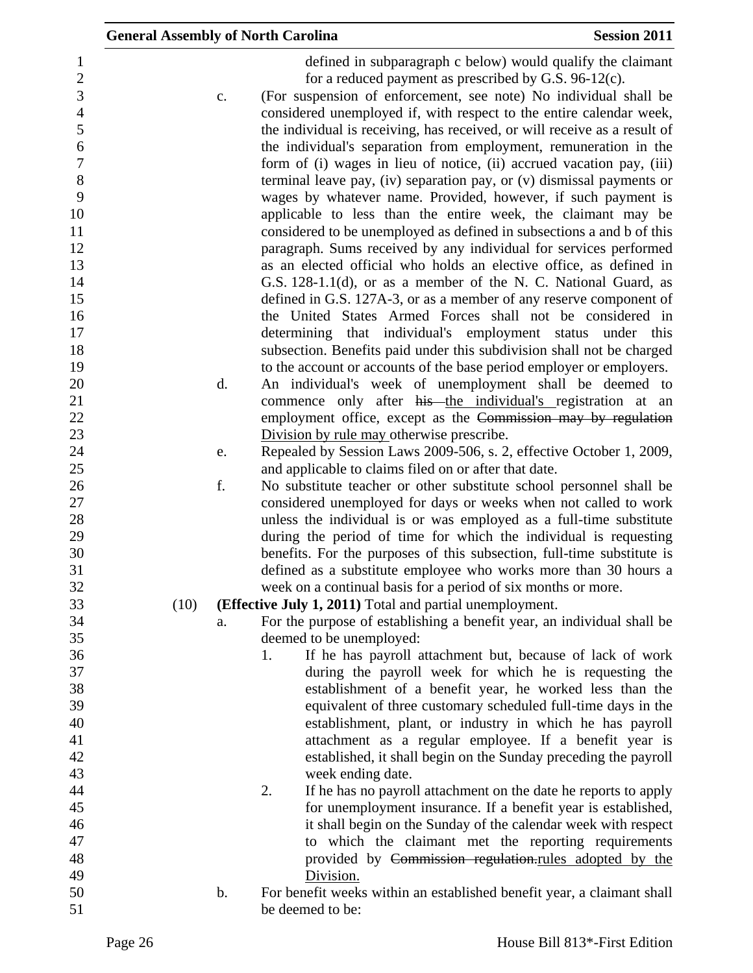| <b>General Assembly of North Carolina</b> |                      |                                                                                                                                                                                                                                                                                                                                                                                                                                                                                                                                                                                                                                                                                                                                                                                                                                                                                                                                                                                                                                                                                                                                                                                                                                                                                                                                                                                                                                                                                                                                                                                                                                                                                                                                                                                                                                                                                                                                                                                                  | <b>Session 2011</b> |
|-------------------------------------------|----------------------|--------------------------------------------------------------------------------------------------------------------------------------------------------------------------------------------------------------------------------------------------------------------------------------------------------------------------------------------------------------------------------------------------------------------------------------------------------------------------------------------------------------------------------------------------------------------------------------------------------------------------------------------------------------------------------------------------------------------------------------------------------------------------------------------------------------------------------------------------------------------------------------------------------------------------------------------------------------------------------------------------------------------------------------------------------------------------------------------------------------------------------------------------------------------------------------------------------------------------------------------------------------------------------------------------------------------------------------------------------------------------------------------------------------------------------------------------------------------------------------------------------------------------------------------------------------------------------------------------------------------------------------------------------------------------------------------------------------------------------------------------------------------------------------------------------------------------------------------------------------------------------------------------------------------------------------------------------------------------------------------------|---------------------|
|                                           | c.<br>d.<br>e.<br>f. | defined in subparagraph c below) would qualify the claimant<br>for a reduced payment as prescribed by G.S. $96-12(c)$ .<br>(For suspension of enforcement, see note) No individual shall be<br>considered unemployed if, with respect to the entire calendar week,<br>the individual is receiving, has received, or will receive as a result of<br>the individual's separation from employment, remuneration in the<br>form of (i) wages in lieu of notice, (ii) accrued vacation pay, (iii)<br>terminal leave pay, (iv) separation pay, or (v) dismissal payments or<br>wages by whatever name. Provided, however, if such payment is<br>applicable to less than the entire week, the claimant may be<br>considered to be unemployed as defined in subsections a and b of this<br>paragraph. Sums received by any individual for services performed<br>as an elected official who holds an elective office, as defined in<br>G.S. 128-1.1(d), or as a member of the N. C. National Guard, as<br>defined in G.S. 127A-3, or as a member of any reserve component of<br>the United States Armed Forces shall not be considered in<br>determining that individual's employment status<br>subsection. Benefits paid under this subdivision shall not be charged<br>to the account or accounts of the base period employer or employers.<br>An individual's week of unemployment shall be deemed to<br>commence only after his the individual's registration at an<br>employment office, except as the Commission may by regulation<br>Division by rule may otherwise prescribe.<br>Repealed by Session Laws 2009-506, s. 2, effective October 1, 2009,<br>and applicable to claims filed on or after that date.<br>No substitute teacher or other substitute school personnel shall be<br>considered unemployed for days or weeks when not called to work<br>unless the individual is or was employed as a full-time substitute<br>during the period of time for which the individual is requesting | under this          |
|                                           |                      | benefits. For the purposes of this subsection, full-time substitute is                                                                                                                                                                                                                                                                                                                                                                                                                                                                                                                                                                                                                                                                                                                                                                                                                                                                                                                                                                                                                                                                                                                                                                                                                                                                                                                                                                                                                                                                                                                                                                                                                                                                                                                                                                                                                                                                                                                           |                     |
|                                           |                      | defined as a substitute employee who works more than 30 hours a<br>week on a continual basis for a period of six months or more.                                                                                                                                                                                                                                                                                                                                                                                                                                                                                                                                                                                                                                                                                                                                                                                                                                                                                                                                                                                                                                                                                                                                                                                                                                                                                                                                                                                                                                                                                                                                                                                                                                                                                                                                                                                                                                                                 |                     |
| (10)                                      |                      | <b>(Effective July 1, 2011)</b> Total and partial unemployment.                                                                                                                                                                                                                                                                                                                                                                                                                                                                                                                                                                                                                                                                                                                                                                                                                                                                                                                                                                                                                                                                                                                                                                                                                                                                                                                                                                                                                                                                                                                                                                                                                                                                                                                                                                                                                                                                                                                                  |                     |
|                                           | a.                   | For the purpose of establishing a benefit year, an individual shall be                                                                                                                                                                                                                                                                                                                                                                                                                                                                                                                                                                                                                                                                                                                                                                                                                                                                                                                                                                                                                                                                                                                                                                                                                                                                                                                                                                                                                                                                                                                                                                                                                                                                                                                                                                                                                                                                                                                           |                     |
|                                           |                      | deemed to be unemployed:                                                                                                                                                                                                                                                                                                                                                                                                                                                                                                                                                                                                                                                                                                                                                                                                                                                                                                                                                                                                                                                                                                                                                                                                                                                                                                                                                                                                                                                                                                                                                                                                                                                                                                                                                                                                                                                                                                                                                                         |                     |
|                                           |                      | If he has payroll attachment but, because of lack of work<br>1.                                                                                                                                                                                                                                                                                                                                                                                                                                                                                                                                                                                                                                                                                                                                                                                                                                                                                                                                                                                                                                                                                                                                                                                                                                                                                                                                                                                                                                                                                                                                                                                                                                                                                                                                                                                                                                                                                                                                  |                     |
|                                           |                      | during the payroll week for which he is requesting the                                                                                                                                                                                                                                                                                                                                                                                                                                                                                                                                                                                                                                                                                                                                                                                                                                                                                                                                                                                                                                                                                                                                                                                                                                                                                                                                                                                                                                                                                                                                                                                                                                                                                                                                                                                                                                                                                                                                           |                     |
|                                           |                      | establishment of a benefit year, he worked less than the                                                                                                                                                                                                                                                                                                                                                                                                                                                                                                                                                                                                                                                                                                                                                                                                                                                                                                                                                                                                                                                                                                                                                                                                                                                                                                                                                                                                                                                                                                                                                                                                                                                                                                                                                                                                                                                                                                                                         |                     |
|                                           |                      | equivalent of three customary scheduled full-time days in the                                                                                                                                                                                                                                                                                                                                                                                                                                                                                                                                                                                                                                                                                                                                                                                                                                                                                                                                                                                                                                                                                                                                                                                                                                                                                                                                                                                                                                                                                                                                                                                                                                                                                                                                                                                                                                                                                                                                    |                     |
|                                           |                      | establishment, plant, or industry in which he has payroll                                                                                                                                                                                                                                                                                                                                                                                                                                                                                                                                                                                                                                                                                                                                                                                                                                                                                                                                                                                                                                                                                                                                                                                                                                                                                                                                                                                                                                                                                                                                                                                                                                                                                                                                                                                                                                                                                                                                        |                     |
|                                           |                      | attachment as a regular employee. If a benefit year is                                                                                                                                                                                                                                                                                                                                                                                                                                                                                                                                                                                                                                                                                                                                                                                                                                                                                                                                                                                                                                                                                                                                                                                                                                                                                                                                                                                                                                                                                                                                                                                                                                                                                                                                                                                                                                                                                                                                           |                     |
|                                           |                      | established, it shall begin on the Sunday preceding the payroll                                                                                                                                                                                                                                                                                                                                                                                                                                                                                                                                                                                                                                                                                                                                                                                                                                                                                                                                                                                                                                                                                                                                                                                                                                                                                                                                                                                                                                                                                                                                                                                                                                                                                                                                                                                                                                                                                                                                  |                     |
|                                           |                      | week ending date.<br>If he has no payroll attachment on the date he reports to apply<br>2.                                                                                                                                                                                                                                                                                                                                                                                                                                                                                                                                                                                                                                                                                                                                                                                                                                                                                                                                                                                                                                                                                                                                                                                                                                                                                                                                                                                                                                                                                                                                                                                                                                                                                                                                                                                                                                                                                                       |                     |
|                                           |                      | for unemployment insurance. If a benefit year is established,                                                                                                                                                                                                                                                                                                                                                                                                                                                                                                                                                                                                                                                                                                                                                                                                                                                                                                                                                                                                                                                                                                                                                                                                                                                                                                                                                                                                                                                                                                                                                                                                                                                                                                                                                                                                                                                                                                                                    |                     |
|                                           |                      | it shall begin on the Sunday of the calendar week with respect                                                                                                                                                                                                                                                                                                                                                                                                                                                                                                                                                                                                                                                                                                                                                                                                                                                                                                                                                                                                                                                                                                                                                                                                                                                                                                                                                                                                                                                                                                                                                                                                                                                                                                                                                                                                                                                                                                                                   |                     |
|                                           |                      | to which the claimant met the reporting requirements                                                                                                                                                                                                                                                                                                                                                                                                                                                                                                                                                                                                                                                                                                                                                                                                                                                                                                                                                                                                                                                                                                                                                                                                                                                                                                                                                                                                                                                                                                                                                                                                                                                                                                                                                                                                                                                                                                                                             |                     |
|                                           |                      | provided by Commission regulation.rules adopted by the                                                                                                                                                                                                                                                                                                                                                                                                                                                                                                                                                                                                                                                                                                                                                                                                                                                                                                                                                                                                                                                                                                                                                                                                                                                                                                                                                                                                                                                                                                                                                                                                                                                                                                                                                                                                                                                                                                                                           |                     |
|                                           |                      | Division.                                                                                                                                                                                                                                                                                                                                                                                                                                                                                                                                                                                                                                                                                                                                                                                                                                                                                                                                                                                                                                                                                                                                                                                                                                                                                                                                                                                                                                                                                                                                                                                                                                                                                                                                                                                                                                                                                                                                                                                        |                     |
|                                           | $\mathbf b$ .        | For benefit weeks within an established benefit year, a claimant shall                                                                                                                                                                                                                                                                                                                                                                                                                                                                                                                                                                                                                                                                                                                                                                                                                                                                                                                                                                                                                                                                                                                                                                                                                                                                                                                                                                                                                                                                                                                                                                                                                                                                                                                                                                                                                                                                                                                           |                     |
|                                           |                      | be deemed to be:                                                                                                                                                                                                                                                                                                                                                                                                                                                                                                                                                                                                                                                                                                                                                                                                                                                                                                                                                                                                                                                                                                                                                                                                                                                                                                                                                                                                                                                                                                                                                                                                                                                                                                                                                                                                                                                                                                                                                                                 |                     |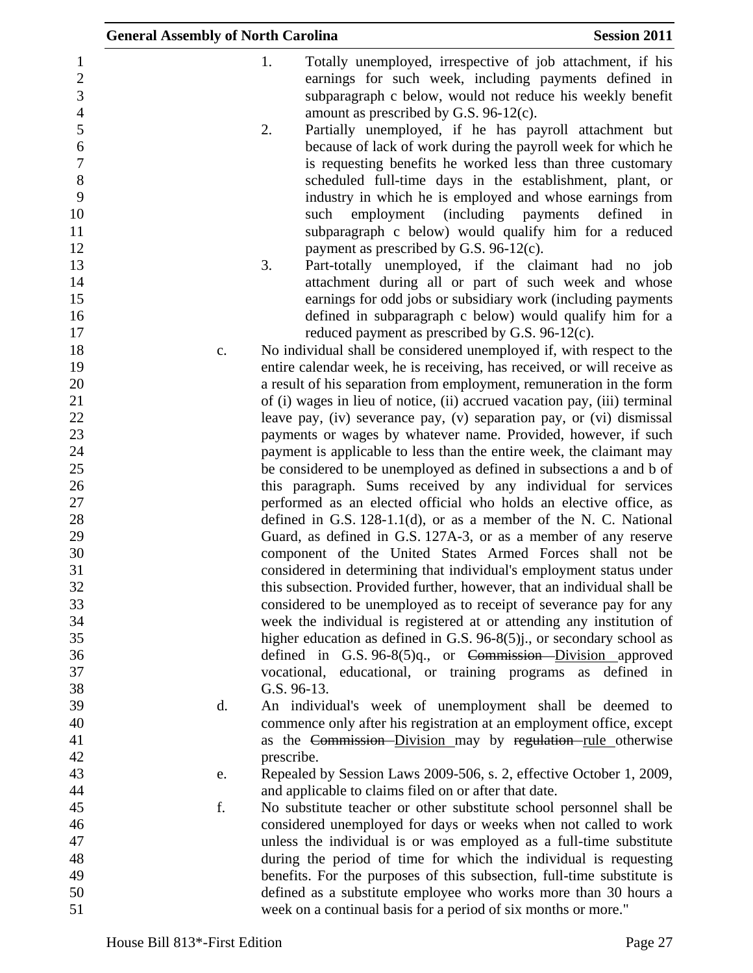|                     | <b>General Assembly of North Carolina</b> |             |                                                       | <b>Session 2011</b>                                                                                                                        |
|---------------------|-------------------------------------------|-------------|-------------------------------------------------------|--------------------------------------------------------------------------------------------------------------------------------------------|
| 1<br>$\overline{2}$ |                                           | 1.          |                                                       | Totally unemployed, irrespective of job attachment, if his<br>earnings for such week, including payments defined in                        |
| 3<br>$\overline{4}$ |                                           |             | amount as prescribed by G.S. 96-12(c).                | subparagraph c below, would not reduce his weekly benefit                                                                                  |
| 5                   |                                           | 2.          |                                                       | Partially unemployed, if he has payroll attachment but                                                                                     |
| 6                   |                                           |             |                                                       | because of lack of work during the payroll week for which he                                                                               |
| $\overline{7}$      |                                           |             |                                                       | is requesting benefits he worked less than three customary                                                                                 |
| 8<br>9              |                                           |             |                                                       | scheduled full-time days in the establishment, plant, or<br>industry in which he is employed and whose earnings from                       |
| 10                  |                                           |             | such                                                  | employment (including payments<br>defined<br>in                                                                                            |
| 11                  |                                           |             |                                                       | subparagraph c below) would qualify him for a reduced                                                                                      |
| 12                  |                                           |             | payment as prescribed by G.S. 96-12(c).               |                                                                                                                                            |
| 13                  |                                           | 3.          |                                                       | Part-totally unemployed, if the claimant had no job                                                                                        |
| 14                  |                                           |             |                                                       | attachment during all or part of such week and whose                                                                                       |
| 15                  |                                           |             |                                                       | earnings for odd jobs or subsidiary work (including payments                                                                               |
| 16<br>17            |                                           |             |                                                       | defined in subparagraph c below) would qualify him for a                                                                                   |
| 18                  | c.                                        |             |                                                       | reduced payment as prescribed by G.S. 96-12(c).<br>No individual shall be considered unemployed if, with respect to the                    |
| 19                  |                                           |             |                                                       | entire calendar week, he is receiving, has received, or will receive as                                                                    |
| 20                  |                                           |             |                                                       | a result of his separation from employment, remuneration in the form                                                                       |
| 21                  |                                           |             |                                                       | of (i) wages in lieu of notice, (ii) accrued vacation pay, (iii) terminal                                                                  |
| 22                  |                                           |             |                                                       | leave pay, (iv) severance pay, (v) separation pay, or (vi) dismissal                                                                       |
| 23                  |                                           |             |                                                       | payments or wages by whatever name. Provided, however, if such                                                                             |
| 24                  |                                           |             |                                                       | payment is applicable to less than the entire week, the claimant may                                                                       |
| 25<br>26            |                                           |             |                                                       | be considered to be unemployed as defined in subsections a and b of<br>this paragraph. Sums received by any individual for services        |
| 27                  |                                           |             |                                                       | performed as an elected official who holds an elective office, as                                                                          |
| 28                  |                                           |             |                                                       | defined in G.S. $128-1.1(d)$ , or as a member of the N. C. National                                                                        |
| 29                  |                                           |             |                                                       | Guard, as defined in G.S. 127A-3, or as a member of any reserve                                                                            |
| 30                  |                                           |             |                                                       | component of the United States Armed Forces shall not be                                                                                   |
| 31                  |                                           |             |                                                       | considered in determining that individual's employment status under                                                                        |
| 32                  |                                           |             |                                                       | this subsection. Provided further, however, that an individual shall be                                                                    |
| 33<br>34            |                                           |             |                                                       | considered to be unemployed as to receipt of severance pay for any<br>week the individual is registered at or attending any institution of |
| 35                  |                                           |             |                                                       | higher education as defined in G.S. 96-8(5)j., or secondary school as                                                                      |
| 36                  |                                           |             |                                                       | defined in G.S. $96-8(5)q$ , or Commission-Division approved                                                                               |
| 37                  |                                           |             |                                                       | vocational, educational, or training programs as<br>defined in                                                                             |
| 38                  |                                           | G.S. 96-13. |                                                       |                                                                                                                                            |
| 39                  | d.                                        |             |                                                       | An individual's week of unemployment shall be deemed to                                                                                    |
| 40                  |                                           |             |                                                       | commence only after his registration at an employment office, except                                                                       |
| 41                  |                                           |             |                                                       | as the Commission-Division may by regulation-rule otherwise                                                                                |
| 42                  |                                           | prescribe.  |                                                       |                                                                                                                                            |
| 43<br>44            | e.                                        |             | and applicable to claims filed on or after that date. | Repealed by Session Laws 2009-506, s. 2, effective October 1, 2009,                                                                        |
| 45                  | f.                                        |             |                                                       | No substitute teacher or other substitute school personnel shall be                                                                        |
| 46                  |                                           |             |                                                       | considered unemployed for days or weeks when not called to work                                                                            |
| 47                  |                                           |             |                                                       | unless the individual is or was employed as a full-time substitute                                                                         |
| 48                  |                                           |             |                                                       | during the period of time for which the individual is requesting                                                                           |
| 49                  |                                           |             |                                                       | benefits. For the purposes of this subsection, full-time substitute is                                                                     |
| 50                  |                                           |             |                                                       | defined as a substitute employee who works more than 30 hours a                                                                            |
| 51                  |                                           |             |                                                       | week on a continual basis for a period of six months or more."                                                                             |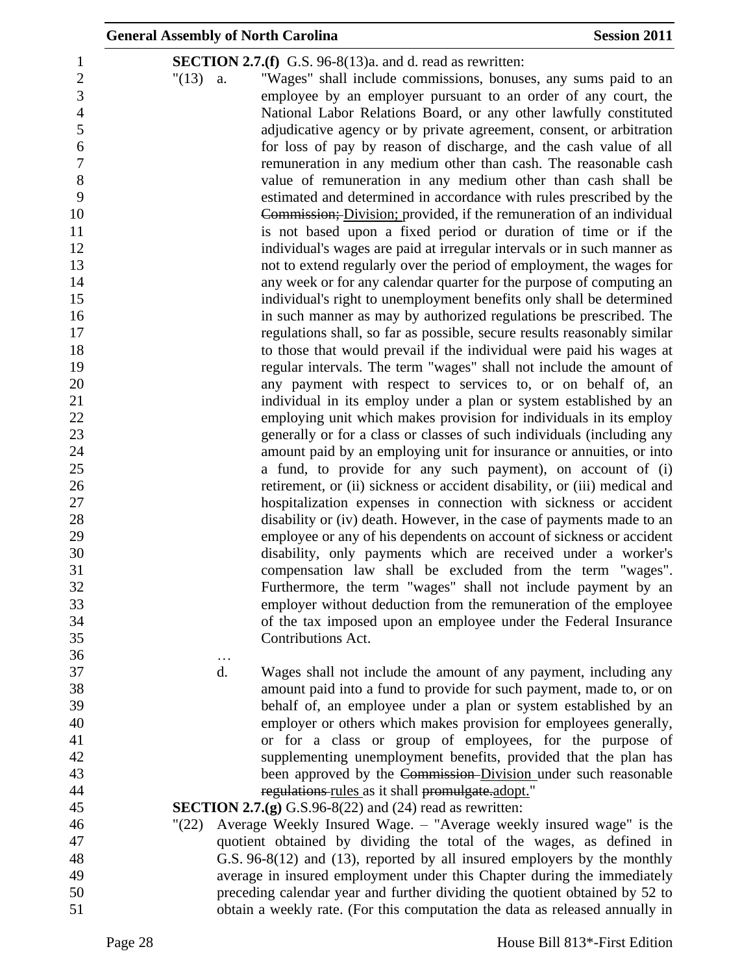| <b>General Assembly of North Carolina</b> |                                                                                                                                                        | <b>Session 2011</b> |
|-------------------------------------------|--------------------------------------------------------------------------------------------------------------------------------------------------------|---------------------|
|                                           | <b>SECTION 2.7.(f)</b> G.S. 96-8(13)a. and d. read as rewritten:                                                                                       |                     |
| $"(13)$ a.                                | "Wages" shall include commissions, bonuses, any sums paid to an                                                                                        |                     |
|                                           | employee by an employer pursuant to an order of any court, the                                                                                         |                     |
|                                           | National Labor Relations Board, or any other lawfully constituted                                                                                      |                     |
|                                           | adjudicative agency or by private agreement, consent, or arbitration                                                                                   |                     |
|                                           | for loss of pay by reason of discharge, and the cash value of all                                                                                      |                     |
|                                           | remuneration in any medium other than cash. The reasonable cash                                                                                        |                     |
|                                           | value of remuneration in any medium other than cash shall be                                                                                           |                     |
|                                           | estimated and determined in accordance with rules prescribed by the                                                                                    |                     |
|                                           | Commission; Division; provided, if the remuneration of an individual                                                                                   |                     |
|                                           | is not based upon a fixed period or duration of time or if the                                                                                         |                     |
|                                           | individual's wages are paid at irregular intervals or in such manner as                                                                                |                     |
|                                           | not to extend regularly over the period of employment, the wages for                                                                                   |                     |
|                                           | any week or for any calendar quarter for the purpose of computing an                                                                                   |                     |
|                                           | individual's right to unemployment benefits only shall be determined                                                                                   |                     |
|                                           | in such manner as may by authorized regulations be prescribed. The                                                                                     |                     |
|                                           | regulations shall, so far as possible, secure results reasonably similar                                                                               |                     |
|                                           | to those that would prevail if the individual were paid his wages at                                                                                   |                     |
|                                           | regular intervals. The term "wages" shall not include the amount of                                                                                    |                     |
|                                           | any payment with respect to services to, or on behalf of, an                                                                                           |                     |
|                                           | individual in its employ under a plan or system established by an                                                                                      |                     |
|                                           | employing unit which makes provision for individuals in its employ                                                                                     |                     |
|                                           | generally or for a class or classes of such individuals (including any                                                                                 |                     |
|                                           | amount paid by an employing unit for insurance or annuities, or into                                                                                   |                     |
|                                           | a fund, to provide for any such payment), on account of (i)                                                                                            |                     |
|                                           | retirement, or (ii) sickness or accident disability, or (iii) medical and                                                                              |                     |
|                                           | hospitalization expenses in connection with sickness or accident<br>disability or (iv) death. However, in the case of payments made to an              |                     |
|                                           | employee or any of his dependents on account of sickness or accident                                                                                   |                     |
|                                           | disability, only payments which are received under a worker's                                                                                          |                     |
|                                           | compensation law shall be excluded from the term "wages".                                                                                              |                     |
|                                           | Furthermore, the term "wages" shall not include payment by an                                                                                          |                     |
|                                           | employer without deduction from the remuneration of the employee                                                                                       |                     |
|                                           | of the tax imposed upon an employee under the Federal Insurance                                                                                        |                     |
|                                           | Contributions Act.                                                                                                                                     |                     |
| $\ddots$                                  |                                                                                                                                                        |                     |
| d.                                        | Wages shall not include the amount of any payment, including any                                                                                       |                     |
|                                           | amount paid into a fund to provide for such payment, made to, or on                                                                                    |                     |
|                                           | behalf of, an employee under a plan or system established by an                                                                                        |                     |
|                                           | employer or others which makes provision for employees generally,                                                                                      |                     |
|                                           | or for a class or group of employees, for the purpose of                                                                                               |                     |
|                                           | supplementing unemployment benefits, provided that the plan has                                                                                        |                     |
|                                           | been approved by the Commission-Division under such reasonable                                                                                         |                     |
|                                           | regulations rules as it shall promulgate.adopt."                                                                                                       |                     |
|                                           | <b>SECTION 2.7.(g)</b> G.S.96-8(22) and (24) read as rewritten:                                                                                        |                     |
| $^{\prime\prime}(22)$                     | Average Weekly Insured Wage. - "Average weekly insured wage" is the                                                                                    |                     |
|                                           | quotient obtained by dividing the total of the wages, as defined in                                                                                    |                     |
|                                           | G.S. 96-8(12) and (13), reported by all insured employers by the monthly                                                                               |                     |
|                                           | average in insured employment under this Chapter during the immediately<br>preceding calendar year and further dividing the quotient obtained by 52 to |                     |
|                                           | obtain a weekly rate. (For this computation the data as released annually in                                                                           |                     |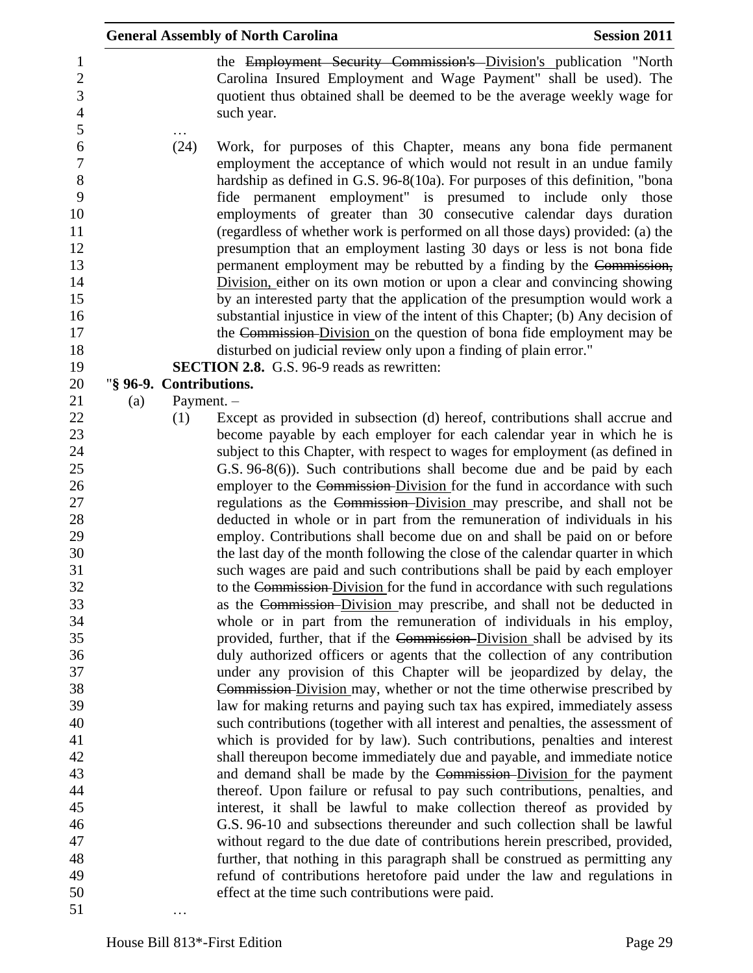|     |                         | <b>General Assembly of North Carolina</b>                                                                                                                                                                                                                                                                                                                                                                                                                                                                                                                                                                                                                                                                                                                                                                                                                                                                                                                                                                                                                 | <b>Session 2011</b> |
|-----|-------------------------|-----------------------------------------------------------------------------------------------------------------------------------------------------------------------------------------------------------------------------------------------------------------------------------------------------------------------------------------------------------------------------------------------------------------------------------------------------------------------------------------------------------------------------------------------------------------------------------------------------------------------------------------------------------------------------------------------------------------------------------------------------------------------------------------------------------------------------------------------------------------------------------------------------------------------------------------------------------------------------------------------------------------------------------------------------------|---------------------|
|     |                         | the Employment Security Commission's Division's publication "North<br>Carolina Insured Employment and Wage Payment" shall be used). The<br>quotient thus obtained shall be deemed to be the average weekly wage for<br>such year.                                                                                                                                                                                                                                                                                                                                                                                                                                                                                                                                                                                                                                                                                                                                                                                                                         |                     |
|     | (24)                    | Work, for purposes of this Chapter, means any bona fide permanent<br>employment the acceptance of which would not result in an undue family<br>hardship as defined in G.S. 96-8(10a). For purposes of this definition, "bona<br>fide permanent employment" is presumed to include only those<br>employments of greater than 30 consecutive calendar days duration<br>(regardless of whether work is performed on all those days) provided: (a) the<br>presumption that an employment lasting 30 days or less is not bona fide<br>permanent employment may be rebutted by a finding by the Commission,<br>Division, either on its own motion or upon a clear and convincing showing<br>by an interested party that the application of the presumption would work a<br>substantial injustice in view of the intent of this Chapter; (b) Any decision of<br>the Commission Division on the question of bona fide employment may be<br>disturbed on judicial review only upon a finding of plain error."<br><b>SECTION 2.8.</b> G.S. 96-9 reads as rewritten: |                     |
|     | "§ 96-9. Contributions. |                                                                                                                                                                                                                                                                                                                                                                                                                                                                                                                                                                                                                                                                                                                                                                                                                                                                                                                                                                                                                                                           |                     |
| (a) | Payment. -              |                                                                                                                                                                                                                                                                                                                                                                                                                                                                                                                                                                                                                                                                                                                                                                                                                                                                                                                                                                                                                                                           |                     |
|     | (1)                     | Except as provided in subsection (d) hereof, contributions shall accrue and                                                                                                                                                                                                                                                                                                                                                                                                                                                                                                                                                                                                                                                                                                                                                                                                                                                                                                                                                                               |                     |
|     |                         | become payable by each employer for each calendar year in which he is                                                                                                                                                                                                                                                                                                                                                                                                                                                                                                                                                                                                                                                                                                                                                                                                                                                                                                                                                                                     |                     |
|     |                         | subject to this Chapter, with respect to wages for employment (as defined in                                                                                                                                                                                                                                                                                                                                                                                                                                                                                                                                                                                                                                                                                                                                                                                                                                                                                                                                                                              |                     |
|     |                         | G.S. 96-8(6)). Such contributions shall become due and be paid by each                                                                                                                                                                                                                                                                                                                                                                                                                                                                                                                                                                                                                                                                                                                                                                                                                                                                                                                                                                                    |                     |
|     |                         | employer to the Commission-Division for the fund in accordance with such                                                                                                                                                                                                                                                                                                                                                                                                                                                                                                                                                                                                                                                                                                                                                                                                                                                                                                                                                                                  |                     |
|     |                         | regulations as the Commission-Division may prescribe, and shall not be                                                                                                                                                                                                                                                                                                                                                                                                                                                                                                                                                                                                                                                                                                                                                                                                                                                                                                                                                                                    |                     |
|     |                         | deducted in whole or in part from the remuneration of individuals in his<br>employ. Contributions shall become due on and shall be paid on or before                                                                                                                                                                                                                                                                                                                                                                                                                                                                                                                                                                                                                                                                                                                                                                                                                                                                                                      |                     |
|     |                         | the last day of the month following the close of the calendar quarter in which                                                                                                                                                                                                                                                                                                                                                                                                                                                                                                                                                                                                                                                                                                                                                                                                                                                                                                                                                                            |                     |
|     |                         | such wages are paid and such contributions shall be paid by each employer                                                                                                                                                                                                                                                                                                                                                                                                                                                                                                                                                                                                                                                                                                                                                                                                                                                                                                                                                                                 |                     |
|     |                         | to the Commission-Division for the fund in accordance with such regulations                                                                                                                                                                                                                                                                                                                                                                                                                                                                                                                                                                                                                                                                                                                                                                                                                                                                                                                                                                               |                     |
|     |                         | as the Commission-Division may prescribe, and shall not be deducted in                                                                                                                                                                                                                                                                                                                                                                                                                                                                                                                                                                                                                                                                                                                                                                                                                                                                                                                                                                                    |                     |
|     |                         | whole or in part from the remuneration of individuals in his employ,                                                                                                                                                                                                                                                                                                                                                                                                                                                                                                                                                                                                                                                                                                                                                                                                                                                                                                                                                                                      |                     |
|     |                         | provided, further, that if the Commission-Division shall be advised by its                                                                                                                                                                                                                                                                                                                                                                                                                                                                                                                                                                                                                                                                                                                                                                                                                                                                                                                                                                                |                     |
|     |                         | duly authorized officers or agents that the collection of any contribution                                                                                                                                                                                                                                                                                                                                                                                                                                                                                                                                                                                                                                                                                                                                                                                                                                                                                                                                                                                |                     |
|     |                         | under any provision of this Chapter will be jeopardized by delay, the                                                                                                                                                                                                                                                                                                                                                                                                                                                                                                                                                                                                                                                                                                                                                                                                                                                                                                                                                                                     |                     |
|     |                         | Commission-Division may, whether or not the time otherwise prescribed by                                                                                                                                                                                                                                                                                                                                                                                                                                                                                                                                                                                                                                                                                                                                                                                                                                                                                                                                                                                  |                     |
|     |                         | law for making returns and paying such tax has expired, immediately assess                                                                                                                                                                                                                                                                                                                                                                                                                                                                                                                                                                                                                                                                                                                                                                                                                                                                                                                                                                                |                     |
|     |                         | such contributions (together with all interest and penalties, the assessment of<br>which is provided for by law). Such contributions, penalties and interest                                                                                                                                                                                                                                                                                                                                                                                                                                                                                                                                                                                                                                                                                                                                                                                                                                                                                              |                     |
|     |                         | shall thereupon become immediately due and payable, and immediate notice                                                                                                                                                                                                                                                                                                                                                                                                                                                                                                                                                                                                                                                                                                                                                                                                                                                                                                                                                                                  |                     |
|     |                         | and demand shall be made by the Commission-Division for the payment                                                                                                                                                                                                                                                                                                                                                                                                                                                                                                                                                                                                                                                                                                                                                                                                                                                                                                                                                                                       |                     |
|     |                         | thereof. Upon failure or refusal to pay such contributions, penalties, and                                                                                                                                                                                                                                                                                                                                                                                                                                                                                                                                                                                                                                                                                                                                                                                                                                                                                                                                                                                |                     |
|     |                         | interest, it shall be lawful to make collection thereof as provided by                                                                                                                                                                                                                                                                                                                                                                                                                                                                                                                                                                                                                                                                                                                                                                                                                                                                                                                                                                                    |                     |
|     |                         | G.S. 96-10 and subsections thereunder and such collection shall be lawful                                                                                                                                                                                                                                                                                                                                                                                                                                                                                                                                                                                                                                                                                                                                                                                                                                                                                                                                                                                 |                     |
|     |                         | without regard to the due date of contributions herein prescribed, provided,                                                                                                                                                                                                                                                                                                                                                                                                                                                                                                                                                                                                                                                                                                                                                                                                                                                                                                                                                                              |                     |
|     |                         | further, that nothing in this paragraph shall be construed as permitting any                                                                                                                                                                                                                                                                                                                                                                                                                                                                                                                                                                                                                                                                                                                                                                                                                                                                                                                                                                              |                     |
|     |                         | refund of contributions heretofore paid under the law and regulations in                                                                                                                                                                                                                                                                                                                                                                                                                                                                                                                                                                                                                                                                                                                                                                                                                                                                                                                                                                                  |                     |
|     |                         | effect at the time such contributions were paid.                                                                                                                                                                                                                                                                                                                                                                                                                                                                                                                                                                                                                                                                                                                                                                                                                                                                                                                                                                                                          |                     |
|     |                         |                                                                                                                                                                                                                                                                                                                                                                                                                                                                                                                                                                                                                                                                                                                                                                                                                                                                                                                                                                                                                                                           |                     |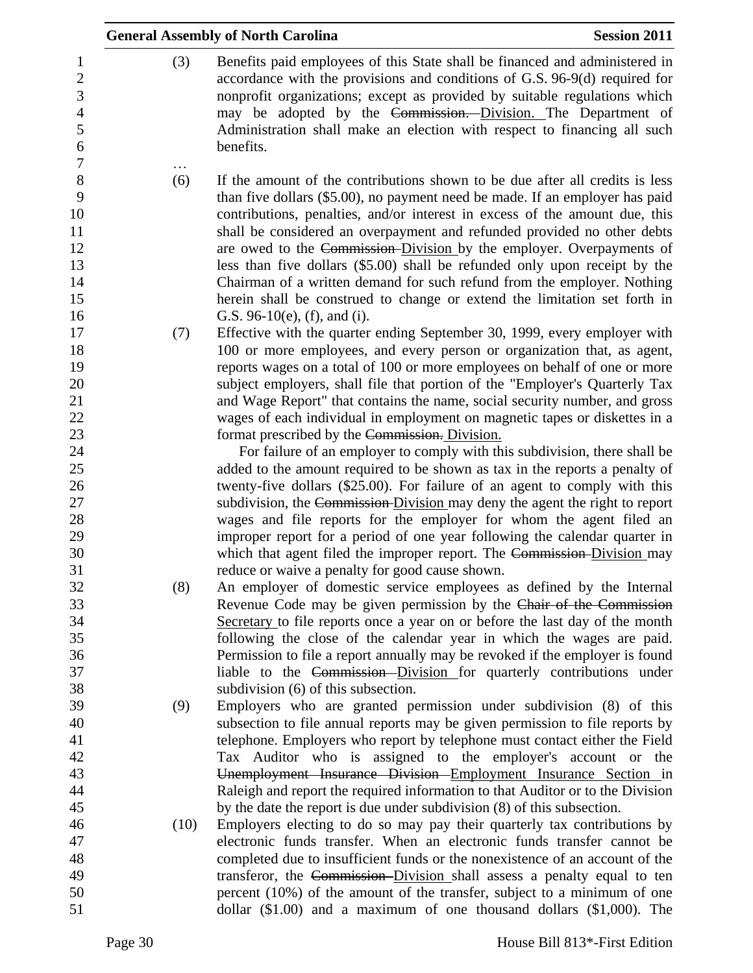| <b>Session 2011</b>                                                                                                                                                                                                                                                                                                                                                                                                                                                                                                                                                                                                                                                  | <b>General Assembly of North Carolina</b> |
|----------------------------------------------------------------------------------------------------------------------------------------------------------------------------------------------------------------------------------------------------------------------------------------------------------------------------------------------------------------------------------------------------------------------------------------------------------------------------------------------------------------------------------------------------------------------------------------------------------------------------------------------------------------------|-------------------------------------------|
| Benefits paid employees of this State shall be financed and administered in<br>accordance with the provisions and conditions of G.S. 96-9(d) required for<br>nonprofit organizations; except as provided by suitable regulations which<br>may be adopted by the Commission. Division. The Department of<br>Administration shall make an election with respect to financing all such                                                                                                                                                                                                                                                                                  | (3)                                       |
| If the amount of the contributions shown to be due after all credits is less<br>than five dollars (\$5.00), no payment need be made. If an employer has paid<br>contributions, penalties, and/or interest in excess of the amount due, this<br>shall be considered an overpayment and refunded provided no other debts<br>are owed to the Commission-Division by the employer. Overpayments of<br>less than five dollars (\$5.00) shall be refunded only upon receipt by the<br>Chairman of a written demand for such refund from the employer. Nothing<br>herein shall be construed to change or extend the limitation set forth in<br>G.S. 96-10(e), (f), and (i). | (6)                                       |
| Effective with the quarter ending September 30, 1999, every employer with<br>100 or more employees, and every person or organization that, as agent,<br>reports wages on a total of 100 or more employees on behalf of one or more<br>subject employers, shall file that portion of the "Employer's Quarterly Tax<br>and Wage Report" that contains the name, social security number, and gross                                                                                                                                                                                                                                                                      | (7)                                       |
| wages of each individual in employment on magnetic tapes or diskettes in a<br>format prescribed by the Commission. Division.<br>For failure of an employer to comply with this subdivision, there shall be<br>added to the amount required to be shown as tax in the reports a penalty of                                                                                                                                                                                                                                                                                                                                                                            |                                           |
| twenty-five dollars (\$25.00). For failure of an agent to comply with this<br>subdivision, the Commission-Division may deny the agent the right to report<br>wages and file reports for the employer for whom the agent filed an<br>improper report for a period of one year following the calendar quarter in<br>which that agent filed the improper report. The Commission-Division may                                                                                                                                                                                                                                                                            |                                           |
| reduce or waive a penalty for good cause shown.<br>An employer of domestic service employees as defined by the Internal<br>Revenue Code may be given permission by the Chair of the Commission<br>Secretary to file reports once a year on or before the last day of the month                                                                                                                                                                                                                                                                                                                                                                                       | (8)                                       |
| following the close of the calendar year in which the wages are paid.<br>Permission to file a report annually may be revoked if the employer is found<br>liable to the Commission-Division for quarterly contributions under<br>subdivision (6) of this subsection.                                                                                                                                                                                                                                                                                                                                                                                                  |                                           |
| Employers who are granted permission under subdivision (8) of this<br>subsection to file annual reports may be given permission to file reports by<br>telephone. Employers who report by telephone must contact either the Field<br>Tax Auditor who is assigned to the employer's account or the                                                                                                                                                                                                                                                                                                                                                                     | (9)                                       |
| Unemployment Insurance Division Employment Insurance Section in<br>Raleigh and report the required information to that Auditor or to the Division<br>by the date the report is due under subdivision (8) of this subsection.<br>Employers electing to do so may pay their quarterly tax contributions by                                                                                                                                                                                                                                                                                                                                                             |                                           |
| electronic funds transfer. When an electronic funds transfer cannot be<br>completed due to insufficient funds or the nonexistence of an account of the<br>transferor, the Commission-Division shall assess a penalty equal to ten                                                                                                                                                                                                                                                                                                                                                                                                                                    | (10)                                      |
| percent (10%) of the amount of the transfer, subject to a minimum of one<br>dollar $(\$1.00)$ and a maximum of one thousand dollars $(\$1,000)$ . The                                                                                                                                                                                                                                                                                                                                                                                                                                                                                                                |                                           |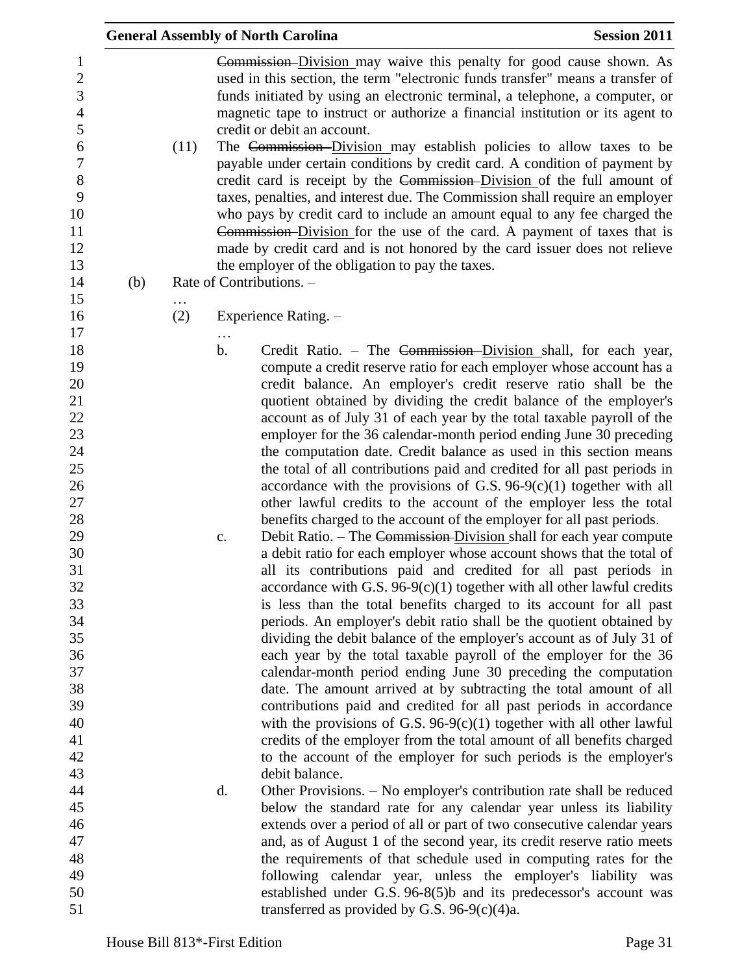|     |      |                     | <b>General Assembly of North Carolina</b>                                                                                                                                                                                                                                                                                                                                                                                                                                                                                                                                                                                                                                                                                                                                                                                                                                                                                                                                                                                                                                                                                                                                                                                                                                                                                                                                                                                                                                                                                                                                                                                                                                                                                                                                                                                                                     | <b>Session 2011</b> |
|-----|------|---------------------|---------------------------------------------------------------------------------------------------------------------------------------------------------------------------------------------------------------------------------------------------------------------------------------------------------------------------------------------------------------------------------------------------------------------------------------------------------------------------------------------------------------------------------------------------------------------------------------------------------------------------------------------------------------------------------------------------------------------------------------------------------------------------------------------------------------------------------------------------------------------------------------------------------------------------------------------------------------------------------------------------------------------------------------------------------------------------------------------------------------------------------------------------------------------------------------------------------------------------------------------------------------------------------------------------------------------------------------------------------------------------------------------------------------------------------------------------------------------------------------------------------------------------------------------------------------------------------------------------------------------------------------------------------------------------------------------------------------------------------------------------------------------------------------------------------------------------------------------------------------|---------------------|
| (b) | (11) |                     | <b>Commission-Division may waive this penalty for good cause shown.</b> As<br>used in this section, the term "electronic funds transfer" means a transfer of<br>funds initiated by using an electronic terminal, a telephone, a computer, or<br>magnetic tape to instruct or authorize a financial institution or its agent to<br>credit or debit an account.<br>The Commission-Division may establish policies to allow taxes to be<br>payable under certain conditions by credit card. A condition of payment by<br>credit card is receipt by the Commission-Division of the full amount of<br>taxes, penalties, and interest due. The Commission shall require an employer<br>who pays by credit card to include an amount equal to any fee charged the<br>Commission-Division for the use of the card. A payment of taxes that is<br>made by credit card and is not honored by the card issuer does not relieve<br>the employer of the obligation to pay the taxes.<br>Rate of Contributions. -                                                                                                                                                                                                                                                                                                                                                                                                                                                                                                                                                                                                                                                                                                                                                                                                                                                           |                     |
|     | (2)  |                     | Experience Rating. -                                                                                                                                                                                                                                                                                                                                                                                                                                                                                                                                                                                                                                                                                                                                                                                                                                                                                                                                                                                                                                                                                                                                                                                                                                                                                                                                                                                                                                                                                                                                                                                                                                                                                                                                                                                                                                          |                     |
|     |      | $\mathbf b$ .<br>c. | Credit Ratio. – The Commission–Division shall, for each year,<br>compute a credit reserve ratio for each employer whose account has a<br>credit balance. An employer's credit reserve ratio shall be the<br>quotient obtained by dividing the credit balance of the employer's<br>account as of July 31 of each year by the total taxable payroll of the<br>employer for the 36 calendar-month period ending June 30 preceding<br>the computation date. Credit balance as used in this section means<br>the total of all contributions paid and credited for all past periods in<br>accordance with the provisions of G.S. $96-9(c)(1)$ together with all<br>other lawful credits to the account of the employer less the total<br>benefits charged to the account of the employer for all past periods.<br>Debit Ratio. – The Commission-Division shall for each year compute<br>a debit ratio for each employer whose account shows that the total of<br>all its contributions paid and credited for all past periods in<br>accordance with G.S. $96-9(c)(1)$ together with all other lawful credits<br>is less than the total benefits charged to its account for all past<br>periods. An employer's debit ratio shall be the quotient obtained by<br>dividing the debit balance of the employer's account as of July 31 of<br>each year by the total taxable payroll of the employer for the 36<br>calendar-month period ending June 30 preceding the computation<br>date. The amount arrived at by subtracting the total amount of all<br>contributions paid and credited for all past periods in accordance<br>with the provisions of G.S. 96-9 $(c)(1)$ together with all other lawful<br>credits of the employer from the total amount of all benefits charged<br>to the account of the employer for such periods is the employer's<br>debit balance. |                     |
|     |      | d.                  | Other Provisions. – No employer's contribution rate shall be reduced<br>below the standard rate for any calendar year unless its liability<br>extends over a period of all or part of two consecutive calendar years<br>and, as of August 1 of the second year, its credit reserve ratio meets<br>the requirements of that schedule used in computing rates for the<br>following calendar year, unless the employer's liability was<br>established under G.S. 96-8(5)b and its predecessor's account was<br>transferred as provided by G.S. $96-9(c)(4)a$ .                                                                                                                                                                                                                                                                                                                                                                                                                                                                                                                                                                                                                                                                                                                                                                                                                                                                                                                                                                                                                                                                                                                                                                                                                                                                                                   |                     |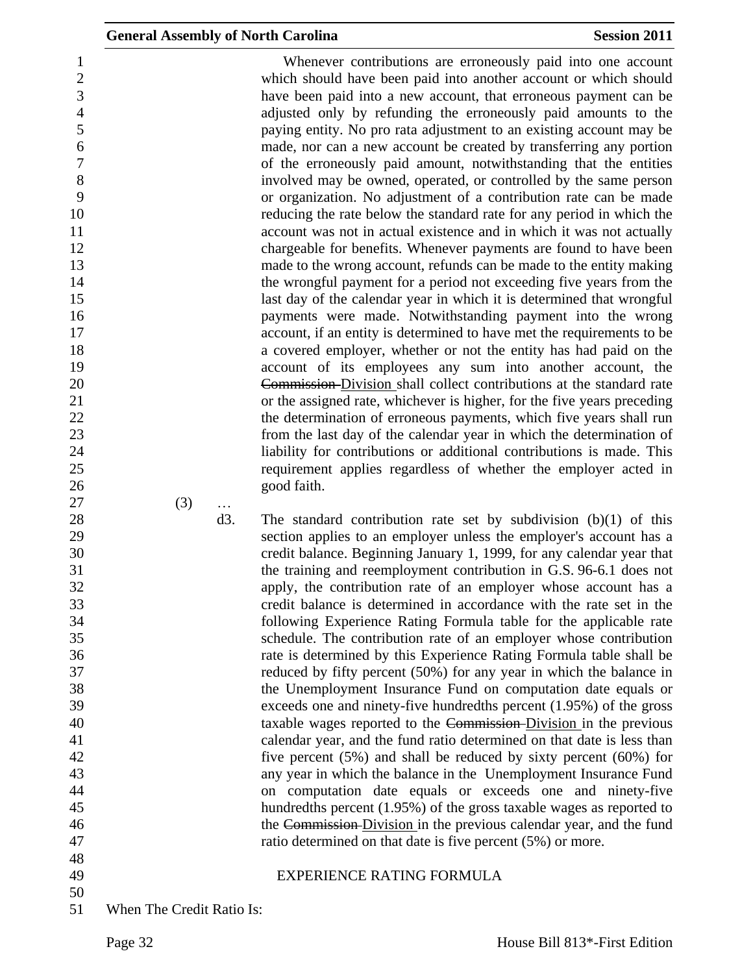Whenever contributions are erroneously paid into one account which should have been paid into another account or which should have been paid into a new account, that erroneous payment can be adjusted only by refunding the erroneously paid amounts to the paying entity. No pro rata adjustment to an existing account may be made, nor can a new account be created by transferring any portion of the erroneously paid amount, notwithstanding that the entities involved may be owned, operated, or controlled by the same person or organization. No adjustment of a contribution rate can be made reducing the rate below the standard rate for any period in which the account was not in actual existence and in which it was not actually chargeable for benefits. Whenever payments are found to have been made to the wrong account, refunds can be made to the entity making 14 the wrongful payment for a period not exceeding five years from the last day of the calendar year in which it is determined that wrongful payments were made. Notwithstanding payment into the wrong account, if an entity is determined to have met the requirements to be a covered employer, whether or not the entity has had paid on the account of its employees any sum into another account, the Commission Division shall collect contributions at the standard rate or the assigned rate, whichever is higher, for the five years preceding 22 the determination of erroneous payments, which five years shall run from the last day of the calendar year in which the determination of liability for contributions or additional contributions is made. This requirement applies regardless of whether the employer acted in good faith.

(3) …

28 d3. The standard contribution rate set by subdivision (b)(1) of this section applies to an employer unless the employer's account has a credit balance. Beginning January 1, 1999, for any calendar year that the training and reemployment contribution in G.S. 96-6.1 does not apply, the contribution rate of an employer whose account has a credit balance is determined in accordance with the rate set in the following Experience Rating Formula table for the applicable rate schedule. The contribution rate of an employer whose contribution rate is determined by this Experience Rating Formula table shall be reduced by fifty percent (50%) for any year in which the balance in the Unemployment Insurance Fund on computation date equals or exceeds one and ninety-five hundredths percent (1.95%) of the gross 40 taxable wages reported to the Commission-Division in the previous calendar year, and the fund ratio determined on that date is less than five percent (5%) and shall be reduced by sixty percent (60%) for any year in which the balance in the Unemployment Insurance Fund on computation date equals or exceeds one and ninety-five hundredths percent (1.95%) of the gross taxable wages as reported to the Commission Division in the previous calendar year, and the fund 47 ratio determined on that date is five percent (5%) or more.

- 
- 
- EXPERIENCE RATING FORMULA
- When The Credit Ratio Is: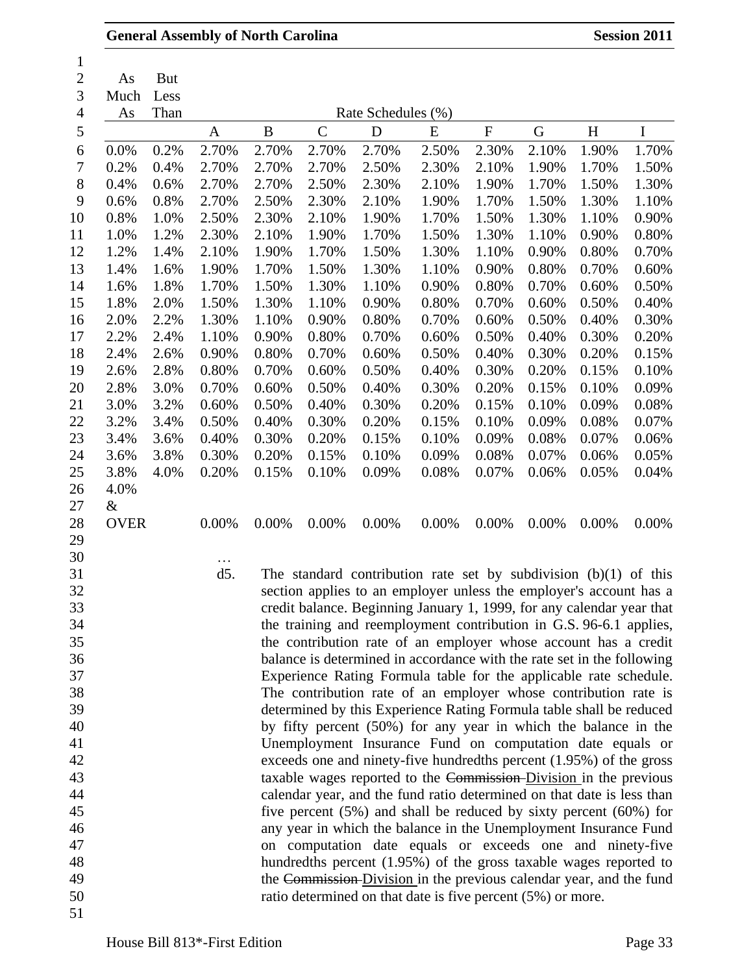|                  |                            | <b>General Assembly of North Carolina</b>                                                                                                   |       |               |                                                                        |       |           |       |       | <b>Session 2011</b> |
|------------------|----------------------------|---------------------------------------------------------------------------------------------------------------------------------------------|-------|---------------|------------------------------------------------------------------------|-------|-----------|-------|-------|---------------------|
| As<br>Much<br>As | <b>But</b><br>Less<br>Than |                                                                                                                                             |       |               | Rate Schedules (%)                                                     |       |           |       |       |                     |
|                  |                            | $\mathbf{A}$                                                                                                                                | B     | $\mathcal{C}$ | D                                                                      | E     | ${\bf F}$ | G     | H     | I                   |
| 0.0%             | 0.2%                       | 2.70%                                                                                                                                       | 2.70% | 2.70%         | 2.70%                                                                  | 2.50% | 2.30%     | 2.10% | 1.90% | 1.70%               |
| 0.2%             | 0.4%                       | 2.70%                                                                                                                                       | 2.70% | 2.70%         | 2.50%                                                                  | 2.30% | 2.10%     | 1.90% | 1.70% | 1.50%               |
| 0.4%             | 0.6%                       | 2.70%                                                                                                                                       | 2.70% | 2.50%         | 2.30%                                                                  | 2.10% | 1.90%     | 1.70% | 1.50% | 1.30%               |
| 0.6%             | 0.8%                       | 2.70%                                                                                                                                       | 2.50% | 2.30%         | 2.10%                                                                  | 1.90% | 1.70%     | 1.50% | 1.30% | 1.10%               |
| 0.8%             | 1.0%                       | 2.50%                                                                                                                                       | 2.30% | 2.10%         | 1.90%                                                                  | 1.70% | 1.50%     | 1.30% | 1.10% | 0.90%               |
| 1.0%             | 1.2%                       | 2.30%                                                                                                                                       | 2.10% | 1.90%         | 1.70%                                                                  | 1.50% | 1.30%     | 1.10% | 0.90% | 0.80%               |
| 1.2%             | 1.4%                       | 2.10%                                                                                                                                       | 1.90% | 1.70%         | 1.50%                                                                  | 1.30% | 1.10%     | 0.90% | 0.80% | 0.70%               |
| 1.4%             | 1.6%                       | 1.90%                                                                                                                                       | 1.70% | 1.50%         | 1.30%                                                                  | 1.10% | 0.90%     | 0.80% | 0.70% | 0.60%               |
| 1.6%             | 1.8%                       | 1.70%                                                                                                                                       | 1.50% | 1.30%         | 1.10%                                                                  | 0.90% | 0.80%     | 0.70% | 0.60% | 0.50%               |
| 1.8%             | 2.0%                       | 1.50%                                                                                                                                       | 1.30% | 1.10%         | 0.90%                                                                  | 0.80% | 0.70%     | 0.60% | 0.50% | 0.40%               |
| 2.0%             | 2.2%                       | 1.30%                                                                                                                                       | 1.10% | 0.90%         | 0.80%                                                                  | 0.70% | 0.60%     | 0.50% | 0.40% | 0.30%               |
| 2.2%             | 2.4%                       | 1.10%                                                                                                                                       | 0.90% | 0.80%         | 0.70%                                                                  | 0.60% | 0.50%     | 0.40% | 0.30% | 0.20%               |
| 2.4%             | 2.6%                       | 0.90%                                                                                                                                       | 0.80% | 0.70%         | 0.60%                                                                  | 0.50% | 0.40%     | 0.30% | 0.20% | 0.15%               |
| 2.6%             | 2.8%                       | 0.80%                                                                                                                                       | 0.70% | 0.60%         | 0.50%                                                                  | 0.40% | 0.30%     | 0.20% | 0.15% | 0.10%               |
| 2.8%             | 3.0%                       | 0.70%                                                                                                                                       | 0.60% | 0.50%         | 0.40%                                                                  | 0.30% | 0.20%     | 0.15% | 0.10% | 0.09%               |
| 3.0%             | 3.2%                       | 0.60%                                                                                                                                       | 0.50% | 0.40%         | 0.30%                                                                  | 0.20% | 0.15%     | 0.10% | 0.09% | 0.08%               |
| 3.2%             | 3.4%                       | 0.50%                                                                                                                                       | 0.40% | 0.30%         | 0.20%                                                                  | 0.15% | 0.10%     | 0.09% | 0.08% | 0.07%               |
| 3.4%             | 3.6%                       | 0.40%                                                                                                                                       | 0.30% | 0.20%         | 0.15%                                                                  | 0.10% | 0.09%     | 0.08% | 0.07% | 0.06%               |
| 3.6%             | 3.8%                       | 0.30%                                                                                                                                       | 0.20% | 0.15%         | 0.10%                                                                  | 0.09% | 0.08%     | 0.07% | 0.06% | 0.05%               |
| 3.8%             | 4.0%                       | 0.20%                                                                                                                                       | 0.15% | 0.10%         | 0.09%                                                                  | 0.08% | 0.07%     | 0.06% | 0.05% | 0.04%               |
| 4.0%             |                            |                                                                                                                                             |       |               |                                                                        |       |           |       |       |                     |
| $\&$             |                            |                                                                                                                                             |       |               |                                                                        |       |           |       |       |                     |
| <b>OVER</b>      |                            | 0.00%                                                                                                                                       | 0.00% | 0.00%         | 0.00%                                                                  | 0.00% | 0.00%     | 0.00% | 0.00% | 0.00%               |
|                  |                            |                                                                                                                                             |       |               |                                                                        |       |           |       |       |                     |
|                  |                            | .                                                                                                                                           |       |               |                                                                        |       |           |       |       |                     |
|                  |                            | d <sub>5</sub>                                                                                                                              |       |               | The standard contribution rate set by subdivision $(b)(1)$ of this     |       |           |       |       |                     |
|                  |                            |                                                                                                                                             |       |               | section applies to an employer unless the employer's account has a     |       |           |       |       |                     |
|                  |                            |                                                                                                                                             |       |               | credit balance. Beginning January 1, 1999, for any calendar year that  |       |           |       |       |                     |
|                  |                            |                                                                                                                                             |       |               | the training and reemployment contribution in G.S. 96-6.1 applies,     |       |           |       |       |                     |
|                  |                            |                                                                                                                                             |       |               | the contribution rate of an employer whose account has a credit        |       |           |       |       |                     |
|                  |                            |                                                                                                                                             |       |               |                                                                        |       |           |       |       |                     |
|                  |                            | balance is determined in accordance with the rate set in the following<br>Experience Rating Formula table for the applicable rate schedule. |       |               |                                                                        |       |           |       |       |                     |
|                  |                            |                                                                                                                                             |       |               | The contribution rate of an employer whose contribution rate is        |       |           |       |       |                     |
|                  |                            |                                                                                                                                             |       |               | determined by this Experience Rating Formula table shall be reduced    |       |           |       |       |                     |
|                  |                            |                                                                                                                                             |       |               | by fifty percent (50%) for any year in which the balance in the        |       |           |       |       |                     |
|                  |                            |                                                                                                                                             |       |               | Unemployment Insurance Fund on computation date equals or              |       |           |       |       |                     |
|                  |                            |                                                                                                                                             |       |               | exceeds one and ninety-five hundredths percent (1.95%) of the gross    |       |           |       |       |                     |
|                  |                            |                                                                                                                                             |       |               | taxable wages reported to the Commission-Division in the previous      |       |           |       |       |                     |
|                  |                            |                                                                                                                                             |       |               | calendar year, and the fund ratio determined on that date is less than |       |           |       |       |                     |
|                  |                            |                                                                                                                                             |       |               | five percent $(5%)$ and shall be reduced by sixty percent $(60%)$ for  |       |           |       |       |                     |
|                  |                            |                                                                                                                                             |       |               | any year in which the balance in the Unemployment Insurance Fund       |       |           |       |       |                     |
|                  |                            |                                                                                                                                             |       |               | on computation date equals or exceeds one and ninety-five              |       |           |       |       |                     |
|                  |                            |                                                                                                                                             |       |               | hundredths percent (1.95%) of the gross taxable wages reported to      |       |           |       |       |                     |
|                  |                            |                                                                                                                                             |       |               | the Commission-Division in the previous calendar year, and the fund    |       |           |       |       |                     |
|                  |                            |                                                                                                                                             |       |               | ratio determined on that date is five percent (5%) or more.            |       |           |       |       |                     |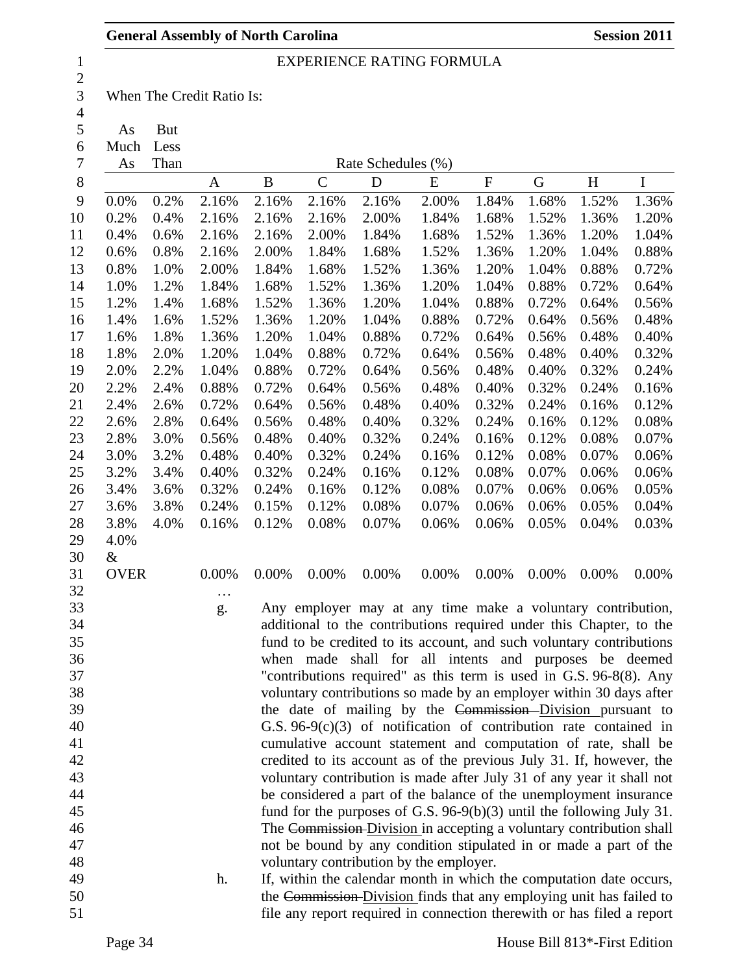# EXPERIENCE RATING FORMULA

 $\frac{2}{3}$ When The Credit Ratio Is:

 $\frac{4}{5}$ 

As But

Much Less

| 7  | As          | Than | Rate Schedules (%) |       |              |       |                                                                         |           |       |       |       |
|----|-------------|------|--------------------|-------|--------------|-------|-------------------------------------------------------------------------|-----------|-------|-------|-------|
| 8  |             |      | A                  | B     | $\mathsf{C}$ | D     | E                                                                       | ${\bf F}$ | G     | H     | I     |
| 9  | 0.0%        | 0.2% | 2.16%              | 2.16% | 2.16%        | 2.16% | 2.00%                                                                   | 1.84%     | 1.68% | 1.52% | 1.36% |
| 10 | 0.2%        | 0.4% | 2.16%              | 2.16% | 2.16%        | 2.00% | 1.84%                                                                   | 1.68%     | 1.52% | 1.36% | 1.20% |
| 11 | 0.4%        | 0.6% | 2.16%              | 2.16% | 2.00%        | 1.84% | 1.68%                                                                   | 1.52%     | 1.36% | 1.20% | 1.04% |
| 12 | 0.6%        | 0.8% | 2.16%              | 2.00% | 1.84%        | 1.68% | 1.52%                                                                   | 1.36%     | 1.20% | 1.04% | 0.88% |
| 13 | 0.8%        | 1.0% | 2.00%              | 1.84% | 1.68%        | 1.52% | 1.36%                                                                   | 1.20%     | 1.04% | 0.88% | 0.72% |
| 14 | 1.0%        | 1.2% | 1.84%              | 1.68% | 1.52%        | 1.36% | 1.20%                                                                   | 1.04%     | 0.88% | 0.72% | 0.64% |
| 15 | 1.2%        | 1.4% | 1.68%              | 1.52% | 1.36%        | 1.20% | 1.04%                                                                   | 0.88%     | 0.72% | 0.64% | 0.56% |
| 16 | 1.4%        | 1.6% | 1.52%              | 1.36% | 1.20%        | 1.04% | 0.88%                                                                   | 0.72%     | 0.64% | 0.56% | 0.48% |
| 17 | 1.6%        | 1.8% | 1.36%              | 1.20% | 1.04%        | 0.88% | 0.72%                                                                   | 0.64%     | 0.56% | 0.48% | 0.40% |
| 18 | 1.8%        | 2.0% | 1.20%              | 1.04% | 0.88%        | 0.72% | 0.64%                                                                   | 0.56%     | 0.48% | 0.40% | 0.32% |
| 19 | 2.0%        | 2.2% | 1.04%              | 0.88% | 0.72%        | 0.64% | 0.56%                                                                   | 0.48%     | 0.40% | 0.32% | 0.24% |
| 20 | 2.2%        | 2.4% | 0.88%              | 0.72% | 0.64%        | 0.56% | 0.48%                                                                   | 0.40%     | 0.32% | 0.24% | 0.16% |
| 21 | 2.4%        | 2.6% | 0.72%              | 0.64% | 0.56%        | 0.48% | 0.40%                                                                   | 0.32%     | 0.24% | 0.16% | 0.12% |
| 22 | 2.6%        | 2.8% | 0.64%              | 0.56% | 0.48%        | 0.40% | 0.32%                                                                   | 0.24%     | 0.16% | 0.12% | 0.08% |
| 23 | 2.8%        | 3.0% | 0.56%              | 0.48% | 0.40%        | 0.32% | 0.24%                                                                   | 0.16%     | 0.12% | 0.08% | 0.07% |
| 24 | 3.0%        | 3.2% | 0.48%              | 0.40% | 0.32%        | 0.24% | 0.16%                                                                   | 0.12%     | 0.08% | 0.07% | 0.06% |
| 25 | 3.2%        | 3.4% | 0.40%              | 0.32% | 0.24%        | 0.16% | 0.12%                                                                   | 0.08%     | 0.07% | 0.06% | 0.06% |
| 26 | 3.4%        | 3.6% | 0.32%              | 0.24% | 0.16%        | 0.12% | 0.08%                                                                   | 0.07%     | 0.06% | 0.06% | 0.05% |
| 27 | 3.6%        | 3.8% | 0.24%              | 0.15% | 0.12%        | 0.08% | 0.07%                                                                   | 0.06%     | 0.06% | 0.05% | 0.04% |
| 28 | 3.8%        | 4.0% | 0.16%              | 0.12% | 0.08%        | 0.07% | 0.06%                                                                   | 0.06%     | 0.05% | 0.04% | 0.03% |
| 29 | 4.0%        |      |                    |       |              |       |                                                                         |           |       |       |       |
| 30 | &           |      |                    |       |              |       |                                                                         |           |       |       |       |
| 31 | <b>OVER</b> |      | 0.00%              | 0.00% | 0.00%        | 0.00% | 0.00%                                                                   | 0.00%     | 0.00% | 0.00% | 0.00% |
| 32 |             |      | $\ddotsc$          |       |              |       |                                                                         |           |       |       |       |
| 33 |             |      | g.                 |       |              |       | Any employer may at any time make a voluntary contribution,             |           |       |       |       |
| 34 |             |      |                    |       |              |       | additional to the contributions required under this Chapter, to the     |           |       |       |       |
| 35 |             |      |                    |       |              |       | fund to be credited to its account, and such voluntary contributions    |           |       |       |       |
| 36 |             |      |                    |       | when made    |       | shall for all intents and purposes be deemed                            |           |       |       |       |
| 37 |             |      |                    |       |              |       | "contributions required" as this term is used in G.S. 96-8(8). Any      |           |       |       |       |
| 38 |             |      |                    |       |              |       | voluntary contributions so made by an employer within 30 days after     |           |       |       |       |
| 39 |             |      |                    |       |              |       | the date of mailing by the Commission-Division pursuant to              |           |       |       |       |
| 40 |             |      |                    |       |              |       | G.S. $96-9(c)(3)$ of notification of contribution rate contained in     |           |       |       |       |
| 41 |             |      |                    |       |              |       | cumulative account statement and computation of rate, shall be          |           |       |       |       |
| 42 |             |      |                    |       |              |       | credited to its account as of the previous July 31. If, however, the    |           |       |       |       |
| 43 |             |      |                    |       |              |       | voluntary contribution is made after July 31 of any year it shall not   |           |       |       |       |
| 44 |             |      |                    |       |              |       | be considered a part of the balance of the unemployment insurance       |           |       |       |       |
| 45 |             |      |                    |       |              |       | fund for the purposes of G.S. $96-9(b)(3)$ until the following July 31. |           |       |       |       |
| 46 |             |      |                    |       |              |       | The Commission-Division in accepting a voluntary contribution shall     |           |       |       |       |
| 47 |             |      |                    |       |              |       | not be bound by any condition stipulated in or made a part of the       |           |       |       |       |
| 48 |             |      |                    |       |              |       | voluntary contribution by the employer.                                 |           |       |       |       |
| 49 |             |      | h.                 |       |              |       | If, within the calendar month in which the computation date occurs,     |           |       |       |       |
| 50 |             |      |                    |       |              |       | the Commission-Division finds that any employing unit has failed to     |           |       |       |       |
| 51 |             |      |                    |       |              |       | file any report required in connection therewith or has filed a report  |           |       |       |       |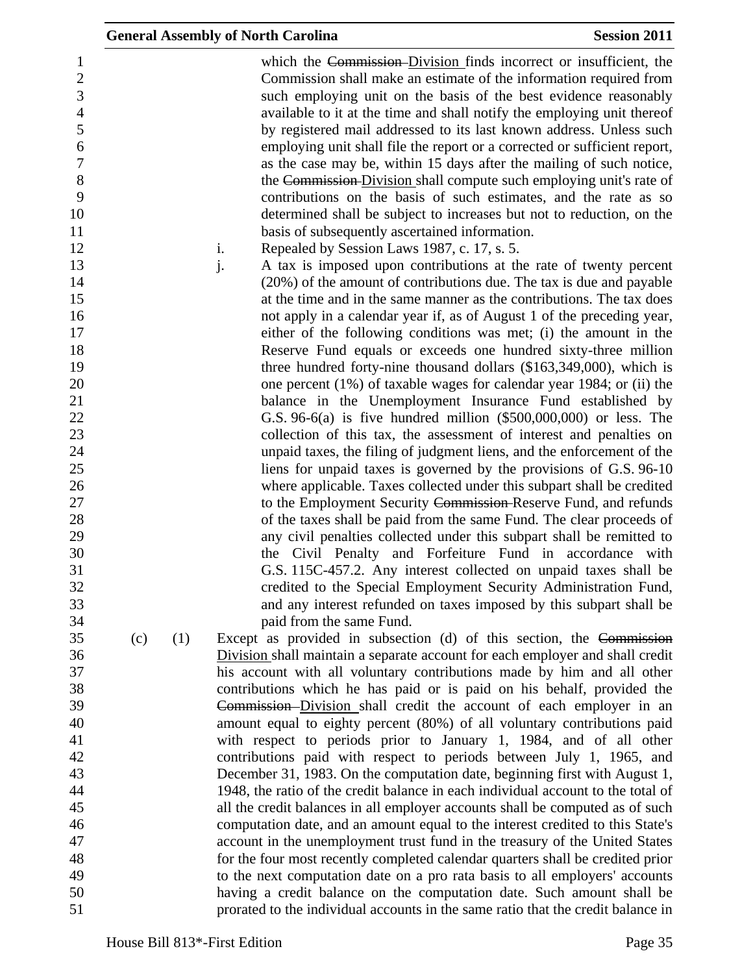|     |     | <b>General Assembly of North Carolina</b>                                                                                                                                                                                                                                                                                                                                                                                                                                                                                                                                                                                                                                                                                                                                                                                                      | <b>Session 2011</b> |
|-----|-----|------------------------------------------------------------------------------------------------------------------------------------------------------------------------------------------------------------------------------------------------------------------------------------------------------------------------------------------------------------------------------------------------------------------------------------------------------------------------------------------------------------------------------------------------------------------------------------------------------------------------------------------------------------------------------------------------------------------------------------------------------------------------------------------------------------------------------------------------|---------------------|
|     |     | which the Commission-Division finds incorrect or insufficient, the<br>Commission shall make an estimate of the information required from<br>such employing unit on the basis of the best evidence reasonably<br>available to it at the time and shall notify the employing unit thereof<br>by registered mail addressed to its last known address. Unless such<br>employing unit shall file the report or a corrected or sufficient report,<br>as the case may be, within 15 days after the mailing of such notice,<br>the Commission-Division shall compute such employing unit's rate of<br>contributions on the basis of such estimates, and the rate as so<br>determined shall be subject to increases but not to reduction, on the<br>basis of subsequently ascertained information.<br>i.<br>Repealed by Session Laws 1987, c. 17, s. 5. |                     |
|     |     | j.<br>A tax is imposed upon contributions at the rate of twenty percent                                                                                                                                                                                                                                                                                                                                                                                                                                                                                                                                                                                                                                                                                                                                                                        |                     |
|     |     | (20%) of the amount of contributions due. The tax is due and payable<br>at the time and in the same manner as the contributions. The tax does<br>not apply in a calendar year if, as of August 1 of the preceding year,                                                                                                                                                                                                                                                                                                                                                                                                                                                                                                                                                                                                                        |                     |
|     |     | either of the following conditions was met; (i) the amount in the                                                                                                                                                                                                                                                                                                                                                                                                                                                                                                                                                                                                                                                                                                                                                                              |                     |
|     |     | Reserve Fund equals or exceeds one hundred sixty-three million                                                                                                                                                                                                                                                                                                                                                                                                                                                                                                                                                                                                                                                                                                                                                                                 |                     |
|     |     | three hundred forty-nine thousand dollars $(\$163,349,000)$ , which is<br>one percent $(1\%)$ of taxable wages for calendar year 1984; or (ii) the                                                                                                                                                                                                                                                                                                                                                                                                                                                                                                                                                                                                                                                                                             |                     |
|     |     | balance in the Unemployment Insurance Fund established by                                                                                                                                                                                                                                                                                                                                                                                                                                                                                                                                                                                                                                                                                                                                                                                      |                     |
|     |     | G.S. $96-6(a)$ is five hundred million $(\$500,000,000)$ or less. The                                                                                                                                                                                                                                                                                                                                                                                                                                                                                                                                                                                                                                                                                                                                                                          |                     |
|     |     | collection of this tax, the assessment of interest and penalties on                                                                                                                                                                                                                                                                                                                                                                                                                                                                                                                                                                                                                                                                                                                                                                            |                     |
|     |     | unpaid taxes, the filing of judgment liens, and the enforcement of the                                                                                                                                                                                                                                                                                                                                                                                                                                                                                                                                                                                                                                                                                                                                                                         |                     |
|     |     | liens for unpaid taxes is governed by the provisions of G.S. 96-10<br>where applicable. Taxes collected under this subpart shall be credited                                                                                                                                                                                                                                                                                                                                                                                                                                                                                                                                                                                                                                                                                                   |                     |
|     |     | to the Employment Security Commission-Reserve Fund, and refunds                                                                                                                                                                                                                                                                                                                                                                                                                                                                                                                                                                                                                                                                                                                                                                                |                     |
|     |     | of the taxes shall be paid from the same Fund. The clear proceeds of                                                                                                                                                                                                                                                                                                                                                                                                                                                                                                                                                                                                                                                                                                                                                                           |                     |
|     |     | any civil penalties collected under this subpart shall be remitted to                                                                                                                                                                                                                                                                                                                                                                                                                                                                                                                                                                                                                                                                                                                                                                          |                     |
|     |     | the Civil Penalty and Forfeiture Fund in accordance with                                                                                                                                                                                                                                                                                                                                                                                                                                                                                                                                                                                                                                                                                                                                                                                       |                     |
|     |     | G.S. 115C-457.2. Any interest collected on unpaid taxes shall be                                                                                                                                                                                                                                                                                                                                                                                                                                                                                                                                                                                                                                                                                                                                                                               |                     |
|     |     | credited to the Special Employment Security Administration Fund,<br>and any interest refunded on taxes imposed by this subpart shall be                                                                                                                                                                                                                                                                                                                                                                                                                                                                                                                                                                                                                                                                                                        |                     |
|     |     | paid from the same Fund.                                                                                                                                                                                                                                                                                                                                                                                                                                                                                                                                                                                                                                                                                                                                                                                                                       |                     |
| (c) | (1) | Except as provided in subsection (d) of this section, the Commission                                                                                                                                                                                                                                                                                                                                                                                                                                                                                                                                                                                                                                                                                                                                                                           |                     |
|     |     | Division shall maintain a separate account for each employer and shall credit                                                                                                                                                                                                                                                                                                                                                                                                                                                                                                                                                                                                                                                                                                                                                                  |                     |
|     |     | his account with all voluntary contributions made by him and all other                                                                                                                                                                                                                                                                                                                                                                                                                                                                                                                                                                                                                                                                                                                                                                         |                     |
|     |     | contributions which he has paid or is paid on his behalf, provided the                                                                                                                                                                                                                                                                                                                                                                                                                                                                                                                                                                                                                                                                                                                                                                         |                     |
|     |     | Commission-Division shall credit the account of each employer in an<br>amount equal to eighty percent (80%) of all voluntary contributions paid                                                                                                                                                                                                                                                                                                                                                                                                                                                                                                                                                                                                                                                                                                |                     |
|     |     | with respect to periods prior to January 1, 1984, and of all other                                                                                                                                                                                                                                                                                                                                                                                                                                                                                                                                                                                                                                                                                                                                                                             |                     |
|     |     | contributions paid with respect to periods between July 1, 1965, and                                                                                                                                                                                                                                                                                                                                                                                                                                                                                                                                                                                                                                                                                                                                                                           |                     |
|     |     | December 31, 1983. On the computation date, beginning first with August 1,                                                                                                                                                                                                                                                                                                                                                                                                                                                                                                                                                                                                                                                                                                                                                                     |                     |
|     |     | 1948, the ratio of the credit balance in each individual account to the total of                                                                                                                                                                                                                                                                                                                                                                                                                                                                                                                                                                                                                                                                                                                                                               |                     |
|     |     | all the credit balances in all employer accounts shall be computed as of such                                                                                                                                                                                                                                                                                                                                                                                                                                                                                                                                                                                                                                                                                                                                                                  |                     |
|     |     | computation date, and an amount equal to the interest credited to this State's                                                                                                                                                                                                                                                                                                                                                                                                                                                                                                                                                                                                                                                                                                                                                                 |                     |
|     |     | account in the unemployment trust fund in the treasury of the United States<br>for the four most recently completed calendar quarters shall be credited prior                                                                                                                                                                                                                                                                                                                                                                                                                                                                                                                                                                                                                                                                                  |                     |
|     |     | to the next computation date on a pro rata basis to all employers' accounts                                                                                                                                                                                                                                                                                                                                                                                                                                                                                                                                                                                                                                                                                                                                                                    |                     |
|     |     | having a credit balance on the computation date. Such amount shall be                                                                                                                                                                                                                                                                                                                                                                                                                                                                                                                                                                                                                                                                                                                                                                          |                     |
|     |     | prorated to the individual accounts in the same ratio that the credit balance in                                                                                                                                                                                                                                                                                                                                                                                                                                                                                                                                                                                                                                                                                                                                                               |                     |
|     |     |                                                                                                                                                                                                                                                                                                                                                                                                                                                                                                                                                                                                                                                                                                                                                                                                                                                |                     |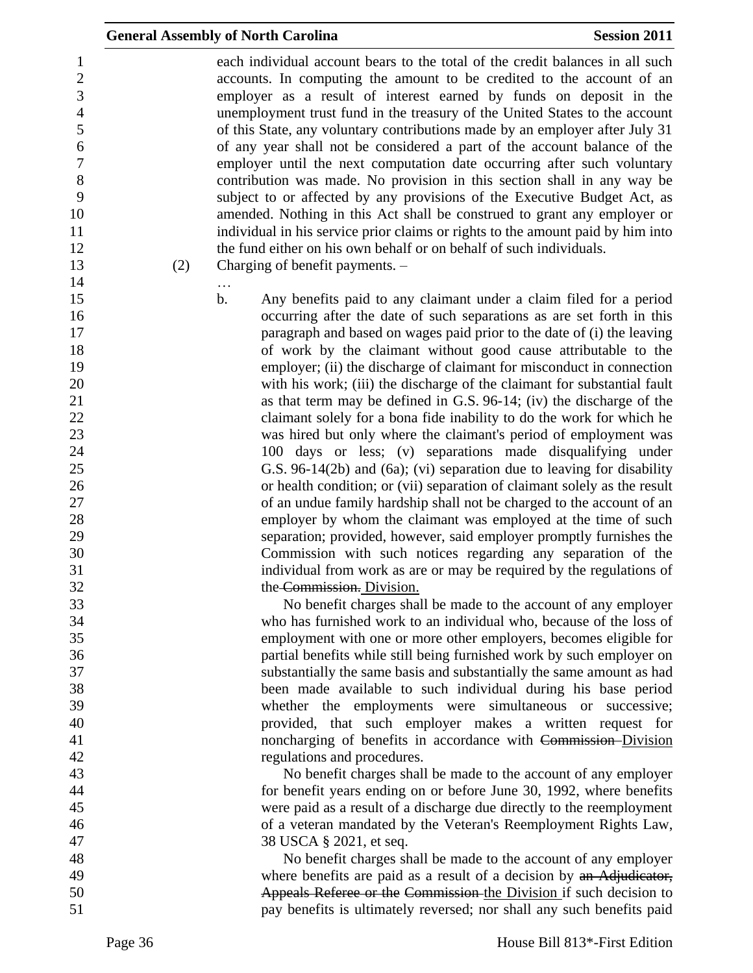|                                                                                                                                                              | <b>General Assembly of North Carolina</b>                                                                                                                                                                                                                                                                                                                                                                                                                                                                                                                                                                                                                                                                                                                                                                                                                                                                                                                                                      | <b>Session 2011</b> |
|--------------------------------------------------------------------------------------------------------------------------------------------------------------|------------------------------------------------------------------------------------------------------------------------------------------------------------------------------------------------------------------------------------------------------------------------------------------------------------------------------------------------------------------------------------------------------------------------------------------------------------------------------------------------------------------------------------------------------------------------------------------------------------------------------------------------------------------------------------------------------------------------------------------------------------------------------------------------------------------------------------------------------------------------------------------------------------------------------------------------------------------------------------------------|---------------------|
| $\mathbf{1}$<br>$\overline{c}$<br>$\overline{3}$<br>$\overline{4}$<br>5<br>$\boldsymbol{6}$<br>$\overline{7}$<br>8<br>9<br>10<br>11<br>12<br>13<br>(2)<br>14 | each individual account bears to the total of the credit balances in all such<br>accounts. In computing the amount to be credited to the account of an<br>employer as a result of interest earned by funds on deposit in the<br>unemployment trust fund in the treasury of the United States to the account<br>of this State, any voluntary contributions made by an employer after July 31<br>of any year shall not be considered a part of the account balance of the<br>employer until the next computation date occurring after such voluntary<br>contribution was made. No provision in this section shall in any way be<br>subject to or affected by any provisions of the Executive Budget Act, as<br>amended. Nothing in this Act shall be construed to grant any employer or<br>individual in his service prior claims or rights to the amount paid by him into<br>the fund either on his own behalf or on behalf of such individuals.<br>Charging of benefit payments. -<br>$\ddots$ |                     |
| 15<br>16<br>17<br>18<br>19<br>20<br>21<br>22                                                                                                                 | b.<br>Any benefits paid to any claimant under a claim filed for a period<br>occurring after the date of such separations as are set forth in this<br>paragraph and based on wages paid prior to the date of (i) the leaving<br>of work by the claimant without good cause attributable to the<br>employer; (ii) the discharge of claimant for misconduct in connection<br>with his work; (iii) the discharge of the claimant for substantial fault<br>as that term may be defined in G.S. 96-14; (iv) the discharge of the<br>claimant solely for a bona fide inability to do the work for which he                                                                                                                                                                                                                                                                                                                                                                                            |                     |
| 23<br>24<br>25                                                                                                                                               | was hired but only where the claimant's period of employment was<br>100 days or less; (v) separations made disqualifying under<br>G.S. 96-14(2b) and (6a); (vi) separation due to leaving for disability                                                                                                                                                                                                                                                                                                                                                                                                                                                                                                                                                                                                                                                                                                                                                                                       |                     |
| 26<br>27<br>28<br>29                                                                                                                                         | or health condition; or (vii) separation of claimant solely as the result<br>of an undue family hardship shall not be charged to the account of an<br>employer by whom the claimant was employed at the time of such<br>separation; provided, however, said employer promptly furnishes the                                                                                                                                                                                                                                                                                                                                                                                                                                                                                                                                                                                                                                                                                                    |                     |
| 30<br>31<br>32<br>33                                                                                                                                         | Commission with such notices regarding any separation of the<br>individual from work as are or may be required by the regulations of<br>the Commission. Division.<br>No benefit charges shall be made to the account of any employer                                                                                                                                                                                                                                                                                                                                                                                                                                                                                                                                                                                                                                                                                                                                                           |                     |
| 34<br>35<br>36                                                                                                                                               | who has furnished work to an individual who, because of the loss of<br>employment with one or more other employers, becomes eligible for<br>partial benefits while still being furnished work by such employer on                                                                                                                                                                                                                                                                                                                                                                                                                                                                                                                                                                                                                                                                                                                                                                              |                     |
| 37<br>38<br>39<br>40                                                                                                                                         | substantially the same basis and substantially the same amount as had<br>been made available to such individual during his base period<br>whether the employments were simultaneous or successive;<br>provided, that such employer makes a written request for                                                                                                                                                                                                                                                                                                                                                                                                                                                                                                                                                                                                                                                                                                                                 |                     |
| 41<br>42<br>43                                                                                                                                               | noncharging of benefits in accordance with Commission-Division<br>regulations and procedures.<br>No benefit charges shall be made to the account of any employer                                                                                                                                                                                                                                                                                                                                                                                                                                                                                                                                                                                                                                                                                                                                                                                                                               |                     |
| 44<br>45<br>46<br>47                                                                                                                                         | for benefit years ending on or before June 30, 1992, where benefits<br>were paid as a result of a discharge due directly to the reemployment<br>of a veteran mandated by the Veteran's Reemployment Rights Law,<br>38 USCA § 2021, et seq.                                                                                                                                                                                                                                                                                                                                                                                                                                                                                                                                                                                                                                                                                                                                                     |                     |
| 48<br>49<br>50                                                                                                                                               | No benefit charges shall be made to the account of any employer<br>where benefits are paid as a result of a decision by an Adjudicator,<br>Appeals Referee or the Commission the Division if such decision to                                                                                                                                                                                                                                                                                                                                                                                                                                                                                                                                                                                                                                                                                                                                                                                  |                     |
| 51                                                                                                                                                           | pay benefits is ultimately reversed; nor shall any such benefits paid                                                                                                                                                                                                                                                                                                                                                                                                                                                                                                                                                                                                                                                                                                                                                                                                                                                                                                                          |                     |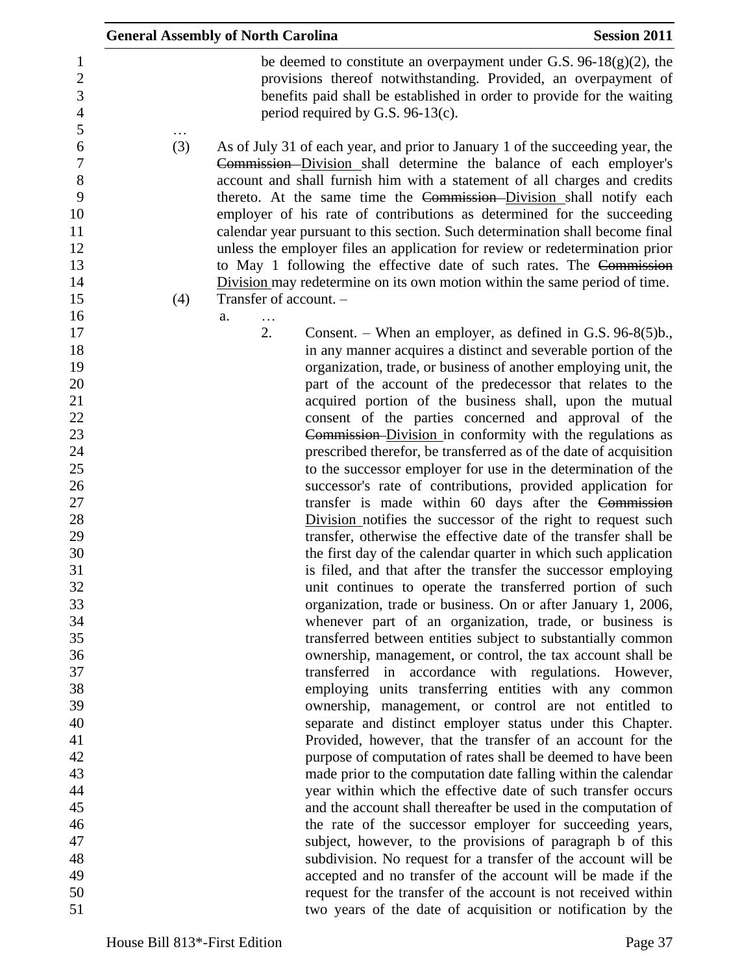|                                                                                             | <b>General Assembly of North Carolina</b>                                                                                                                                                                                                                                                                                                                                                                                                                                                                                                                                                                                                                                                                                                | <b>Session 2011</b>                                                                                                                                                                                                                                                                                                                                                                |
|---------------------------------------------------------------------------------------------|------------------------------------------------------------------------------------------------------------------------------------------------------------------------------------------------------------------------------------------------------------------------------------------------------------------------------------------------------------------------------------------------------------------------------------------------------------------------------------------------------------------------------------------------------------------------------------------------------------------------------------------------------------------------------------------------------------------------------------------|------------------------------------------------------------------------------------------------------------------------------------------------------------------------------------------------------------------------------------------------------------------------------------------------------------------------------------------------------------------------------------|
| 1<br>$\overline{2}$<br>3<br>$\overline{4}$<br>$\mathfrak s$                                 | period required by G.S. $96-13(c)$ .                                                                                                                                                                                                                                                                                                                                                                                                                                                                                                                                                                                                                                                                                                     | be deemed to constitute an overpayment under G.S. $96-18(g)(2)$ , the<br>provisions thereof notwithstanding. Provided, an overpayment of<br>benefits paid shall be established in order to provide for the waiting                                                                                                                                                                 |
| 6<br>(3)<br>$\boldsymbol{7}$<br>$8\,$<br>9<br>10<br>11<br>12<br>13<br>14<br>15<br>(4)<br>16 | As of July 31 of each year, and prior to January 1 of the succeeding year, the<br>Commission Division shall determine the balance of each employer's<br>account and shall furnish him with a statement of all charges and credits<br>thereto. At the same time the Commission-Division shall notify each<br>employer of his rate of contributions as determined for the succeeding<br>calendar year pursuant to this section. Such determination shall become final<br>unless the employer files an application for review or redetermination prior<br>to May 1 following the effective date of such rates. The Commission<br>Division may redetermine on its own motion within the same period of time.<br>Transfer of account. -<br>a. |                                                                                                                                                                                                                                                                                                                                                                                    |
| 17<br>18<br>19<br>20<br>21<br>22                                                            | 2.                                                                                                                                                                                                                                                                                                                                                                                                                                                                                                                                                                                                                                                                                                                                       | Consent. – When an employer, as defined in G.S. $96-8(5)b$ .<br>in any manner acquires a distinct and severable portion of the<br>organization, trade, or business of another employing unit, the<br>part of the account of the predecessor that relates to the<br>acquired portion of the business shall, upon the mutual<br>consent of the parties concerned and approval of the |
| 23<br>24<br>25<br>26                                                                        |                                                                                                                                                                                                                                                                                                                                                                                                                                                                                                                                                                                                                                                                                                                                          | Commission Division in conformity with the regulations as<br>prescribed therefor, be transferred as of the date of acquisition<br>to the successor employer for use in the determination of the<br>successor's rate of contributions, provided application for                                                                                                                     |
| 27<br>28<br>29<br>30<br>31                                                                  |                                                                                                                                                                                                                                                                                                                                                                                                                                                                                                                                                                                                                                                                                                                                          | transfer is made within 60 days after the Commission<br>Division notifies the successor of the right to request such<br>transfer, otherwise the effective date of the transfer shall be<br>the first day of the calendar quarter in which such application<br>is filed, and that after the transfer the successor employing                                                        |
| 32<br>33<br>34<br>35                                                                        |                                                                                                                                                                                                                                                                                                                                                                                                                                                                                                                                                                                                                                                                                                                                          | unit continues to operate the transferred portion of such<br>organization, trade or business. On or after January 1, 2006,<br>whenever part of an organization, trade, or business is<br>transferred between entities subject to substantially common                                                                                                                              |
| 36<br>37<br>38<br>39                                                                        |                                                                                                                                                                                                                                                                                                                                                                                                                                                                                                                                                                                                                                                                                                                                          | ownership, management, or control, the tax account shall be<br>transferred in accordance with regulations. However,<br>employing units transferring entities with any common<br>ownership, management, or control are not entitled to                                                                                                                                              |
| 40<br>41<br>42<br>43                                                                        |                                                                                                                                                                                                                                                                                                                                                                                                                                                                                                                                                                                                                                                                                                                                          | separate and distinct employer status under this Chapter.<br>Provided, however, that the transfer of an account for the<br>purpose of computation of rates shall be deemed to have been<br>made prior to the computation date falling within the calendar                                                                                                                          |
| 44<br>45<br>46<br>47<br>48                                                                  |                                                                                                                                                                                                                                                                                                                                                                                                                                                                                                                                                                                                                                                                                                                                          | year within which the effective date of such transfer occurs<br>and the account shall thereafter be used in the computation of<br>the rate of the successor employer for succeeding years,<br>subject, however, to the provisions of paragraph b of this<br>subdivision. No request for a transfer of the account will be                                                          |
| 49<br>50<br>51                                                                              |                                                                                                                                                                                                                                                                                                                                                                                                                                                                                                                                                                                                                                                                                                                                          | accepted and no transfer of the account will be made if the<br>request for the transfer of the account is not received within<br>two years of the date of acquisition or notification by the                                                                                                                                                                                       |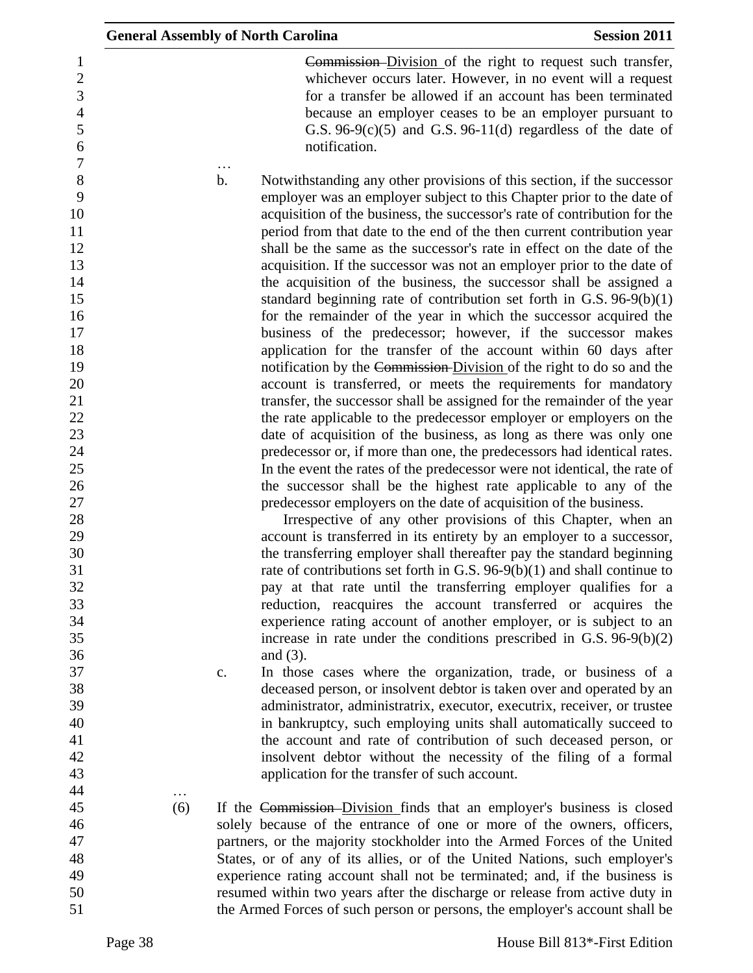| <b>General Assembly of North Carolina</b> |                                                |                                                                                                                                                                                                                                                                                                                                                                                                                                                                                                                                                                                                                                                                                                                                                                                                                                                                                                                                                                                                                                                                                                                                                                                                                                                                                                                                                                                                                                                                                                                                                                                                                                                                                                                                                                                                                                                                                                                                                                                                                                                                                                                                                                                                                                                                                                                                                                                                                                                                                                                                                                     | <b>Session 2011</b> |
|-------------------------------------------|------------------------------------------------|---------------------------------------------------------------------------------------------------------------------------------------------------------------------------------------------------------------------------------------------------------------------------------------------------------------------------------------------------------------------------------------------------------------------------------------------------------------------------------------------------------------------------------------------------------------------------------------------------------------------------------------------------------------------------------------------------------------------------------------------------------------------------------------------------------------------------------------------------------------------------------------------------------------------------------------------------------------------------------------------------------------------------------------------------------------------------------------------------------------------------------------------------------------------------------------------------------------------------------------------------------------------------------------------------------------------------------------------------------------------------------------------------------------------------------------------------------------------------------------------------------------------------------------------------------------------------------------------------------------------------------------------------------------------------------------------------------------------------------------------------------------------------------------------------------------------------------------------------------------------------------------------------------------------------------------------------------------------------------------------------------------------------------------------------------------------------------------------------------------------------------------------------------------------------------------------------------------------------------------------------------------------------------------------------------------------------------------------------------------------------------------------------------------------------------------------------------------------------------------------------------------------------------------------------------------------|---------------------|
|                                           |                                                | Commission Division of the right to request such transfer,<br>whichever occurs later. However, in no event will a request<br>for a transfer be allowed if an account has been terminated<br>because an employer ceases to be an employer pursuant to<br>G.S. $96-9(c)(5)$ and G.S. $96-11(d)$ regardless of the date of<br>notification.                                                                                                                                                                                                                                                                                                                                                                                                                                                                                                                                                                                                                                                                                                                                                                                                                                                                                                                                                                                                                                                                                                                                                                                                                                                                                                                                                                                                                                                                                                                                                                                                                                                                                                                                                                                                                                                                                                                                                                                                                                                                                                                                                                                                                            |                     |
| 34<br>36                                  | $\mathbf b$ .<br>and $(3)$ .<br>$\mathbf{c}$ . | Notwithstanding any other provisions of this section, if the successor<br>employer was an employer subject to this Chapter prior to the date of<br>acquisition of the business, the successor's rate of contribution for the<br>period from that date to the end of the then current contribution year<br>shall be the same as the successor's rate in effect on the date of the<br>acquisition. If the successor was not an employer prior to the date of<br>the acquisition of the business, the successor shall be assigned a<br>standard beginning rate of contribution set forth in G.S. $96-9(b)(1)$<br>for the remainder of the year in which the successor acquired the<br>business of the predecessor; however, if the successor makes<br>application for the transfer of the account within 60 days after<br>notification by the Commission-Division of the right to do so and the<br>account is transferred, or meets the requirements for mandatory<br>transfer, the successor shall be assigned for the remainder of the year<br>the rate applicable to the predecessor employer or employers on the<br>date of acquisition of the business, as long as there was only one<br>predecessor or, if more than one, the predecessors had identical rates.<br>In the event the rates of the predecessor were not identical, the rate of<br>the successor shall be the highest rate applicable to any of the<br>predecessor employers on the date of acquisition of the business.<br>Irrespective of any other provisions of this Chapter, when an<br>account is transferred in its entirety by an employer to a successor,<br>the transferring employer shall thereafter pay the standard beginning<br>rate of contributions set forth in G.S. $96-9(b)(1)$ and shall continue to<br>pay at that rate until the transferring employer qualifies for a<br>reduction, reacquires the account transferred or acquires the<br>experience rating account of another employer, or is subject to an<br>increase in rate under the conditions prescribed in G.S. $96-9(b)(2)$<br>In those cases where the organization, trade, or business of a<br>deceased person, or insolvent debtor is taken over and operated by an<br>administrator, administratrix, executor, executrix, receiver, or trustee<br>in bankruptcy, such employing units shall automatically succeed to<br>the account and rate of contribution of such deceased person, or<br>insolvent debtor without the necessity of the filing of a formal<br>application for the transfer of such account. |                     |
| (6)                                       |                                                | If the Commission-Division finds that an employer's business is closed<br>solely because of the entrance of one or more of the owners, officers,<br>partners, or the majority stockholder into the Armed Forces of the United<br>States, or of any of its allies, or of the United Nations, such employer's<br>experience rating account shall not be terminated; and, if the business is<br>resumed within two years after the discharge or release from active duty in                                                                                                                                                                                                                                                                                                                                                                                                                                                                                                                                                                                                                                                                                                                                                                                                                                                                                                                                                                                                                                                                                                                                                                                                                                                                                                                                                                                                                                                                                                                                                                                                                                                                                                                                                                                                                                                                                                                                                                                                                                                                                            |                     |
|                                           |                                                | the Armed Forces of such person or persons, the employer's account shall be                                                                                                                                                                                                                                                                                                                                                                                                                                                                                                                                                                                                                                                                                                                                                                                                                                                                                                                                                                                                                                                                                                                                                                                                                                                                                                                                                                                                                                                                                                                                                                                                                                                                                                                                                                                                                                                                                                                                                                                                                                                                                                                                                                                                                                                                                                                                                                                                                                                                                         |                     |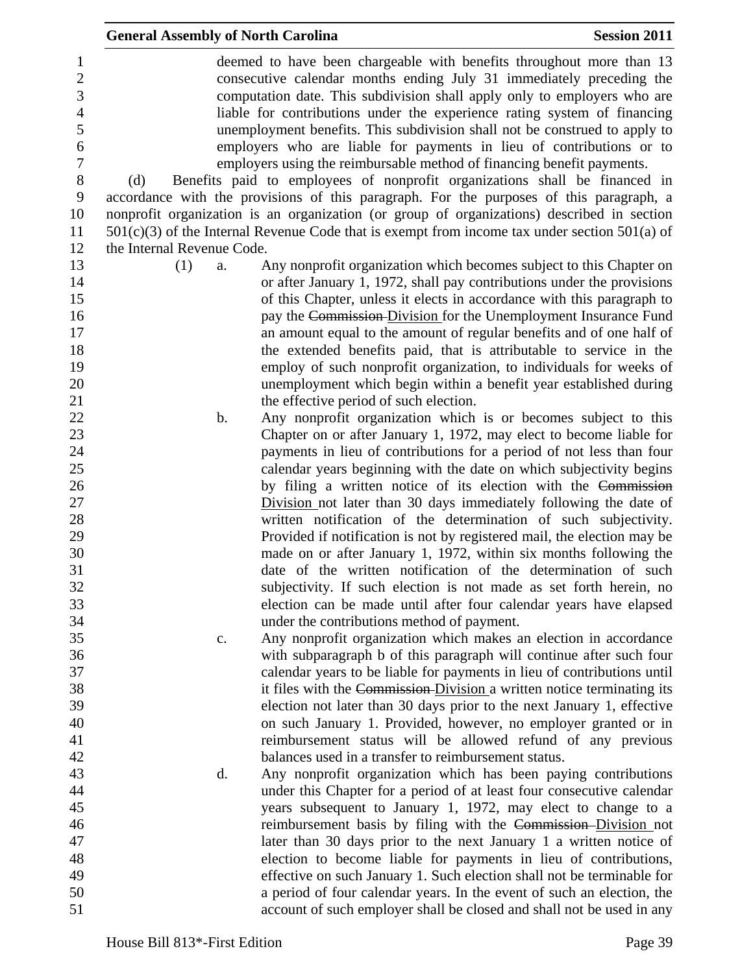|                                                           | <b>General Assembly of North Carolina</b> |                                                                                                                                                                                                                                                                                                                                                                                                                                                                                                                                      | <b>Session 2011</b> |
|-----------------------------------------------------------|-------------------------------------------|--------------------------------------------------------------------------------------------------------------------------------------------------------------------------------------------------------------------------------------------------------------------------------------------------------------------------------------------------------------------------------------------------------------------------------------------------------------------------------------------------------------------------------------|---------------------|
| 1<br>$\overline{c}$<br>3<br>$\overline{4}$<br>5<br>6<br>7 |                                           | deemed to have been chargeable with benefits throughout more than 13<br>consecutive calendar months ending July 31 immediately preceding the<br>computation date. This subdivision shall apply only to employers who are<br>liable for contributions under the experience rating system of financing<br>unemployment benefits. This subdivision shall not be construed to apply to<br>employers who are liable for payments in lieu of contributions or to<br>employers using the reimbursable method of financing benefit payments. |                     |
| $8\,$                                                     | (d)                                       | Benefits paid to employees of nonprofit organizations shall be financed in                                                                                                                                                                                                                                                                                                                                                                                                                                                           |                     |
| $\boldsymbol{9}$                                          |                                           | accordance with the provisions of this paragraph. For the purposes of this paragraph, a                                                                                                                                                                                                                                                                                                                                                                                                                                              |                     |
| 10<br>11                                                  |                                           | nonprofit organization is an organization (or group of organizations) described in section                                                                                                                                                                                                                                                                                                                                                                                                                                           |                     |
| 12                                                        | the Internal Revenue Code.                | $501(c)(3)$ of the Internal Revenue Code that is exempt from income tax under section $501(a)$ of                                                                                                                                                                                                                                                                                                                                                                                                                                    |                     |
| 13                                                        | (1)<br>a.                                 | Any nonprofit organization which becomes subject to this Chapter on                                                                                                                                                                                                                                                                                                                                                                                                                                                                  |                     |
| 14                                                        |                                           | or after January 1, 1972, shall pay contributions under the provisions                                                                                                                                                                                                                                                                                                                                                                                                                                                               |                     |
| 15                                                        |                                           | of this Chapter, unless it elects in accordance with this paragraph to                                                                                                                                                                                                                                                                                                                                                                                                                                                               |                     |
| 16                                                        |                                           | pay the Commission-Division for the Unemployment Insurance Fund                                                                                                                                                                                                                                                                                                                                                                                                                                                                      |                     |
| 17                                                        |                                           | an amount equal to the amount of regular benefits and of one half of                                                                                                                                                                                                                                                                                                                                                                                                                                                                 |                     |
| 18                                                        |                                           | the extended benefits paid, that is attributable to service in the                                                                                                                                                                                                                                                                                                                                                                                                                                                                   |                     |
| 19                                                        |                                           | employ of such nonprofit organization, to individuals for weeks of                                                                                                                                                                                                                                                                                                                                                                                                                                                                   |                     |
| 20                                                        |                                           | unemployment which begin within a benefit year established during                                                                                                                                                                                                                                                                                                                                                                                                                                                                    |                     |
| 21                                                        |                                           | the effective period of such election.                                                                                                                                                                                                                                                                                                                                                                                                                                                                                               |                     |
| 22                                                        | b.                                        | Any nonprofit organization which is or becomes subject to this                                                                                                                                                                                                                                                                                                                                                                                                                                                                       |                     |
| 23                                                        |                                           | Chapter on or after January 1, 1972, may elect to become liable for                                                                                                                                                                                                                                                                                                                                                                                                                                                                  |                     |
| 24                                                        |                                           | payments in lieu of contributions for a period of not less than four                                                                                                                                                                                                                                                                                                                                                                                                                                                                 |                     |
| 25                                                        |                                           | calendar years beginning with the date on which subjectivity begins                                                                                                                                                                                                                                                                                                                                                                                                                                                                  |                     |
| 26                                                        |                                           | by filing a written notice of its election with the Commission                                                                                                                                                                                                                                                                                                                                                                                                                                                                       |                     |
| 27                                                        |                                           | Division not later than 30 days immediately following the date of                                                                                                                                                                                                                                                                                                                                                                                                                                                                    |                     |
| 28                                                        |                                           | written notification of the determination of such subjectivity.                                                                                                                                                                                                                                                                                                                                                                                                                                                                      |                     |
| 29<br>30                                                  |                                           | Provided if notification is not by registered mail, the election may be                                                                                                                                                                                                                                                                                                                                                                                                                                                              |                     |
| 31                                                        |                                           | made on or after January 1, 1972, within six months following the<br>date of the written notification of the determination of such                                                                                                                                                                                                                                                                                                                                                                                                   |                     |
| 32                                                        |                                           | subjectivity. If such election is not made as set forth herein, no                                                                                                                                                                                                                                                                                                                                                                                                                                                                   |                     |
| 33                                                        |                                           | election can be made until after four calendar years have elapsed                                                                                                                                                                                                                                                                                                                                                                                                                                                                    |                     |
| 34                                                        |                                           | under the contributions method of payment.                                                                                                                                                                                                                                                                                                                                                                                                                                                                                           |                     |
| 35                                                        | c.                                        | Any nonprofit organization which makes an election in accordance                                                                                                                                                                                                                                                                                                                                                                                                                                                                     |                     |
| 36                                                        |                                           | with subparagraph b of this paragraph will continue after such four                                                                                                                                                                                                                                                                                                                                                                                                                                                                  |                     |
| 37                                                        |                                           | calendar years to be liable for payments in lieu of contributions until                                                                                                                                                                                                                                                                                                                                                                                                                                                              |                     |
| 38                                                        |                                           | it files with the Commission-Division a written notice terminating its                                                                                                                                                                                                                                                                                                                                                                                                                                                               |                     |
| 39                                                        |                                           | election not later than 30 days prior to the next January 1, effective                                                                                                                                                                                                                                                                                                                                                                                                                                                               |                     |
| 40                                                        |                                           | on such January 1. Provided, however, no employer granted or in                                                                                                                                                                                                                                                                                                                                                                                                                                                                      |                     |
| 41                                                        |                                           | reimbursement status will be allowed refund of any previous                                                                                                                                                                                                                                                                                                                                                                                                                                                                          |                     |
| 42                                                        |                                           | balances used in a transfer to reimbursement status.                                                                                                                                                                                                                                                                                                                                                                                                                                                                                 |                     |
| 43                                                        | d.                                        | Any nonprofit organization which has been paying contributions                                                                                                                                                                                                                                                                                                                                                                                                                                                                       |                     |
| 44                                                        |                                           | under this Chapter for a period of at least four consecutive calendar                                                                                                                                                                                                                                                                                                                                                                                                                                                                |                     |
| 45                                                        |                                           | years subsequent to January 1, 1972, may elect to change to a                                                                                                                                                                                                                                                                                                                                                                                                                                                                        |                     |
| 46<br>47                                                  |                                           | reimbursement basis by filing with the Commission-Division not                                                                                                                                                                                                                                                                                                                                                                                                                                                                       |                     |
| 48                                                        |                                           | later than 30 days prior to the next January 1 a written notice of<br>election to become liable for payments in lieu of contributions,                                                                                                                                                                                                                                                                                                                                                                                               |                     |
| 49                                                        |                                           | effective on such January 1. Such election shall not be terminable for                                                                                                                                                                                                                                                                                                                                                                                                                                                               |                     |
| 50                                                        |                                           | a period of four calendar years. In the event of such an election, the                                                                                                                                                                                                                                                                                                                                                                                                                                                               |                     |
| 51                                                        |                                           | account of such employer shall be closed and shall not be used in any                                                                                                                                                                                                                                                                                                                                                                                                                                                                |                     |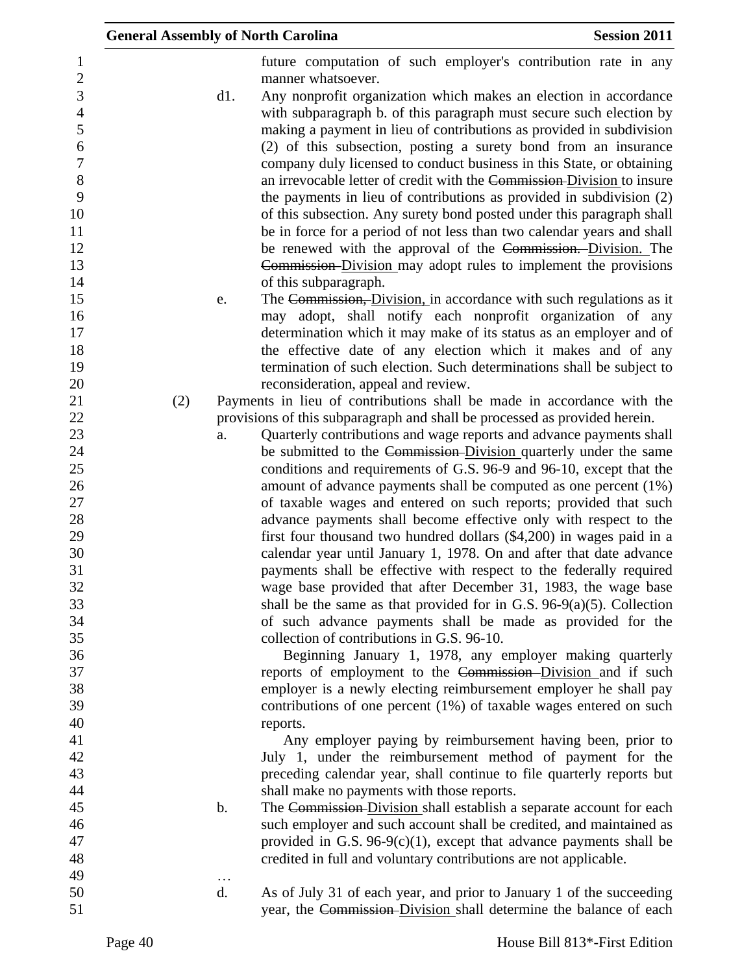|                                       | <b>General Assembly of North Carolina</b> |                 |                                                                                                                                                                                                                         | <b>Session 2011</b> |
|---------------------------------------|-------------------------------------------|-----------------|-------------------------------------------------------------------------------------------------------------------------------------------------------------------------------------------------------------------------|---------------------|
| $\mathbf{1}$<br>$\overline{c}$        |                                           |                 | future computation of such employer's contribution rate in any<br>manner whatsoever.                                                                                                                                    |                     |
| $\overline{3}$<br>$\overline{4}$<br>5 |                                           | d1.             | Any nonprofit organization which makes an election in accordance<br>with subparagraph b. of this paragraph must secure such election by<br>making a payment in lieu of contributions as provided in subdivision         |                     |
| $\boldsymbol{6}$<br>$\overline{7}$    |                                           |                 | (2) of this subsection, posting a surety bond from an insurance<br>company duly licensed to conduct business in this State, or obtaining                                                                                |                     |
| $8\,$<br>9<br>10                      |                                           |                 | an irrevocable letter of credit with the Commission-Division to insure<br>the payments in lieu of contributions as provided in subdivision (2)<br>of this subsection. Any surety bond posted under this paragraph shall |                     |
| 11<br>12                              |                                           |                 | be in force for a period of not less than two calendar years and shall<br>be renewed with the approval of the Commission. Division. The                                                                                 |                     |
| 13<br>14                              |                                           |                 | Commission Division may adopt rules to implement the provisions<br>of this subparagraph.                                                                                                                                |                     |
| 15<br>16                              |                                           | e.              | The Commission, Division, in accordance with such regulations as it<br>may adopt, shall notify each nonprofit organization of any                                                                                       |                     |
| 17<br>18                              |                                           |                 | determination which it may make of its status as an employer and of<br>the effective date of any election which it makes and of any                                                                                     |                     |
| 19<br>20<br>21                        | (2)                                       |                 | termination of such election. Such determinations shall be subject to<br>reconsideration, appeal and review.<br>Payments in lieu of contributions shall be made in accordance with the                                  |                     |
| 22<br>23                              |                                           | a.              | provisions of this subparagraph and shall be processed as provided herein.<br>Quarterly contributions and wage reports and advance payments shall                                                                       |                     |
| 24<br>25                              |                                           |                 | be submitted to the Commission-Division quarterly under the same<br>conditions and requirements of G.S. 96-9 and 96-10, except that the                                                                                 |                     |
| 26<br>27                              |                                           |                 | amount of advance payments shall be computed as one percent (1%)<br>of taxable wages and entered on such reports; provided that such                                                                                    |                     |
| 28<br>29<br>30                        |                                           |                 | advance payments shall become effective only with respect to the<br>first four thousand two hundred dollars (\$4,200) in wages paid in a<br>calendar year until January 1, 1978. On and after that date advance         |                     |
| 31<br>32                              |                                           |                 | payments shall be effective with respect to the federally required<br>wage base provided that after December 31, 1983, the wage base                                                                                    |                     |
| 33<br>34                              |                                           |                 | shall be the same as that provided for in G.S. $96-9(a)(5)$ . Collection<br>of such advance payments shall be made as provided for the                                                                                  |                     |
| 35<br>36                              |                                           |                 | collection of contributions in G.S. 96-10.<br>Beginning January 1, 1978, any employer making quarterly                                                                                                                  |                     |
| 37<br>38                              |                                           |                 | reports of employment to the Commission-Division and if such<br>employer is a newly electing reimbursement employer he shall pay                                                                                        |                     |
| 39<br>40<br>41                        |                                           |                 | contributions of one percent (1%) of taxable wages entered on such<br>reports.<br>Any employer paying by reimbursement having been, prior to                                                                            |                     |
| 42<br>43                              |                                           |                 | July 1, under the reimbursement method of payment for the<br>preceding calendar year, shall continue to file quarterly reports but                                                                                      |                     |
| 44<br>45                              |                                           | b.              | shall make no payments with those reports.<br>The Commission-Division shall establish a separate account for each                                                                                                       |                     |
| 46<br>47                              |                                           |                 | such employer and such account shall be credited, and maintained as<br>provided in G.S. $96-9(c)(1)$ , except that advance payments shall be                                                                            |                     |
| 48<br>49<br>50                        |                                           | $\ddotsc$<br>d. | credited in full and voluntary contributions are not applicable.<br>As of July 31 of each year, and prior to January 1 of the succeeding                                                                                |                     |
| 51                                    |                                           |                 | year, the Commission-Division shall determine the balance of each                                                                                                                                                       |                     |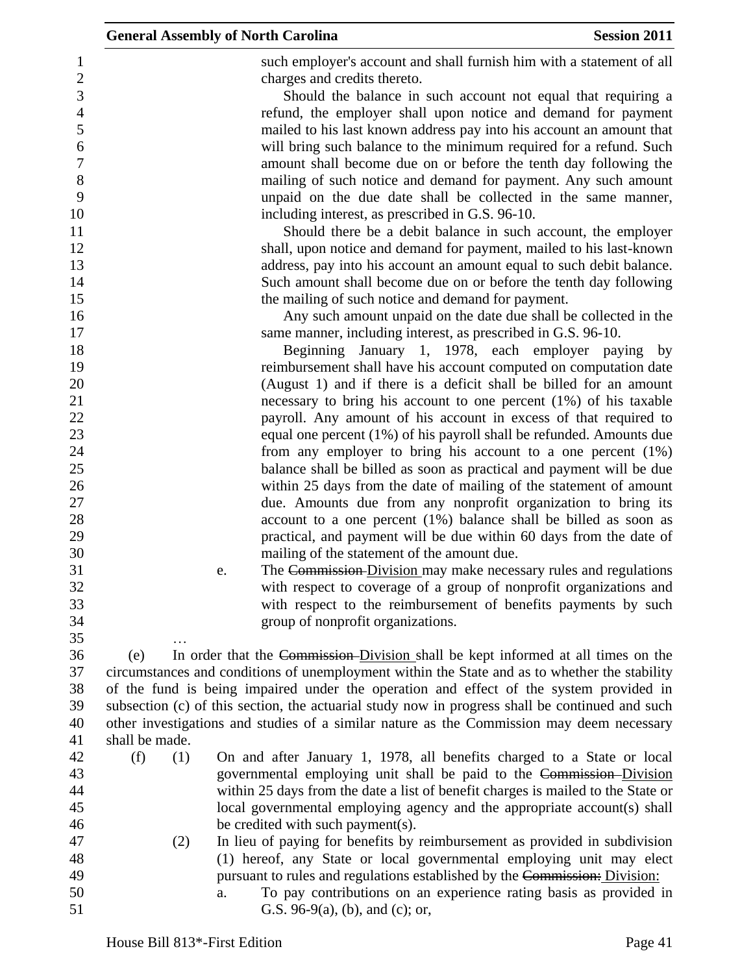such employer's account and shall furnish him with a statement of all charges and credits thereto.

 Should the balance in such account not equal that requiring a refund, the employer shall upon notice and demand for payment mailed to his last known address pay into his account an amount that will bring such balance to the minimum required for a refund. Such amount shall become due on or before the tenth day following the mailing of such notice and demand for payment. Any such amount unpaid on the due date shall be collected in the same manner, 10 including interest, as prescribed in G.S. 96-10.

 Should there be a debit balance in such account, the employer shall, upon notice and demand for payment, mailed to his last-known address, pay into his account an amount equal to such debit balance. Such amount shall become due on or before the tenth day following 15 the mailing of such notice and demand for payment.

 Any such amount unpaid on the date due shall be collected in the 17 same manner, including interest, as prescribed in G.S. 96-10.

 Beginning January 1, 1978, each employer paying by reimbursement shall have his account computed on computation date (August 1) and if there is a deficit shall be billed for an amount necessary to bring his account to one percent (1%) of his taxable payroll. Any amount of his account in excess of that required to equal one percent (1%) of his payroll shall be refunded. Amounts due from any employer to bring his account to a one percent (1%) balance shall be billed as soon as practical and payment will be due within 25 days from the date of mailing of the statement of amount due. Amounts due from any nonprofit organization to bring its account to a one percent (1%) balance shall be billed as soon as practical, and payment will be due within 60 days from the date of mailing of the statement of the amount due.

…

 e. The Commission Division may make necessary rules and regulations with respect to coverage of a group of nonprofit organizations and with respect to the reimbursement of benefits payments by such group of nonprofit organizations.

 (e) In order that the Commission Division shall be kept informed at all times on the circumstances and conditions of unemployment within the State and as to whether the stability of the fund is being impaired under the operation and effect of the system provided in subsection (c) of this section, the actuarial study now in progress shall be continued and such other investigations and studies of a similar nature as the Commission may deem necessary shall be made.

- (f) (1) On and after January 1, 1978, all benefits charged to a State or local governmental employing unit shall be paid to the Commission Division within 25 days from the date a list of benefit charges is mailed to the State or local governmental employing agency and the appropriate account(s) shall 46 be credited with such payment(s).
- (2) In lieu of paying for benefits by reimbursement as provided in subdivision (1) hereof, any State or local governmental employing unit may elect **pursuant to rules and regulations established by the Commission:** Division:
- a. To pay contributions on an experience rating basis as provided in **G.S.** 96-9(a), (b), and (c); or,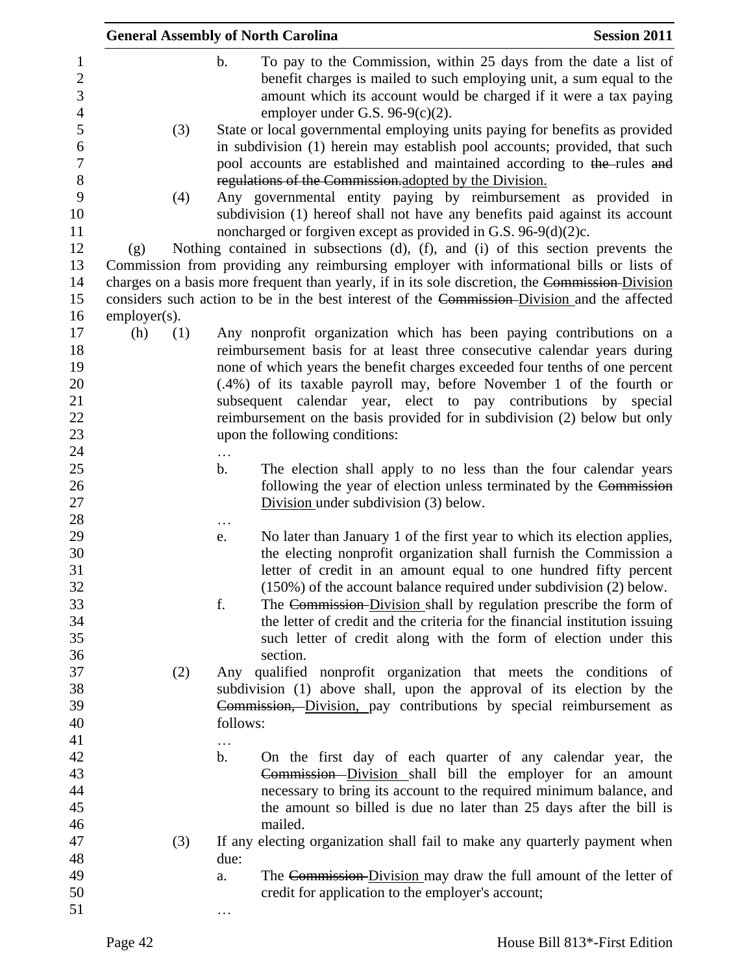|                                                                      | <b>General Assembly of North Carolina</b> |                                                                                                                                                                                                                                                                                                | <b>Session 2011</b>                                                                                                                                                                                           |
|----------------------------------------------------------------------|-------------------------------------------|------------------------------------------------------------------------------------------------------------------------------------------------------------------------------------------------------------------------------------------------------------------------------------------------|---------------------------------------------------------------------------------------------------------------------------------------------------------------------------------------------------------------|
| $\mathbf{1}$<br>$\boldsymbol{2}$<br>$\mathfrak{Z}$<br>$\overline{4}$ | $\mathbf b$ .                             | employer under G.S. $96-9(c)(2)$ .                                                                                                                                                                                                                                                             | To pay to the Commission, within 25 days from the date a list of<br>benefit charges is mailed to such employing unit, a sum equal to the<br>amount which its account would be charged if it were a tax paying |
| 5<br>6<br>$\boldsymbol{7}$<br>$8\,$                                  | (3)                                       | State or local governmental employing units paying for benefits as provided<br>in subdivision (1) herein may establish pool accounts; provided, that such<br>pool accounts are established and maintained according to the-rules and<br>regulations of the Commission.adopted by the Division. |                                                                                                                                                                                                               |
| 9<br>10<br>11                                                        | (4)                                       | Any governmental entity paying by reimbursement as provided in<br>subdivision (1) hereof shall not have any benefits paid against its account<br>noncharged or forgiven except as provided in G.S. 96-9(d)(2)c.                                                                                |                                                                                                                                                                                                               |
| 12                                                                   | (g)                                       | Nothing contained in subsections (d), (f), and (i) of this section prevents the                                                                                                                                                                                                                |                                                                                                                                                                                                               |
| 13                                                                   |                                           | Commission from providing any reimbursing employer with informational bills or lists of                                                                                                                                                                                                        |                                                                                                                                                                                                               |
| 14                                                                   |                                           | charges on a basis more frequent than yearly, if in its sole discretion, the Commission-Division                                                                                                                                                                                               |                                                                                                                                                                                                               |
| 15                                                                   |                                           | considers such action to be in the best interest of the Commission-Division and the affected                                                                                                                                                                                                   |                                                                                                                                                                                                               |
| 16                                                                   | $emplayer(s)$ .                           |                                                                                                                                                                                                                                                                                                |                                                                                                                                                                                                               |
| 17                                                                   | (h)<br>(1)                                | Any nonprofit organization which has been paying contributions on a                                                                                                                                                                                                                            |                                                                                                                                                                                                               |
| 18                                                                   |                                           | reimbursement basis for at least three consecutive calendar years during                                                                                                                                                                                                                       |                                                                                                                                                                                                               |
| 19                                                                   |                                           | none of which years the benefit charges exceeded four tenths of one percent                                                                                                                                                                                                                    |                                                                                                                                                                                                               |
| 20                                                                   |                                           | (.4%) of its taxable payroll may, before November 1 of the fourth or                                                                                                                                                                                                                           |                                                                                                                                                                                                               |
| 21                                                                   |                                           | subsequent calendar year, elect to pay contributions by special                                                                                                                                                                                                                                |                                                                                                                                                                                                               |
| 22                                                                   |                                           | reimbursement on the basis provided for in subdivision (2) below but only                                                                                                                                                                                                                      |                                                                                                                                                                                                               |
| 23                                                                   |                                           | upon the following conditions:                                                                                                                                                                                                                                                                 |                                                                                                                                                                                                               |
| 24                                                                   | .                                         |                                                                                                                                                                                                                                                                                                |                                                                                                                                                                                                               |
| 25                                                                   | $\mathbf{b}$ .                            |                                                                                                                                                                                                                                                                                                | The election shall apply to no less than the four calendar years                                                                                                                                              |
| 26                                                                   |                                           |                                                                                                                                                                                                                                                                                                | following the year of election unless terminated by the Commission                                                                                                                                            |
| 27                                                                   |                                           | Division under subdivision (3) below.                                                                                                                                                                                                                                                          |                                                                                                                                                                                                               |
| 28<br>29                                                             |                                           |                                                                                                                                                                                                                                                                                                |                                                                                                                                                                                                               |
| 30                                                                   | e.                                        |                                                                                                                                                                                                                                                                                                | No later than January 1 of the first year to which its election applies,<br>the electing nonprofit organization shall furnish the Commission a                                                                |
| 31                                                                   |                                           |                                                                                                                                                                                                                                                                                                | letter of credit in an amount equal to one hundred fifty percent                                                                                                                                              |
| 32                                                                   |                                           |                                                                                                                                                                                                                                                                                                | $(150\%)$ of the account balance required under subdivision $(2)$ below.                                                                                                                                      |
| 33                                                                   | f.                                        |                                                                                                                                                                                                                                                                                                | The Commission-Division shall by regulation prescribe the form of                                                                                                                                             |
| 34                                                                   |                                           |                                                                                                                                                                                                                                                                                                | the letter of credit and the criteria for the financial institution issuing                                                                                                                                   |
| 35                                                                   |                                           |                                                                                                                                                                                                                                                                                                | such letter of credit along with the form of election under this                                                                                                                                              |
| 36                                                                   |                                           | section.                                                                                                                                                                                                                                                                                       |                                                                                                                                                                                                               |
| 37                                                                   | (2)                                       | Any qualified nonprofit organization that meets the conditions of                                                                                                                                                                                                                              |                                                                                                                                                                                                               |
| 38                                                                   |                                           | subdivision (1) above shall, upon the approval of its election by the                                                                                                                                                                                                                          |                                                                                                                                                                                                               |
| 39                                                                   |                                           | Commission, Division, pay contributions by special reimbursement as                                                                                                                                                                                                                            |                                                                                                                                                                                                               |
| 40                                                                   | follows:                                  |                                                                                                                                                                                                                                                                                                |                                                                                                                                                                                                               |
| 41                                                                   |                                           |                                                                                                                                                                                                                                                                                                |                                                                                                                                                                                                               |
| 42                                                                   | $\mathbf{b}$ .                            |                                                                                                                                                                                                                                                                                                | On the first day of each quarter of any calendar year, the                                                                                                                                                    |
| 43                                                                   |                                           |                                                                                                                                                                                                                                                                                                | Commission-Division shall bill the employer for an amount                                                                                                                                                     |
| 44                                                                   |                                           |                                                                                                                                                                                                                                                                                                | necessary to bring its account to the required minimum balance, and                                                                                                                                           |
| 45                                                                   |                                           |                                                                                                                                                                                                                                                                                                | the amount so billed is due no later than 25 days after the bill is                                                                                                                                           |
| 46                                                                   |                                           | mailed.                                                                                                                                                                                                                                                                                        |                                                                                                                                                                                                               |
| 47                                                                   | (3)                                       | If any electing organization shall fail to make any quarterly payment when                                                                                                                                                                                                                     |                                                                                                                                                                                                               |
| 48                                                                   | due:                                      |                                                                                                                                                                                                                                                                                                |                                                                                                                                                                                                               |
| 49                                                                   | a.                                        |                                                                                                                                                                                                                                                                                                | The Commission-Division may draw the full amount of the letter of                                                                                                                                             |
| 50                                                                   |                                           | credit for application to the employer's account;                                                                                                                                                                                                                                              |                                                                                                                                                                                                               |
| 51                                                                   |                                           |                                                                                                                                                                                                                                                                                                |                                                                                                                                                                                                               |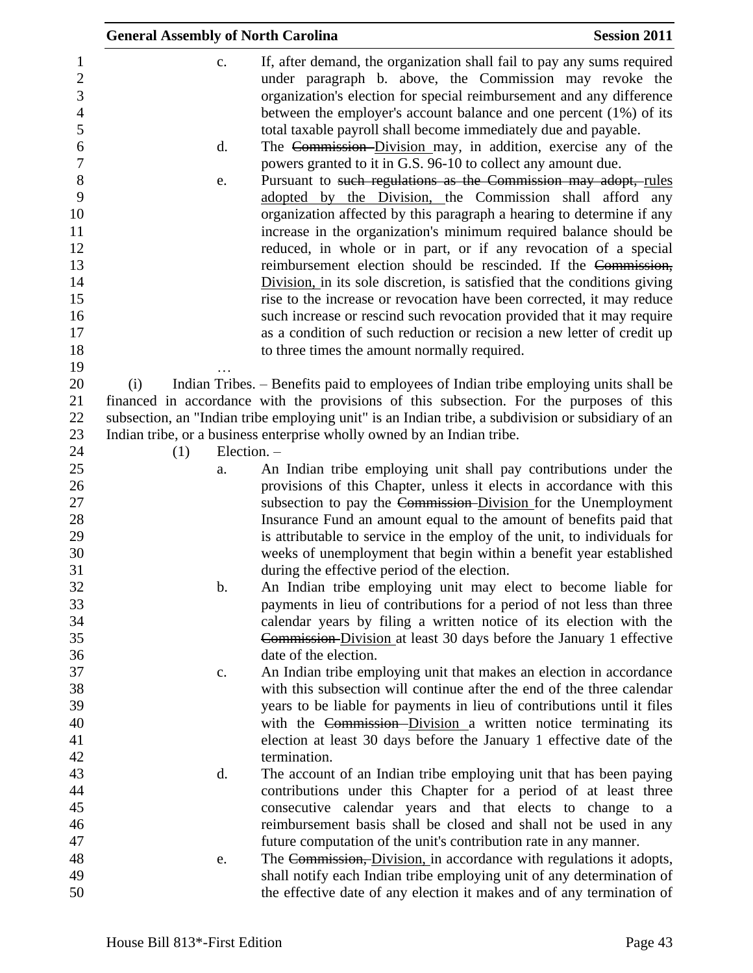|                                                                                                                        | <b>General Assembly of North Carolina</b> |                                                                                                                                                                                                                                                                                                                                                                                                                                                                                                                                                                                                                                                                                                                                                                                                                                                                                                                                                                                                                                                                | <b>Session 2011</b> |
|------------------------------------------------------------------------------------------------------------------------|-------------------------------------------|----------------------------------------------------------------------------------------------------------------------------------------------------------------------------------------------------------------------------------------------------------------------------------------------------------------------------------------------------------------------------------------------------------------------------------------------------------------------------------------------------------------------------------------------------------------------------------------------------------------------------------------------------------------------------------------------------------------------------------------------------------------------------------------------------------------------------------------------------------------------------------------------------------------------------------------------------------------------------------------------------------------------------------------------------------------|---------------------|
| 1<br>$\mathbf{2}$<br>3<br>$\overline{4}$<br>5<br>6<br>$\overline{7}$<br>$8\,$<br>9<br>10<br>11<br>12<br>13<br>14<br>15 | $C_{\bullet}$<br>$\mathbf{d}$ .<br>e.     | If, after demand, the organization shall fail to pay any sums required<br>under paragraph b. above, the Commission may revoke the<br>organization's election for special reimbursement and any difference<br>between the employer's account balance and one percent $(1%)$ of its<br>total taxable payroll shall become immediately due and payable.<br>The Commission-Division may, in addition, exercise any of the<br>powers granted to it in G.S. 96-10 to collect any amount due.<br>Pursuant to such regulations as the Commission may adopt, rules<br>adopted by the Division, the Commission shall afford any<br>organization affected by this paragraph a hearing to determine if any<br>increase in the organization's minimum required balance should be<br>reduced, in whole or in part, or if any revocation of a special<br>reimbursement election should be rescinded. If the Commission,<br>Division, in its sole discretion, is satisfied that the conditions giving<br>rise to the increase or revocation have been corrected, it may reduce |                     |
| 16                                                                                                                     |                                           | such increase or rescind such revocation provided that it may require                                                                                                                                                                                                                                                                                                                                                                                                                                                                                                                                                                                                                                                                                                                                                                                                                                                                                                                                                                                          |                     |
| 17                                                                                                                     |                                           | as a condition of such reduction or recision a new letter of credit up                                                                                                                                                                                                                                                                                                                                                                                                                                                                                                                                                                                                                                                                                                                                                                                                                                                                                                                                                                                         |                     |
| 18                                                                                                                     |                                           | to three times the amount normally required.                                                                                                                                                                                                                                                                                                                                                                                                                                                                                                                                                                                                                                                                                                                                                                                                                                                                                                                                                                                                                   |                     |
| 19                                                                                                                     |                                           |                                                                                                                                                                                                                                                                                                                                                                                                                                                                                                                                                                                                                                                                                                                                                                                                                                                                                                                                                                                                                                                                |                     |
| 20<br>21                                                                                                               | (i)                                       | Indian Tribes. - Benefits paid to employees of Indian tribe employing units shall be<br>financed in accordance with the provisions of this subsection. For the purposes of this                                                                                                                                                                                                                                                                                                                                                                                                                                                                                                                                                                                                                                                                                                                                                                                                                                                                                |                     |
| 22                                                                                                                     |                                           | subsection, an "Indian tribe employing unit" is an Indian tribe, a subdivision or subsidiary of an                                                                                                                                                                                                                                                                                                                                                                                                                                                                                                                                                                                                                                                                                                                                                                                                                                                                                                                                                             |                     |
| 23                                                                                                                     |                                           | Indian tribe, or a business enterprise wholly owned by an Indian tribe.                                                                                                                                                                                                                                                                                                                                                                                                                                                                                                                                                                                                                                                                                                                                                                                                                                                                                                                                                                                        |                     |
| 24                                                                                                                     | Election. -<br>(1)                        |                                                                                                                                                                                                                                                                                                                                                                                                                                                                                                                                                                                                                                                                                                                                                                                                                                                                                                                                                                                                                                                                |                     |
| 25                                                                                                                     | a.                                        | An Indian tribe employing unit shall pay contributions under the                                                                                                                                                                                                                                                                                                                                                                                                                                                                                                                                                                                                                                                                                                                                                                                                                                                                                                                                                                                               |                     |
| 26<br>27                                                                                                               |                                           | provisions of this Chapter, unless it elects in accordance with this<br>subsection to pay the Commission-Division for the Unemployment                                                                                                                                                                                                                                                                                                                                                                                                                                                                                                                                                                                                                                                                                                                                                                                                                                                                                                                         |                     |
| 28<br>29<br>30                                                                                                         |                                           | Insurance Fund an amount equal to the amount of benefits paid that<br>is attributable to service in the employ of the unit, to individuals for<br>weeks of unemployment that begin within a benefit year established                                                                                                                                                                                                                                                                                                                                                                                                                                                                                                                                                                                                                                                                                                                                                                                                                                           |                     |
|                                                                                                                        |                                           | during the effective period of the election.                                                                                                                                                                                                                                                                                                                                                                                                                                                                                                                                                                                                                                                                                                                                                                                                                                                                                                                                                                                                                   |                     |
|                                                                                                                        | $\mathbf b$ .                             | An Indian tribe employing unit may elect to become liable for                                                                                                                                                                                                                                                                                                                                                                                                                                                                                                                                                                                                                                                                                                                                                                                                                                                                                                                                                                                                  |                     |
|                                                                                                                        |                                           | payments in lieu of contributions for a period of not less than three                                                                                                                                                                                                                                                                                                                                                                                                                                                                                                                                                                                                                                                                                                                                                                                                                                                                                                                                                                                          |                     |
|                                                                                                                        |                                           | calendar years by filing a written notice of its election with the                                                                                                                                                                                                                                                                                                                                                                                                                                                                                                                                                                                                                                                                                                                                                                                                                                                                                                                                                                                             |                     |
|                                                                                                                        |                                           | Commission-Division at least 30 days before the January 1 effective<br>date of the election.                                                                                                                                                                                                                                                                                                                                                                                                                                                                                                                                                                                                                                                                                                                                                                                                                                                                                                                                                                   |                     |
|                                                                                                                        |                                           | An Indian tribe employing unit that makes an election in accordance                                                                                                                                                                                                                                                                                                                                                                                                                                                                                                                                                                                                                                                                                                                                                                                                                                                                                                                                                                                            |                     |
|                                                                                                                        | c.                                        | with this subsection will continue after the end of the three calendar                                                                                                                                                                                                                                                                                                                                                                                                                                                                                                                                                                                                                                                                                                                                                                                                                                                                                                                                                                                         |                     |
|                                                                                                                        |                                           | years to be liable for payments in lieu of contributions until it files                                                                                                                                                                                                                                                                                                                                                                                                                                                                                                                                                                                                                                                                                                                                                                                                                                                                                                                                                                                        |                     |
|                                                                                                                        |                                           | with the Commission-Division a written notice terminating its                                                                                                                                                                                                                                                                                                                                                                                                                                                                                                                                                                                                                                                                                                                                                                                                                                                                                                                                                                                                  |                     |
|                                                                                                                        |                                           | election at least 30 days before the January 1 effective date of the                                                                                                                                                                                                                                                                                                                                                                                                                                                                                                                                                                                                                                                                                                                                                                                                                                                                                                                                                                                           |                     |
|                                                                                                                        |                                           | termination.                                                                                                                                                                                                                                                                                                                                                                                                                                                                                                                                                                                                                                                                                                                                                                                                                                                                                                                                                                                                                                                   |                     |
|                                                                                                                        | $\mathbf{d}$ .                            | The account of an Indian tribe employing unit that has been paying                                                                                                                                                                                                                                                                                                                                                                                                                                                                                                                                                                                                                                                                                                                                                                                                                                                                                                                                                                                             |                     |
|                                                                                                                        |                                           | contributions under this Chapter for a period of at least three                                                                                                                                                                                                                                                                                                                                                                                                                                                                                                                                                                                                                                                                                                                                                                                                                                                                                                                                                                                                |                     |
|                                                                                                                        |                                           | consecutive calendar years and that elects to change to a                                                                                                                                                                                                                                                                                                                                                                                                                                                                                                                                                                                                                                                                                                                                                                                                                                                                                                                                                                                                      |                     |
|                                                                                                                        |                                           | reimbursement basis shall be closed and shall not be used in any                                                                                                                                                                                                                                                                                                                                                                                                                                                                                                                                                                                                                                                                                                                                                                                                                                                                                                                                                                                               |                     |
|                                                                                                                        |                                           | future computation of the unit's contribution rate in any manner.                                                                                                                                                                                                                                                                                                                                                                                                                                                                                                                                                                                                                                                                                                                                                                                                                                                                                                                                                                                              |                     |
|                                                                                                                        | e.                                        | The Commission, Division, in accordance with regulations it adopts,                                                                                                                                                                                                                                                                                                                                                                                                                                                                                                                                                                                                                                                                                                                                                                                                                                                                                                                                                                                            |                     |
|                                                                                                                        |                                           | shall notify each Indian tribe employing unit of any determination of<br>the effective date of any election it makes and of any termination of                                                                                                                                                                                                                                                                                                                                                                                                                                                                                                                                                                                                                                                                                                                                                                                                                                                                                                                 |                     |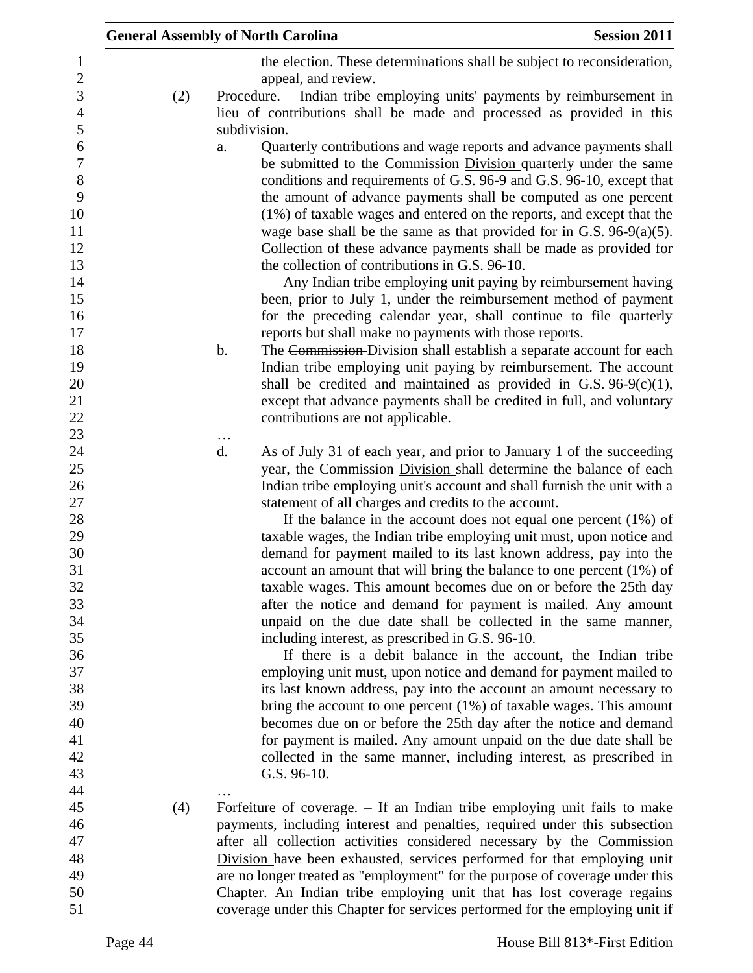|     | <b>General Assembly of North Carolina</b>                                                                                                          | <b>Session 2011</b> |
|-----|----------------------------------------------------------------------------------------------------------------------------------------------------|---------------------|
|     | the election. These determinations shall be subject to reconsideration,                                                                            |                     |
|     | appeal, and review.                                                                                                                                |                     |
| (2) | Procedure. – Indian tribe employing units' payments by reimbursement in<br>lieu of contributions shall be made and processed as provided in this   |                     |
|     | subdivision.                                                                                                                                       |                     |
|     | Quarterly contributions and wage reports and advance payments shall<br>a.<br>be submitted to the Commission-Division quarterly under the same      |                     |
|     | conditions and requirements of G.S. 96-9 and G.S. 96-10, except that<br>the amount of advance payments shall be computed as one percent            |                     |
|     | (1%) of taxable wages and entered on the reports, and except that the                                                                              |                     |
|     | wage base shall be the same as that provided for in G.S. $96-9(a)(5)$ .                                                                            |                     |
|     | Collection of these advance payments shall be made as provided for<br>the collection of contributions in G.S. 96-10.                               |                     |
|     | Any Indian tribe employing unit paying by reimbursement having                                                                                     |                     |
|     | been, prior to July 1, under the reimbursement method of payment                                                                                   |                     |
|     | for the preceding calendar year, shall continue to file quarterly<br>reports but shall make no payments with those reports.                        |                     |
|     | $\mathbf b$ .<br>The Commission-Division shall establish a separate account for each                                                               |                     |
|     | Indian tribe employing unit paying by reimbursement. The account<br>shall be credited and maintained as provided in G.S. $96-9(c)(1)$ ,            |                     |
|     | except that advance payments shall be credited in full, and voluntary                                                                              |                     |
|     | contributions are not applicable.                                                                                                                  |                     |
|     | $\ddotsc$<br>d.<br>As of July 31 of each year, and prior to January 1 of the succeeding                                                            |                     |
|     | year, the Commission-Division shall determine the balance of each                                                                                  |                     |
|     | Indian tribe employing unit's account and shall furnish the unit with a<br>statement of all charges and credits to the account.                    |                     |
|     | If the balance in the account does not equal one percent $(1\%)$ of                                                                                |                     |
|     | taxable wages, the Indian tribe employing unit must, upon notice and                                                                               |                     |
|     | demand for payment mailed to its last known address, pay into the<br>account an amount that will bring the balance to one percent $(1\%)$ of       |                     |
|     | taxable wages. This amount becomes due on or before the 25th day                                                                                   |                     |
|     | after the notice and demand for payment is mailed. Any amount                                                                                      |                     |
|     | unpaid on the due date shall be collected in the same manner,<br>including interest, as prescribed in G.S. 96-10.                                  |                     |
|     | If there is a debit balance in the account, the Indian tribe                                                                                       |                     |
|     | employing unit must, upon notice and demand for payment mailed to                                                                                  |                     |
|     | its last known address, pay into the account an amount necessary to<br>bring the account to one percent $(1%)$ of taxable wages. This amount       |                     |
|     | becomes due on or before the 25th day after the notice and demand                                                                                  |                     |
|     | for payment is mailed. Any amount unpaid on the due date shall be                                                                                  |                     |
|     | collected in the same manner, including interest, as prescribed in                                                                                 |                     |
|     | G.S. 96-10.                                                                                                                                        |                     |
| (4) | Forfeiture of coverage. $-$ If an Indian tribe employing unit fails to make                                                                        |                     |
|     | payments, including interest and penalties, required under this subsection                                                                         |                     |
|     | after all collection activities considered necessary by the Commission<br>Division have been exhausted, services performed for that employing unit |                     |
|     | are no longer treated as "employment" for the purpose of coverage under this                                                                       |                     |
|     | Chapter. An Indian tribe employing unit that has lost coverage regains                                                                             |                     |
|     | coverage under this Chapter for services performed for the employing unit if                                                                       |                     |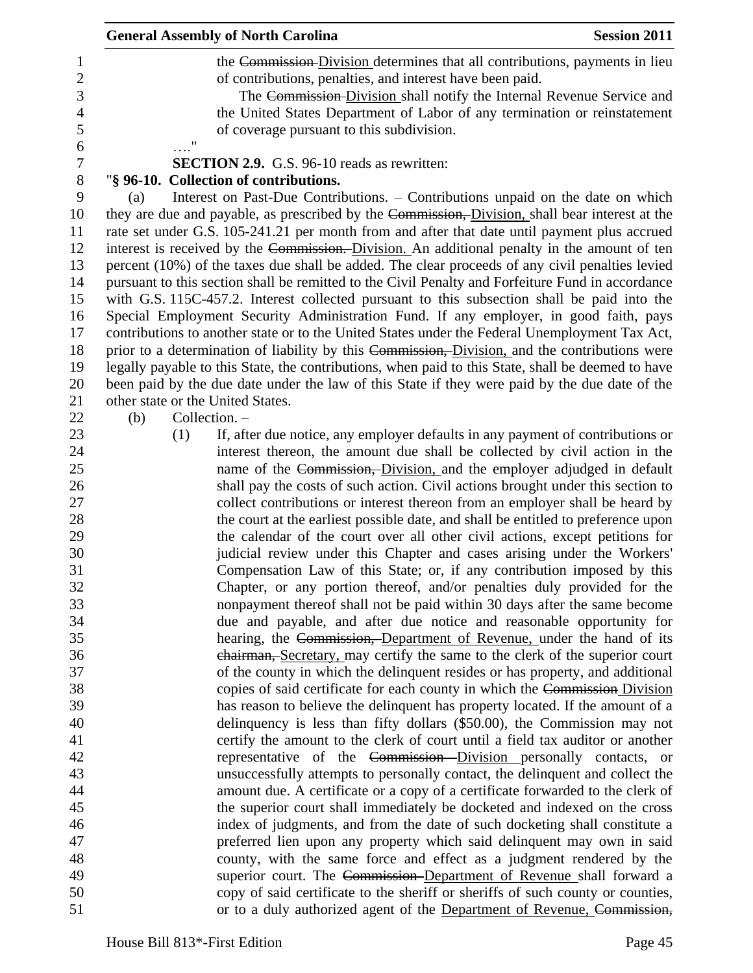|                  | <b>General Assembly of North Carolina</b>                                                                                                             | <b>Session 2011</b> |
|------------------|-------------------------------------------------------------------------------------------------------------------------------------------------------|---------------------|
| $\mathbf{1}$     | the Commission-Division determines that all contributions, payments in lieu                                                                           |                     |
| $\overline{c}$   | of contributions, penalties, and interest have been paid.                                                                                             |                     |
| 3                | The Commission-Division shall notify the Internal Revenue Service and                                                                                 |                     |
| $\overline{4}$   | the United States Department of Labor of any termination or reinstatement                                                                             |                     |
| 5                | of coverage pursuant to this subdivision.                                                                                                             |                     |
| 6                | $\pmb{\mathsf{H}}$                                                                                                                                    |                     |
| $\boldsymbol{7}$ | <b>SECTION 2.9.</b> G.S. 96-10 reads as rewritten:                                                                                                    |                     |
| $\, 8$           | "§ 96-10. Collection of contributions.                                                                                                                |                     |
| $\boldsymbol{9}$ | Interest on Past-Due Contributions. - Contributions unpaid on the date on which<br>(a)                                                                |                     |
| 10               | they are due and payable, as prescribed by the Commission, Division, shall bear interest at the                                                       |                     |
| 11               | rate set under G.S. 105-241.21 per month from and after that date until payment plus accrued                                                          |                     |
| 12               | interest is received by the Commission. Division. An additional penalty in the amount of ten                                                          |                     |
| 13               | percent (10%) of the taxes due shall be added. The clear proceeds of any civil penalties levied                                                       |                     |
| 14               | pursuant to this section shall be remitted to the Civil Penalty and Forfeiture Fund in accordance                                                     |                     |
| 15               | with G.S. 115C-457.2. Interest collected pursuant to this subsection shall be paid into the                                                           |                     |
| 16               | Special Employment Security Administration Fund. If any employer, in good faith, pays                                                                 |                     |
| 17               | contributions to another state or to the United States under the Federal Unemployment Tax Act,                                                        |                     |
| 18               | prior to a determination of liability by this Commission, Division, and the contributions were                                                        |                     |
| 19               | legally payable to this State, the contributions, when paid to this State, shall be deemed to have                                                    |                     |
| 20               | been paid by the due date under the law of this State if they were paid by the due date of the                                                        |                     |
| 21               | other state or the United States.                                                                                                                     |                     |
| 22               | Collection. -<br>(b)                                                                                                                                  |                     |
| 23               | If, after due notice, any employer defaults in any payment of contributions or<br>(1)                                                                 |                     |
| 24               | interest thereon, the amount due shall be collected by civil action in the                                                                            |                     |
| 25               | name of the Commission, Division, and the employer adjudged in default                                                                                |                     |
| 26               | shall pay the costs of such action. Civil actions brought under this section to                                                                       |                     |
| 27               | collect contributions or interest thereon from an employer shall be heard by                                                                          |                     |
| 28               | the court at the earliest possible date, and shall be entitled to preference upon                                                                     |                     |
| 29               | the calendar of the court over all other civil actions, except petitions for                                                                          |                     |
| 30               | judicial review under this Chapter and cases arising under the Workers'                                                                               |                     |
| 31               | Compensation Law of this State; or, if any contribution imposed by this                                                                               |                     |
| 32               | Chapter, or any portion thereof, and/or penalties duly provided for the                                                                               |                     |
| 33               | nonpayment thereof shall not be paid within 30 days after the same become                                                                             |                     |
| 34               | due and payable, and after due notice and reasonable opportunity for                                                                                  |                     |
| 35               | hearing, the Commission, Department of Revenue, under the hand of its<br>chairman, Secretary, may certify the same to the clerk of the superior court |                     |
| 36<br>37         | of the county in which the delinquent resides or has property, and additional                                                                         |                     |
| 38               | copies of said certificate for each county in which the Commission Division                                                                           |                     |
| 39               | has reason to believe the delinquent has property located. If the amount of a                                                                         |                     |
| 40               | delinquency is less than fifty dollars (\$50.00), the Commission may not                                                                              |                     |
| 41               | certify the amount to the clerk of court until a field tax auditor or another                                                                         |                     |
| 42               | representative of the Commission-Division personally contacts, or                                                                                     |                     |
| 43               | unsuccessfully attempts to personally contact, the delinquent and collect the                                                                         |                     |
| 44               | amount due. A certificate or a copy of a certificate forwarded to the clerk of                                                                        |                     |
| 45               | the superior court shall immediately be docketed and indexed on the cross                                                                             |                     |
| 46               | index of judgments, and from the date of such docketing shall constitute a                                                                            |                     |
| 47               | preferred lien upon any property which said delinquent may own in said                                                                                |                     |
| 48               | county, with the same force and effect as a judgment rendered by the                                                                                  |                     |
| 49               | superior court. The Commission-Department of Revenue shall forward a                                                                                  |                     |
| 50               | copy of said certificate to the sheriff or sheriffs of such county or counties,                                                                       |                     |
| 51               | or to a duly authorized agent of the Department of Revenue, Commission,                                                                               |                     |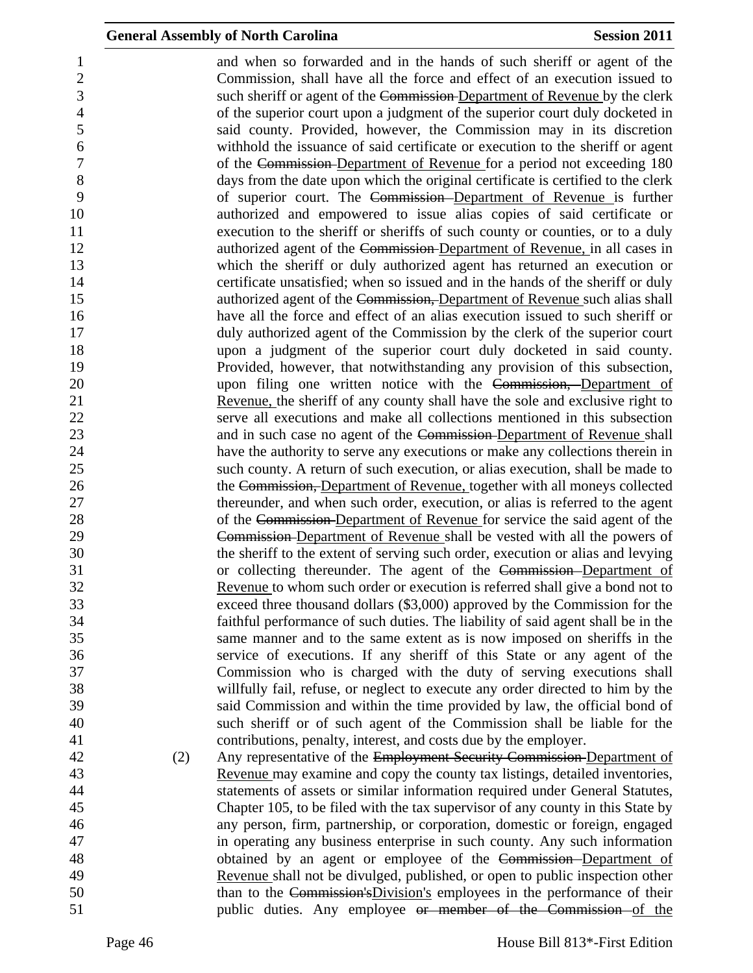and when so forwarded and in the hands of such sheriff or agent of the Commission, shall have all the force and effect of an execution issued to such sheriff or agent of the Commission Department of Revenue by the clerk of the superior court upon a judgment of the superior court duly docketed in said county. Provided, however, the Commission may in its discretion withhold the issuance of said certificate or execution to the sheriff or agent of the Commission Department of Revenue for a period not exceeding 180 days from the date upon which the original certificate is certified to the clerk of superior court. The Commission Department of Revenue is further authorized and empowered to issue alias copies of said certificate or execution to the sheriff or sheriffs of such county or counties, or to a duly **authorized agent of the Commission-Department of Revenue, in all cases in**  which the sheriff or duly authorized agent has returned an execution or certificate unsatisfied; when so issued and in the hands of the sheriff or duly **15** authorized agent of the Commission, Department of Revenue such alias shall have all the force and effect of an alias execution issued to such sheriff or duly authorized agent of the Commission by the clerk of the superior court upon a judgment of the superior court duly docketed in said county. Provided, however, that notwithstanding any provision of this subsection, 20 upon filing one written notice with the Commission, Department of Revenue, the sheriff of any county shall have the sole and exclusive right to serve all executions and make all collections mentioned in this subsection 23 and in such case no agent of the Commission-Department of Revenue shall have the authority to serve any executions or make any collections therein in such county. A return of such execution, or alias execution, shall be made to 26 the Commission, Department of Revenue, together with all moneys collected thereunder, and when such order, execution, or alias is referred to the agent of the Commission Department of Revenue for service the said agent of the Commission Department of Revenue shall be vested with all the powers of the sheriff to the extent of serving such order, execution or alias and levying or collecting thereunder. The agent of the Commission Department of Revenue to whom such order or execution is referred shall give a bond not to exceed three thousand dollars (\$3,000) approved by the Commission for the faithful performance of such duties. The liability of said agent shall be in the same manner and to the same extent as is now imposed on sheriffs in the service of executions. If any sheriff of this State or any agent of the Commission who is charged with the duty of serving executions shall willfully fail, refuse, or neglect to execute any order directed to him by the said Commission and within the time provided by law, the official bond of such sheriff or of such agent of the Commission shall be liable for the contributions, penalty, interest, and costs due by the employer. 42 (2) Any representative of the Employment Security Commission-Department of Revenue may examine and copy the county tax listings, detailed inventories, statements of assets or similar information required under General Statutes, Chapter 105, to be filed with the tax supervisor of any county in this State by

 any person, firm, partnership, or corporation, domestic or foreign, engaged in operating any business enterprise in such county. Any such information obtained by an agent or employee of the Commission Department of Revenue shall not be divulged, published, or open to public inspection other 50 than to the Commission's Division's employees in the performance of their public duties. Any employee or member of the Commission of the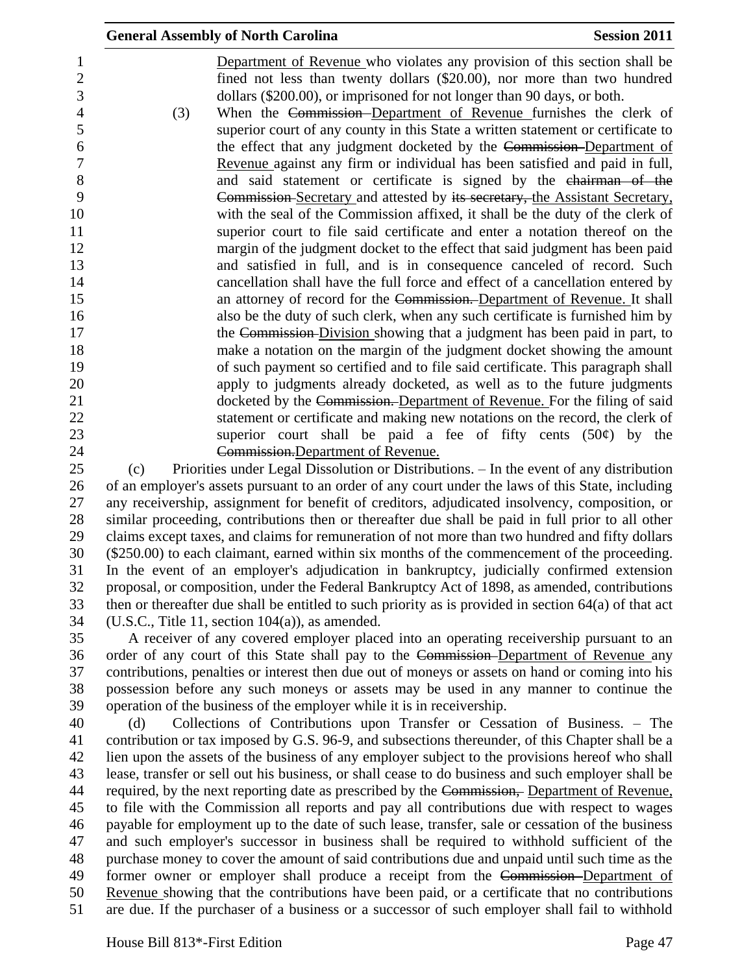|                                     |     | <b>General Assembly of North Carolina</b>                                                                                                                                                                                       | <b>Session 2011</b> |
|-------------------------------------|-----|---------------------------------------------------------------------------------------------------------------------------------------------------------------------------------------------------------------------------------|---------------------|
| $\mathbf{1}$<br>$\overline{2}$<br>3 |     | Department of Revenue who violates any provision of this section shall be<br>fined not less than twenty dollars (\$20.00), nor more than two hundred<br>dollars (\$200.00), or imprisoned for not longer than 90 days, or both. |                     |
| $\overline{4}$                      | (3) | When the Commission-Department of Revenue furnishes the clerk of                                                                                                                                                                |                     |
| 5                                   |     | superior court of any county in this State a written statement or certificate to                                                                                                                                                |                     |
| 6                                   |     | the effect that any judgment docketed by the Commission-Department of                                                                                                                                                           |                     |
| 7                                   |     | Revenue against any firm or individual has been satisfied and paid in full,                                                                                                                                                     |                     |
| $8\,$                               |     | and said statement or certificate is signed by the chairman of the                                                                                                                                                              |                     |
| 9                                   |     | Commission-Secretary and attested by its secretary, the Assistant Secretary,                                                                                                                                                    |                     |
| 10                                  |     | with the seal of the Commission affixed, it shall be the duty of the clerk of                                                                                                                                                   |                     |
| 11                                  |     | superior court to file said certificate and enter a notation thereof on the                                                                                                                                                     |                     |
| 12                                  |     | margin of the judgment docket to the effect that said judgment has been paid                                                                                                                                                    |                     |
| 13                                  |     | and satisfied in full, and is in consequence canceled of record. Such                                                                                                                                                           |                     |
| 14                                  |     | cancellation shall have the full force and effect of a cancellation entered by                                                                                                                                                  |                     |
| 15                                  |     | an attorney of record for the Commission. Department of Revenue. It shall                                                                                                                                                       |                     |
| 16                                  |     | also be the duty of such clerk, when any such certificate is furnished him by                                                                                                                                                   |                     |
| 17                                  |     | the Commission Division showing that a judgment has been paid in part, to                                                                                                                                                       |                     |
| 18                                  |     | make a notation on the margin of the judgment docket showing the amount                                                                                                                                                         |                     |
| 19                                  |     | of such payment so certified and to file said certificate. This paragraph shall                                                                                                                                                 |                     |
| 20                                  |     | apply to judgments already docketed, as well as to the future judgments                                                                                                                                                         |                     |
| 21                                  |     | docketed by the Commission. Department of Revenue. For the filing of said                                                                                                                                                       |                     |
| 22                                  |     | statement or certificate and making new notations on the record, the clerk of                                                                                                                                                   |                     |
| 23                                  |     | superior court shall be paid a fee of fifty cents $(50¢)$ by the                                                                                                                                                                |                     |
| 24                                  |     | Commission. Department of Revenue.                                                                                                                                                                                              |                     |
| 25                                  | (c) | Priorities under Legal Dissolution or Distributions. - In the event of any distribution                                                                                                                                         |                     |
| 26                                  |     | of an employer's assets pursuant to an order of any court under the laws of this State, including                                                                                                                               |                     |
| 27                                  |     | any receivership, assignment for benefit of creditors, adjudicated insolvency, composition, or                                                                                                                                  |                     |
| 28                                  |     | similar proceeding, contributions then or thereafter due shall be paid in full prior to all other                                                                                                                               |                     |

 claims except taxes, and claims for remuneration of not more than two hundred and fifty dollars (\$250.00) to each claimant, earned within six months of the commencement of the proceeding. In the event of an employer's adjudication in bankruptcy, judicially confirmed extension proposal, or composition, under the Federal Bankruptcy Act of 1898, as amended, contributions then or thereafter due shall be entitled to such priority as is provided in section 64(a) of that act (U.S.C., Title 11, section 104(a)), as amended.

 A receiver of any covered employer placed into an operating receivership pursuant to an order of any court of this State shall pay to the Commission Department of Revenue any contributions, penalties or interest then due out of moneys or assets on hand or coming into his possession before any such moneys or assets may be used in any manner to continue the operation of the business of the employer while it is in receivership.

 (d) Collections of Contributions upon Transfer or Cessation of Business. – The contribution or tax imposed by G.S. 96-9, and subsections thereunder, of this Chapter shall be a lien upon the assets of the business of any employer subject to the provisions hereof who shall lease, transfer or sell out his business, or shall cease to do business and such employer shall be 44 required, by the next reporting date as prescribed by the Commission, Department of Revenue, to file with the Commission all reports and pay all contributions due with respect to wages payable for employment up to the date of such lease, transfer, sale or cessation of the business and such employer's successor in business shall be required to withhold sufficient of the purchase money to cover the amount of said contributions due and unpaid until such time as the former owner or employer shall produce a receipt from the Commission Department of Revenue showing that the contributions have been paid, or a certificate that no contributions are due. If the purchaser of a business or a successor of such employer shall fail to withhold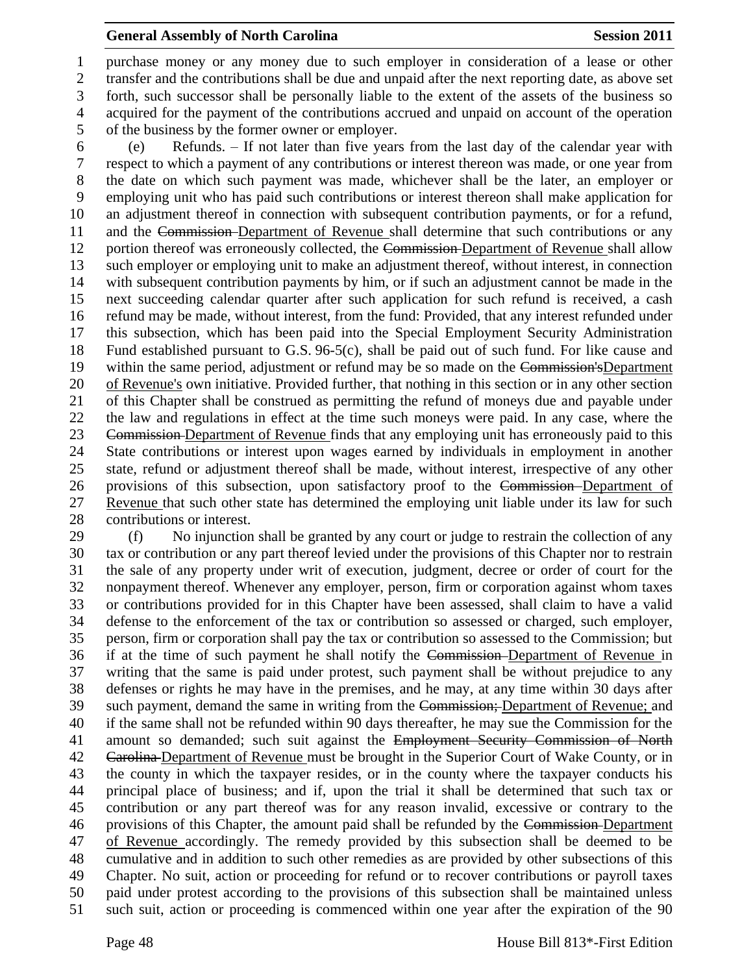purchase money or any money due to such employer in consideration of a lease or other transfer and the contributions shall be due and unpaid after the next reporting date, as above set forth, such successor shall be personally liable to the extent of the assets of the business so acquired for the payment of the contributions accrued and unpaid on account of the operation of the business by the former owner or employer.

 (e) Refunds. – If not later than five years from the last day of the calendar year with respect to which a payment of any contributions or interest thereon was made, or one year from the date on which such payment was made, whichever shall be the later, an employer or employing unit who has paid such contributions or interest thereon shall make application for an adjustment thereof in connection with subsequent contribution payments, or for a refund, and the Commission Department of Revenue shall determine that such contributions or any 12 portion thereof was erroneously collected, the Commission-Department of Revenue shall allow such employer or employing unit to make an adjustment thereof, without interest, in connection with subsequent contribution payments by him, or if such an adjustment cannot be made in the next succeeding calendar quarter after such application for such refund is received, a cash refund may be made, without interest, from the fund: Provided, that any interest refunded under this subsection, which has been paid into the Special Employment Security Administration Fund established pursuant to G.S. 96-5(c), shall be paid out of such fund. For like cause and 19 within the same period, adjustment or refund may be so made on the Commission'sDepartment of Revenue's own initiative. Provided further, that nothing in this section or in any other section of this Chapter shall be construed as permitting the refund of moneys due and payable under the law and regulations in effect at the time such moneys were paid. In any case, where the Commission Department of Revenue finds that any employing unit has erroneously paid to this State contributions or interest upon wages earned by individuals in employment in another state, refund or adjustment thereof shall be made, without interest, irrespective of any other provisions of this subsection, upon satisfactory proof to the Commission Department of Revenue that such other state has determined the employing unit liable under its law for such contributions or interest.

 (f) No injunction shall be granted by any court or judge to restrain the collection of any tax or contribution or any part thereof levied under the provisions of this Chapter nor to restrain the sale of any property under writ of execution, judgment, decree or order of court for the nonpayment thereof. Whenever any employer, person, firm or corporation against whom taxes or contributions provided for in this Chapter have been assessed, shall claim to have a valid defense to the enforcement of the tax or contribution so assessed or charged, such employer, person, firm or corporation shall pay the tax or contribution so assessed to the Commission; but if at the time of such payment he shall notify the Commission Department of Revenue in writing that the same is paid under protest, such payment shall be without prejudice to any defenses or rights he may have in the premises, and he may, at any time within 30 days after such payment, demand the same in writing from the Commission; Department of Revenue; and if the same shall not be refunded within 90 days thereafter, he may sue the Commission for the amount so demanded; such suit against the Employment Security Commission of North 42 Carolina Department of Revenue must be brought in the Superior Court of Wake County, or in the county in which the taxpayer resides, or in the county where the taxpayer conducts his principal place of business; and if, upon the trial it shall be determined that such tax or contribution or any part thereof was for any reason invalid, excessive or contrary to the provisions of this Chapter, the amount paid shall be refunded by the Commission Department of Revenue accordingly. The remedy provided by this subsection shall be deemed to be cumulative and in addition to such other remedies as are provided by other subsections of this Chapter. No suit, action or proceeding for refund or to recover contributions or payroll taxes paid under protest according to the provisions of this subsection shall be maintained unless such suit, action or proceeding is commenced within one year after the expiration of the 90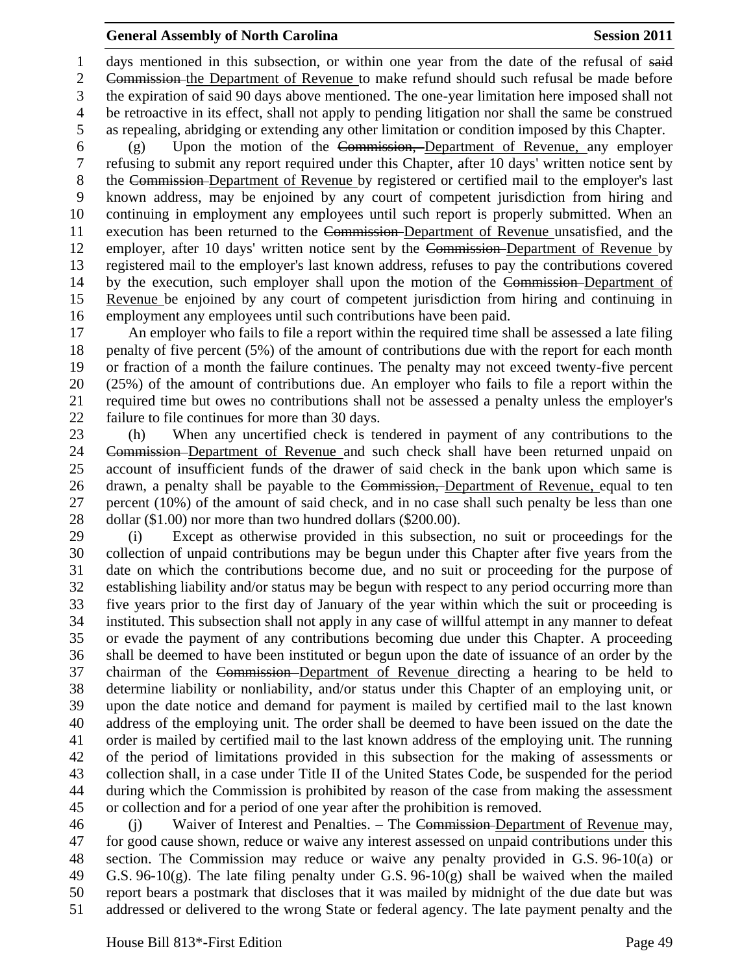1 days mentioned in this subsection, or within one year from the date of the refusal of said

 Commission the Department of Revenue to make refund should such refusal be made before the expiration of said 90 days above mentioned. The one-year limitation here imposed shall not be retroactive in its effect, shall not apply to pending litigation nor shall the same be construed as repealing, abridging or extending any other limitation or condition imposed by this Chapter.

 (g) Upon the motion of the Commission, Department of Revenue, any employer refusing to submit any report required under this Chapter, after 10 days' written notice sent by the Commission Department of Revenue by registered or certified mail to the employer's last known address, may be enjoined by any court of competent jurisdiction from hiring and continuing in employment any employees until such report is properly submitted. When an execution has been returned to the Commission Department of Revenue unsatisfied, and the employer, after 10 days' written notice sent by the Commission Department of Revenue by registered mail to the employer's last known address, refuses to pay the contributions covered by the execution, such employer shall upon the motion of the Commission Department of Revenue be enjoined by any court of competent jurisdiction from hiring and continuing in employment any employees until such contributions have been paid.

 An employer who fails to file a report within the required time shall be assessed a late filing penalty of five percent (5%) of the amount of contributions due with the report for each month or fraction of a month the failure continues. The penalty may not exceed twenty-five percent (25%) of the amount of contributions due. An employer who fails to file a report within the required time but owes no contributions shall not be assessed a penalty unless the employer's failure to file continues for more than 30 days.

 (h) When any uncertified check is tendered in payment of any contributions to the Commission Department of Revenue and such check shall have been returned unpaid on account of insufficient funds of the drawer of said check in the bank upon which same is 26 drawn, a penalty shall be payable to the Commission, Department of Revenue, equal to ten percent (10%) of the amount of said check, and in no case shall such penalty be less than one 28 dollar (\$1.00) nor more than two hundred dollars (\$200.00).

 (i) Except as otherwise provided in this subsection, no suit or proceedings for the collection of unpaid contributions may be begun under this Chapter after five years from the date on which the contributions become due, and no suit or proceeding for the purpose of establishing liability and/or status may be begun with respect to any period occurring more than five years prior to the first day of January of the year within which the suit or proceeding is instituted. This subsection shall not apply in any case of willful attempt in any manner to defeat or evade the payment of any contributions becoming due under this Chapter. A proceeding shall be deemed to have been instituted or begun upon the date of issuance of an order by the chairman of the Commission Department of Revenue directing a hearing to be held to determine liability or nonliability, and/or status under this Chapter of an employing unit, or upon the date notice and demand for payment is mailed by certified mail to the last known address of the employing unit. The order shall be deemed to have been issued on the date the order is mailed by certified mail to the last known address of the employing unit. The running of the period of limitations provided in this subsection for the making of assessments or collection shall, in a case under Title II of the United States Code, be suspended for the period during which the Commission is prohibited by reason of the case from making the assessment or collection and for a period of one year after the prohibition is removed.

 (j) Waiver of Interest and Penalties. – The Commission Department of Revenue may, for good cause shown, reduce or waive any interest assessed on unpaid contributions under this section. The Commission may reduce or waive any penalty provided in G.S. 96-10(a) or 49 G.S. 96-10(g). The late filing penalty under G.S. 96-10(g) shall be waived when the mailed report bears a postmark that discloses that it was mailed by midnight of the due date but was addressed or delivered to the wrong State or federal agency. The late payment penalty and the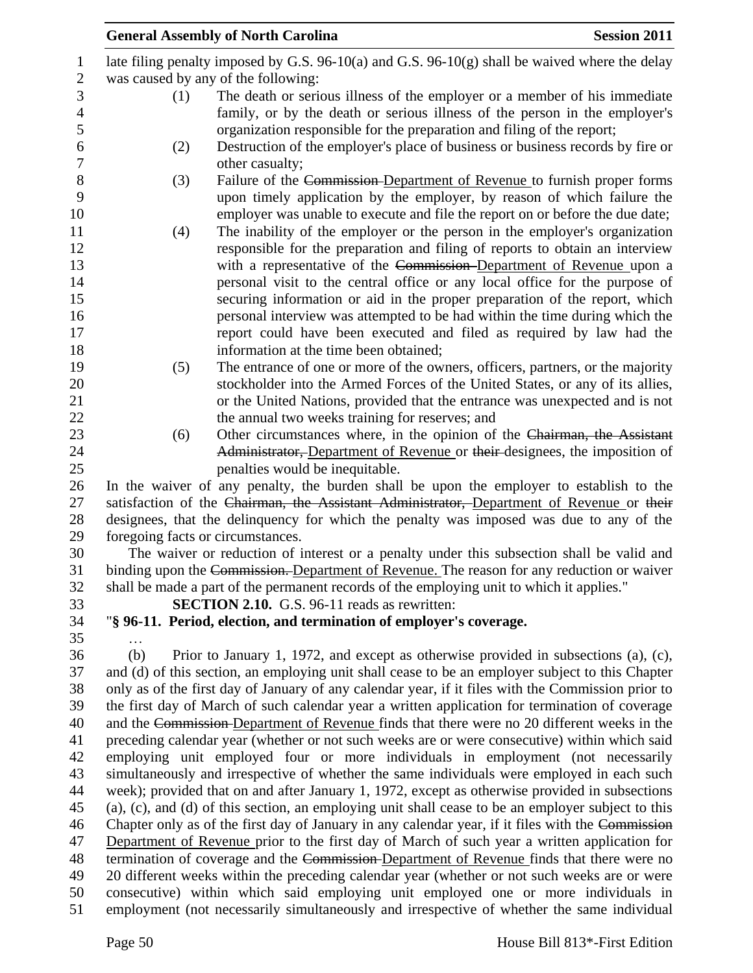|                  |     | <b>General Assembly of North Carolina</b>                                                          | <b>Session 2011</b> |
|------------------|-----|----------------------------------------------------------------------------------------------------|---------------------|
| $\mathbf{1}$     |     | late filing penalty imposed by G.S. 96-10(a) and G.S. 96-10(g) shall be waived where the delay     |                     |
| $\mathbf{2}$     |     | was caused by any of the following:                                                                |                     |
| 3                | (1) | The death or serious illness of the employer or a member of his immediate                          |                     |
| $\overline{4}$   |     | family, or by the death or serious illness of the person in the employer's                         |                     |
| $\mathfrak s$    |     | organization responsible for the preparation and filing of the report;                             |                     |
| 6                | (2) | Destruction of the employer's place of business or business records by fire or                     |                     |
| $\boldsymbol{7}$ |     | other casualty;                                                                                    |                     |
| 8                | (3) | Failure of the Commission-Department of Revenue to furnish proper forms                            |                     |
| 9                |     | upon timely application by the employer, by reason of which failure the                            |                     |
| 10               |     | employer was unable to execute and file the report on or before the due date;                      |                     |
| 11               | (4) | The inability of the employer or the person in the employer's organization                         |                     |
| 12               |     | responsible for the preparation and filing of reports to obtain an interview                       |                     |
| 13               |     | with a representative of the Commission-Department of Revenue upon a                               |                     |
| 14               |     | personal visit to the central office or any local office for the purpose of                        |                     |
| 15               |     | securing information or aid in the proper preparation of the report, which                         |                     |
| 16               |     | personal interview was attempted to be had within the time during which the                        |                     |
| 17               |     | report could have been executed and filed as required by law had the                               |                     |
| 18               |     | information at the time been obtained;                                                             |                     |
| 19               | (5) | The entrance of one or more of the owners, officers, partners, or the majority                     |                     |
| 20               |     | stockholder into the Armed Forces of the United States, or any of its allies,                      |                     |
| 21               |     | or the United Nations, provided that the entrance was unexpected and is not                        |                     |
| 22               |     | the annual two weeks training for reserves; and                                                    |                     |
| 23               | (6) | Other circumstances where, in the opinion of the Chairman, the Assistant                           |                     |
| 24               |     | Administrator, Department of Revenue or their designees, the imposition of                         |                     |
| 25               |     | penalties would be inequitable.                                                                    |                     |
| 26               |     | In the waiver of any penalty, the burden shall be upon the employer to establish to the            |                     |
| 27               |     | satisfaction of the Chairman, the Assistant Administrator, Department of Revenue or their          |                     |
| 28               |     | designees, that the delinquency for which the penalty was imposed was due to any of the            |                     |
| 29               |     | foregoing facts or circumstances.                                                                  |                     |
| 30               |     | The waiver or reduction of interest or a penalty under this subsection shall be valid and          |                     |
| 31               |     | binding upon the Commission. Department of Revenue. The reason for any reduction or waiver         |                     |
| 32               |     | shall be made a part of the permanent records of the employing unit to which it applies."          |                     |
| 33               |     | <b>SECTION 2.10.</b> G.S. 96-11 reads as rewritten:                                                |                     |
| 34               |     | "§ 96-11. Period, election, and termination of employer's coverage.                                |                     |
| 35               |     |                                                                                                    |                     |
| 36               | (b) | Prior to January 1, 1972, and except as otherwise provided in subsections (a), (c),                |                     |
| 37               |     | and (d) of this section, an employing unit shall cease to be an employer subject to this Chapter   |                     |
| 38               |     | only as of the first day of January of any calendar year, if it files with the Commission prior to |                     |
| 39               |     | the first day of March of such calendar year a written application for termination of coverage     |                     |
| 40               |     | and the Commission-Department of Revenue finds that there were no 20 different weeks in the        |                     |
| 41               |     | preceding calendar year (whether or not such weeks are or were consecutive) within which said      |                     |
| 42               |     | employing unit employed four or more individuals in employment (not necessarily                    |                     |
| 43               |     | simultaneously and irrespective of whether the same individuals were employed in each such         |                     |
| 44               |     | week); provided that on and after January 1, 1972, except as otherwise provided in subsections     |                     |
| 45               |     | (a), (c), and (d) of this section, an employing unit shall cease to be an employer subject to this |                     |
| 46               |     | Chapter only as of the first day of January in any calendar year, if it files with the Commission  |                     |
| 47               |     | Department of Revenue prior to the first day of March of such year a written application for       |                     |
| 48               |     | termination of coverage and the Commission-Department of Revenue finds that there were no          |                     |
| 49               |     | 20 different weeks within the preceding calendar year (whether or not such weeks are or were       |                     |
| 50               |     | consecutive) within which said employing unit employed one or more individuals in                  |                     |
| 51               |     | employment (not necessarily simultaneously and irrespective of whether the same individual         |                     |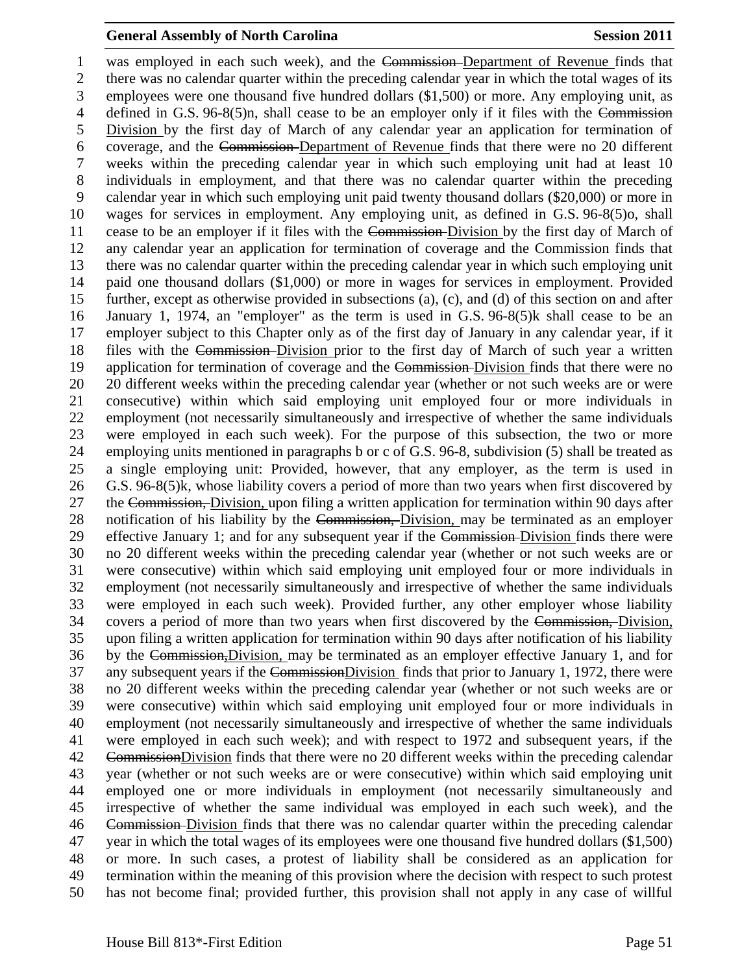was employed in each such week), and the Commission Department of Revenue finds that there was no calendar quarter within the preceding calendar year in which the total wages of its employees were one thousand five hundred dollars (\$1,500) or more. Any employing unit, as 4 defined in G.S. 96-8(5)n, shall cease to be an employer only if it files with the Commission Division by the first day of March of any calendar year an application for termination of coverage, and the Commission Department of Revenue finds that there were no 20 different weeks within the preceding calendar year in which such employing unit had at least 10 individuals in employment, and that there was no calendar quarter within the preceding calendar year in which such employing unit paid twenty thousand dollars (\$20,000) or more in wages for services in employment. Any employing unit, as defined in G.S. 96-8(5)o, shall cease to be an employer if it files with the Commission Division by the first day of March of any calendar year an application for termination of coverage and the Commission finds that there was no calendar quarter within the preceding calendar year in which such employing unit paid one thousand dollars (\$1,000) or more in wages for services in employment. Provided further, except as otherwise provided in subsections (a), (c), and (d) of this section on and after January 1, 1974, an "employer" as the term is used in G.S. 96-8(5)k shall cease to be an employer subject to this Chapter only as of the first day of January in any calendar year, if it 18 files with the Commission-Division prior to the first day of March of such year a written 19 application for termination of coverage and the Commission-Division finds that there were no 20 different weeks within the preceding calendar year (whether or not such weeks are or were consecutive) within which said employing unit employed four or more individuals in employment (not necessarily simultaneously and irrespective of whether the same individuals were employed in each such week). For the purpose of this subsection, the two or more employing units mentioned in paragraphs b or c of G.S. 96-8, subdivision (5) shall be treated as a single employing unit: Provided, however, that any employer, as the term is used in G.S. 96-8(5)k, whose liability covers a period of more than two years when first discovered by 27 the Commission, Division, upon filing a written application for termination within 90 days after 28 notification of his liability by the Commission, Division, may be terminated as an employer effective January 1; and for any subsequent year if the Commission Division finds there were no 20 different weeks within the preceding calendar year (whether or not such weeks are or were consecutive) within which said employing unit employed four or more individuals in employment (not necessarily simultaneously and irrespective of whether the same individuals were employed in each such week). Provided further, any other employer whose liability covers a period of more than two years when first discovered by the Commission, Division, upon filing a written application for termination within 90 days after notification of his liability by the Commission,Division, may be terminated as an employer effective January 1, and for 37 any subsequent years if the CommissionDivision finds that prior to January 1, 1972, there were no 20 different weeks within the preceding calendar year (whether or not such weeks are or were consecutive) within which said employing unit employed four or more individuals in employment (not necessarily simultaneously and irrespective of whether the same individuals were employed in each such week); and with respect to 1972 and subsequent years, if the CommissionDivision finds that there were no 20 different weeks within the preceding calendar year (whether or not such weeks are or were consecutive) within which said employing unit employed one or more individuals in employment (not necessarily simultaneously and irrespective of whether the same individual was employed in each such week), and the Commission Division finds that there was no calendar quarter within the preceding calendar year in which the total wages of its employees were one thousand five hundred dollars (\$1,500) or more. In such cases, a protest of liability shall be considered as an application for termination within the meaning of this provision where the decision with respect to such protest has not become final; provided further, this provision shall not apply in any case of willful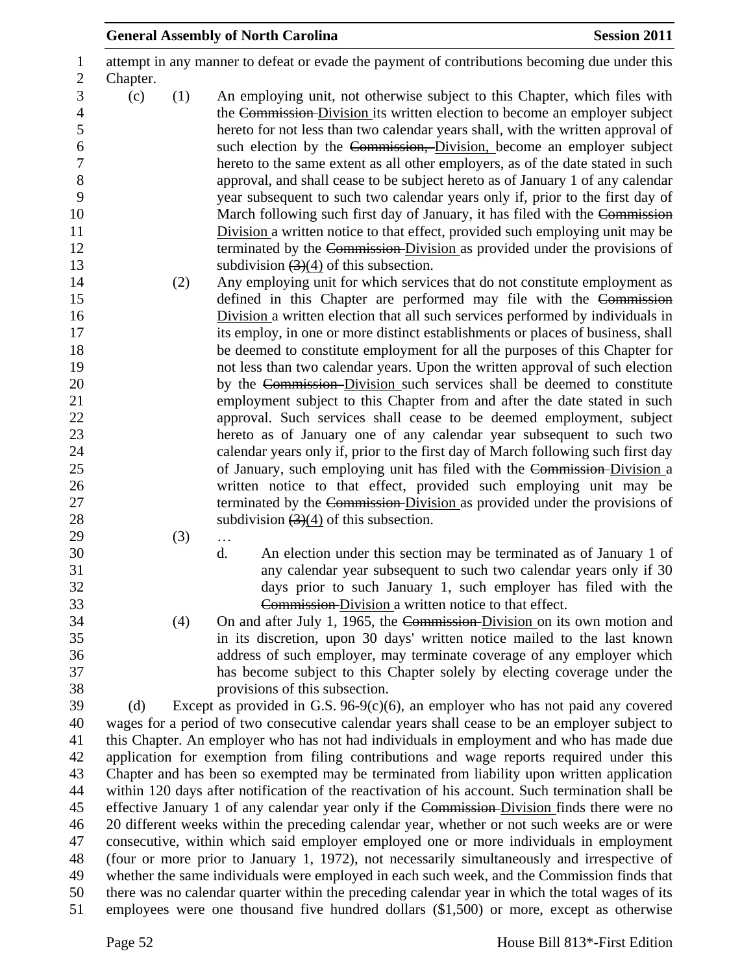| <b>Session 2011</b><br><b>General Assembly of North Carolina</b>                                                                                                                                                                                                                                                                                                                                                                                                                                                                                                                                                                                                                                                                                                                                                                                                                  |  |
|-----------------------------------------------------------------------------------------------------------------------------------------------------------------------------------------------------------------------------------------------------------------------------------------------------------------------------------------------------------------------------------------------------------------------------------------------------------------------------------------------------------------------------------------------------------------------------------------------------------------------------------------------------------------------------------------------------------------------------------------------------------------------------------------------------------------------------------------------------------------------------------|--|
| attempt in any manner to defeat or evade the payment of contributions becoming due under this<br>Chapter.                                                                                                                                                                                                                                                                                                                                                                                                                                                                                                                                                                                                                                                                                                                                                                         |  |
| (c)<br>(1)<br>An employing unit, not otherwise subject to this Chapter, which files with<br>the Commission Division its written election to become an employer subject<br>hereto for not less than two calendar years shall, with the written approval of<br>such election by the Commission, Division, become an employer subject<br>hereto to the same extent as all other employers, as of the date stated in such<br>approval, and shall cease to be subject hereto as of January 1 of any calendar<br>year subsequent to such two calendar years only if, prior to the first day of<br>March following such first day of January, it has filed with the Commission<br>Division a written notice to that effect, provided such employing unit may be<br>terminated by the Commission-Division as provided under the provisions of<br>subdivision $(3)(4)$ of this subsection. |  |
| Any employing unit for which services that do not constitute employment as<br>(2)<br>defined in this Chapter are performed may file with the Commission                                                                                                                                                                                                                                                                                                                                                                                                                                                                                                                                                                                                                                                                                                                           |  |
| Division a written election that all such services performed by individuals in<br>its employ, in one or more distinct establishments or places of business, shall<br>be deemed to constitute employment for all the purposes of this Chapter for<br>not less than two calendar years. Upon the written approval of such election<br>by the Commission-Division such services shall be deemed to constitute                                                                                                                                                                                                                                                                                                                                                                                                                                                                        |  |
| employment subject to this Chapter from and after the date stated in such<br>approval. Such services shall cease to be deemed employment, subject<br>hereto as of January one of any calendar year subsequent to such two<br>calendar years only if, prior to the first day of March following such first day                                                                                                                                                                                                                                                                                                                                                                                                                                                                                                                                                                     |  |
| of January, such employing unit has filed with the Commission-Division a<br>written notice to that effect, provided such employing unit may be                                                                                                                                                                                                                                                                                                                                                                                                                                                                                                                                                                                                                                                                                                                                    |  |
| terminated by the Commission-Division as provided under the provisions of<br>subdivision $(3)(4)$ of this subsection.                                                                                                                                                                                                                                                                                                                                                                                                                                                                                                                                                                                                                                                                                                                                                             |  |
| (3)<br>$\ldots$<br>d.<br>An election under this section may be terminated as of January 1 of<br>any calendar year subsequent to such two calendar years only if 30                                                                                                                                                                                                                                                                                                                                                                                                                                                                                                                                                                                                                                                                                                                |  |
| days prior to such January 1, such employer has filed with the<br>Commission-Division a written notice to that effect.<br>On and after July 1, 1965, the Commission-Division on its own motion and<br>(4)                                                                                                                                                                                                                                                                                                                                                                                                                                                                                                                                                                                                                                                                         |  |
| in its discretion, upon 30 days' written notice mailed to the last known<br>address of such employer, may terminate coverage of any employer which                                                                                                                                                                                                                                                                                                                                                                                                                                                                                                                                                                                                                                                                                                                                |  |
| has become subject to this Chapter solely by electing coverage under the<br>provisions of this subsection.                                                                                                                                                                                                                                                                                                                                                                                                                                                                                                                                                                                                                                                                                                                                                                        |  |
| Except as provided in G.S. $96-9(c)(6)$ , an employer who has not paid any covered<br>(d)                                                                                                                                                                                                                                                                                                                                                                                                                                                                                                                                                                                                                                                                                                                                                                                         |  |
| wages for a period of two consecutive calendar years shall cease to be an employer subject to<br>this Chapter. An employer who has not had individuals in employment and who has made due                                                                                                                                                                                                                                                                                                                                                                                                                                                                                                                                                                                                                                                                                         |  |
| application for exemption from filing contributions and wage reports required under this                                                                                                                                                                                                                                                                                                                                                                                                                                                                                                                                                                                                                                                                                                                                                                                          |  |
| Chapter and has been so exempted may be terminated from liability upon written application                                                                                                                                                                                                                                                                                                                                                                                                                                                                                                                                                                                                                                                                                                                                                                                        |  |
| within 120 days after notification of the reactivation of his account. Such termination shall be                                                                                                                                                                                                                                                                                                                                                                                                                                                                                                                                                                                                                                                                                                                                                                                  |  |
| effective January 1 of any calendar year only if the Commission-Division finds there were no                                                                                                                                                                                                                                                                                                                                                                                                                                                                                                                                                                                                                                                                                                                                                                                      |  |
| 20 different weeks within the preceding calendar year, whether or not such weeks are or were                                                                                                                                                                                                                                                                                                                                                                                                                                                                                                                                                                                                                                                                                                                                                                                      |  |
| consecutive, within which said employer employed one or more individuals in employment                                                                                                                                                                                                                                                                                                                                                                                                                                                                                                                                                                                                                                                                                                                                                                                            |  |
| (four or more prior to January 1, 1972), not necessarily simultaneously and irrespective of                                                                                                                                                                                                                                                                                                                                                                                                                                                                                                                                                                                                                                                                                                                                                                                       |  |
| whether the same individuals were employed in each such week, and the Commission finds that<br>there was no calendar quarter within the preceding calendar year in which the total wages of its<br>employees were one thousand five hundred dollars (\$1,500) or more, except as otherwise                                                                                                                                                                                                                                                                                                                                                                                                                                                                                                                                                                                        |  |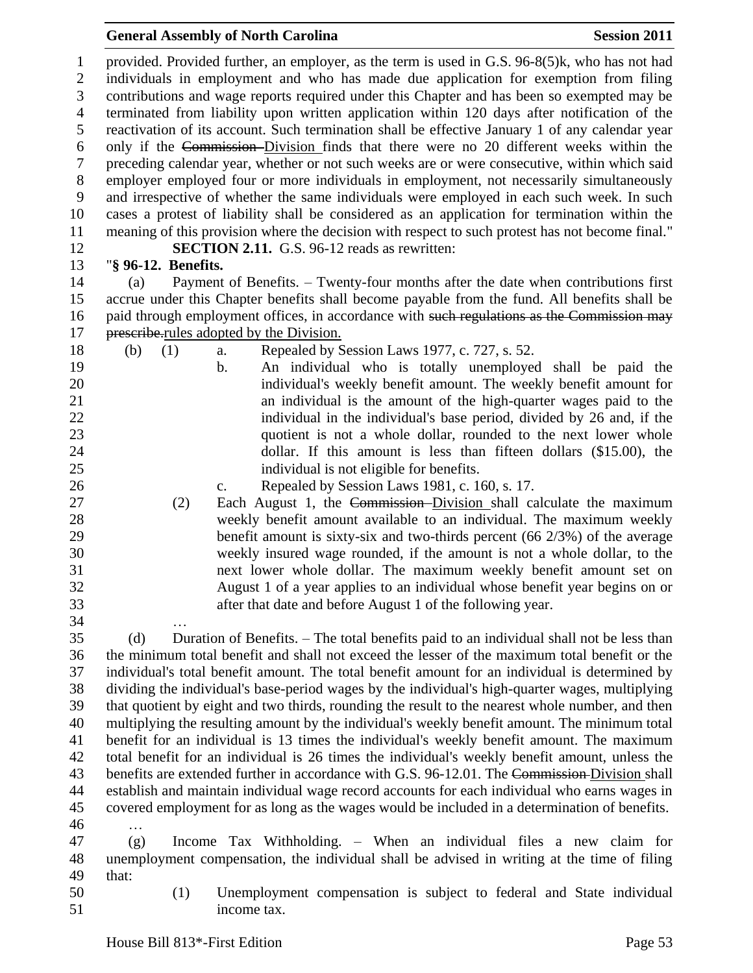provided. Provided further, an employer, as the term is used in G.S. 96-8(5)k, who has not had individuals in employment and who has made due application for exemption from filing contributions and wage reports required under this Chapter and has been so exempted may be terminated from liability upon written application within 120 days after notification of the reactivation of its account. Such termination shall be effective January 1 of any calendar year only if the Commission Division finds that there were no 20 different weeks within the preceding calendar year, whether or not such weeks are or were consecutive, within which said employer employed four or more individuals in employment, not necessarily simultaneously and irrespective of whether the same individuals were employed in each such week. In such cases a protest of liability shall be considered as an application for termination within the meaning of this provision where the decision with respect to such protest has not become final." **SECTION 2.11.** G.S. 96-12 reads as rewritten: "**§ 96-12. Benefits.** (a) Payment of Benefits. – Twenty-four months after the date when contributions first accrue under this Chapter benefits shall become payable from the fund. All benefits shall be 16 paid through employment offices, in accordance with such regulations as the Commission may 17 prescribe.rules adopted by the Division. (b) (1) a. Repealed by Session Laws 1977, c. 727, s. 52. b. An individual who is totally unemployed shall be paid the individual's weekly benefit amount. The weekly benefit amount for an individual is the amount of the high-quarter wages paid to the 22 individual in the individual's base period, divided by 26 and, if the 23 quotient is not a whole dollar, rounded to the next lower whole dollar. If this amount is less than fifteen dollars (\$15.00), the individual is not eligible for benefits. c. Repealed by Session Laws 1981, c. 160, s. 17. (2) Each August 1, the Commission Division shall calculate the maximum weekly benefit amount available to an individual. The maximum weekly benefit amount is sixty-six and two-thirds percent (66 2/3%) of the average weekly insured wage rounded, if the amount is not a whole dollar, to the next lower whole dollar. The maximum weekly benefit amount set on August 1 of a year applies to an individual whose benefit year begins on or after that date and before August 1 of the following year. … (d) Duration of Benefits. – The total benefits paid to an individual shall not be less than the minimum total benefit and shall not exceed the lesser of the maximum total benefit or the individual's total benefit amount. The total benefit amount for an individual is determined by dividing the individual's base-period wages by the individual's high-quarter wages, multiplying that quotient by eight and two thirds, rounding the result to the nearest whole number, and then multiplying the resulting amount by the individual's weekly benefit amount. The minimum total benefit for an individual is 13 times the individual's weekly benefit amount. The maximum total benefit for an individual is 26 times the individual's weekly benefit amount, unless the 43 benefits are extended further in accordance with G.S. 96-12.01. The Commission-Division shall establish and maintain individual wage record accounts for each individual who earns wages in covered employment for as long as the wages would be included in a determination of benefits. … (g) Income Tax Withholding. – When an individual files a new claim for unemployment compensation, the individual shall be advised in writing at the time of filing that:

 (1) Unemployment compensation is subject to federal and State individual income tax.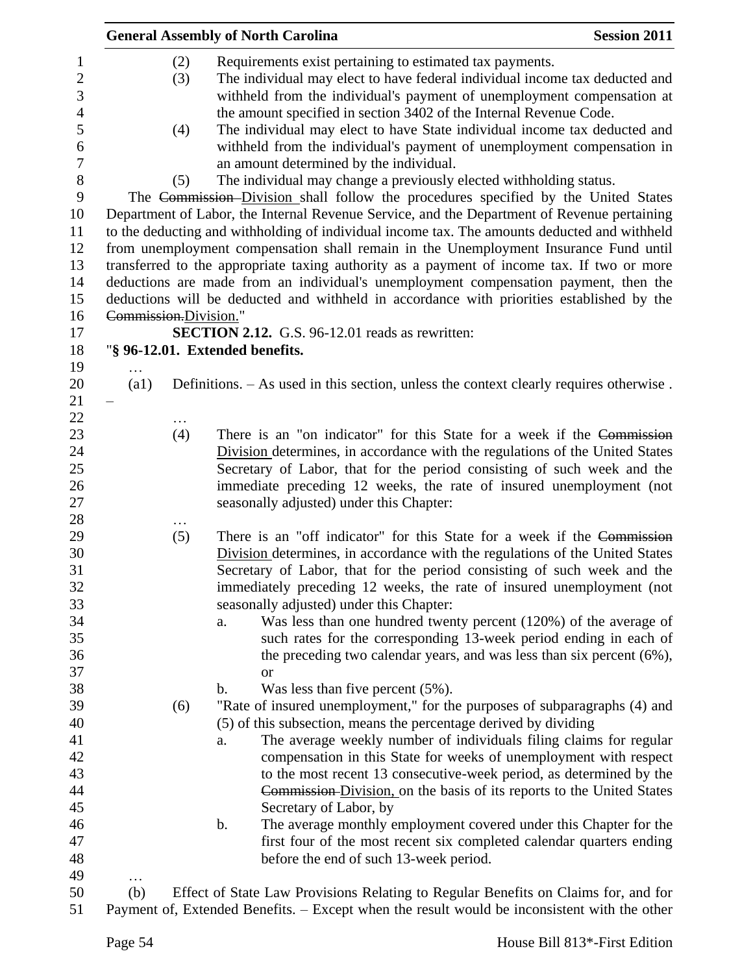|                       |                          | <b>General Assembly of North Carolina</b>                                                                                                                                                                                                                                                                                                                                                                                                                                                                                                                                                                                                                                                                                                                                                                                                                                                                                                                                                                                                                                                                                                                                                                                       | <b>Session 2011</b> |
|-----------------------|--------------------------|---------------------------------------------------------------------------------------------------------------------------------------------------------------------------------------------------------------------------------------------------------------------------------------------------------------------------------------------------------------------------------------------------------------------------------------------------------------------------------------------------------------------------------------------------------------------------------------------------------------------------------------------------------------------------------------------------------------------------------------------------------------------------------------------------------------------------------------------------------------------------------------------------------------------------------------------------------------------------------------------------------------------------------------------------------------------------------------------------------------------------------------------------------------------------------------------------------------------------------|---------------------|
|                       | (2)<br>(3)<br>(4)<br>(5) | Requirements exist pertaining to estimated tax payments.<br>The individual may elect to have federal individual income tax deducted and<br>withheld from the individual's payment of unemployment compensation at<br>the amount specified in section 3402 of the Internal Revenue Code.<br>The individual may elect to have State individual income tax deducted and<br>withheld from the individual's payment of unemployment compensation in<br>an amount determined by the individual.<br>The individual may change a previously elected withholding status.<br>The Commission–Division shall follow the procedures specified by the United States<br>Department of Labor, the Internal Revenue Service, and the Department of Revenue pertaining<br>to the deducting and withholding of individual income tax. The amounts deducted and withheld<br>from unemployment compensation shall remain in the Unemployment Insurance Fund until<br>transferred to the appropriate taxing authority as a payment of income tax. If two or more<br>deductions are made from an individual's unemployment compensation payment, then the<br>deductions will be deducted and withheld in accordance with priorities established by the |                     |
| Commission.Division." |                          |                                                                                                                                                                                                                                                                                                                                                                                                                                                                                                                                                                                                                                                                                                                                                                                                                                                                                                                                                                                                                                                                                                                                                                                                                                 |                     |
|                       |                          | <b>SECTION 2.12.</b> G.S. 96-12.01 reads as rewritten:                                                                                                                                                                                                                                                                                                                                                                                                                                                                                                                                                                                                                                                                                                                                                                                                                                                                                                                                                                                                                                                                                                                                                                          |                     |
|                       |                          | "§ 96-12.01. Extended benefits.                                                                                                                                                                                                                                                                                                                                                                                                                                                                                                                                                                                                                                                                                                                                                                                                                                                                                                                                                                                                                                                                                                                                                                                                 |                     |
|                       |                          |                                                                                                                                                                                                                                                                                                                                                                                                                                                                                                                                                                                                                                                                                                                                                                                                                                                                                                                                                                                                                                                                                                                                                                                                                                 |                     |
| (a1)                  |                          | Definitions. – As used in this section, unless the context clearly requires otherwise.                                                                                                                                                                                                                                                                                                                                                                                                                                                                                                                                                                                                                                                                                                                                                                                                                                                                                                                                                                                                                                                                                                                                          |                     |
|                       |                          |                                                                                                                                                                                                                                                                                                                                                                                                                                                                                                                                                                                                                                                                                                                                                                                                                                                                                                                                                                                                                                                                                                                                                                                                                                 |                     |
|                       | .<br>(4)                 | There is an "on indicator" for this State for a week if the Commission                                                                                                                                                                                                                                                                                                                                                                                                                                                                                                                                                                                                                                                                                                                                                                                                                                                                                                                                                                                                                                                                                                                                                          |                     |
|                       |                          | Division determines, in accordance with the regulations of the United States<br>Secretary of Labor, that for the period consisting of such week and the<br>immediate preceding 12 weeks, the rate of insured unemployment (not<br>seasonally adjusted) under this Chapter:                                                                                                                                                                                                                                                                                                                                                                                                                                                                                                                                                                                                                                                                                                                                                                                                                                                                                                                                                      |                     |
|                       |                          |                                                                                                                                                                                                                                                                                                                                                                                                                                                                                                                                                                                                                                                                                                                                                                                                                                                                                                                                                                                                                                                                                                                                                                                                                                 |                     |
|                       | (5)                      | There is an "off indicator" for this State for a week if the Commission<br>Division determines, in accordance with the regulations of the United States<br>Secretary of Labor, that for the period consisting of such week and the<br>immediately preceding 12 weeks, the rate of insured unemployment (not<br>seasonally adjusted) under this Chapter:                                                                                                                                                                                                                                                                                                                                                                                                                                                                                                                                                                                                                                                                                                                                                                                                                                                                         |                     |
|                       |                          | Was less than one hundred twenty percent $(120%)$ of the average of<br>a.                                                                                                                                                                                                                                                                                                                                                                                                                                                                                                                                                                                                                                                                                                                                                                                                                                                                                                                                                                                                                                                                                                                                                       |                     |
|                       |                          | such rates for the corresponding 13-week period ending in each of                                                                                                                                                                                                                                                                                                                                                                                                                                                                                                                                                                                                                                                                                                                                                                                                                                                                                                                                                                                                                                                                                                                                                               |                     |
|                       |                          | the preceding two calendar years, and was less than six percent (6%),                                                                                                                                                                                                                                                                                                                                                                                                                                                                                                                                                                                                                                                                                                                                                                                                                                                                                                                                                                                                                                                                                                                                                           |                     |
|                       |                          | <b>or</b>                                                                                                                                                                                                                                                                                                                                                                                                                                                                                                                                                                                                                                                                                                                                                                                                                                                                                                                                                                                                                                                                                                                                                                                                                       |                     |
|                       | (6)                      | Was less than five percent $(5\%)$ .<br>$\mathbf b$ .<br>"Rate of insured unemployment," for the purposes of subparagraphs (4) and                                                                                                                                                                                                                                                                                                                                                                                                                                                                                                                                                                                                                                                                                                                                                                                                                                                                                                                                                                                                                                                                                              |                     |
|                       |                          | (5) of this subsection, means the percentage derived by dividing                                                                                                                                                                                                                                                                                                                                                                                                                                                                                                                                                                                                                                                                                                                                                                                                                                                                                                                                                                                                                                                                                                                                                                |                     |
|                       |                          | The average weekly number of individuals filing claims for regular<br>a.                                                                                                                                                                                                                                                                                                                                                                                                                                                                                                                                                                                                                                                                                                                                                                                                                                                                                                                                                                                                                                                                                                                                                        |                     |
|                       |                          | compensation in this State for weeks of unemployment with respect                                                                                                                                                                                                                                                                                                                                                                                                                                                                                                                                                                                                                                                                                                                                                                                                                                                                                                                                                                                                                                                                                                                                                               |                     |
|                       |                          | to the most recent 13 consecutive-week period, as determined by the                                                                                                                                                                                                                                                                                                                                                                                                                                                                                                                                                                                                                                                                                                                                                                                                                                                                                                                                                                                                                                                                                                                                                             |                     |
|                       |                          | Commission-Division, on the basis of its reports to the United States                                                                                                                                                                                                                                                                                                                                                                                                                                                                                                                                                                                                                                                                                                                                                                                                                                                                                                                                                                                                                                                                                                                                                           |                     |
|                       |                          | Secretary of Labor, by                                                                                                                                                                                                                                                                                                                                                                                                                                                                                                                                                                                                                                                                                                                                                                                                                                                                                                                                                                                                                                                                                                                                                                                                          |                     |
|                       |                          | The average monthly employment covered under this Chapter for the<br>b.                                                                                                                                                                                                                                                                                                                                                                                                                                                                                                                                                                                                                                                                                                                                                                                                                                                                                                                                                                                                                                                                                                                                                         |                     |
|                       |                          | first four of the most recent six completed calendar quarters ending                                                                                                                                                                                                                                                                                                                                                                                                                                                                                                                                                                                                                                                                                                                                                                                                                                                                                                                                                                                                                                                                                                                                                            |                     |
|                       |                          |                                                                                                                                                                                                                                                                                                                                                                                                                                                                                                                                                                                                                                                                                                                                                                                                                                                                                                                                                                                                                                                                                                                                                                                                                                 |                     |
|                       |                          | before the end of such 13-week period.                                                                                                                                                                                                                                                                                                                                                                                                                                                                                                                                                                                                                                                                                                                                                                                                                                                                                                                                                                                                                                                                                                                                                                                          |                     |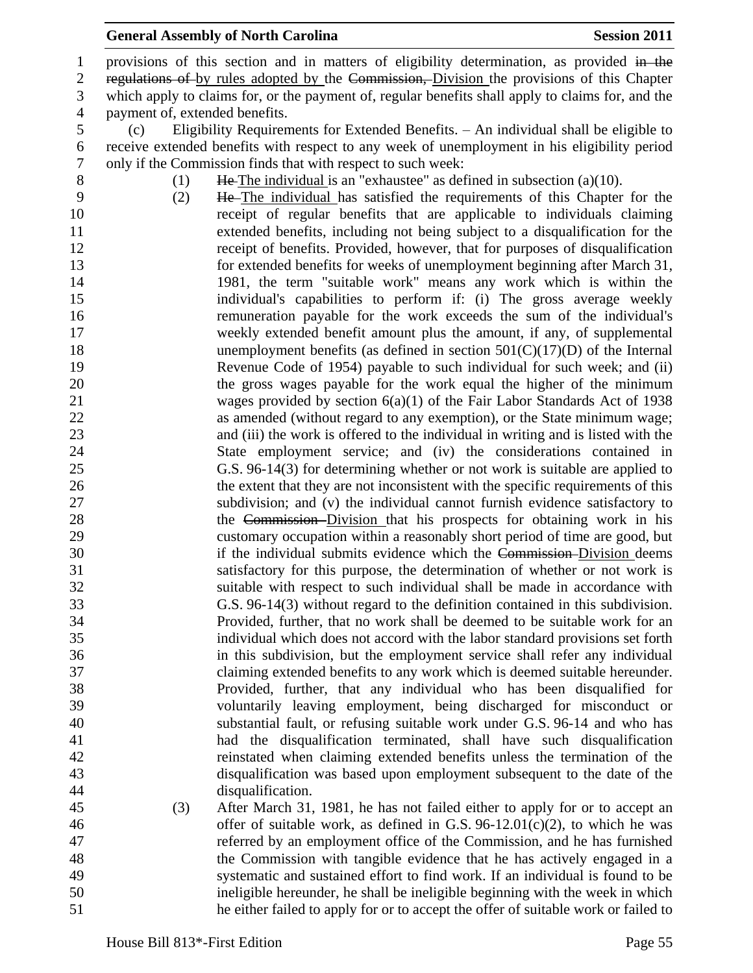1 provisions of this section and in matters of eligibility determination, as provided in the 2 regulations of by rules adopted by the Commission, Division the provisions of this Chapter which apply to claims for, or the payment of, regular benefits shall apply to claims for, and the payment of, extended benefits.

 (c) Eligibility Requirements for Extended Benefits. – An individual shall be eligible to receive extended benefits with respect to any week of unemployment in his eligibility period only if the Commission finds that with respect to such week:

8 (1) He The individual is an "exhaustee" as defined in subsection (a)(10).

 (2) He The individual has satisfied the requirements of this Chapter for the receipt of regular benefits that are applicable to individuals claiming extended benefits, including not being subject to a disqualification for the receipt of benefits. Provided, however, that for purposes of disqualification for extended benefits for weeks of unemployment beginning after March 31, 1981, the term "suitable work" means any work which is within the individual's capabilities to perform if: (i) The gross average weekly remuneration payable for the work exceeds the sum of the individual's weekly extended benefit amount plus the amount, if any, of supplemental 18 unemployment benefits (as defined in section 501(C)(17)(D) of the Internal Revenue Code of 1954) payable to such individual for such week; and (ii) the gross wages payable for the work equal the higher of the minimum wages provided by section 6(a)(1) of the Fair Labor Standards Act of 1938 as amended (without regard to any exemption), or the State minimum wage; and (iii) the work is offered to the individual in writing and is listed with the State employment service; and (iv) the considerations contained in G.S. 96-14(3) for determining whether or not work is suitable are applied to the extent that they are not inconsistent with the specific requirements of this subdivision; and (v) the individual cannot furnish evidence satisfactory to 28 the Commission–Division that his prospects for obtaining work in his customary occupation within a reasonably short period of time are good, but 30 if the individual submits evidence which the Commission-Division deems satisfactory for this purpose, the determination of whether or not work is suitable with respect to such individual shall be made in accordance with G.S. 96-14(3) without regard to the definition contained in this subdivision. Provided, further, that no work shall be deemed to be suitable work for an individual which does not accord with the labor standard provisions set forth in this subdivision, but the employment service shall refer any individual claiming extended benefits to any work which is deemed suitable hereunder. Provided, further, that any individual who has been disqualified for voluntarily leaving employment, being discharged for misconduct or substantial fault, or refusing suitable work under G.S. 96-14 and who has had the disqualification terminated, shall have such disqualification reinstated when claiming extended benefits unless the termination of the disqualification was based upon employment subsequent to the date of the disqualification.

 (3) After March 31, 1981, he has not failed either to apply for or to accept an offer of suitable work, as defined in G.S. 96-12.01(c)(2), to which he was referred by an employment office of the Commission, and he has furnished the Commission with tangible evidence that he has actively engaged in a systematic and sustained effort to find work. If an individual is found to be ineligible hereunder, he shall be ineligible beginning with the week in which he either failed to apply for or to accept the offer of suitable work or failed to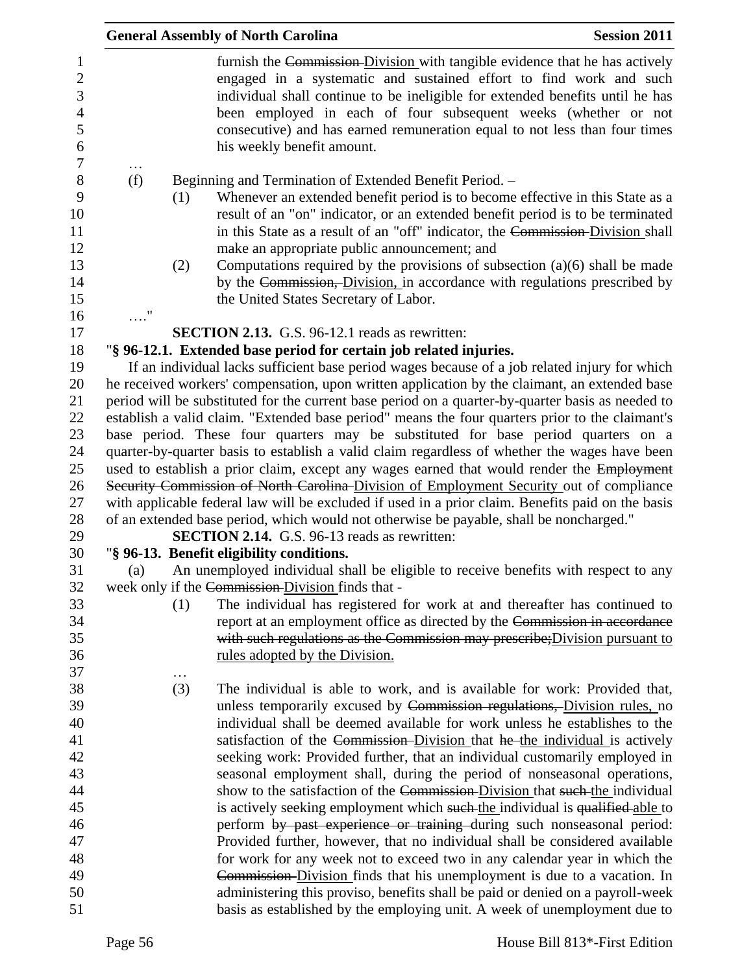|            |     | <b>General Assembly of North Carolina</b>                                                                                                                                                                                                                                                                                                                                                                        | <b>Session 2011</b> |
|------------|-----|------------------------------------------------------------------------------------------------------------------------------------------------------------------------------------------------------------------------------------------------------------------------------------------------------------------------------------------------------------------------------------------------------------------|---------------------|
|            |     | furnish the Commission Division with tangible evidence that he has actively<br>engaged in a systematic and sustained effort to find work and such<br>individual shall continue to be ineligible for extended benefits until he has<br>been employed in each of four subsequent weeks (whether or not<br>consecutive) and has earned remuneration equal to not less than four times<br>his weekly benefit amount. |                     |
| .<br>(f)   |     | Beginning and Termination of Extended Benefit Period. -                                                                                                                                                                                                                                                                                                                                                          |                     |
|            | (1) | Whenever an extended benefit period is to become effective in this State as a<br>result of an "on" indicator, or an extended benefit period is to be terminated<br>in this State as a result of an "off" indicator, the Commission-Division shall<br>make an appropriate public announcement; and                                                                                                                |                     |
|            | (2) | Computations required by the provisions of subsection $(a)(6)$ shall be made<br>by the Commission, Division, in accordance with regulations prescribed by<br>the United States Secretary of Labor.                                                                                                                                                                                                               |                     |
| $\ldots$ " |     |                                                                                                                                                                                                                                                                                                                                                                                                                  |                     |
|            |     | <b>SECTION 2.13.</b> G.S. 96-12.1 reads as rewritten:                                                                                                                                                                                                                                                                                                                                                            |                     |
|            |     | "§ 96-12.1. Extended base period for certain job related injuries.                                                                                                                                                                                                                                                                                                                                               |                     |
|            |     | If an individual lacks sufficient base period wages because of a job related injury for which                                                                                                                                                                                                                                                                                                                    |                     |
|            |     | he received workers' compensation, upon written application by the claimant, an extended base                                                                                                                                                                                                                                                                                                                    |                     |
|            |     | period will be substituted for the current base period on a quarter-by-quarter basis as needed to                                                                                                                                                                                                                                                                                                                |                     |
|            |     | establish a valid claim. "Extended base period" means the four quarters prior to the claimant's                                                                                                                                                                                                                                                                                                                  |                     |
|            |     | base period. These four quarters may be substituted for base period quarters on a                                                                                                                                                                                                                                                                                                                                |                     |
|            |     | quarter-by-quarter basis to establish a valid claim regardless of whether the wages have been                                                                                                                                                                                                                                                                                                                    |                     |
|            |     | used to establish a prior claim, except any wages earned that would render the Employment                                                                                                                                                                                                                                                                                                                        |                     |
|            |     | Security Commission of North Carolina Division of Employment Security out of compliance                                                                                                                                                                                                                                                                                                                          |                     |
|            |     | with applicable federal law will be excluded if used in a prior claim. Benefits paid on the basis                                                                                                                                                                                                                                                                                                                |                     |
|            |     | of an extended base period, which would not otherwise be payable, shall be noncharged."                                                                                                                                                                                                                                                                                                                          |                     |
|            |     | <b>SECTION 2.14.</b> G.S. 96-13 reads as rewritten:                                                                                                                                                                                                                                                                                                                                                              |                     |
|            |     | "§ 96-13. Benefit eligibility conditions.                                                                                                                                                                                                                                                                                                                                                                        |                     |
| (a)        |     | An unemployed individual shall be eligible to receive benefits with respect to any                                                                                                                                                                                                                                                                                                                               |                     |
|            |     | week only if the Commission-Division finds that -                                                                                                                                                                                                                                                                                                                                                                |                     |
|            | (1) | The individual has registered for work at and thereafter has continued to                                                                                                                                                                                                                                                                                                                                        |                     |
|            |     | report at an employment office as directed by the Commission in accordance                                                                                                                                                                                                                                                                                                                                       |                     |
|            |     | with such regulations as the Commission may prescribe; Division pursuant to                                                                                                                                                                                                                                                                                                                                      |                     |
|            |     | rules adopted by the Division.                                                                                                                                                                                                                                                                                                                                                                                   |                     |
|            |     |                                                                                                                                                                                                                                                                                                                                                                                                                  |                     |
|            | (3) | The individual is able to work, and is available for work: Provided that,                                                                                                                                                                                                                                                                                                                                        |                     |
|            |     | unless temporarily excused by Commission regulations, Division rules, no<br>individual shall be deemed available for work unless he establishes to the                                                                                                                                                                                                                                                           |                     |
|            |     | satisfaction of the Commission-Division that he-the individual is actively                                                                                                                                                                                                                                                                                                                                       |                     |
|            |     | seeking work: Provided further, that an individual customarily employed in                                                                                                                                                                                                                                                                                                                                       |                     |
|            |     | seasonal employment shall, during the period of nonseasonal operations,                                                                                                                                                                                                                                                                                                                                          |                     |
|            |     | show to the satisfaction of the Commission-Division that such the individual                                                                                                                                                                                                                                                                                                                                     |                     |
|            |     | is actively seeking employment which such the individual is qualified able to                                                                                                                                                                                                                                                                                                                                    |                     |
|            |     | perform by past experience or training during such nonseasonal period:                                                                                                                                                                                                                                                                                                                                           |                     |
|            |     | Provided further, however, that no individual shall be considered available                                                                                                                                                                                                                                                                                                                                      |                     |
|            |     | for work for any week not to exceed two in any calendar year in which the                                                                                                                                                                                                                                                                                                                                        |                     |
|            |     | Commission-Division finds that his unemployment is due to a vacation. In                                                                                                                                                                                                                                                                                                                                         |                     |
|            |     | administering this proviso, benefits shall be paid or denied on a payroll-week                                                                                                                                                                                                                                                                                                                                   |                     |
|            |     | basis as established by the employing unit. A week of unemployment due to                                                                                                                                                                                                                                                                                                                                        |                     |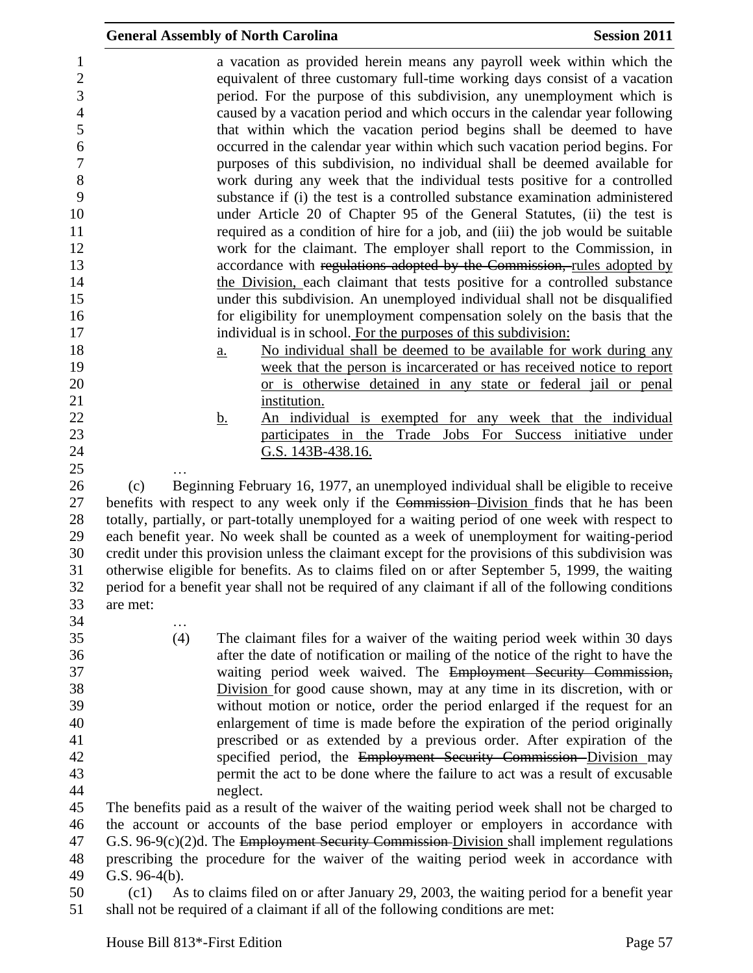|                  | <b>General Assembly of North Carolina</b>                                                                                                                                                                                                                                                                                                                                                                                                                           | <b>Session 2011</b> |
|------------------|---------------------------------------------------------------------------------------------------------------------------------------------------------------------------------------------------------------------------------------------------------------------------------------------------------------------------------------------------------------------------------------------------------------------------------------------------------------------|---------------------|
|                  | a vacation as provided herein means any payroll week within which the<br>equivalent of three customary full-time working days consist of a vacation<br>period. For the purpose of this subdivision, any unemployment which is<br>caused by a vacation period and which occurs in the calendar year following<br>that within which the vacation period begins shall be deemed to have<br>occurred in the calendar year within which such vacation period begins. For |                     |
|                  | purposes of this subdivision, no individual shall be deemed available for<br>work during any week that the individual tests positive for a controlled                                                                                                                                                                                                                                                                                                               |                     |
|                  | substance if (i) the test is a controlled substance examination administered<br>under Article 20 of Chapter 95 of the General Statutes, (ii) the test is                                                                                                                                                                                                                                                                                                            |                     |
|                  | required as a condition of hire for a job, and (iii) the job would be suitable<br>work for the claimant. The employer shall report to the Commission, in                                                                                                                                                                                                                                                                                                            |                     |
|                  | accordance with regulations adopted by the Commission, rules adopted by<br>the Division, each claimant that tests positive for a controlled substance                                                                                                                                                                                                                                                                                                               |                     |
|                  | under this subdivision. An unemployed individual shall not be disqualified<br>for eligibility for unemployment compensation solely on the basis that the<br>individual is in school. For the purposes of this subdivision:                                                                                                                                                                                                                                          |                     |
|                  | No individual shall be deemed to be available for work during any<br>a.<br>week that the person is incarcerated or has received notice to report                                                                                                                                                                                                                                                                                                                    |                     |
|                  | or is otherwise detained in any state or federal jail or penal<br>institution.                                                                                                                                                                                                                                                                                                                                                                                      |                     |
|                  | An individual is exempted for any week that the individual<br><u>b.</u><br>participates in the Trade Jobs For Success initiative under                                                                                                                                                                                                                                                                                                                              |                     |
|                  | G.S. 143B-438.16.                                                                                                                                                                                                                                                                                                                                                                                                                                                   |                     |
| (c)              | Beginning February 16, 1977, an unemployed individual shall be eligible to receive<br>benefits with respect to any week only if the Commission-Division finds that he has been                                                                                                                                                                                                                                                                                      |                     |
|                  | totally, partially, or part-totally unemployed for a waiting period of one week with respect to<br>each benefit year. No week shall be counted as a week of unemployment for waiting-period<br>credit under this provision unless the claimant except for the provisions of this subdivision was                                                                                                                                                                    |                     |
| are met:         | otherwise eligible for benefits. As to claims filed on or after September 5, 1999, the waiting<br>period for a benefit year shall not be required of any claimant if all of the following conditions                                                                                                                                                                                                                                                                |                     |
| .                |                                                                                                                                                                                                                                                                                                                                                                                                                                                                     |                     |
| (4)              | The claimant files for a waiver of the waiting period week within 30 days<br>after the date of notification or mailing of the notice of the right to have the<br>waiting period week waived. The Employment Security Commission,                                                                                                                                                                                                                                    |                     |
|                  | Division for good cause shown, may at any time in its discretion, with or                                                                                                                                                                                                                                                                                                                                                                                           |                     |
|                  | without motion or notice, order the period enlarged if the request for an<br>enlargement of time is made before the expiration of the period originally                                                                                                                                                                                                                                                                                                             |                     |
|                  | prescribed or as extended by a previous order. After expiration of the<br>specified period, the Employment Security Commission Division may<br>permit the act to be done where the failure to act was a result of excusable                                                                                                                                                                                                                                         |                     |
|                  | neglect.                                                                                                                                                                                                                                                                                                                                                                                                                                                            |                     |
|                  | The benefits paid as a result of the waiver of the waiting period week shall not be charged to<br>the account or accounts of the base period employer or employers in accordance with<br>G.S. 96-9 $(c)(2)$ d. The Employment Security Commission-Division shall implement regulations                                                                                                                                                                              |                     |
| G.S. $96-4(b)$ . | prescribing the procedure for the waiver of the waiting period week in accordance with<br>$(61)$ As to claims filed on or after January 20, 2003, the waiting period for a benefit year                                                                                                                                                                                                                                                                             |                     |

 (c1) As to claims filed on or after January 29, 2003, the waiting period for a benefit year shall not be required of a claimant if all of the following conditions are met: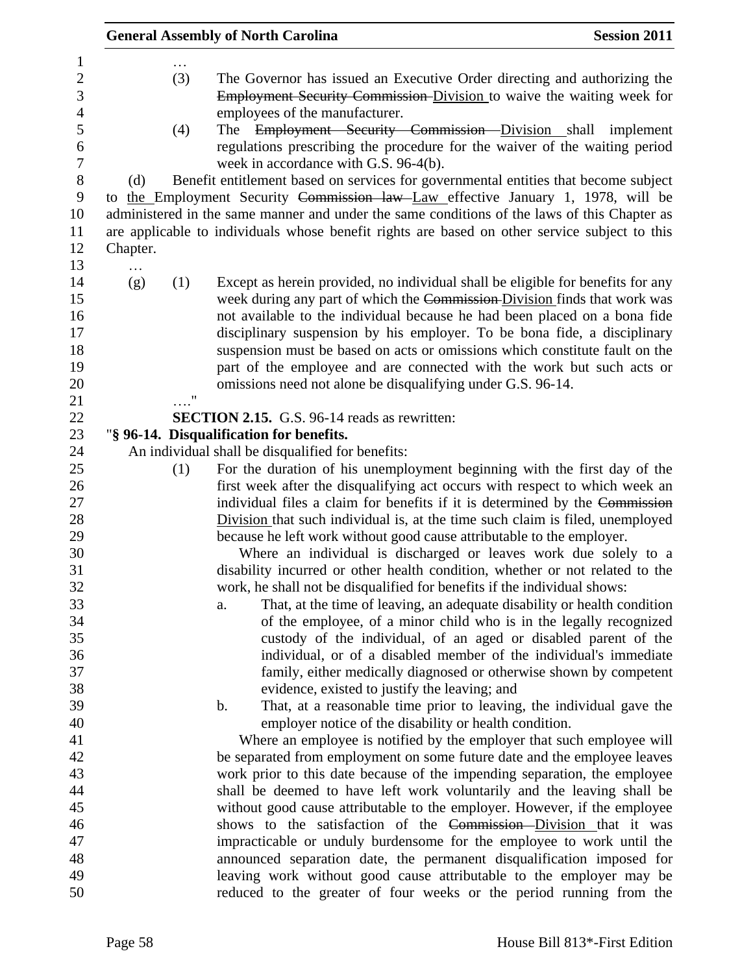|                 |            | <b>General Assembly of North Carolina</b>                                                                                                                                                                                                                                                                                                                                                                                                                                                                                                                                                                                                                                                                                                                | <b>Session 2011</b> |
|-----------------|------------|----------------------------------------------------------------------------------------------------------------------------------------------------------------------------------------------------------------------------------------------------------------------------------------------------------------------------------------------------------------------------------------------------------------------------------------------------------------------------------------------------------------------------------------------------------------------------------------------------------------------------------------------------------------------------------------------------------------------------------------------------------|---------------------|
| (d)<br>Chapter. | (3)<br>(4) | The Governor has issued an Executive Order directing and authorizing the<br>Employment Security Commission-Division to waive the waiting week for<br>employees of the manufacturer.<br>Employment Security Commission Division shall implement<br>The<br>regulations prescribing the procedure for the waiver of the waiting period<br>week in accordance with G.S. 96-4(b).<br>Benefit entitlement based on services for governmental entities that become subject<br>to the Employment Security Commission law Law effective January 1, 1978, will be<br>administered in the same manner and under the same conditions of the laws of this Chapter as<br>are applicable to individuals whose benefit rights are based on other service subject to this |                     |
| .<br>(g)        | (1)<br>"   | Except as herein provided, no individual shall be eligible for benefits for any<br>week during any part of which the Commission-Division finds that work was<br>not available to the individual because he had been placed on a bona fide<br>disciplinary suspension by his employer. To be bona fide, a disciplinary<br>suspension must be based on acts or omissions which constitute fault on the<br>part of the employee and are connected with the work but such acts or<br>omissions need not alone be disqualifying under G.S. 96-14.                                                                                                                                                                                                             |                     |
|                 |            | <b>SECTION 2.15.</b> G.S. 96-14 reads as rewritten:                                                                                                                                                                                                                                                                                                                                                                                                                                                                                                                                                                                                                                                                                                      |                     |
|                 |            | "§ 96-14. Disqualification for benefits.                                                                                                                                                                                                                                                                                                                                                                                                                                                                                                                                                                                                                                                                                                                 |                     |
|                 |            | An individual shall be disqualified for benefits:                                                                                                                                                                                                                                                                                                                                                                                                                                                                                                                                                                                                                                                                                                        |                     |
|                 | (1)        | For the duration of his unemployment beginning with the first day of the                                                                                                                                                                                                                                                                                                                                                                                                                                                                                                                                                                                                                                                                                 |                     |
|                 |            | first week after the disqualifying act occurs with respect to which week an                                                                                                                                                                                                                                                                                                                                                                                                                                                                                                                                                                                                                                                                              |                     |
|                 |            | individual files a claim for benefits if it is determined by the Commission                                                                                                                                                                                                                                                                                                                                                                                                                                                                                                                                                                                                                                                                              |                     |
|                 |            | Division that such individual is, at the time such claim is filed, unemployed                                                                                                                                                                                                                                                                                                                                                                                                                                                                                                                                                                                                                                                                            |                     |
|                 |            | because he left work without good cause attributable to the employer.                                                                                                                                                                                                                                                                                                                                                                                                                                                                                                                                                                                                                                                                                    |                     |
|                 |            | Where an individual is discharged or leaves work due solely to a                                                                                                                                                                                                                                                                                                                                                                                                                                                                                                                                                                                                                                                                                         |                     |
|                 |            | disability incurred or other health condition, whether or not related to the                                                                                                                                                                                                                                                                                                                                                                                                                                                                                                                                                                                                                                                                             |                     |
|                 |            | work, he shall not be disqualified for benefits if the individual shows:<br>That, at the time of leaving, an adequate disability or health condition                                                                                                                                                                                                                                                                                                                                                                                                                                                                                                                                                                                                     |                     |
|                 |            | a.<br>of the employee, of a minor child who is in the legally recognized                                                                                                                                                                                                                                                                                                                                                                                                                                                                                                                                                                                                                                                                                 |                     |
|                 |            | custody of the individual, of an aged or disabled parent of the                                                                                                                                                                                                                                                                                                                                                                                                                                                                                                                                                                                                                                                                                          |                     |
|                 |            | individual, or of a disabled member of the individual's immediate                                                                                                                                                                                                                                                                                                                                                                                                                                                                                                                                                                                                                                                                                        |                     |
|                 |            | family, either medically diagnosed or otherwise shown by competent                                                                                                                                                                                                                                                                                                                                                                                                                                                                                                                                                                                                                                                                                       |                     |
|                 |            | evidence, existed to justify the leaving; and                                                                                                                                                                                                                                                                                                                                                                                                                                                                                                                                                                                                                                                                                                            |                     |
|                 |            | That, at a reasonable time prior to leaving, the individual gave the<br>$\mathbf b$ .                                                                                                                                                                                                                                                                                                                                                                                                                                                                                                                                                                                                                                                                    |                     |
|                 |            | employer notice of the disability or health condition.                                                                                                                                                                                                                                                                                                                                                                                                                                                                                                                                                                                                                                                                                                   |                     |
|                 |            | Where an employee is notified by the employer that such employee will                                                                                                                                                                                                                                                                                                                                                                                                                                                                                                                                                                                                                                                                                    |                     |
|                 |            | be separated from employment on some future date and the employee leaves                                                                                                                                                                                                                                                                                                                                                                                                                                                                                                                                                                                                                                                                                 |                     |
|                 |            | work prior to this date because of the impending separation, the employee                                                                                                                                                                                                                                                                                                                                                                                                                                                                                                                                                                                                                                                                                |                     |
|                 |            | shall be deemed to have left work voluntarily and the leaving shall be                                                                                                                                                                                                                                                                                                                                                                                                                                                                                                                                                                                                                                                                                   |                     |
|                 |            |                                                                                                                                                                                                                                                                                                                                                                                                                                                                                                                                                                                                                                                                                                                                                          |                     |
|                 |            | without good cause attributable to the employer. However, if the employee                                                                                                                                                                                                                                                                                                                                                                                                                                                                                                                                                                                                                                                                                |                     |
|                 |            | shows to the satisfaction of the Commission-Division that it was                                                                                                                                                                                                                                                                                                                                                                                                                                                                                                                                                                                                                                                                                         |                     |
|                 |            | impracticable or unduly burdensome for the employee to work until the                                                                                                                                                                                                                                                                                                                                                                                                                                                                                                                                                                                                                                                                                    |                     |
|                 |            | announced separation date, the permanent disqualification imposed for<br>leaving work without good cause attributable to the employer may be                                                                                                                                                                                                                                                                                                                                                                                                                                                                                                                                                                                                             |                     |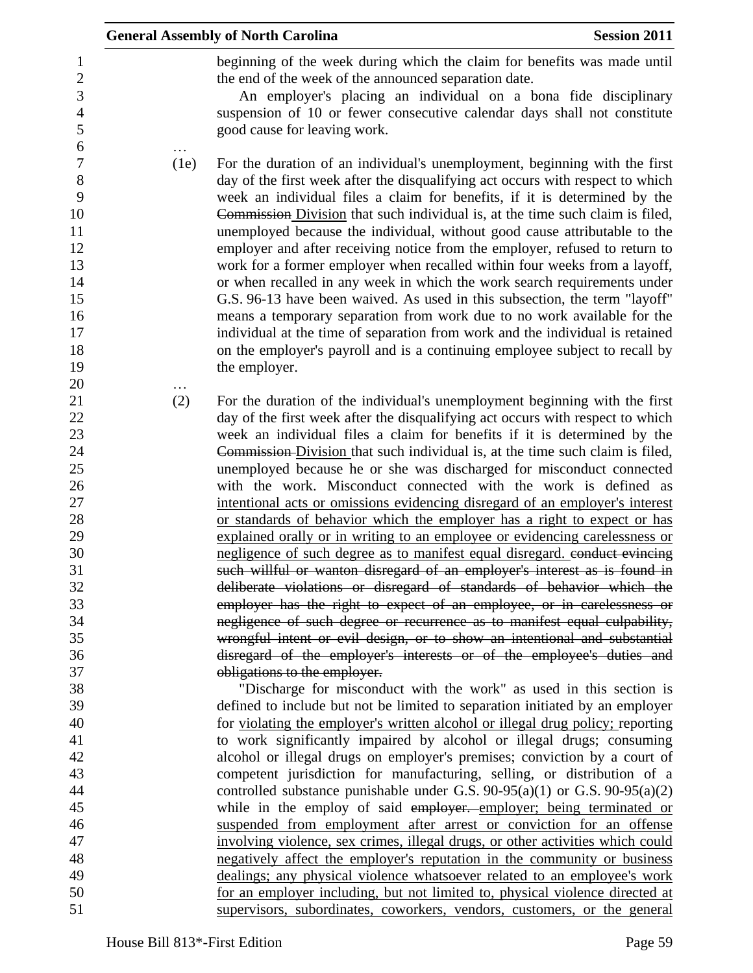|      | <b>General Assembly of North Carolina</b>                                                                                                                                                                                                                                                                                                                                                                                                                                                                                                                                                                                                                                                                                                                                                                                                                                                                                                                                                 | <b>Session 2011</b> |
|------|-------------------------------------------------------------------------------------------------------------------------------------------------------------------------------------------------------------------------------------------------------------------------------------------------------------------------------------------------------------------------------------------------------------------------------------------------------------------------------------------------------------------------------------------------------------------------------------------------------------------------------------------------------------------------------------------------------------------------------------------------------------------------------------------------------------------------------------------------------------------------------------------------------------------------------------------------------------------------------------------|---------------------|
|      | beginning of the week during which the claim for benefits was made until<br>the end of the week of the announced separation date.<br>An employer's placing an individual on a bona fide disciplinary<br>suspension of 10 or fewer consecutive calendar days shall not constitute                                                                                                                                                                                                                                                                                                                                                                                                                                                                                                                                                                                                                                                                                                          |                     |
|      | good cause for leaving work.                                                                                                                                                                                                                                                                                                                                                                                                                                                                                                                                                                                                                                                                                                                                                                                                                                                                                                                                                              |                     |
| (1e) | For the duration of an individual's unemployment, beginning with the first<br>day of the first week after the disqualifying act occurs with respect to which<br>week an individual files a claim for benefits, if it is determined by the<br>Commission Division that such individual is, at the time such claim is filed,<br>unemployed because the individual, without good cause attributable to the<br>employer and after receiving notice from the employer, refused to return to<br>work for a former employer when recalled within four weeks from a layoff,<br>or when recalled in any week in which the work search requirements under<br>G.S. 96-13 have been waived. As used in this subsection, the term "layoff"<br>means a temporary separation from work due to no work available for the<br>individual at the time of separation from work and the individual is retained<br>on the employer's payroll and is a continuing employee subject to recall by<br>the employer. |                     |
| (2)  | For the duration of the individual's unemployment beginning with the first                                                                                                                                                                                                                                                                                                                                                                                                                                                                                                                                                                                                                                                                                                                                                                                                                                                                                                                |                     |
|      | day of the first week after the disqualifying act occurs with respect to which                                                                                                                                                                                                                                                                                                                                                                                                                                                                                                                                                                                                                                                                                                                                                                                                                                                                                                            |                     |
|      | week an individual files a claim for benefits if it is determined by the                                                                                                                                                                                                                                                                                                                                                                                                                                                                                                                                                                                                                                                                                                                                                                                                                                                                                                                  |                     |
|      | Commission-Division that such individual is, at the time such claim is filed,                                                                                                                                                                                                                                                                                                                                                                                                                                                                                                                                                                                                                                                                                                                                                                                                                                                                                                             |                     |
|      | unemployed because he or she was discharged for misconduct connected                                                                                                                                                                                                                                                                                                                                                                                                                                                                                                                                                                                                                                                                                                                                                                                                                                                                                                                      |                     |
|      | with the work. Misconduct connected with the work is defined as                                                                                                                                                                                                                                                                                                                                                                                                                                                                                                                                                                                                                                                                                                                                                                                                                                                                                                                           |                     |
|      | intentional acts or omissions evidencing disregard of an employer's interest                                                                                                                                                                                                                                                                                                                                                                                                                                                                                                                                                                                                                                                                                                                                                                                                                                                                                                              |                     |
|      | or standards of behavior which the employer has a right to expect or has                                                                                                                                                                                                                                                                                                                                                                                                                                                                                                                                                                                                                                                                                                                                                                                                                                                                                                                  |                     |
|      | explained orally or in writing to an employee or evidencing carelessness or                                                                                                                                                                                                                                                                                                                                                                                                                                                                                                                                                                                                                                                                                                                                                                                                                                                                                                               |                     |
|      | negligence of such degree as to manifest equal disregard. conduct evincing                                                                                                                                                                                                                                                                                                                                                                                                                                                                                                                                                                                                                                                                                                                                                                                                                                                                                                                |                     |
|      | such willful or wanton disregard of an employer's interest as is found in                                                                                                                                                                                                                                                                                                                                                                                                                                                                                                                                                                                                                                                                                                                                                                                                                                                                                                                 |                     |
|      | deliberate violations or disregard of standards of behavior which the                                                                                                                                                                                                                                                                                                                                                                                                                                                                                                                                                                                                                                                                                                                                                                                                                                                                                                                     |                     |
|      | employer has the right to expect of an employee, or in carelessness or                                                                                                                                                                                                                                                                                                                                                                                                                                                                                                                                                                                                                                                                                                                                                                                                                                                                                                                    |                     |
|      | negligence of such degree or recurrence as to manifest equal culpability,                                                                                                                                                                                                                                                                                                                                                                                                                                                                                                                                                                                                                                                                                                                                                                                                                                                                                                                 |                     |
|      | wrongful intent or evil design, or to show an intentional and substantial                                                                                                                                                                                                                                                                                                                                                                                                                                                                                                                                                                                                                                                                                                                                                                                                                                                                                                                 |                     |
|      | disregard of the employer's interests or of the employee's duties and<br>obligations to the employer.                                                                                                                                                                                                                                                                                                                                                                                                                                                                                                                                                                                                                                                                                                                                                                                                                                                                                     |                     |
|      | "Discharge for misconduct with the work" as used in this section is                                                                                                                                                                                                                                                                                                                                                                                                                                                                                                                                                                                                                                                                                                                                                                                                                                                                                                                       |                     |
|      | defined to include but not be limited to separation initiated by an employer                                                                                                                                                                                                                                                                                                                                                                                                                                                                                                                                                                                                                                                                                                                                                                                                                                                                                                              |                     |
|      | for violating the employer's written alcohol or illegal drug policy; reporting                                                                                                                                                                                                                                                                                                                                                                                                                                                                                                                                                                                                                                                                                                                                                                                                                                                                                                            |                     |
|      | to work significantly impaired by alcohol or illegal drugs; consuming                                                                                                                                                                                                                                                                                                                                                                                                                                                                                                                                                                                                                                                                                                                                                                                                                                                                                                                     |                     |
|      | alcohol or illegal drugs on employer's premises; conviction by a court of                                                                                                                                                                                                                                                                                                                                                                                                                                                                                                                                                                                                                                                                                                                                                                                                                                                                                                                 |                     |
|      | competent jurisdiction for manufacturing, selling, or distribution of a                                                                                                                                                                                                                                                                                                                                                                                                                                                                                                                                                                                                                                                                                                                                                                                                                                                                                                                   |                     |
|      | controlled substance punishable under G.S. $90-95(a)(1)$ or G.S. $90-95(a)(2)$                                                                                                                                                                                                                                                                                                                                                                                                                                                                                                                                                                                                                                                                                                                                                                                                                                                                                                            |                     |
|      | while in the employ of said employer. employer; being terminated or                                                                                                                                                                                                                                                                                                                                                                                                                                                                                                                                                                                                                                                                                                                                                                                                                                                                                                                       |                     |
|      | suspended from employment after arrest or conviction for an offense                                                                                                                                                                                                                                                                                                                                                                                                                                                                                                                                                                                                                                                                                                                                                                                                                                                                                                                       |                     |
|      | involving violence, sex crimes, illegal drugs, or other activities which could                                                                                                                                                                                                                                                                                                                                                                                                                                                                                                                                                                                                                                                                                                                                                                                                                                                                                                            |                     |
|      | negatively affect the employer's reputation in the community or business                                                                                                                                                                                                                                                                                                                                                                                                                                                                                                                                                                                                                                                                                                                                                                                                                                                                                                                  |                     |
|      | dealings; any physical violence whatsoever related to an employee's work                                                                                                                                                                                                                                                                                                                                                                                                                                                                                                                                                                                                                                                                                                                                                                                                                                                                                                                  |                     |
|      | for an employer including, but not limited to, physical violence directed at                                                                                                                                                                                                                                                                                                                                                                                                                                                                                                                                                                                                                                                                                                                                                                                                                                                                                                              |                     |
|      | supervisors, subordinates, coworkers, vendors, customers, or the general                                                                                                                                                                                                                                                                                                                                                                                                                                                                                                                                                                                                                                                                                                                                                                                                                                                                                                                  |                     |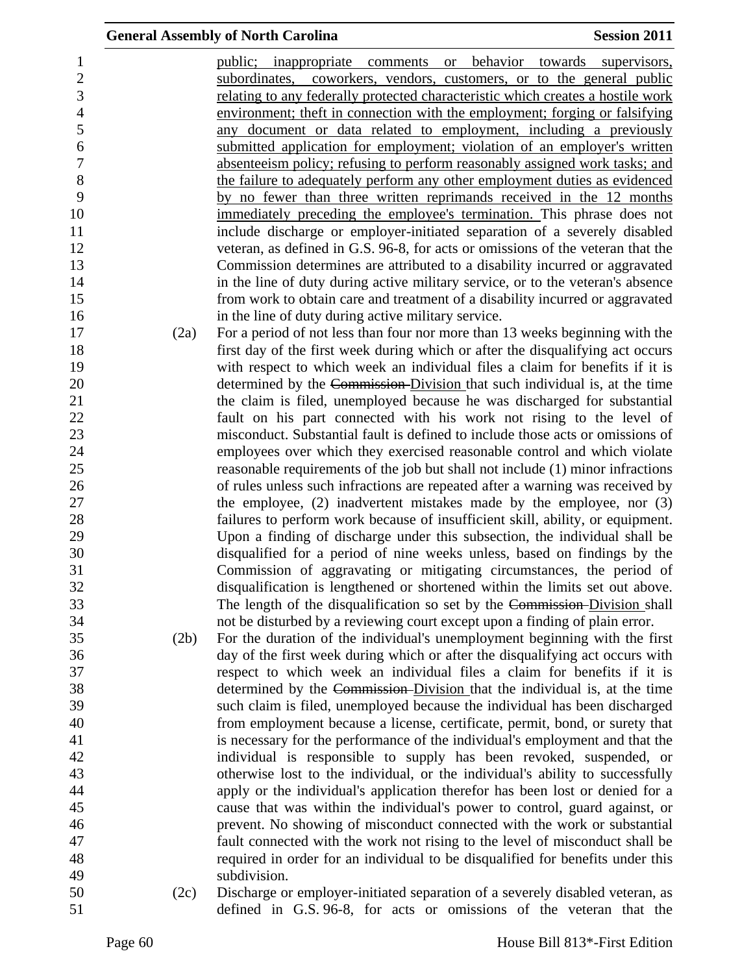|                          |      | <b>General Assembly of North Carolina</b>                                       | <b>Session 2011</b>           |
|--------------------------|------|---------------------------------------------------------------------------------|-------------------------------|
| $\mathbf{1}$             |      | public; inappropriate comments or                                               | behavior towards supervisors, |
| $\sqrt{2}$               |      | subordinates, coworkers, vendors, customers, or to the general public           |                               |
| $\overline{3}$           |      | relating to any federally protected characteristic which creates a hostile work |                               |
| $\overline{\mathcal{L}}$ |      | environment; theft in connection with the employment; forging or falsifying     |                               |
| 5                        |      | any document or data related to employment, including a previously              |                               |
| 6                        |      | submitted application for employment; violation of an employer's written        |                               |
| $\overline{7}$           |      | absenteeism policy; refusing to perform reasonably assigned work tasks; and     |                               |
| $8\,$                    |      | the failure to adequately perform any other employment duties as evidenced      |                               |
| 9                        |      | by no fewer than three written reprimands received in the 12 months             |                               |
| 10                       |      | immediately preceding the employee's termination. This phrase does not          |                               |
| 11                       |      | include discharge or employer-initiated separation of a severely disabled       |                               |
| 12                       |      | veteran, as defined in G.S. 96-8, for acts or omissions of the veteran that the |                               |
| 13                       |      | Commission determines are attributed to a disability incurred or aggravated     |                               |
| 14                       |      | in the line of duty during active military service, or to the veteran's absence |                               |
| 15                       |      | from work to obtain care and treatment of a disability incurred or aggravated   |                               |
| 16                       |      | in the line of duty during active military service.                             |                               |
| 17                       | (2a) | For a period of not less than four nor more than 13 weeks beginning with the    |                               |
| 18                       |      | first day of the first week during which or after the disqualifying act occurs  |                               |
| 19                       |      | with respect to which week an individual files a claim for benefits if it is    |                               |
| 20                       |      | determined by the Commission-Division that such individual is, at the time      |                               |
| 21                       |      | the claim is filed, unemployed because he was discharged for substantial        |                               |
| 22                       |      | fault on his part connected with his work not rising to the level of            |                               |
| 23                       |      | misconduct. Substantial fault is defined to include those acts or omissions of  |                               |
| 24                       |      | employees over which they exercised reasonable control and which violate        |                               |
| 25                       |      | reasonable requirements of the job but shall not include (1) minor infractions  |                               |
| 26                       |      | of rules unless such infractions are repeated after a warning was received by   |                               |
| 27                       |      | the employee, $(2)$ inadvertent mistakes made by the employee, nor $(3)$        |                               |
| 28                       |      | failures to perform work because of insufficient skill, ability, or equipment.  |                               |
| 29                       |      | Upon a finding of discharge under this subsection, the individual shall be      |                               |
| 30                       |      | disqualified for a period of nine weeks unless, based on findings by the        |                               |
| 31                       |      | Commission of aggravating or mitigating circumstances, the period of            |                               |
| 32                       |      | disqualification is lengthened or shortened within the limits set out above.    |                               |
| 33                       |      | The length of the disqualification so set by the Commission-Division shall      |                               |
| 34                       |      | not be disturbed by a reviewing court except upon a finding of plain error.     |                               |
| 35                       | (2b) | For the duration of the individual's unemployment beginning with the first      |                               |
| 36                       |      | day of the first week during which or after the disqualifying act occurs with   |                               |
| 37                       |      | respect to which week an individual files a claim for benefits if it is         |                               |
| 38                       |      | determined by the Commission-Division that the individual is, at the time       |                               |
| 39                       |      | such claim is filed, unemployed because the individual has been discharged      |                               |
| 40                       |      | from employment because a license, certificate, permit, bond, or surety that    |                               |
| 41                       |      | is necessary for the performance of the individual's employment and that the    |                               |
| 42                       |      | individual is responsible to supply has been revoked, suspended, or             |                               |
| 43                       |      | otherwise lost to the individual, or the individual's ability to successfully   |                               |
| 44                       |      | apply or the individual's application therefor has been lost or denied for a    |                               |
| 45                       |      | cause that was within the individual's power to control, guard against, or      |                               |
| 46                       |      | prevent. No showing of misconduct connected with the work or substantial        |                               |
| 47                       |      | fault connected with the work not rising to the level of misconduct shall be    |                               |
| 48                       |      | required in order for an individual to be disqualified for benefits under this  |                               |
| 49                       |      | subdivision.                                                                    |                               |
| 50                       | (2c) | Discharge or employer-initiated separation of a severely disabled veteran, as   |                               |
| 51                       |      | defined in G.S. 96-8, for acts or omissions of the veteran that the             |                               |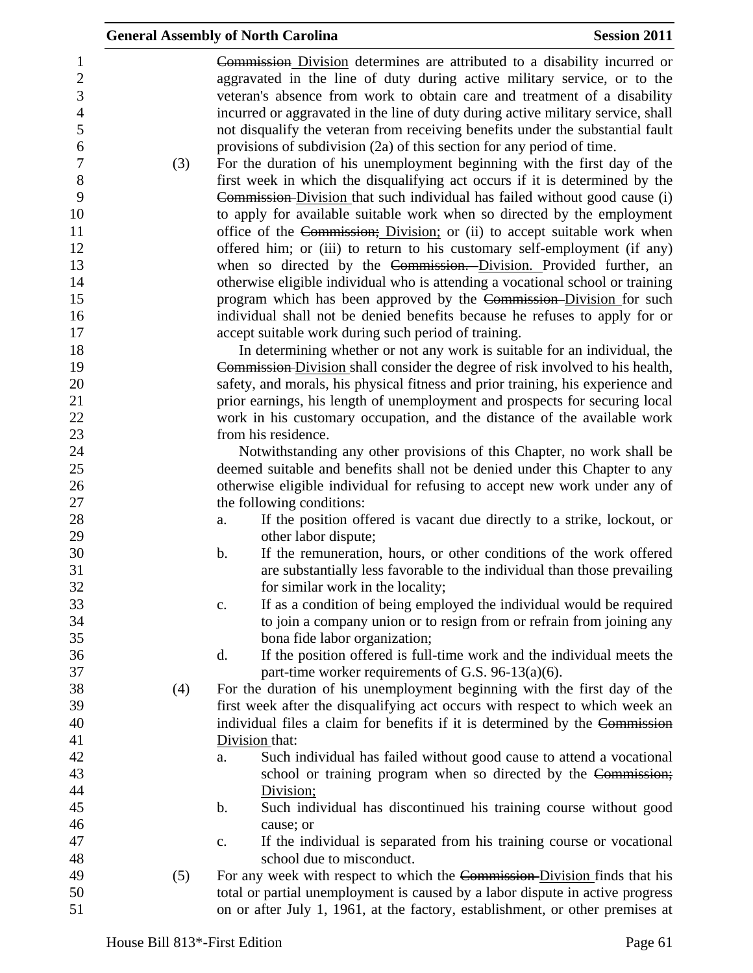|     | <b>General Assembly of North Carolina</b>                                                                                                                                                                                                                                                                                                                                                                      | <b>Session 2011</b> |
|-----|----------------------------------------------------------------------------------------------------------------------------------------------------------------------------------------------------------------------------------------------------------------------------------------------------------------------------------------------------------------------------------------------------------------|---------------------|
|     | <b>Commission</b> Division determines are attributed to a disability incurred or<br>aggravated in the line of duty during active military service, or to the<br>veteran's absence from work to obtain care and treatment of a disability<br>incurred or aggravated in the line of duty during active military service, shall<br>not disqualify the veteran from receiving benefits under the substantial fault |                     |
|     | provisions of subdivision (2a) of this section for any period of time.                                                                                                                                                                                                                                                                                                                                         |                     |
| (3) | For the duration of his unemployment beginning with the first day of the                                                                                                                                                                                                                                                                                                                                       |                     |
|     | first week in which the disqualifying act occurs if it is determined by the                                                                                                                                                                                                                                                                                                                                    |                     |
|     | Commission-Division that such individual has failed without good cause (i)                                                                                                                                                                                                                                                                                                                                     |                     |
|     | to apply for available suitable work when so directed by the employment                                                                                                                                                                                                                                                                                                                                        |                     |
|     | office of the Commission; Division; or (ii) to accept suitable work when                                                                                                                                                                                                                                                                                                                                       |                     |
|     | offered him; or (iii) to return to his customary self-employment (if any)<br>when so directed by the Commission. Division. Provided further, an                                                                                                                                                                                                                                                                |                     |
|     | otherwise eligible individual who is attending a vocational school or training                                                                                                                                                                                                                                                                                                                                 |                     |
|     | program which has been approved by the Commission-Division for such                                                                                                                                                                                                                                                                                                                                            |                     |
|     | individual shall not be denied benefits because he refuses to apply for or                                                                                                                                                                                                                                                                                                                                     |                     |
|     | accept suitable work during such period of training.                                                                                                                                                                                                                                                                                                                                                           |                     |
|     | In determining whether or not any work is suitable for an individual, the                                                                                                                                                                                                                                                                                                                                      |                     |
|     | Commission-Division shall consider the degree of risk involved to his health,                                                                                                                                                                                                                                                                                                                                  |                     |
|     | safety, and morals, his physical fitness and prior training, his experience and                                                                                                                                                                                                                                                                                                                                |                     |
|     | prior earnings, his length of unemployment and prospects for securing local                                                                                                                                                                                                                                                                                                                                    |                     |
|     | work in his customary occupation, and the distance of the available work                                                                                                                                                                                                                                                                                                                                       |                     |
|     | from his residence.                                                                                                                                                                                                                                                                                                                                                                                            |                     |
|     | Notwithstanding any other provisions of this Chapter, no work shall be                                                                                                                                                                                                                                                                                                                                         |                     |
|     | deemed suitable and benefits shall not be denied under this Chapter to any                                                                                                                                                                                                                                                                                                                                     |                     |
|     | otherwise eligible individual for refusing to accept new work under any of<br>the following conditions:                                                                                                                                                                                                                                                                                                        |                     |
|     | If the position offered is vacant due directly to a strike, lockout, or<br>a.                                                                                                                                                                                                                                                                                                                                  |                     |
|     | other labor dispute;                                                                                                                                                                                                                                                                                                                                                                                           |                     |
|     | If the remuneration, hours, or other conditions of the work offered<br>$\mathbf b$ .                                                                                                                                                                                                                                                                                                                           |                     |
|     | are substantially less favorable to the individual than those prevailing                                                                                                                                                                                                                                                                                                                                       |                     |
|     | for similar work in the locality;                                                                                                                                                                                                                                                                                                                                                                              |                     |
|     | If as a condition of being employed the individual would be required<br>$\mathbf{c}$ .                                                                                                                                                                                                                                                                                                                         |                     |
|     | to join a company union or to resign from or refrain from joining any                                                                                                                                                                                                                                                                                                                                          |                     |
|     | bona fide labor organization;                                                                                                                                                                                                                                                                                                                                                                                  |                     |
|     | If the position offered is full-time work and the individual meets the<br>d.                                                                                                                                                                                                                                                                                                                                   |                     |
|     | part-time worker requirements of G.S. 96-13(a)(6).                                                                                                                                                                                                                                                                                                                                                             |                     |
| (4) | For the duration of his unemployment beginning with the first day of the                                                                                                                                                                                                                                                                                                                                       |                     |
|     | first week after the disqualifying act occurs with respect to which week an                                                                                                                                                                                                                                                                                                                                    |                     |
|     | individual files a claim for benefits if it is determined by the Commission                                                                                                                                                                                                                                                                                                                                    |                     |
|     | Division that:                                                                                                                                                                                                                                                                                                                                                                                                 |                     |
|     | Such individual has failed without good cause to attend a vocational<br>a.<br>school or training program when so directed by the Commission;                                                                                                                                                                                                                                                                   |                     |
|     | Division;                                                                                                                                                                                                                                                                                                                                                                                                      |                     |
|     | Such individual has discontinued his training course without good<br>b.                                                                                                                                                                                                                                                                                                                                        |                     |
|     | cause; or                                                                                                                                                                                                                                                                                                                                                                                                      |                     |
|     | If the individual is separated from his training course or vocational<br>$\mathbf{c}$ .                                                                                                                                                                                                                                                                                                                        |                     |
|     | school due to misconduct.                                                                                                                                                                                                                                                                                                                                                                                      |                     |
| (5) | For any week with respect to which the Commission-Division finds that his                                                                                                                                                                                                                                                                                                                                      |                     |
|     | total or partial unemployment is caused by a labor dispute in active progress                                                                                                                                                                                                                                                                                                                                  |                     |
|     | on or after July 1, 1961, at the factory, establishment, or other premises at                                                                                                                                                                                                                                                                                                                                  |                     |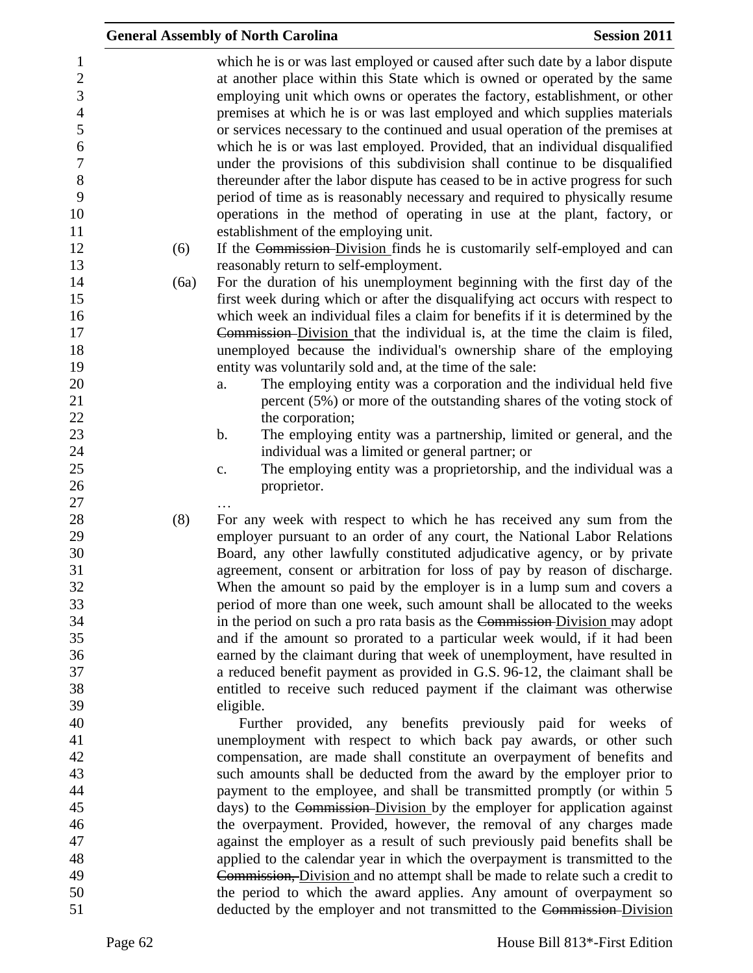|      | <b>General Assembly of North Carolina</b>                                                                                                                                                                                                                                                                                                                                                                                                                                                                                                                                                                                                                                                                                                                                                                                                               | <b>Session 2011</b> |
|------|---------------------------------------------------------------------------------------------------------------------------------------------------------------------------------------------------------------------------------------------------------------------------------------------------------------------------------------------------------------------------------------------------------------------------------------------------------------------------------------------------------------------------------------------------------------------------------------------------------------------------------------------------------------------------------------------------------------------------------------------------------------------------------------------------------------------------------------------------------|---------------------|
|      | which he is or was last employed or caused after such date by a labor dispute<br>at another place within this State which is owned or operated by the same<br>employing unit which owns or operates the factory, establishment, or other<br>premises at which he is or was last employed and which supplies materials<br>or services necessary to the continued and usual operation of the premises at<br>which he is or was last employed. Provided, that an individual disqualified<br>under the provisions of this subdivision shall continue to be disqualified<br>thereunder after the labor dispute has ceased to be in active progress for such<br>period of time as is reasonably necessary and required to physically resume<br>operations in the method of operating in use at the plant, factory, or<br>establishment of the employing unit. |                     |
| (6)  | If the Commission-Division finds he is customarily self-employed and can<br>reasonably return to self-employment.                                                                                                                                                                                                                                                                                                                                                                                                                                                                                                                                                                                                                                                                                                                                       |                     |
| (6a) | For the duration of his unemployment beginning with the first day of the                                                                                                                                                                                                                                                                                                                                                                                                                                                                                                                                                                                                                                                                                                                                                                                |                     |
|      | first week during which or after the disqualifying act occurs with respect to                                                                                                                                                                                                                                                                                                                                                                                                                                                                                                                                                                                                                                                                                                                                                                           |                     |
|      | which week an individual files a claim for benefits if it is determined by the                                                                                                                                                                                                                                                                                                                                                                                                                                                                                                                                                                                                                                                                                                                                                                          |                     |
|      | Commission-Division that the individual is, at the time the claim is filed,                                                                                                                                                                                                                                                                                                                                                                                                                                                                                                                                                                                                                                                                                                                                                                             |                     |
|      | unemployed because the individual's ownership share of the employing                                                                                                                                                                                                                                                                                                                                                                                                                                                                                                                                                                                                                                                                                                                                                                                    |                     |
|      | entity was voluntarily sold and, at the time of the sale:                                                                                                                                                                                                                                                                                                                                                                                                                                                                                                                                                                                                                                                                                                                                                                                               |                     |
|      | The employing entity was a corporation and the individual held five<br>a.                                                                                                                                                                                                                                                                                                                                                                                                                                                                                                                                                                                                                                                                                                                                                                               |                     |
|      | percent (5%) or more of the outstanding shares of the voting stock of                                                                                                                                                                                                                                                                                                                                                                                                                                                                                                                                                                                                                                                                                                                                                                                   |                     |
|      | the corporation;<br>The employing entity was a partnership, limited or general, and the<br>b.                                                                                                                                                                                                                                                                                                                                                                                                                                                                                                                                                                                                                                                                                                                                                           |                     |
|      | individual was a limited or general partner; or                                                                                                                                                                                                                                                                                                                                                                                                                                                                                                                                                                                                                                                                                                                                                                                                         |                     |
|      | The employing entity was a proprietorship, and the individual was a<br>$\mathbf{c}$ .                                                                                                                                                                                                                                                                                                                                                                                                                                                                                                                                                                                                                                                                                                                                                                   |                     |
|      | proprietor.                                                                                                                                                                                                                                                                                                                                                                                                                                                                                                                                                                                                                                                                                                                                                                                                                                             |                     |
|      |                                                                                                                                                                                                                                                                                                                                                                                                                                                                                                                                                                                                                                                                                                                                                                                                                                                         |                     |
| (8)  | For any week with respect to which he has received any sum from the                                                                                                                                                                                                                                                                                                                                                                                                                                                                                                                                                                                                                                                                                                                                                                                     |                     |
|      | employer pursuant to an order of any court, the National Labor Relations                                                                                                                                                                                                                                                                                                                                                                                                                                                                                                                                                                                                                                                                                                                                                                                |                     |
|      | Board, any other lawfully constituted adjudicative agency, or by private                                                                                                                                                                                                                                                                                                                                                                                                                                                                                                                                                                                                                                                                                                                                                                                |                     |
|      | agreement, consent or arbitration for loss of pay by reason of discharge.                                                                                                                                                                                                                                                                                                                                                                                                                                                                                                                                                                                                                                                                                                                                                                               |                     |
|      | When the amount so paid by the employer is in a lump sum and covers a                                                                                                                                                                                                                                                                                                                                                                                                                                                                                                                                                                                                                                                                                                                                                                                   |                     |
|      | period of more than one week, such amount shall be allocated to the weeks                                                                                                                                                                                                                                                                                                                                                                                                                                                                                                                                                                                                                                                                                                                                                                               |                     |
|      | in the period on such a pro rata basis as the Commission-Division may adopt                                                                                                                                                                                                                                                                                                                                                                                                                                                                                                                                                                                                                                                                                                                                                                             |                     |
|      | and if the amount so prorated to a particular week would, if it had been                                                                                                                                                                                                                                                                                                                                                                                                                                                                                                                                                                                                                                                                                                                                                                                |                     |
|      | earned by the claimant during that week of unemployment, have resulted in<br>a reduced benefit payment as provided in G.S. 96-12, the claimant shall be                                                                                                                                                                                                                                                                                                                                                                                                                                                                                                                                                                                                                                                                                                 |                     |
|      | entitled to receive such reduced payment if the claimant was otherwise                                                                                                                                                                                                                                                                                                                                                                                                                                                                                                                                                                                                                                                                                                                                                                                  |                     |
|      | eligible.                                                                                                                                                                                                                                                                                                                                                                                                                                                                                                                                                                                                                                                                                                                                                                                                                                               |                     |
|      | Further provided, any benefits previously paid for weeks of                                                                                                                                                                                                                                                                                                                                                                                                                                                                                                                                                                                                                                                                                                                                                                                             |                     |
|      | unemployment with respect to which back pay awards, or other such                                                                                                                                                                                                                                                                                                                                                                                                                                                                                                                                                                                                                                                                                                                                                                                       |                     |
|      | compensation, are made shall constitute an overpayment of benefits and                                                                                                                                                                                                                                                                                                                                                                                                                                                                                                                                                                                                                                                                                                                                                                                  |                     |
|      | such amounts shall be deducted from the award by the employer prior to                                                                                                                                                                                                                                                                                                                                                                                                                                                                                                                                                                                                                                                                                                                                                                                  |                     |
|      | payment to the employee, and shall be transmitted promptly (or within 5                                                                                                                                                                                                                                                                                                                                                                                                                                                                                                                                                                                                                                                                                                                                                                                 |                     |
|      | days) to the Commission-Division by the employer for application against                                                                                                                                                                                                                                                                                                                                                                                                                                                                                                                                                                                                                                                                                                                                                                                |                     |
|      | the overpayment. Provided, however, the removal of any charges made                                                                                                                                                                                                                                                                                                                                                                                                                                                                                                                                                                                                                                                                                                                                                                                     |                     |
|      | against the employer as a result of such previously paid benefits shall be                                                                                                                                                                                                                                                                                                                                                                                                                                                                                                                                                                                                                                                                                                                                                                              |                     |
|      | applied to the calendar year in which the overpayment is transmitted to the                                                                                                                                                                                                                                                                                                                                                                                                                                                                                                                                                                                                                                                                                                                                                                             |                     |
|      | Commission, Division and no attempt shall be made to relate such a credit to                                                                                                                                                                                                                                                                                                                                                                                                                                                                                                                                                                                                                                                                                                                                                                            |                     |
|      | the period to which the award applies. Any amount of overpayment so                                                                                                                                                                                                                                                                                                                                                                                                                                                                                                                                                                                                                                                                                                                                                                                     |                     |
|      | deducted by the employer and not transmitted to the Commission-Division                                                                                                                                                                                                                                                                                                                                                                                                                                                                                                                                                                                                                                                                                                                                                                                 |                     |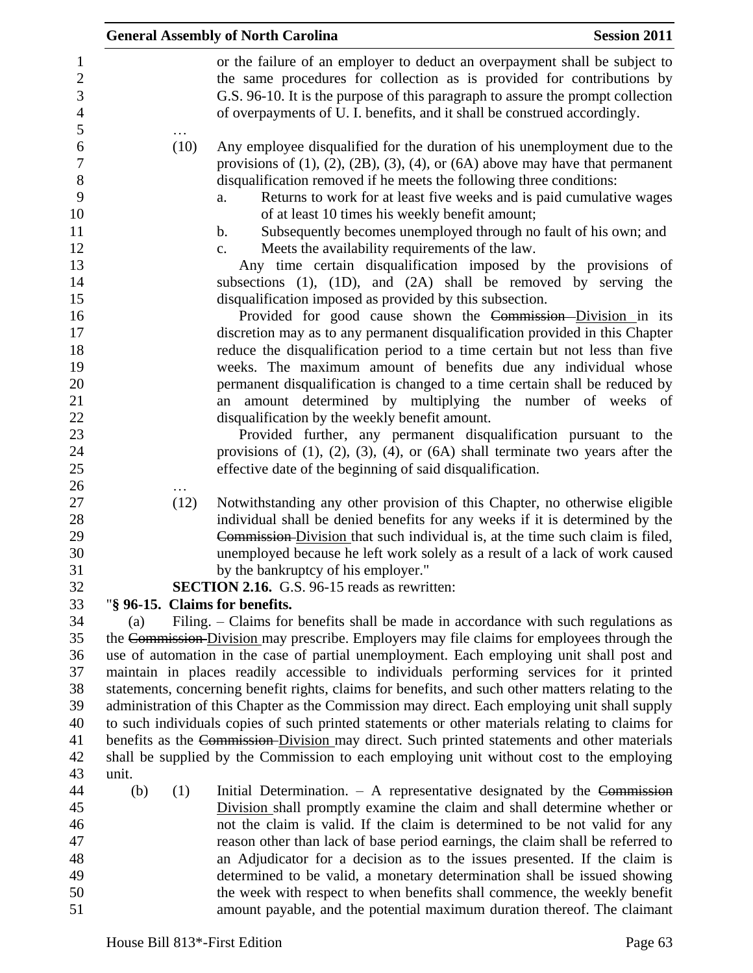|                                                                                                                                        |              |      | <b>General Assembly of North Carolina</b>                                                                                                                                                                                                                                                                                                                                                                                                                                                                                                                                                                                                                                                                                                                                                                                                                                                                                                                                                                                                                                                                                                                                                                                                                                                                                                                                                                                                                                               | <b>Session 2011</b> |
|----------------------------------------------------------------------------------------------------------------------------------------|--------------|------|-----------------------------------------------------------------------------------------------------------------------------------------------------------------------------------------------------------------------------------------------------------------------------------------------------------------------------------------------------------------------------------------------------------------------------------------------------------------------------------------------------------------------------------------------------------------------------------------------------------------------------------------------------------------------------------------------------------------------------------------------------------------------------------------------------------------------------------------------------------------------------------------------------------------------------------------------------------------------------------------------------------------------------------------------------------------------------------------------------------------------------------------------------------------------------------------------------------------------------------------------------------------------------------------------------------------------------------------------------------------------------------------------------------------------------------------------------------------------------------------|---------------------|
| $\mathbf{1}$<br>$\overline{c}$<br>3<br>$\overline{4}$<br>5                                                                             |              |      | or the failure of an employer to deduct an overpayment shall be subject to<br>the same procedures for collection as is provided for contributions by<br>G.S. 96-10. It is the purpose of this paragraph to assure the prompt collection<br>of overpayments of U. I. benefits, and it shall be construed accordingly.                                                                                                                                                                                                                                                                                                                                                                                                                                                                                                                                                                                                                                                                                                                                                                                                                                                                                                                                                                                                                                                                                                                                                                    |                     |
| $\sqrt{6}$<br>$\overline{7}$<br>8<br>9<br>10<br>11<br>12<br>13<br>14<br>15<br>16<br>17<br>18<br>19<br>20<br>21<br>22<br>23<br>24<br>25 |              | (10) | Any employee disqualified for the duration of his unemployment due to the<br>provisions of $(1)$ , $(2)$ , $(2B)$ , $(3)$ , $(4)$ , or $(6A)$ above may have that permanent<br>disqualification removed if he meets the following three conditions:<br>Returns to work for at least five weeks and is paid cumulative wages<br>a.<br>of at least 10 times his weekly benefit amount;<br>Subsequently becomes unemployed through no fault of his own; and<br>$\mathbf b$ .<br>Meets the availability requirements of the law.<br>$c_{\cdot}$<br>Any time certain disqualification imposed by the provisions of<br>subsections $(1)$ , $(1D)$ , and $(2A)$ shall be removed by serving the<br>disqualification imposed as provided by this subsection.<br>Provided for good cause shown the Commission-Division in its<br>discretion may as to any permanent disqualification provided in this Chapter<br>reduce the disqualification period to a time certain but not less than five<br>weeks. The maximum amount of benefits due any individual whose<br>permanent disqualification is changed to a time certain shall be reduced by<br>amount determined by multiplying the number of weeks of<br>an<br>disqualification by the weekly benefit amount.<br>Provided further, any permanent disqualification pursuant to the<br>provisions of $(1)$ , $(2)$ , $(3)$ , $(4)$ , or $(6A)$ shall terminate two years after the<br>effective date of the beginning of said disqualification. |                     |
| 26<br>27<br>28<br>29<br>30<br>31<br>32<br>33                                                                                           |              | (12) | Notwithstanding any other provision of this Chapter, no otherwise eligible<br>individual shall be denied benefits for any weeks if it is determined by the<br>Commission-Division that such individual is, at the time such claim is filed,<br>unemployed because he left work solely as a result of a lack of work caused<br>by the bankruptcy of his employer."<br>SECTION 2.16. G.S. 96-15 reads as rewritten:<br>"§ 96-15. Claims for benefits.                                                                                                                                                                                                                                                                                                                                                                                                                                                                                                                                                                                                                                                                                                                                                                                                                                                                                                                                                                                                                                     |                     |
| 34<br>35<br>36<br>37<br>38<br>39<br>40<br>41<br>42<br>43                                                                               | (a)<br>unit. |      | Filing. - Claims for benefits shall be made in accordance with such regulations as<br>the Commission Division may prescribe. Employers may file claims for employees through the<br>use of automation in the case of partial unemployment. Each employing unit shall post and<br>maintain in places readily accessible to individuals performing services for it printed<br>statements, concerning benefit rights, claims for benefits, and such other matters relating to the<br>administration of this Chapter as the Commission may direct. Each employing unit shall supply<br>to such individuals copies of such printed statements or other materials relating to claims for<br>benefits as the Commission-Division may direct. Such printed statements and other materials<br>shall be supplied by the Commission to each employing unit without cost to the employing                                                                                                                                                                                                                                                                                                                                                                                                                                                                                                                                                                                                           |                     |
| 44<br>45<br>46<br>47<br>48<br>49<br>50<br>51                                                                                           | (b)          | (1)  | Initial Determination. $-$ A representative designated by the Commission<br>Division shall promptly examine the claim and shall determine whether or<br>not the claim is valid. If the claim is determined to be not valid for any<br>reason other than lack of base period earnings, the claim shall be referred to<br>an Adjudicator for a decision as to the issues presented. If the claim is<br>determined to be valid, a monetary determination shall be issued showing<br>the week with respect to when benefits shall commence, the weekly benefit<br>amount payable, and the potential maximum duration thereof. The claimant                                                                                                                                                                                                                                                                                                                                                                                                                                                                                                                                                                                                                                                                                                                                                                                                                                                  |                     |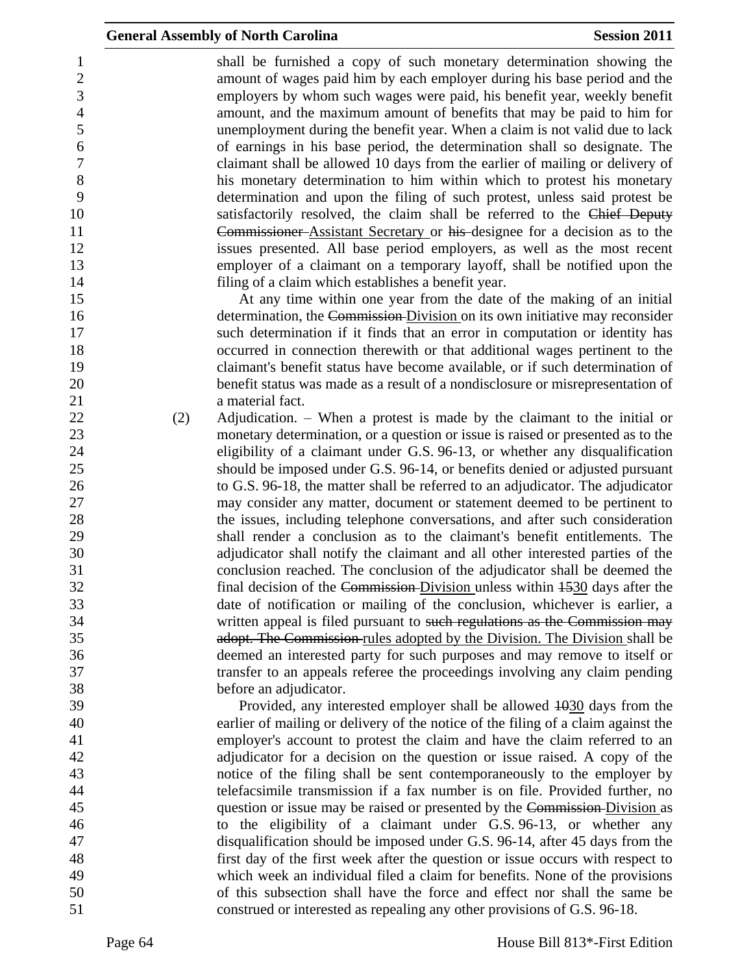|                                                                            |     | <b>General Assembly of North Carolina</b>                                                                                                                                                                                                                                                                                                                                                                                                                                                                                                                                                                                                                                                                                                                                             | <b>Session 2011</b> |
|----------------------------------------------------------------------------|-----|---------------------------------------------------------------------------------------------------------------------------------------------------------------------------------------------------------------------------------------------------------------------------------------------------------------------------------------------------------------------------------------------------------------------------------------------------------------------------------------------------------------------------------------------------------------------------------------------------------------------------------------------------------------------------------------------------------------------------------------------------------------------------------------|---------------------|
| 1<br>$\sqrt{2}$<br>3<br>$\overline{4}$<br>5<br>6<br>$\tau$<br>8<br>9<br>10 |     | shall be furnished a copy of such monetary determination showing the<br>amount of wages paid him by each employer during his base period and the<br>employers by whom such wages were paid, his benefit year, weekly benefit<br>amount, and the maximum amount of benefits that may be paid to him for<br>unemployment during the benefit year. When a claim is not valid due to lack<br>of earnings in his base period, the determination shall so designate. The<br>claimant shall be allowed 10 days from the earlier of mailing or delivery of<br>his monetary determination to him within which to protest his monetary<br>determination and upon the filing of such protest, unless said protest be<br>satisfactorily resolved, the claim shall be referred to the Chief Deputy |                     |
| 11                                                                         |     | Commissioner-Assistant Secretary or his designee for a decision as to the                                                                                                                                                                                                                                                                                                                                                                                                                                                                                                                                                                                                                                                                                                             |                     |
| 12                                                                         |     | issues presented. All base period employers, as well as the most recent                                                                                                                                                                                                                                                                                                                                                                                                                                                                                                                                                                                                                                                                                                               |                     |
| 13                                                                         |     | employer of a claimant on a temporary layoff, shall be notified upon the                                                                                                                                                                                                                                                                                                                                                                                                                                                                                                                                                                                                                                                                                                              |                     |
| 14                                                                         |     | filing of a claim which establishes a benefit year.                                                                                                                                                                                                                                                                                                                                                                                                                                                                                                                                                                                                                                                                                                                                   |                     |
| 15                                                                         |     | At any time within one year from the date of the making of an initial                                                                                                                                                                                                                                                                                                                                                                                                                                                                                                                                                                                                                                                                                                                 |                     |
| 16<br>17                                                                   |     | determination, the Commission Division on its own initiative may reconsider<br>such determination if it finds that an error in computation or identity has                                                                                                                                                                                                                                                                                                                                                                                                                                                                                                                                                                                                                            |                     |
| 18                                                                         |     | occurred in connection therewith or that additional wages pertinent to the                                                                                                                                                                                                                                                                                                                                                                                                                                                                                                                                                                                                                                                                                                            |                     |
| 19                                                                         |     | claimant's benefit status have become available, or if such determination of                                                                                                                                                                                                                                                                                                                                                                                                                                                                                                                                                                                                                                                                                                          |                     |
| 20<br>21                                                                   |     | benefit status was made as a result of a nondisclosure or misrepresentation of<br>a material fact.                                                                                                                                                                                                                                                                                                                                                                                                                                                                                                                                                                                                                                                                                    |                     |
| 22                                                                         | (2) | Adjudication. $-$ When a protest is made by the claimant to the initial or                                                                                                                                                                                                                                                                                                                                                                                                                                                                                                                                                                                                                                                                                                            |                     |
| 23                                                                         |     | monetary determination, or a question or issue is raised or presented as to the                                                                                                                                                                                                                                                                                                                                                                                                                                                                                                                                                                                                                                                                                                       |                     |
| 24                                                                         |     | eligibility of a claimant under G.S. 96-13, or whether any disqualification                                                                                                                                                                                                                                                                                                                                                                                                                                                                                                                                                                                                                                                                                                           |                     |
| 25                                                                         |     | should be imposed under G.S. 96-14, or benefits denied or adjusted pursuant                                                                                                                                                                                                                                                                                                                                                                                                                                                                                                                                                                                                                                                                                                           |                     |
| 26                                                                         |     | to G.S. 96-18, the matter shall be referred to an adjudicator. The adjudicator                                                                                                                                                                                                                                                                                                                                                                                                                                                                                                                                                                                                                                                                                                        |                     |
| 27                                                                         |     | may consider any matter, document or statement deemed to be pertinent to                                                                                                                                                                                                                                                                                                                                                                                                                                                                                                                                                                                                                                                                                                              |                     |
| 28                                                                         |     | the issues, including telephone conversations, and after such consideration                                                                                                                                                                                                                                                                                                                                                                                                                                                                                                                                                                                                                                                                                                           |                     |
| 29                                                                         |     | shall render a conclusion as to the claimant's benefit entitlements. The                                                                                                                                                                                                                                                                                                                                                                                                                                                                                                                                                                                                                                                                                                              |                     |
| 30                                                                         |     | adjudicator shall notify the claimant and all other interested parties of the                                                                                                                                                                                                                                                                                                                                                                                                                                                                                                                                                                                                                                                                                                         |                     |
| 31                                                                         |     | conclusion reached. The conclusion of the adjudicator shall be deemed the                                                                                                                                                                                                                                                                                                                                                                                                                                                                                                                                                                                                                                                                                                             |                     |
| 32                                                                         |     | final decision of the Commission-Division unless within 1530 days after the                                                                                                                                                                                                                                                                                                                                                                                                                                                                                                                                                                                                                                                                                                           |                     |
| 33                                                                         |     | date of notification or mailing of the conclusion, whichever is earlier, a                                                                                                                                                                                                                                                                                                                                                                                                                                                                                                                                                                                                                                                                                                            |                     |
| 34                                                                         |     | written appeal is filed pursuant to such regulations as the Commission may                                                                                                                                                                                                                                                                                                                                                                                                                                                                                                                                                                                                                                                                                                            |                     |
| 35                                                                         |     | adopt. The Commission rules adopted by the Division. The Division shall be                                                                                                                                                                                                                                                                                                                                                                                                                                                                                                                                                                                                                                                                                                            |                     |
| 36                                                                         |     | deemed an interested party for such purposes and may remove to itself or                                                                                                                                                                                                                                                                                                                                                                                                                                                                                                                                                                                                                                                                                                              |                     |
| 37                                                                         |     | transfer to an appeals referee the proceedings involving any claim pending                                                                                                                                                                                                                                                                                                                                                                                                                                                                                                                                                                                                                                                                                                            |                     |
| 38                                                                         |     | before an adjudicator.                                                                                                                                                                                                                                                                                                                                                                                                                                                                                                                                                                                                                                                                                                                                                                |                     |
| 39                                                                         |     | Provided, any interested employer shall be allowed $\frac{1030}{1030}$ days from the                                                                                                                                                                                                                                                                                                                                                                                                                                                                                                                                                                                                                                                                                                  |                     |
| 40                                                                         |     | earlier of mailing or delivery of the notice of the filing of a claim against the                                                                                                                                                                                                                                                                                                                                                                                                                                                                                                                                                                                                                                                                                                     |                     |
| 41                                                                         |     | employer's account to protest the claim and have the claim referred to an                                                                                                                                                                                                                                                                                                                                                                                                                                                                                                                                                                                                                                                                                                             |                     |
| 42                                                                         |     | adjudicator for a decision on the question or issue raised. A copy of the                                                                                                                                                                                                                                                                                                                                                                                                                                                                                                                                                                                                                                                                                                             |                     |
| 43                                                                         |     | notice of the filing shall be sent contemporaneously to the employer by                                                                                                                                                                                                                                                                                                                                                                                                                                                                                                                                                                                                                                                                                                               |                     |
| 44                                                                         |     | telefacsimile transmission if a fax number is on file. Provided further, no                                                                                                                                                                                                                                                                                                                                                                                                                                                                                                                                                                                                                                                                                                           |                     |
| 45                                                                         |     | question or issue may be raised or presented by the Commission-Division as                                                                                                                                                                                                                                                                                                                                                                                                                                                                                                                                                                                                                                                                                                            |                     |
| 46                                                                         |     | to the eligibility of a claimant under G.S. 96-13, or whether any                                                                                                                                                                                                                                                                                                                                                                                                                                                                                                                                                                                                                                                                                                                     |                     |
| 47                                                                         |     | disqualification should be imposed under G.S. 96-14, after 45 days from the                                                                                                                                                                                                                                                                                                                                                                                                                                                                                                                                                                                                                                                                                                           |                     |
| 48                                                                         |     | first day of the first week after the question or issue occurs with respect to                                                                                                                                                                                                                                                                                                                                                                                                                                                                                                                                                                                                                                                                                                        |                     |
| 49                                                                         |     | which week an individual filed a claim for benefits. None of the provisions                                                                                                                                                                                                                                                                                                                                                                                                                                                                                                                                                                                                                                                                                                           |                     |
| 50                                                                         |     | of this subsection shall have the force and effect nor shall the same be                                                                                                                                                                                                                                                                                                                                                                                                                                                                                                                                                                                                                                                                                                              |                     |
| 51                                                                         |     | construed or interested as repealing any other provisions of G.S. 96-18.                                                                                                                                                                                                                                                                                                                                                                                                                                                                                                                                                                                                                                                                                                              |                     |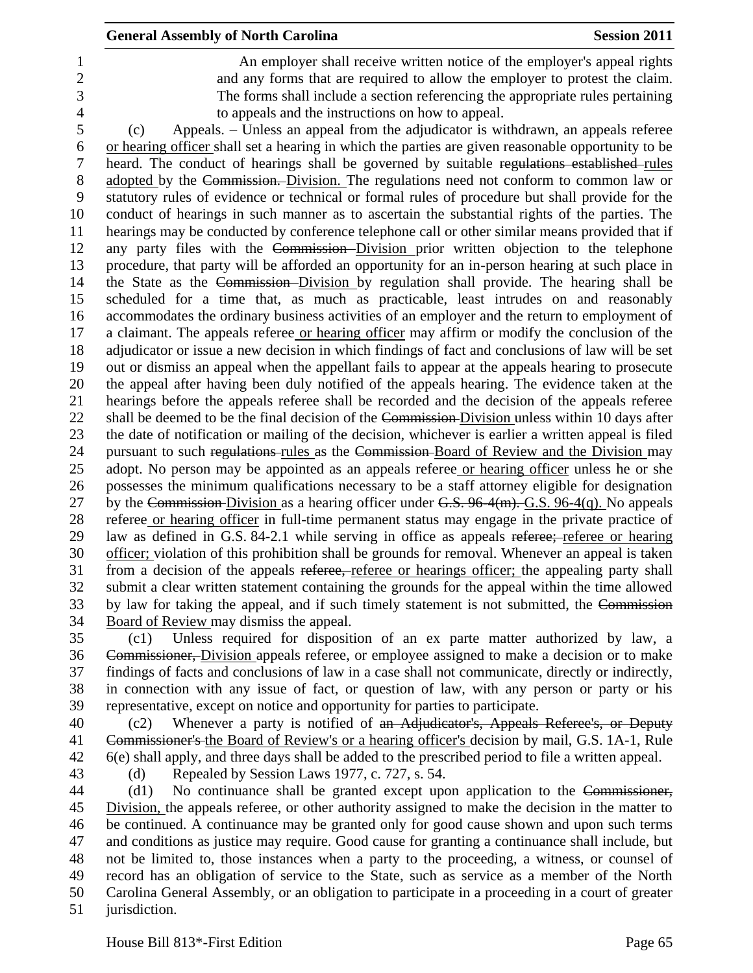An employer shall receive written notice of the employer's appeal rights and any forms that are required to allow the employer to protest the claim. The forms shall include a section referencing the appropriate rules pertaining to appeals and the instructions on how to appeal.

 (c) Appeals. – Unless an appeal from the adjudicator is withdrawn, an appeals referee or hearing officer shall set a hearing in which the parties are given reasonable opportunity to be heard. The conduct of hearings shall be governed by suitable regulations established rules adopted by the Commission. Division. The regulations need not conform to common law or statutory rules of evidence or technical or formal rules of procedure but shall provide for the conduct of hearings in such manner as to ascertain the substantial rights of the parties. The hearings may be conducted by conference telephone call or other similar means provided that if any party files with the Commission Division prior written objection to the telephone procedure, that party will be afforded an opportunity for an in-person hearing at such place in the State as the Commission Division by regulation shall provide. The hearing shall be scheduled for a time that, as much as practicable, least intrudes on and reasonably accommodates the ordinary business activities of an employer and the return to employment of a claimant. The appeals referee or hearing officer may affirm or modify the conclusion of the adjudicator or issue a new decision in which findings of fact and conclusions of law will be set out or dismiss an appeal when the appellant fails to appear at the appeals hearing to prosecute the appeal after having been duly notified of the appeals hearing. The evidence taken at the hearings before the appeals referee shall be recorded and the decision of the appeals referee 22 shall be deemed to be the final decision of the Commission-Division unless within 10 days after the date of notification or mailing of the decision, whichever is earlier a written appeal is filed 24 pursuant to such regulations-rules as the Commission-Board of Review and the Division may adopt. No person may be appointed as an appeals referee or hearing officer unless he or she possesses the minimum qualifications necessary to be a staff attorney eligible for designation 27 by the Commission-Division as a hearing officer under  $G.S. 96-4(m)$ . G.S. 96-4(q). No appeals referee or hearing officer in full-time permanent status may engage in the private practice of law as defined in G.S. 84-2.1 while serving in office as appeals referee; referee or hearing officer; violation of this prohibition shall be grounds for removal. Whenever an appeal is taken from a decision of the appeals referee, referee or hearings officer; the appealing party shall submit a clear written statement containing the grounds for the appeal within the time allowed 33 by law for taking the appeal, and if such timely statement is not submitted, the Commission Board of Review may dismiss the appeal.

 (c1) Unless required for disposition of an ex parte matter authorized by law, a Commissioner, Division appeals referee, or employee assigned to make a decision or to make findings of facts and conclusions of law in a case shall not communicate, directly or indirectly, in connection with any issue of fact, or question of law, with any person or party or his representative, except on notice and opportunity for parties to participate.

40 (c2) Whenever a party is notified of an Adjudicator's, Appeals Referee's, or Deputy Commissioner's the Board of Review's or a hearing officer's decision by mail, G.S. 1A-1, Rule 6(e) shall apply, and three days shall be added to the prescribed period to file a written appeal.

(d) Repealed by Session Laws 1977, c. 727, s. 54.

 (d1) No continuance shall be granted except upon application to the Commissioner, Division, the appeals referee, or other authority assigned to make the decision in the matter to be continued. A continuance may be granted only for good cause shown and upon such terms and conditions as justice may require. Good cause for granting a continuance shall include, but not be limited to, those instances when a party to the proceeding, a witness, or counsel of record has an obligation of service to the State, such as service as a member of the North Carolina General Assembly, or an obligation to participate in a proceeding in a court of greater jurisdiction.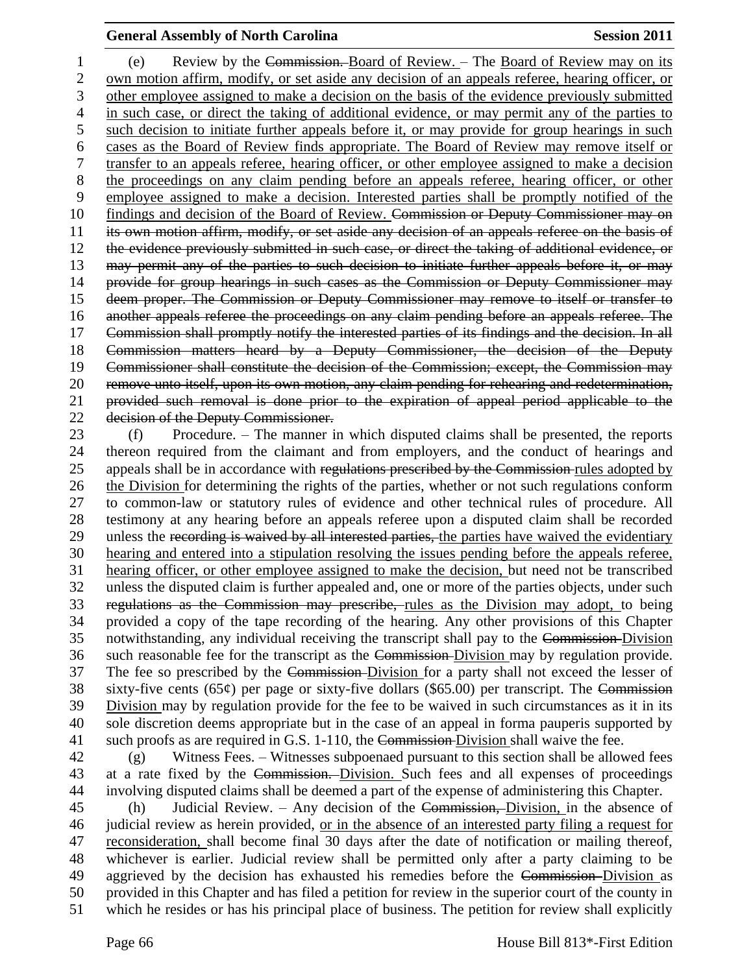(e) Review by the Commission. Board of Review. – The Board of Review may on its own motion affirm, modify, or set aside any decision of an appeals referee, hearing officer, or other employee assigned to make a decision on the basis of the evidence previously submitted in such case, or direct the taking of additional evidence, or may permit any of the parties to such decision to initiate further appeals before it, or may provide for group hearings in such cases as the Board of Review finds appropriate. The Board of Review may remove itself or transfer to an appeals referee, hearing officer, or other employee assigned to make a decision the proceedings on any claim pending before an appeals referee, hearing officer, or other employee assigned to make a decision. Interested parties shall be promptly notified of the findings and decision of the Board of Review. Commission or Deputy Commissioner may on its own motion affirm, modify, or set aside any decision of an appeals referee on the basis of the evidence previously submitted in such case, or direct the taking of additional evidence, or may permit any of the parties to such decision to initiate further appeals before it, or may provide for group hearings in such cases as the Commission or Deputy Commissioner may deem proper. The Commission or Deputy Commissioner may remove to itself or transfer to another appeals referee the proceedings on any claim pending before an appeals referee. The Commission shall promptly notify the interested parties of its findings and the decision. In all Commission matters heard by a Deputy Commissioner, the decision of the Deputy Commissioner shall constitute the decision of the Commission; except, the Commission may remove unto itself, upon its own motion, any claim pending for rehearing and redetermination, provided such removal is done prior to the expiration of appeal period applicable to the decision of the Deputy Commissioner.

 (f) Procedure. – The manner in which disputed claims shall be presented, the reports thereon required from the claimant and from employers, and the conduct of hearings and 25 appeals shall be in accordance with regulations prescribed by the Commission rules adopted by the Division for determining the rights of the parties, whether or not such regulations conform to common-law or statutory rules of evidence and other technical rules of procedure. All testimony at any hearing before an appeals referee upon a disputed claim shall be recorded 29 unless the recording is waived by all interested parties, the parties have waived the evidentiary hearing and entered into a stipulation resolving the issues pending before the appeals referee, hearing officer, or other employee assigned to make the decision, but need not be transcribed unless the disputed claim is further appealed and, one or more of the parties objects, under such regulations as the Commission may prescribe, rules as the Division may adopt, to being provided a copy of the tape recording of the hearing. Any other provisions of this Chapter notwithstanding, any individual receiving the transcript shall pay to the Commission Division such reasonable fee for the transcript as the Commission Division may by regulation provide. The fee so prescribed by the Commission Division for a party shall not exceed the lesser of 38 sixty-five cents  $(65¢)$  per page or sixty-five dollars  $(\$65.00)$  per transcript. The Commission Division may by regulation provide for the fee to be waived in such circumstances as it in its sole discretion deems appropriate but in the case of an appeal in forma pauperis supported by 41 such proofs as are required in G.S. 1-110, the Commission-Division shall waive the fee.

 (g) Witness Fees. – Witnesses subpoenaed pursuant to this section shall be allowed fees at a rate fixed by the Commission. Division. Such fees and all expenses of proceedings involving disputed claims shall be deemed a part of the expense of administering this Chapter.

 (h) Judicial Review. – Any decision of the Commission, Division, in the absence of judicial review as herein provided, or in the absence of an interested party filing a request for reconsideration, shall become final 30 days after the date of notification or mailing thereof, whichever is earlier. Judicial review shall be permitted only after a party claiming to be 49 aggrieved by the decision has exhausted his remedies before the Commission-Division as provided in this Chapter and has filed a petition for review in the superior court of the county in which he resides or has his principal place of business. The petition for review shall explicitly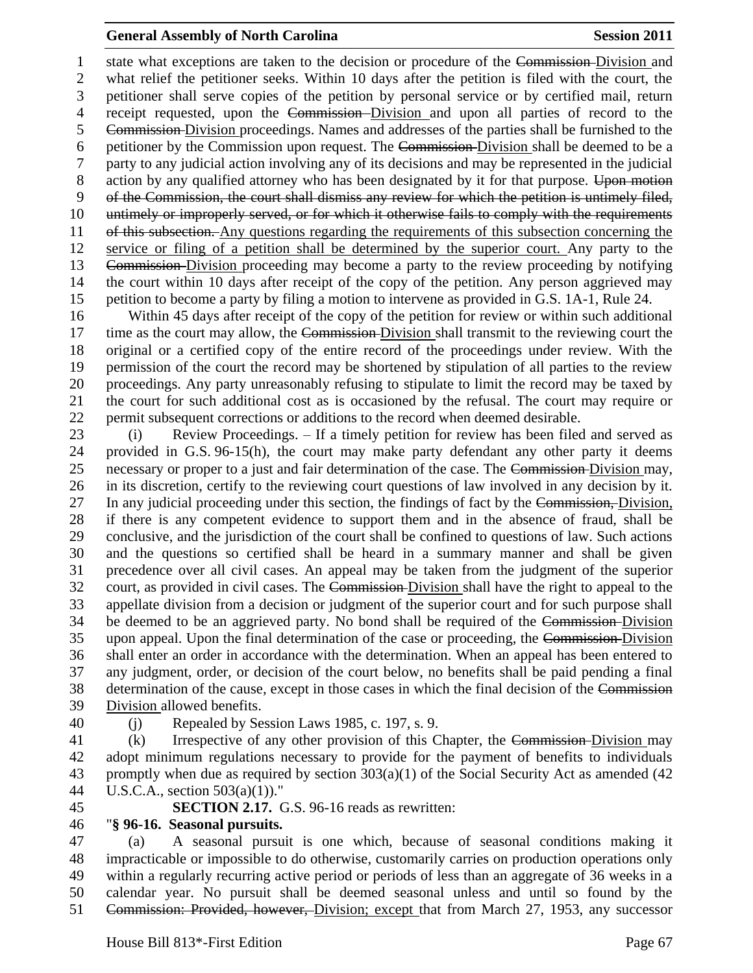1 state what exceptions are taken to the decision or procedure of the Commission-Division and what relief the petitioner seeks. Within 10 days after the petition is filed with the court, the petitioner shall serve copies of the petition by personal service or by certified mail, return receipt requested, upon the Commission Division and upon all parties of record to the Commission Division proceedings. Names and addresses of the parties shall be furnished to the petitioner by the Commission upon request. The Commission Division shall be deemed to be a party to any judicial action involving any of its decisions and may be represented in the judicial 8 action by any qualified attorney who has been designated by it for that purpose. Upon motion of the Commission, the court shall dismiss any review for which the petition is untimely filed, untimely or improperly served, or for which it otherwise fails to comply with the requirements of this subsection. Any questions regarding the requirements of this subsection concerning the service or filing of a petition shall be determined by the superior court. Any party to the Commission Division proceeding may become a party to the review proceeding by notifying the court within 10 days after receipt of the copy of the petition. Any person aggrieved may petition to become a party by filing a motion to intervene as provided in G.S. 1A-1, Rule 24.

 Within 45 days after receipt of the copy of the petition for review or within such additional 17 time as the court may allow, the Commission-Division shall transmit to the reviewing court the original or a certified copy of the entire record of the proceedings under review. With the permission of the court the record may be shortened by stipulation of all parties to the review proceedings. Any party unreasonably refusing to stipulate to limit the record may be taxed by the court for such additional cost as is occasioned by the refusal. The court may require or permit subsequent corrections or additions to the record when deemed desirable.

 (i) Review Proceedings. – If a timely petition for review has been filed and served as provided in G.S. 96-15(h), the court may make party defendant any other party it deems necessary or proper to a just and fair determination of the case. The Commission Division may, in its discretion, certify to the reviewing court questions of law involved in any decision by it. 27 In any judicial proceeding under this section, the findings of fact by the Commission, Division, if there is any competent evidence to support them and in the absence of fraud, shall be conclusive, and the jurisdiction of the court shall be confined to questions of law. Such actions and the questions so certified shall be heard in a summary manner and shall be given precedence over all civil cases. An appeal may be taken from the judgment of the superior court, as provided in civil cases. The Commission Division shall have the right to appeal to the appellate division from a decision or judgment of the superior court and for such purpose shall be deemed to be an aggrieved party. No bond shall be required of the Commission Division upon appeal. Upon the final determination of the case or proceeding, the Commission Division shall enter an order in accordance with the determination. When an appeal has been entered to any judgment, order, or decision of the court below, no benefits shall be paid pending a final determination of the cause, except in those cases in which the final decision of the Commission Division allowed benefits.

(j) Repealed by Session Laws 1985, c. 197, s. 9.

41 (k) Irrespective of any other provision of this Chapter, the Commission-Division may adopt minimum regulations necessary to provide for the payment of benefits to individuals promptly when due as required by section 303(a)(1) of the Social Security Act as amended (42 U.S.C.A., section 503(a)(1))."

**SECTION 2.17.** G.S. 96-16 reads as rewritten:

# "**§ 96-16. Seasonal pursuits.**

 (a) A seasonal pursuit is one which, because of seasonal conditions making it impracticable or impossible to do otherwise, customarily carries on production operations only within a regularly recurring active period or periods of less than an aggregate of 36 weeks in a calendar year. No pursuit shall be deemed seasonal unless and until so found by the 51 Commission: Provided, however, Division; except that from March 27, 1953, any successor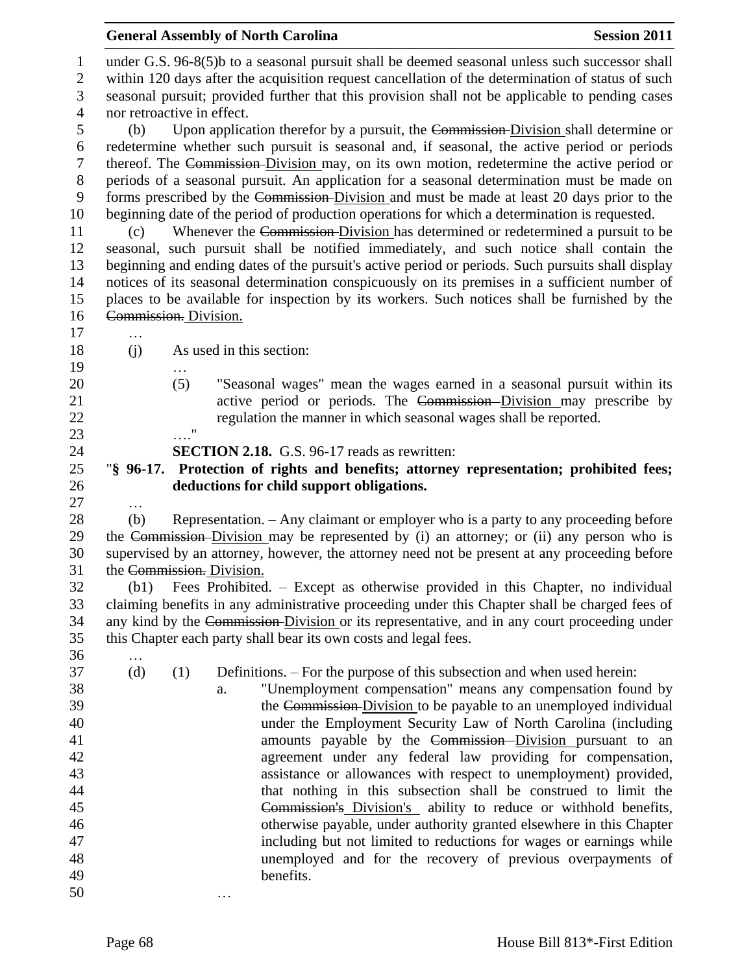| under G.S. 96-8(5)b to a seasonal pursuit shall be deemed seasonal unless such successor shall<br>$\mathbf{1}$<br>within 120 days after the acquisition request cancellation of the determination of status of such<br>$\mathbf{2}$<br>3<br>seasonal pursuit; provided further that this provision shall not be applicable to pending cases<br>$\overline{4}$<br>nor retroactive in effect.<br>5<br>Upon application therefor by a pursuit, the Commission-Division shall determine or<br>(b)<br>redetermine whether such pursuit is seasonal and, if seasonal, the active period or periods<br>6<br>$\tau$<br>thereof. The Commission-Division may, on its own motion, redetermine the active period or<br>$8\,$<br>periods of a seasonal pursuit. An application for a seasonal determination must be made on<br>forms prescribed by the Commission-Division and must be made at least 20 days prior to the<br>9<br>10<br>beginning date of the period of production operations for which a determination is requested.<br>Whenever the Commission-Division has determined or redetermined a pursuit to be<br>11<br>(c)<br>seasonal, such pursuit shall be notified immediately, and such notice shall contain the<br>12<br>beginning and ending dates of the pursuit's active period or periods. Such pursuits shall display<br>13<br>notices of its seasonal determination conspicuously on its premises in a sufficient number of<br>14<br>15<br>places to be available for inspection by its workers. Such notices shall be furnished by the<br>Commission. Division.<br>16<br>17<br>18<br>As used in this section:<br>(j)<br>19<br>20<br>(5)<br>"Seasonal wages" mean the wages earned in a seasonal pursuit within its<br>active period or periods. The Commission-Division may prescribe by<br>21<br>22<br>regulation the manner in which seasonal wages shall be reported.<br>11<br>23<br>24<br><b>SECTION 2.18.</b> G.S. 96-17 reads as rewritten:<br>25<br>"\\$ 96-17. Protection of rights and benefits; attorney representation; prohibited fees;<br>26<br>deductions for child support obligations.<br>27<br>$\ddotsc$<br>28<br>Representation. - Any claimant or employer who is a party to any proceeding before<br>(b)<br>29<br>the Commission-Division may be represented by (i) an attorney; or (ii) any person who is<br>30<br>supervised by an attorney, however, the attorney need not be present at any proceeding before<br>31<br>the Commission. Division.<br>32<br>Fees Prohibited. – Except as otherwise provided in this Chapter, no individual<br>(b1)<br>33<br>claiming benefits in any administrative proceeding under this Chapter shall be charged fees of<br>any kind by the Commission-Division or its representative, and in any court proceeding under<br>34<br>35<br>this Chapter each party shall bear its own costs and legal fees.<br>36<br>37<br>Definitions. – For the purpose of this subsection and when used herein:<br>(d)<br>(1)<br>38<br>"Unemployment compensation" means any compensation found by<br>a.<br>39<br>the Commission-Division to be payable to an unemployed individual<br>40<br>under the Employment Security Law of North Carolina (including<br>41<br>amounts payable by the Commission-Division pursuant to an<br>42<br>agreement under any federal law providing for compensation, |
|---------------------------------------------------------------------------------------------------------------------------------------------------------------------------------------------------------------------------------------------------------------------------------------------------------------------------------------------------------------------------------------------------------------------------------------------------------------------------------------------------------------------------------------------------------------------------------------------------------------------------------------------------------------------------------------------------------------------------------------------------------------------------------------------------------------------------------------------------------------------------------------------------------------------------------------------------------------------------------------------------------------------------------------------------------------------------------------------------------------------------------------------------------------------------------------------------------------------------------------------------------------------------------------------------------------------------------------------------------------------------------------------------------------------------------------------------------------------------------------------------------------------------------------------------------------------------------------------------------------------------------------------------------------------------------------------------------------------------------------------------------------------------------------------------------------------------------------------------------------------------------------------------------------------------------------------------------------------------------------------------------------------------------------------------------------------------------------------------------------------------------------------------------------------------------------------------------------------------------------------------------------------------------------------------------------------------------------------------------------------------------------------------------------------------------------------------------------------------------------------------------------------------------------------------------------------------------------------------------------------------------------------------------------------------------------------------------------------------------------------------------------------------------------------------------------------------------------------------------------------------------------------------------------------------------------------------------------------------------------------------------------------------------------------------------------------------------------------------------------------------------------------------------------------------------------------------------------------------------------------------------------------------------------------------------------------------------------------------------|
|                                                                                                                                                                                                                                                                                                                                                                                                                                                                                                                                                                                                                                                                                                                                                                                                                                                                                                                                                                                                                                                                                                                                                                                                                                                                                                                                                                                                                                                                                                                                                                                                                                                                                                                                                                                                                                                                                                                                                                                                                                                                                                                                                                                                                                                                                                                                                                                                                                                                                                                                                                                                                                                                                                                                                                                                                                                                                                                                                                                                                                                                                                                                                                                                                                                                                                                                                         |
|                                                                                                                                                                                                                                                                                                                                                                                                                                                                                                                                                                                                                                                                                                                                                                                                                                                                                                                                                                                                                                                                                                                                                                                                                                                                                                                                                                                                                                                                                                                                                                                                                                                                                                                                                                                                                                                                                                                                                                                                                                                                                                                                                                                                                                                                                                                                                                                                                                                                                                                                                                                                                                                                                                                                                                                                                                                                                                                                                                                                                                                                                                                                                                                                                                                                                                                                                         |
|                                                                                                                                                                                                                                                                                                                                                                                                                                                                                                                                                                                                                                                                                                                                                                                                                                                                                                                                                                                                                                                                                                                                                                                                                                                                                                                                                                                                                                                                                                                                                                                                                                                                                                                                                                                                                                                                                                                                                                                                                                                                                                                                                                                                                                                                                                                                                                                                                                                                                                                                                                                                                                                                                                                                                                                                                                                                                                                                                                                                                                                                                                                                                                                                                                                                                                                                                         |
|                                                                                                                                                                                                                                                                                                                                                                                                                                                                                                                                                                                                                                                                                                                                                                                                                                                                                                                                                                                                                                                                                                                                                                                                                                                                                                                                                                                                                                                                                                                                                                                                                                                                                                                                                                                                                                                                                                                                                                                                                                                                                                                                                                                                                                                                                                                                                                                                                                                                                                                                                                                                                                                                                                                                                                                                                                                                                                                                                                                                                                                                                                                                                                                                                                                                                                                                                         |
|                                                                                                                                                                                                                                                                                                                                                                                                                                                                                                                                                                                                                                                                                                                                                                                                                                                                                                                                                                                                                                                                                                                                                                                                                                                                                                                                                                                                                                                                                                                                                                                                                                                                                                                                                                                                                                                                                                                                                                                                                                                                                                                                                                                                                                                                                                                                                                                                                                                                                                                                                                                                                                                                                                                                                                                                                                                                                                                                                                                                                                                                                                                                                                                                                                                                                                                                                         |
|                                                                                                                                                                                                                                                                                                                                                                                                                                                                                                                                                                                                                                                                                                                                                                                                                                                                                                                                                                                                                                                                                                                                                                                                                                                                                                                                                                                                                                                                                                                                                                                                                                                                                                                                                                                                                                                                                                                                                                                                                                                                                                                                                                                                                                                                                                                                                                                                                                                                                                                                                                                                                                                                                                                                                                                                                                                                                                                                                                                                                                                                                                                                                                                                                                                                                                                                                         |
|                                                                                                                                                                                                                                                                                                                                                                                                                                                                                                                                                                                                                                                                                                                                                                                                                                                                                                                                                                                                                                                                                                                                                                                                                                                                                                                                                                                                                                                                                                                                                                                                                                                                                                                                                                                                                                                                                                                                                                                                                                                                                                                                                                                                                                                                                                                                                                                                                                                                                                                                                                                                                                                                                                                                                                                                                                                                                                                                                                                                                                                                                                                                                                                                                                                                                                                                                         |
|                                                                                                                                                                                                                                                                                                                                                                                                                                                                                                                                                                                                                                                                                                                                                                                                                                                                                                                                                                                                                                                                                                                                                                                                                                                                                                                                                                                                                                                                                                                                                                                                                                                                                                                                                                                                                                                                                                                                                                                                                                                                                                                                                                                                                                                                                                                                                                                                                                                                                                                                                                                                                                                                                                                                                                                                                                                                                                                                                                                                                                                                                                                                                                                                                                                                                                                                                         |
|                                                                                                                                                                                                                                                                                                                                                                                                                                                                                                                                                                                                                                                                                                                                                                                                                                                                                                                                                                                                                                                                                                                                                                                                                                                                                                                                                                                                                                                                                                                                                                                                                                                                                                                                                                                                                                                                                                                                                                                                                                                                                                                                                                                                                                                                                                                                                                                                                                                                                                                                                                                                                                                                                                                                                                                                                                                                                                                                                                                                                                                                                                                                                                                                                                                                                                                                                         |
|                                                                                                                                                                                                                                                                                                                                                                                                                                                                                                                                                                                                                                                                                                                                                                                                                                                                                                                                                                                                                                                                                                                                                                                                                                                                                                                                                                                                                                                                                                                                                                                                                                                                                                                                                                                                                                                                                                                                                                                                                                                                                                                                                                                                                                                                                                                                                                                                                                                                                                                                                                                                                                                                                                                                                                                                                                                                                                                                                                                                                                                                                                                                                                                                                                                                                                                                                         |
|                                                                                                                                                                                                                                                                                                                                                                                                                                                                                                                                                                                                                                                                                                                                                                                                                                                                                                                                                                                                                                                                                                                                                                                                                                                                                                                                                                                                                                                                                                                                                                                                                                                                                                                                                                                                                                                                                                                                                                                                                                                                                                                                                                                                                                                                                                                                                                                                                                                                                                                                                                                                                                                                                                                                                                                                                                                                                                                                                                                                                                                                                                                                                                                                                                                                                                                                                         |
|                                                                                                                                                                                                                                                                                                                                                                                                                                                                                                                                                                                                                                                                                                                                                                                                                                                                                                                                                                                                                                                                                                                                                                                                                                                                                                                                                                                                                                                                                                                                                                                                                                                                                                                                                                                                                                                                                                                                                                                                                                                                                                                                                                                                                                                                                                                                                                                                                                                                                                                                                                                                                                                                                                                                                                                                                                                                                                                                                                                                                                                                                                                                                                                                                                                                                                                                                         |
|                                                                                                                                                                                                                                                                                                                                                                                                                                                                                                                                                                                                                                                                                                                                                                                                                                                                                                                                                                                                                                                                                                                                                                                                                                                                                                                                                                                                                                                                                                                                                                                                                                                                                                                                                                                                                                                                                                                                                                                                                                                                                                                                                                                                                                                                                                                                                                                                                                                                                                                                                                                                                                                                                                                                                                                                                                                                                                                                                                                                                                                                                                                                                                                                                                                                                                                                                         |
|                                                                                                                                                                                                                                                                                                                                                                                                                                                                                                                                                                                                                                                                                                                                                                                                                                                                                                                                                                                                                                                                                                                                                                                                                                                                                                                                                                                                                                                                                                                                                                                                                                                                                                                                                                                                                                                                                                                                                                                                                                                                                                                                                                                                                                                                                                                                                                                                                                                                                                                                                                                                                                                                                                                                                                                                                                                                                                                                                                                                                                                                                                                                                                                                                                                                                                                                                         |
|                                                                                                                                                                                                                                                                                                                                                                                                                                                                                                                                                                                                                                                                                                                                                                                                                                                                                                                                                                                                                                                                                                                                                                                                                                                                                                                                                                                                                                                                                                                                                                                                                                                                                                                                                                                                                                                                                                                                                                                                                                                                                                                                                                                                                                                                                                                                                                                                                                                                                                                                                                                                                                                                                                                                                                                                                                                                                                                                                                                                                                                                                                                                                                                                                                                                                                                                                         |
|                                                                                                                                                                                                                                                                                                                                                                                                                                                                                                                                                                                                                                                                                                                                                                                                                                                                                                                                                                                                                                                                                                                                                                                                                                                                                                                                                                                                                                                                                                                                                                                                                                                                                                                                                                                                                                                                                                                                                                                                                                                                                                                                                                                                                                                                                                                                                                                                                                                                                                                                                                                                                                                                                                                                                                                                                                                                                                                                                                                                                                                                                                                                                                                                                                                                                                                                                         |
|                                                                                                                                                                                                                                                                                                                                                                                                                                                                                                                                                                                                                                                                                                                                                                                                                                                                                                                                                                                                                                                                                                                                                                                                                                                                                                                                                                                                                                                                                                                                                                                                                                                                                                                                                                                                                                                                                                                                                                                                                                                                                                                                                                                                                                                                                                                                                                                                                                                                                                                                                                                                                                                                                                                                                                                                                                                                                                                                                                                                                                                                                                                                                                                                                                                                                                                                                         |
|                                                                                                                                                                                                                                                                                                                                                                                                                                                                                                                                                                                                                                                                                                                                                                                                                                                                                                                                                                                                                                                                                                                                                                                                                                                                                                                                                                                                                                                                                                                                                                                                                                                                                                                                                                                                                                                                                                                                                                                                                                                                                                                                                                                                                                                                                                                                                                                                                                                                                                                                                                                                                                                                                                                                                                                                                                                                                                                                                                                                                                                                                                                                                                                                                                                                                                                                                         |
|                                                                                                                                                                                                                                                                                                                                                                                                                                                                                                                                                                                                                                                                                                                                                                                                                                                                                                                                                                                                                                                                                                                                                                                                                                                                                                                                                                                                                                                                                                                                                                                                                                                                                                                                                                                                                                                                                                                                                                                                                                                                                                                                                                                                                                                                                                                                                                                                                                                                                                                                                                                                                                                                                                                                                                                                                                                                                                                                                                                                                                                                                                                                                                                                                                                                                                                                                         |
|                                                                                                                                                                                                                                                                                                                                                                                                                                                                                                                                                                                                                                                                                                                                                                                                                                                                                                                                                                                                                                                                                                                                                                                                                                                                                                                                                                                                                                                                                                                                                                                                                                                                                                                                                                                                                                                                                                                                                                                                                                                                                                                                                                                                                                                                                                                                                                                                                                                                                                                                                                                                                                                                                                                                                                                                                                                                                                                                                                                                                                                                                                                                                                                                                                                                                                                                                         |
|                                                                                                                                                                                                                                                                                                                                                                                                                                                                                                                                                                                                                                                                                                                                                                                                                                                                                                                                                                                                                                                                                                                                                                                                                                                                                                                                                                                                                                                                                                                                                                                                                                                                                                                                                                                                                                                                                                                                                                                                                                                                                                                                                                                                                                                                                                                                                                                                                                                                                                                                                                                                                                                                                                                                                                                                                                                                                                                                                                                                                                                                                                                                                                                                                                                                                                                                                         |
|                                                                                                                                                                                                                                                                                                                                                                                                                                                                                                                                                                                                                                                                                                                                                                                                                                                                                                                                                                                                                                                                                                                                                                                                                                                                                                                                                                                                                                                                                                                                                                                                                                                                                                                                                                                                                                                                                                                                                                                                                                                                                                                                                                                                                                                                                                                                                                                                                                                                                                                                                                                                                                                                                                                                                                                                                                                                                                                                                                                                                                                                                                                                                                                                                                                                                                                                                         |
|                                                                                                                                                                                                                                                                                                                                                                                                                                                                                                                                                                                                                                                                                                                                                                                                                                                                                                                                                                                                                                                                                                                                                                                                                                                                                                                                                                                                                                                                                                                                                                                                                                                                                                                                                                                                                                                                                                                                                                                                                                                                                                                                                                                                                                                                                                                                                                                                                                                                                                                                                                                                                                                                                                                                                                                                                                                                                                                                                                                                                                                                                                                                                                                                                                                                                                                                                         |
|                                                                                                                                                                                                                                                                                                                                                                                                                                                                                                                                                                                                                                                                                                                                                                                                                                                                                                                                                                                                                                                                                                                                                                                                                                                                                                                                                                                                                                                                                                                                                                                                                                                                                                                                                                                                                                                                                                                                                                                                                                                                                                                                                                                                                                                                                                                                                                                                                                                                                                                                                                                                                                                                                                                                                                                                                                                                                                                                                                                                                                                                                                                                                                                                                                                                                                                                                         |
|                                                                                                                                                                                                                                                                                                                                                                                                                                                                                                                                                                                                                                                                                                                                                                                                                                                                                                                                                                                                                                                                                                                                                                                                                                                                                                                                                                                                                                                                                                                                                                                                                                                                                                                                                                                                                                                                                                                                                                                                                                                                                                                                                                                                                                                                                                                                                                                                                                                                                                                                                                                                                                                                                                                                                                                                                                                                                                                                                                                                                                                                                                                                                                                                                                                                                                                                                         |
|                                                                                                                                                                                                                                                                                                                                                                                                                                                                                                                                                                                                                                                                                                                                                                                                                                                                                                                                                                                                                                                                                                                                                                                                                                                                                                                                                                                                                                                                                                                                                                                                                                                                                                                                                                                                                                                                                                                                                                                                                                                                                                                                                                                                                                                                                                                                                                                                                                                                                                                                                                                                                                                                                                                                                                                                                                                                                                                                                                                                                                                                                                                                                                                                                                                                                                                                                         |
|                                                                                                                                                                                                                                                                                                                                                                                                                                                                                                                                                                                                                                                                                                                                                                                                                                                                                                                                                                                                                                                                                                                                                                                                                                                                                                                                                                                                                                                                                                                                                                                                                                                                                                                                                                                                                                                                                                                                                                                                                                                                                                                                                                                                                                                                                                                                                                                                                                                                                                                                                                                                                                                                                                                                                                                                                                                                                                                                                                                                                                                                                                                                                                                                                                                                                                                                                         |
|                                                                                                                                                                                                                                                                                                                                                                                                                                                                                                                                                                                                                                                                                                                                                                                                                                                                                                                                                                                                                                                                                                                                                                                                                                                                                                                                                                                                                                                                                                                                                                                                                                                                                                                                                                                                                                                                                                                                                                                                                                                                                                                                                                                                                                                                                                                                                                                                                                                                                                                                                                                                                                                                                                                                                                                                                                                                                                                                                                                                                                                                                                                                                                                                                                                                                                                                                         |
|                                                                                                                                                                                                                                                                                                                                                                                                                                                                                                                                                                                                                                                                                                                                                                                                                                                                                                                                                                                                                                                                                                                                                                                                                                                                                                                                                                                                                                                                                                                                                                                                                                                                                                                                                                                                                                                                                                                                                                                                                                                                                                                                                                                                                                                                                                                                                                                                                                                                                                                                                                                                                                                                                                                                                                                                                                                                                                                                                                                                                                                                                                                                                                                                                                                                                                                                                         |
|                                                                                                                                                                                                                                                                                                                                                                                                                                                                                                                                                                                                                                                                                                                                                                                                                                                                                                                                                                                                                                                                                                                                                                                                                                                                                                                                                                                                                                                                                                                                                                                                                                                                                                                                                                                                                                                                                                                                                                                                                                                                                                                                                                                                                                                                                                                                                                                                                                                                                                                                                                                                                                                                                                                                                                                                                                                                                                                                                                                                                                                                                                                                                                                                                                                                                                                                                         |
|                                                                                                                                                                                                                                                                                                                                                                                                                                                                                                                                                                                                                                                                                                                                                                                                                                                                                                                                                                                                                                                                                                                                                                                                                                                                                                                                                                                                                                                                                                                                                                                                                                                                                                                                                                                                                                                                                                                                                                                                                                                                                                                                                                                                                                                                                                                                                                                                                                                                                                                                                                                                                                                                                                                                                                                                                                                                                                                                                                                                                                                                                                                                                                                                                                                                                                                                                         |
|                                                                                                                                                                                                                                                                                                                                                                                                                                                                                                                                                                                                                                                                                                                                                                                                                                                                                                                                                                                                                                                                                                                                                                                                                                                                                                                                                                                                                                                                                                                                                                                                                                                                                                                                                                                                                                                                                                                                                                                                                                                                                                                                                                                                                                                                                                                                                                                                                                                                                                                                                                                                                                                                                                                                                                                                                                                                                                                                                                                                                                                                                                                                                                                                                                                                                                                                                         |
|                                                                                                                                                                                                                                                                                                                                                                                                                                                                                                                                                                                                                                                                                                                                                                                                                                                                                                                                                                                                                                                                                                                                                                                                                                                                                                                                                                                                                                                                                                                                                                                                                                                                                                                                                                                                                                                                                                                                                                                                                                                                                                                                                                                                                                                                                                                                                                                                                                                                                                                                                                                                                                                                                                                                                                                                                                                                                                                                                                                                                                                                                                                                                                                                                                                                                                                                                         |
| 43<br>assistance or allowances with respect to unemployment) provided,                                                                                                                                                                                                                                                                                                                                                                                                                                                                                                                                                                                                                                                                                                                                                                                                                                                                                                                                                                                                                                                                                                                                                                                                                                                                                                                                                                                                                                                                                                                                                                                                                                                                                                                                                                                                                                                                                                                                                                                                                                                                                                                                                                                                                                                                                                                                                                                                                                                                                                                                                                                                                                                                                                                                                                                                                                                                                                                                                                                                                                                                                                                                                                                                                                                                                  |
| 44<br>that nothing in this subsection shall be construed to limit the                                                                                                                                                                                                                                                                                                                                                                                                                                                                                                                                                                                                                                                                                                                                                                                                                                                                                                                                                                                                                                                                                                                                                                                                                                                                                                                                                                                                                                                                                                                                                                                                                                                                                                                                                                                                                                                                                                                                                                                                                                                                                                                                                                                                                                                                                                                                                                                                                                                                                                                                                                                                                                                                                                                                                                                                                                                                                                                                                                                                                                                                                                                                                                                                                                                                                   |
| 45<br>Commission's Division's ability to reduce or withhold benefits,                                                                                                                                                                                                                                                                                                                                                                                                                                                                                                                                                                                                                                                                                                                                                                                                                                                                                                                                                                                                                                                                                                                                                                                                                                                                                                                                                                                                                                                                                                                                                                                                                                                                                                                                                                                                                                                                                                                                                                                                                                                                                                                                                                                                                                                                                                                                                                                                                                                                                                                                                                                                                                                                                                                                                                                                                                                                                                                                                                                                                                                                                                                                                                                                                                                                                   |
| otherwise payable, under authority granted elsewhere in this Chapter<br>46                                                                                                                                                                                                                                                                                                                                                                                                                                                                                                                                                                                                                                                                                                                                                                                                                                                                                                                                                                                                                                                                                                                                                                                                                                                                                                                                                                                                                                                                                                                                                                                                                                                                                                                                                                                                                                                                                                                                                                                                                                                                                                                                                                                                                                                                                                                                                                                                                                                                                                                                                                                                                                                                                                                                                                                                                                                                                                                                                                                                                                                                                                                                                                                                                                                                              |
| 47<br>including but not limited to reductions for wages or earnings while<br>48                                                                                                                                                                                                                                                                                                                                                                                                                                                                                                                                                                                                                                                                                                                                                                                                                                                                                                                                                                                                                                                                                                                                                                                                                                                                                                                                                                                                                                                                                                                                                                                                                                                                                                                                                                                                                                                                                                                                                                                                                                                                                                                                                                                                                                                                                                                                                                                                                                                                                                                                                                                                                                                                                                                                                                                                                                                                                                                                                                                                                                                                                                                                                                                                                                                                         |
| unemployed and for the recovery of previous overpayments of<br>benefits.<br>49                                                                                                                                                                                                                                                                                                                                                                                                                                                                                                                                                                                                                                                                                                                                                                                                                                                                                                                                                                                                                                                                                                                                                                                                                                                                                                                                                                                                                                                                                                                                                                                                                                                                                                                                                                                                                                                                                                                                                                                                                                                                                                                                                                                                                                                                                                                                                                                                                                                                                                                                                                                                                                                                                                                                                                                                                                                                                                                                                                                                                                                                                                                                                                                                                                                                          |
| 50                                                                                                                                                                                                                                                                                                                                                                                                                                                                                                                                                                                                                                                                                                                                                                                                                                                                                                                                                                                                                                                                                                                                                                                                                                                                                                                                                                                                                                                                                                                                                                                                                                                                                                                                                                                                                                                                                                                                                                                                                                                                                                                                                                                                                                                                                                                                                                                                                                                                                                                                                                                                                                                                                                                                                                                                                                                                                                                                                                                                                                                                                                                                                                                                                                                                                                                                                      |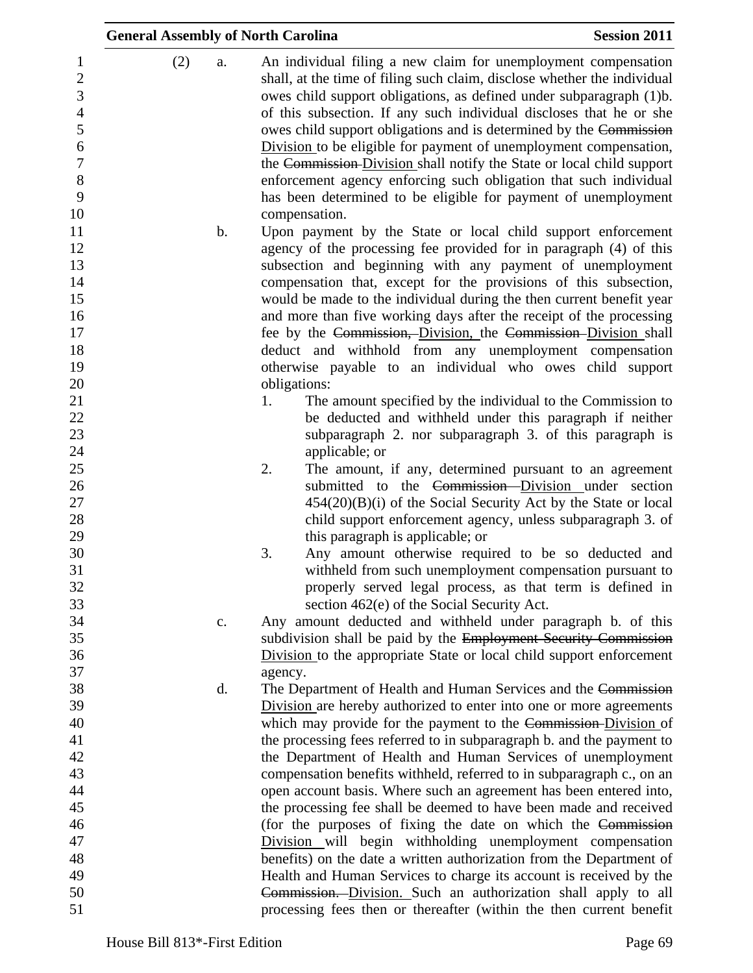|                                                                                                                                 | <b>General Assembly of North Carolina</b> |                                                                                                                                                                                                                                                                                                                                                                                                                                                                                                                                                                                                                                                                      | <b>Session 2011</b> |
|---------------------------------------------------------------------------------------------------------------------------------|-------------------------------------------|----------------------------------------------------------------------------------------------------------------------------------------------------------------------------------------------------------------------------------------------------------------------------------------------------------------------------------------------------------------------------------------------------------------------------------------------------------------------------------------------------------------------------------------------------------------------------------------------------------------------------------------------------------------------|---------------------|
| $\mathbf{1}$<br>$\boldsymbol{2}$<br>$\overline{3}$<br>$\overline{4}$<br>5<br>$\boldsymbol{6}$<br>$\overline{7}$<br>8<br>9<br>10 | (2)<br>a.                                 | An individual filing a new claim for unemployment compensation<br>shall, at the time of filing such claim, disclose whether the individual<br>owes child support obligations, as defined under subparagraph (1)b.<br>of this subsection. If any such individual discloses that he or she<br>owes child support obligations and is determined by the Commission<br>Division to be eligible for payment of unemployment compensation,<br>the Commission-Division shall notify the State or local child support<br>enforcement agency enforcing such obligation that such individual<br>has been determined to be eligible for payment of unemployment<br>compensation. |                     |
| 11<br>12<br>13<br>14<br>15<br>16<br>17<br>18                                                                                    | b.                                        | Upon payment by the State or local child support enforcement<br>agency of the processing fee provided for in paragraph (4) of this<br>subsection and beginning with any payment of unemployment<br>compensation that, except for the provisions of this subsection,<br>would be made to the individual during the then current benefit year<br>and more than five working days after the receipt of the processing<br>fee by the Commission, Division, the Commission Division shall<br>deduct and withhold from any unemployment compensation                                                                                                                       |                     |
| 19<br>20<br>21<br>22<br>23<br>24<br>25                                                                                          |                                           | otherwise payable to an individual who owes child support<br>obligations:<br>The amount specified by the individual to the Commission to<br>1.<br>be deducted and withheld under this paragraph if neither<br>subparagraph 2. nor subparagraph 3. of this paragraph is<br>applicable; or<br>2.<br>The amount, if any, determined pursuant to an agreement                                                                                                                                                                                                                                                                                                            |                     |
| 26<br>27<br>28<br>29<br>30                                                                                                      |                                           | submitted to the Commission-Division under section<br>$454(20)(B)(i)$ of the Social Security Act by the State or local<br>child support enforcement agency, unless subparagraph 3. of<br>this paragraph is applicable; or<br>3.<br>Any amount otherwise required to be so deducted and                                                                                                                                                                                                                                                                                                                                                                               |                     |
| 31<br>32<br>33<br>34<br>35<br>36                                                                                                | c.                                        | withheld from such unemployment compensation pursuant to<br>properly served legal process, as that term is defined in<br>section 462(e) of the Social Security Act.<br>Any amount deducted and withheld under paragraph b. of this<br>subdivision shall be paid by the Employment Security Commission<br>Division to the appropriate State or local child support enforcement                                                                                                                                                                                                                                                                                        |                     |
| 37<br>38<br>39<br>40                                                                                                            | d.                                        | agency.<br>The Department of Health and Human Services and the Commission<br>Division are hereby authorized to enter into one or more agreements<br>which may provide for the payment to the Commission-Division of                                                                                                                                                                                                                                                                                                                                                                                                                                                  |                     |
| 41<br>42<br>43<br>44<br>45                                                                                                      |                                           | the processing fees referred to in subparagraph b. and the payment to<br>the Department of Health and Human Services of unemployment<br>compensation benefits withheld, referred to in subparagraph c., on an<br>open account basis. Where such an agreement has been entered into,<br>the processing fee shall be deemed to have been made and received                                                                                                                                                                                                                                                                                                             |                     |
| 46<br>47<br>48<br>49                                                                                                            |                                           | (for the purposes of fixing the date on which the Commission<br>Division will begin withholding unemployment compensation<br>benefits) on the date a written authorization from the Department of<br>Health and Human Services to charge its account is received by the                                                                                                                                                                                                                                                                                                                                                                                              |                     |
| 50<br>51                                                                                                                        |                                           | Commission. Division. Such an authorization shall apply to all<br>processing fees then or thereafter (within the then current benefit                                                                                                                                                                                                                                                                                                                                                                                                                                                                                                                                |                     |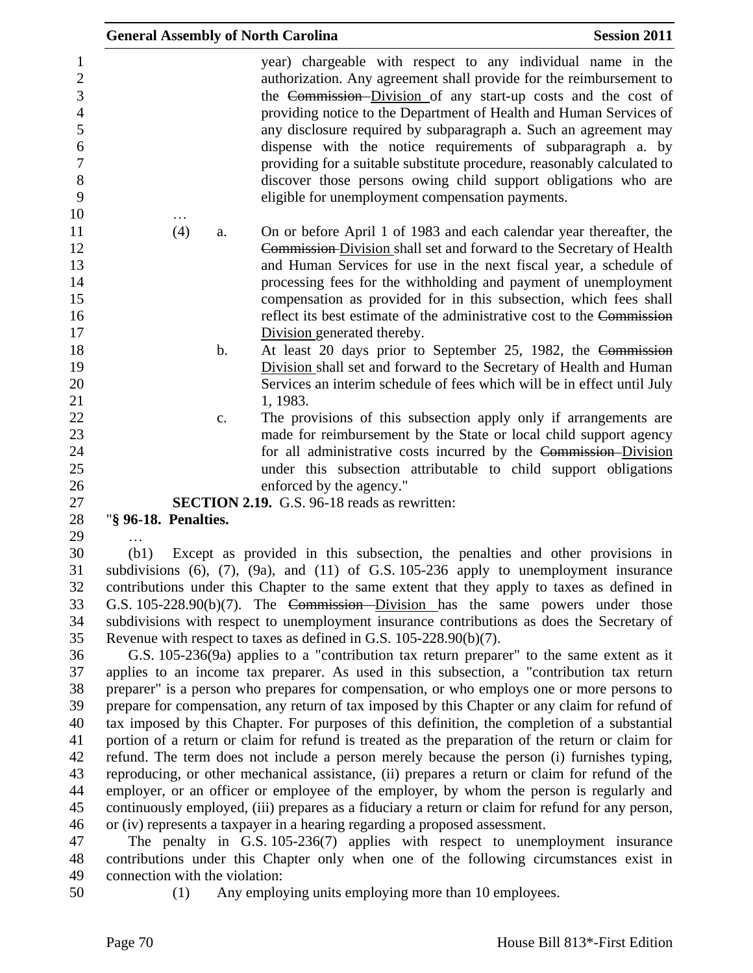| <b>General Assembly of North Carolina</b> |                                                                                                                                                                                                                                                                                                                                                                                                                                                                                                                                                                                                               | <b>Session 2011</b> |
|-------------------------------------------|---------------------------------------------------------------------------------------------------------------------------------------------------------------------------------------------------------------------------------------------------------------------------------------------------------------------------------------------------------------------------------------------------------------------------------------------------------------------------------------------------------------------------------------------------------------------------------------------------------------|---------------------|
|                                           | year) chargeable with respect to any individual name in the<br>authorization. Any agreement shall provide for the reimbursement to<br>the Commission–Division of any start-up costs and the cost of<br>providing notice to the Department of Health and Human Services of<br>any disclosure required by subparagraph a. Such an agreement may<br>dispense with the notice requirements of subparagraph a. by<br>providing for a suitable substitute procedure, reasonably calculated to<br>discover those persons owing child support obligations who are<br>eligible for unemployment compensation payments. |                     |
| (4)<br>a.                                 | On or before April 1 of 1983 and each calendar year thereafter, the<br>Commission-Division shall set and forward to the Secretary of Health                                                                                                                                                                                                                                                                                                                                                                                                                                                                   |                     |
|                                           | and Human Services for use in the next fiscal year, a schedule of<br>processing fees for the withholding and payment of unemployment                                                                                                                                                                                                                                                                                                                                                                                                                                                                          |                     |
|                                           | compensation as provided for in this subsection, which fees shall                                                                                                                                                                                                                                                                                                                                                                                                                                                                                                                                             |                     |
|                                           | reflect its best estimate of the administrative cost to the Commission                                                                                                                                                                                                                                                                                                                                                                                                                                                                                                                                        |                     |
|                                           | Division generated thereby.                                                                                                                                                                                                                                                                                                                                                                                                                                                                                                                                                                                   |                     |
| b.                                        | At least 20 days prior to September 25, 1982, the Commission                                                                                                                                                                                                                                                                                                                                                                                                                                                                                                                                                  |                     |
|                                           | Division shall set and forward to the Secretary of Health and Human                                                                                                                                                                                                                                                                                                                                                                                                                                                                                                                                           |                     |
|                                           | Services an interim schedule of fees which will be in effect until July<br>1, 1983.                                                                                                                                                                                                                                                                                                                                                                                                                                                                                                                           |                     |
| $\mathbf{c}$ .                            | The provisions of this subsection apply only if arrangements are                                                                                                                                                                                                                                                                                                                                                                                                                                                                                                                                              |                     |
|                                           | made for reimbursement by the State or local child support agency                                                                                                                                                                                                                                                                                                                                                                                                                                                                                                                                             |                     |
|                                           | for all administrative costs incurred by the Commission-Division                                                                                                                                                                                                                                                                                                                                                                                                                                                                                                                                              |                     |
|                                           | under this subsection attributable to child support obligations                                                                                                                                                                                                                                                                                                                                                                                                                                                                                                                                               |                     |
|                                           | enforced by the agency."                                                                                                                                                                                                                                                                                                                                                                                                                                                                                                                                                                                      |                     |
|                                           | <b>SECTION 2.19.</b> G.S. 96-18 reads as rewritten:                                                                                                                                                                                                                                                                                                                                                                                                                                                                                                                                                           |                     |
| "§ 96-18. Penalties.                      |                                                                                                                                                                                                                                                                                                                                                                                                                                                                                                                                                                                                               |                     |
|                                           |                                                                                                                                                                                                                                                                                                                                                                                                                                                                                                                                                                                                               |                     |
| (b1)                                      | Except as provided in this subsection, the penalties and other provisions in                                                                                                                                                                                                                                                                                                                                                                                                                                                                                                                                  |                     |
|                                           | subdivisions $(6)$ , $(7)$ , $(9a)$ , and $(11)$ of G.S. 105-236 apply to unemployment insurance                                                                                                                                                                                                                                                                                                                                                                                                                                                                                                              |                     |
|                                           | contributions under this Chapter to the same extent that they apply to taxes as defined in                                                                                                                                                                                                                                                                                                                                                                                                                                                                                                                    |                     |

 contributions under this Chapter to the same extent that they apply to taxes as defined in G.S. 105-228.90(b)(7). The Commission Division has the same powers under those subdivisions with respect to unemployment insurance contributions as does the Secretary of Revenue with respect to taxes as defined in G.S. 105-228.90(b)(7).

 G.S. 105-236(9a) applies to a "contribution tax return preparer" to the same extent as it applies to an income tax preparer. As used in this subsection, a "contribution tax return preparer" is a person who prepares for compensation, or who employs one or more persons to prepare for compensation, any return of tax imposed by this Chapter or any claim for refund of tax imposed by this Chapter. For purposes of this definition, the completion of a substantial portion of a return or claim for refund is treated as the preparation of the return or claim for refund. The term does not include a person merely because the person (i) furnishes typing, reproducing, or other mechanical assistance, (ii) prepares a return or claim for refund of the employer, or an officer or employee of the employer, by whom the person is regularly and continuously employed, (iii) prepares as a fiduciary a return or claim for refund for any person, or (iv) represents a taxpayer in a hearing regarding a proposed assessment.

 The penalty in G.S. 105-236(7) applies with respect to unemployment insurance contributions under this Chapter only when one of the following circumstances exist in connection with the violation:

(1) Any employing units employing more than 10 employees.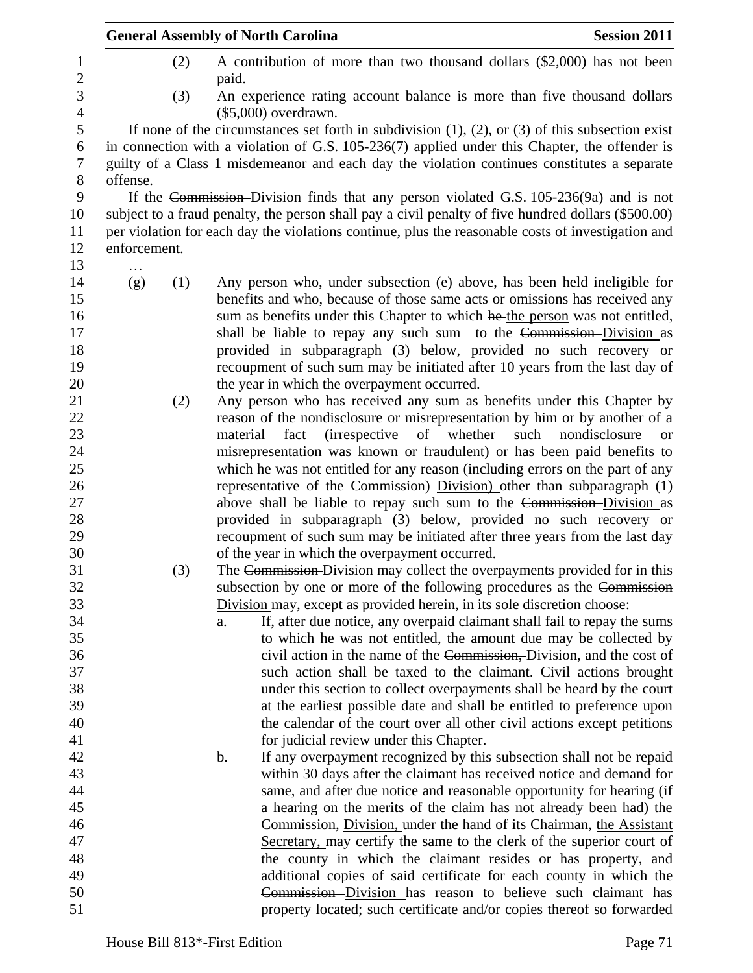| <b>Session 2011</b><br><b>General Assembly of North Carolina</b> |     |          |                                                                                                                                                                                                                                                                                                                                                                                  |                                                                                                                                              |
|------------------------------------------------------------------|-----|----------|----------------------------------------------------------------------------------------------------------------------------------------------------------------------------------------------------------------------------------------------------------------------------------------------------------------------------------------------------------------------------------|----------------------------------------------------------------------------------------------------------------------------------------------|
|                                                                  | (2) | paid.    | A contribution of more than two thousand dollars (\$2,000) has not been                                                                                                                                                                                                                                                                                                          |                                                                                                                                              |
|                                                                  | (3) |          | An experience rating account balance is more than five thousand dollars<br>$($5,000)$ overdrawn.                                                                                                                                                                                                                                                                                 |                                                                                                                                              |
|                                                                  |     |          | If none of the circumstances set forth in subdivision $(1)$ , $(2)$ , or $(3)$ of this subsection exist                                                                                                                                                                                                                                                                          |                                                                                                                                              |
| offense.                                                         |     |          | in connection with a violation of G.S. 105-236(7) applied under this Chapter, the offender is<br>guilty of a Class 1 misdemeanor and each day the violation continues constitutes a separate                                                                                                                                                                                     |                                                                                                                                              |
| enforcement.                                                     |     |          | If the Commission-Division finds that any person violated G.S. 105-236(9a) and is not<br>subject to a fraud penalty, the person shall pay a civil penalty of five hundred dollars (\$500.00)<br>per violation for each day the violations continue, plus the reasonable costs of investigation and                                                                               |                                                                                                                                              |
|                                                                  |     |          |                                                                                                                                                                                                                                                                                                                                                                                  |                                                                                                                                              |
| (g)                                                              | (1) |          | Any person who, under subsection (e) above, has been held ineligible for<br>benefits and who, because of those same acts or omissions has received any<br>sum as benefits under this Chapter to which he the person was not entitled,<br>shall be liable to repay any such sum to the Commission-Division as<br>provided in subparagraph (3) below, provided no such recovery or |                                                                                                                                              |
|                                                                  |     |          | recoupment of such sum may be initiated after 10 years from the last day of                                                                                                                                                                                                                                                                                                      |                                                                                                                                              |
|                                                                  |     |          | the year in which the overpayment occurred.                                                                                                                                                                                                                                                                                                                                      |                                                                                                                                              |
|                                                                  | (2) |          | Any person who has received any sum as benefits under this Chapter by                                                                                                                                                                                                                                                                                                            |                                                                                                                                              |
|                                                                  |     |          | reason of the nondisclosure or misrepresentation by him or by another of a                                                                                                                                                                                                                                                                                                       |                                                                                                                                              |
|                                                                  |     | material | fact<br>(irrespective of whether<br>misrepresentation was known or fraudulent) or has been paid benefits to                                                                                                                                                                                                                                                                      | such<br>nondisclosure<br><sub>or</sub>                                                                                                       |
|                                                                  |     |          | which he was not entitled for any reason (including errors on the part of any                                                                                                                                                                                                                                                                                                    |                                                                                                                                              |
|                                                                  |     |          | representative of the Commission)-Division) other than subparagraph (1)                                                                                                                                                                                                                                                                                                          |                                                                                                                                              |
|                                                                  |     |          | above shall be liable to repay such sum to the Commission-Division as                                                                                                                                                                                                                                                                                                            |                                                                                                                                              |
|                                                                  |     |          | provided in subparagraph (3) below, provided no such recovery or                                                                                                                                                                                                                                                                                                                 |                                                                                                                                              |
|                                                                  |     |          | recoupment of such sum may be initiated after three years from the last day                                                                                                                                                                                                                                                                                                      |                                                                                                                                              |
|                                                                  |     |          | of the year in which the overpayment occurred.                                                                                                                                                                                                                                                                                                                                   |                                                                                                                                              |
|                                                                  | (3) |          | The Commission-Division may collect the overpayments provided for in this<br>subsection by one or more of the following procedures as the Commission                                                                                                                                                                                                                             |                                                                                                                                              |
|                                                                  |     |          | Division may, except as provided herein, in its sole discretion choose:                                                                                                                                                                                                                                                                                                          |                                                                                                                                              |
|                                                                  |     | a.       |                                                                                                                                                                                                                                                                                                                                                                                  | If, after due notice, any overpaid claimant shall fail to repay the sums<br>to which he was not entitled, the amount due may be collected by |
|                                                                  |     |          |                                                                                                                                                                                                                                                                                                                                                                                  | civil action in the name of the Commission, Division, and the cost of                                                                        |
|                                                                  |     |          |                                                                                                                                                                                                                                                                                                                                                                                  | such action shall be taxed to the claimant. Civil actions brought                                                                            |
|                                                                  |     |          |                                                                                                                                                                                                                                                                                                                                                                                  | under this section to collect overpayments shall be heard by the court                                                                       |
|                                                                  |     |          |                                                                                                                                                                                                                                                                                                                                                                                  | at the earliest possible date and shall be entitled to preference upon                                                                       |
|                                                                  |     |          |                                                                                                                                                                                                                                                                                                                                                                                  | the calendar of the court over all other civil actions except petitions                                                                      |
|                                                                  |     |          | for judicial review under this Chapter.                                                                                                                                                                                                                                                                                                                                          |                                                                                                                                              |
|                                                                  |     | b.       |                                                                                                                                                                                                                                                                                                                                                                                  | If any overpayment recognized by this subsection shall not be repaid                                                                         |
|                                                                  |     |          |                                                                                                                                                                                                                                                                                                                                                                                  | within 30 days after the claimant has received notice and demand for                                                                         |
|                                                                  |     |          |                                                                                                                                                                                                                                                                                                                                                                                  | same, and after due notice and reasonable opportunity for hearing (if                                                                        |
|                                                                  |     |          |                                                                                                                                                                                                                                                                                                                                                                                  | a hearing on the merits of the claim has not already been had) the                                                                           |
|                                                                  |     |          |                                                                                                                                                                                                                                                                                                                                                                                  | Commission, Division, under the hand of its Chairman, the Assistant                                                                          |
|                                                                  |     |          |                                                                                                                                                                                                                                                                                                                                                                                  | Secretary, may certify the same to the clerk of the superior court of<br>the county in which the claimant resides or has property, and       |
|                                                                  |     |          |                                                                                                                                                                                                                                                                                                                                                                                  | additional copies of said certificate for each county in which the                                                                           |
|                                                                  |     |          |                                                                                                                                                                                                                                                                                                                                                                                  | Commission-Division has reason to believe such claimant has                                                                                  |
|                                                                  |     |          |                                                                                                                                                                                                                                                                                                                                                                                  | property located; such certificate and/or copies thereof so forwarded                                                                        |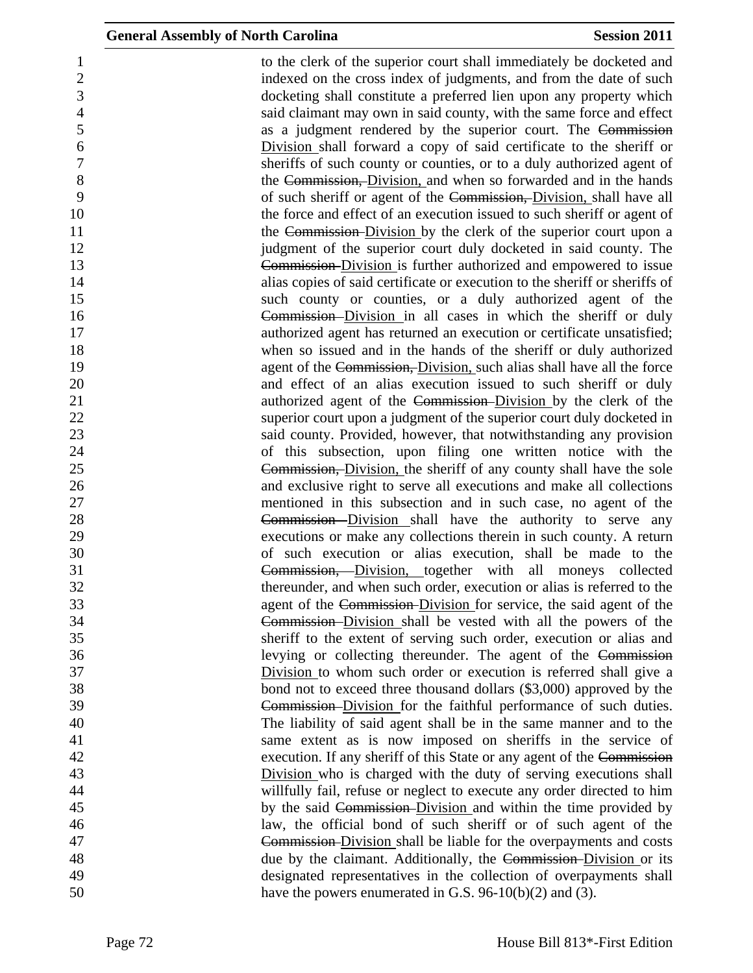to the clerk of the superior court shall immediately be docketed and 2 indexed on the cross index of judgments, and from the date of such  $\frac{1}{2}$  docketing shall constitute a preferred lien upon any property which said claimant may own in said county, with the same force and effect as a judgment rendered by the superior court. The Commission Division shall forward a copy of said certificate to the sheriff or sheriffs of such county or counties, or to a duly authorized agent of 8 the Commission, Division, and when so forwarded and in the hands of such sheriff or agent of the Commission, Division, shall have all 10 the force and effect of an execution issued to such sheriff or agent of 11 the Commission-Division by the clerk of the superior court upon a **judgment** of the superior court duly docketed in said county. The Commission Division is further authorized and empowered to issue alias copies of said certificate or execution to the sheriff or sheriffs of such county or counties, or a duly authorized agent of the **Commission**-Division in all cases in which the sheriff or duly 17 authorized agent has returned an execution or certificate unsatisfied; when so issued and in the hands of the sheriff or duly authorized **19 agent of the Commission, Division**, such alias shall have all the force and effect of an alias execution issued to such sheriff or duly authorized agent of the Commission Division by the clerk of the superior court upon a judgment of the superior court duly docketed in said county. Provided, however, that notwithstanding any provision of this subsection, upon filing one written notice with the Commission, Division, the sheriff of any county shall have the sole and exclusive right to serve all executions and make all collections mentioned in this subsection and in such case, no agent of the Commission Division shall have the authority to serve any executions or make any collections therein in such county. A return of such execution or alias execution, shall be made to the Commission, Division, together with all moneys collected thereunder, and when such order, execution or alias is referred to the agent of the Commission Division for service, the said agent of the Commission Division shall be vested with all the powers of the sheriff to the extent of serving such order, execution or alias and levying or collecting thereunder. The agent of the Commission Division to whom such order or execution is referred shall give a bond not to exceed three thousand dollars (\$3,000) approved by the Commission Division for the faithful performance of such duties. The liability of said agent shall be in the same manner and to the same extent as is now imposed on sheriffs in the service of execution. If any sheriff of this State or any agent of the Commission Division who is charged with the duty of serving executions shall willfully fail, refuse or neglect to execute any order directed to him 45 by the said Commission-Division and within the time provided by law, the official bond of such sheriff or of such agent of the Commission Division shall be liable for the overpayments and costs 48 due by the claimant. Additionally, the Commission-Division or its designated representatives in the collection of overpayments shall 50 have the powers enumerated in G.S. 96-10(b)(2) and (3).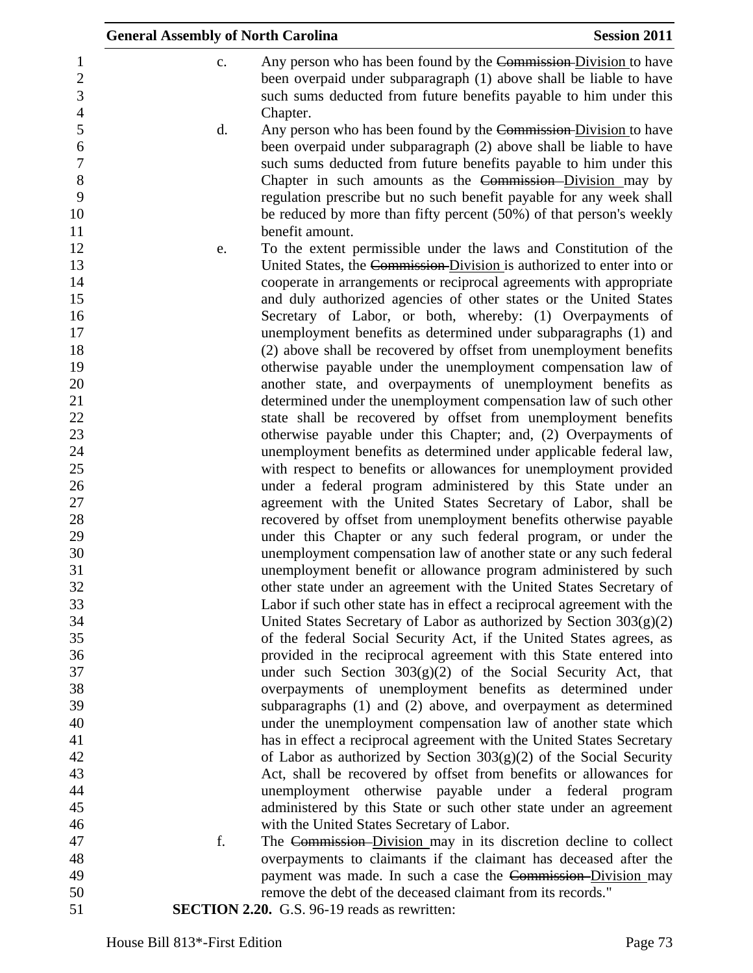|                                                      | <b>General Assembly of North Carolina</b> |                                                                                                                                                                                                                                                                                                                                                                                                                                           | <b>Session 2011</b> |
|------------------------------------------------------|-------------------------------------------|-------------------------------------------------------------------------------------------------------------------------------------------------------------------------------------------------------------------------------------------------------------------------------------------------------------------------------------------------------------------------------------------------------------------------------------------|---------------------|
| $\mathbf 1$<br>$\overline{2}$<br>3<br>$\overline{4}$ | c.                                        | Any person who has been found by the Commission-Division to have<br>been overpaid under subparagraph (1) above shall be liable to have<br>such sums deducted from future benefits payable to him under this<br>Chapter.                                                                                                                                                                                                                   |                     |
| 5<br>6<br>$\boldsymbol{7}$<br>8<br>9<br>10<br>11     | d.                                        | Any person who has been found by the Commission-Division to have<br>been overpaid under subparagraph (2) above shall be liable to have<br>such sums deducted from future benefits payable to him under this<br>Chapter in such amounts as the Commission-Division may by<br>regulation prescribe but no such benefit payable for any week shall<br>be reduced by more than fifty percent (50%) of that person's weekly<br>benefit amount. |                     |
| 12                                                   | e.                                        | To the extent permissible under the laws and Constitution of the                                                                                                                                                                                                                                                                                                                                                                          |                     |
| 13                                                   |                                           | United States, the Commission-Division is authorized to enter into or                                                                                                                                                                                                                                                                                                                                                                     |                     |
| 14                                                   |                                           | cooperate in arrangements or reciprocal agreements with appropriate                                                                                                                                                                                                                                                                                                                                                                       |                     |
| 15                                                   |                                           | and duly authorized agencies of other states or the United States                                                                                                                                                                                                                                                                                                                                                                         |                     |
| 16                                                   |                                           | Secretary of Labor, or both, whereby: (1) Overpayments of                                                                                                                                                                                                                                                                                                                                                                                 |                     |
| 17                                                   |                                           | unemployment benefits as determined under subparagraphs (1) and                                                                                                                                                                                                                                                                                                                                                                           |                     |
| 18                                                   |                                           | (2) above shall be recovered by offset from unemployment benefits                                                                                                                                                                                                                                                                                                                                                                         |                     |
| 19<br>20                                             |                                           | otherwise payable under the unemployment compensation law of<br>another state, and overpayments of unemployment benefits as                                                                                                                                                                                                                                                                                                               |                     |
| 21                                                   |                                           | determined under the unemployment compensation law of such other                                                                                                                                                                                                                                                                                                                                                                          |                     |
| 22                                                   |                                           | state shall be recovered by offset from unemployment benefits                                                                                                                                                                                                                                                                                                                                                                             |                     |
| 23                                                   |                                           | otherwise payable under this Chapter; and, (2) Overpayments of                                                                                                                                                                                                                                                                                                                                                                            |                     |
| 24                                                   |                                           | unemployment benefits as determined under applicable federal law,                                                                                                                                                                                                                                                                                                                                                                         |                     |
| 25                                                   |                                           | with respect to benefits or allowances for unemployment provided                                                                                                                                                                                                                                                                                                                                                                          |                     |
| 26                                                   |                                           | under a federal program administered by this State under an                                                                                                                                                                                                                                                                                                                                                                               |                     |
| 27                                                   |                                           | agreement with the United States Secretary of Labor, shall be                                                                                                                                                                                                                                                                                                                                                                             |                     |
| 28                                                   |                                           | recovered by offset from unemployment benefits otherwise payable                                                                                                                                                                                                                                                                                                                                                                          |                     |
| 29                                                   |                                           | under this Chapter or any such federal program, or under the                                                                                                                                                                                                                                                                                                                                                                              |                     |
| 30<br>31                                             |                                           | unemployment compensation law of another state or any such federal<br>unemployment benefit or allowance program administered by such                                                                                                                                                                                                                                                                                                      |                     |
| 32                                                   |                                           | other state under an agreement with the United States Secretary of                                                                                                                                                                                                                                                                                                                                                                        |                     |
| 33                                                   |                                           | Labor if such other state has in effect a reciprocal agreement with the                                                                                                                                                                                                                                                                                                                                                                   |                     |
| 34                                                   |                                           | United States Secretary of Labor as authorized by Section $303(g)(2)$                                                                                                                                                                                                                                                                                                                                                                     |                     |
| 35                                                   |                                           | of the federal Social Security Act, if the United States agrees, as                                                                                                                                                                                                                                                                                                                                                                       |                     |
| 36                                                   |                                           | provided in the reciprocal agreement with this State entered into                                                                                                                                                                                                                                                                                                                                                                         |                     |
| 37                                                   |                                           | under such Section $303(g)(2)$ of the Social Security Act, that                                                                                                                                                                                                                                                                                                                                                                           |                     |
| 38                                                   |                                           | overpayments of unemployment benefits as determined under                                                                                                                                                                                                                                                                                                                                                                                 |                     |
| 39                                                   |                                           | subparagraphs (1) and (2) above, and overpayment as determined                                                                                                                                                                                                                                                                                                                                                                            |                     |
| 40                                                   |                                           | under the unemployment compensation law of another state which                                                                                                                                                                                                                                                                                                                                                                            |                     |
| 41<br>42                                             |                                           | has in effect a reciprocal agreement with the United States Secretary<br>of Labor as authorized by Section $303(g)(2)$ of the Social Security                                                                                                                                                                                                                                                                                             |                     |
| 43                                                   |                                           | Act, shall be recovered by offset from benefits or allowances for                                                                                                                                                                                                                                                                                                                                                                         |                     |
| 44                                                   |                                           | unemployment otherwise payable under a federal program                                                                                                                                                                                                                                                                                                                                                                                    |                     |
| 45                                                   |                                           | administered by this State or such other state under an agreement                                                                                                                                                                                                                                                                                                                                                                         |                     |
| 46                                                   |                                           | with the United States Secretary of Labor.                                                                                                                                                                                                                                                                                                                                                                                                |                     |
| 47                                                   | f.                                        | The Commission-Division may in its discretion decline to collect                                                                                                                                                                                                                                                                                                                                                                          |                     |
| 48                                                   |                                           | overpayments to claimants if the claimant has deceased after the                                                                                                                                                                                                                                                                                                                                                                          |                     |
| 49                                                   |                                           | payment was made. In such a case the Commission-Division may                                                                                                                                                                                                                                                                                                                                                                              |                     |
| 50                                                   |                                           | remove the debt of the deceased claimant from its records."                                                                                                                                                                                                                                                                                                                                                                               |                     |
| 51                                                   |                                           | <b>SECTION 2.20.</b> G.S. 96-19 reads as rewritten:                                                                                                                                                                                                                                                                                                                                                                                       |                     |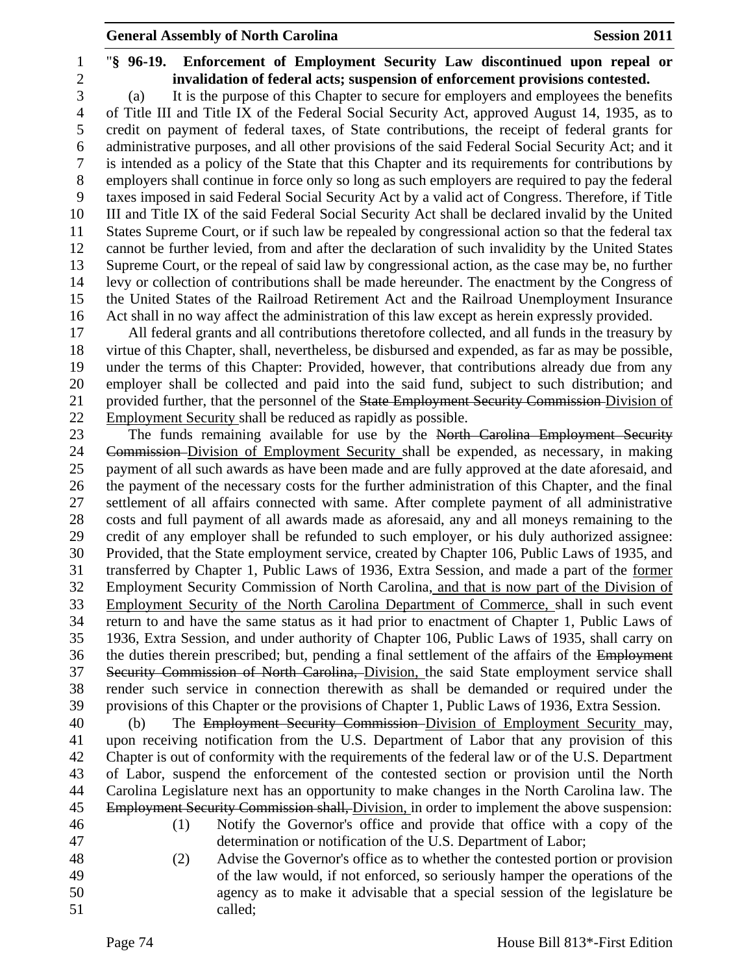- 
- "**§ 96-19. Enforcement of Employment Security Law discontinued upon repeal or invalidation of federal acts; suspension of enforcement provisions contested.**

 (a) It is the purpose of this Chapter to secure for employers and employees the benefits of Title III and Title IX of the Federal Social Security Act, approved August 14, 1935, as to credit on payment of federal taxes, of State contributions, the receipt of federal grants for administrative purposes, and all other provisions of the said Federal Social Security Act; and it is intended as a policy of the State that this Chapter and its requirements for contributions by employers shall continue in force only so long as such employers are required to pay the federal taxes imposed in said Federal Social Security Act by a valid act of Congress. Therefore, if Title III and Title IX of the said Federal Social Security Act shall be declared invalid by the United States Supreme Court, or if such law be repealed by congressional action so that the federal tax cannot be further levied, from and after the declaration of such invalidity by the United States Supreme Court, or the repeal of said law by congressional action, as the case may be, no further levy or collection of contributions shall be made hereunder. The enactment by the Congress of the United States of the Railroad Retirement Act and the Railroad Unemployment Insurance Act shall in no way affect the administration of this law except as herein expressly provided.

 All federal grants and all contributions theretofore collected, and all funds in the treasury by virtue of this Chapter, shall, nevertheless, be disbursed and expended, as far as may be possible, under the terms of this Chapter: Provided, however, that contributions already due from any employer shall be collected and paid into the said fund, subject to such distribution; and 21 provided further, that the personnel of the State Employment Security Commission-Division of Employment Security shall be reduced as rapidly as possible.

23 The funds remaining available for use by the North Carolina Employment Security 24 Commission-Division of Employment Security shall be expended, as necessary, in making payment of all such awards as have been made and are fully approved at the date aforesaid, and the payment of the necessary costs for the further administration of this Chapter, and the final settlement of all affairs connected with same. After complete payment of all administrative costs and full payment of all awards made as aforesaid, any and all moneys remaining to the credit of any employer shall be refunded to such employer, or his duly authorized assignee: Provided, that the State employment service, created by Chapter 106, Public Laws of 1935, and transferred by Chapter 1, Public Laws of 1936, Extra Session, and made a part of the former Employment Security Commission of North Carolina, and that is now part of the Division of Employment Security of the North Carolina Department of Commerce, shall in such event return to and have the same status as it had prior to enactment of Chapter 1, Public Laws of 1936, Extra Session, and under authority of Chapter 106, Public Laws of 1935, shall carry on the duties therein prescribed; but, pending a final settlement of the affairs of the Employment Security Commission of North Carolina, Division, the said State employment service shall render such service in connection therewith as shall be demanded or required under the provisions of this Chapter or the provisions of Chapter 1, Public Laws of 1936, Extra Session.

 (b) The Employment Security Commission Division of Employment Security may, upon receiving notification from the U.S. Department of Labor that any provision of this Chapter is out of conformity with the requirements of the federal law or of the U.S. Department of Labor, suspend the enforcement of the contested section or provision until the North Carolina Legislature next has an opportunity to make changes in the North Carolina law. The 45 Employment Security Commission shall, Division, in order to implement the above suspension:

- 
- 
- (1) Notify the Governor's office and provide that office with a copy of the determination or notification of the U.S. Department of Labor;
- (2) Advise the Governor's office as to whether the contested portion or provision of the law would, if not enforced, so seriously hamper the operations of the agency as to make it advisable that a special session of the legislature be called;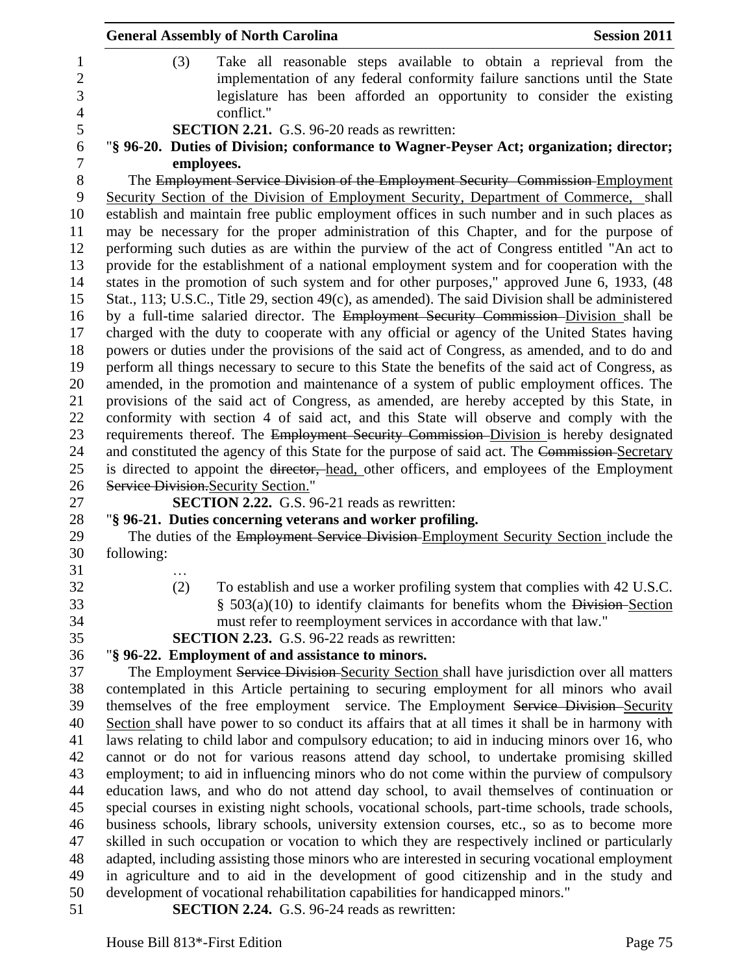|                | <b>General Assembly of North Carolina</b><br><b>Session 2011</b>                                       |
|----------------|--------------------------------------------------------------------------------------------------------|
| 1              | (3)<br>Take all reasonable steps available to obtain a reprieval from the                              |
| $\overline{2}$ | implementation of any federal conformity failure sanctions until the State                             |
| 3              | legislature has been afforded an opportunity to consider the existing                                  |
| $\overline{4}$ | conflict."                                                                                             |
| 5              | SECTION 2.21. G.S. 96-20 reads as rewritten:                                                           |
| 6              | "§ 96-20. Duties of Division; conformance to Wagner-Peyser Act; organization; director;                |
| $\tau$         | employees.                                                                                             |
| $8\,$          | The Employment Service Division of the Employment Security Commission-Employment                       |
| 9              | Security Section of the Division of Employment Security, Department of Commerce, shall                 |
| 10             | establish and maintain free public employment offices in such number and in such places as             |
| 11             | may be necessary for the proper administration of this Chapter, and for the purpose of                 |
| 12             | performing such duties as are within the purview of the act of Congress entitled "An act to            |
| 13             | provide for the establishment of a national employment system and for cooperation with the             |
| 14             | states in the promotion of such system and for other purposes," approved June 6, 1933, (48             |
| 15             | Stat., 113; U.S.C., Title 29, section 49(c), as amended). The said Division shall be administered      |
| 16             | by a full-time salaried director. The Employment Security Commission-Division shall be                 |
| 17             | charged with the duty to cooperate with any official or agency of the United States having             |
| 18             | powers or duties under the provisions of the said act of Congress, as amended, and to do and           |
| 19             | perform all things necessary to secure to this State the benefits of the said act of Congress, as      |
| 20             | amended, in the promotion and maintenance of a system of public employment offices. The                |
| 21             | provisions of the said act of Congress, as amended, are hereby accepted by this State, in              |
| 22             | conformity with section 4 of said act, and this State will observe and comply with the                 |
| 23             | requirements thereof. The Employment Security Commission-Division is hereby designated                 |
| 24             | and constituted the agency of this State for the purpose of said act. The Commission-Secretary         |
| 25             | is directed to appoint the <del>director, head</del> , other officers, and employees of the Employment |
| 26             | Service Division. Security Section."                                                                   |
| 27             | <b>SECTION 2.22.</b> G.S. 96-21 reads as rewritten:                                                    |
| 28             | "§ 96-21. Duties concerning veterans and worker profiling.                                             |
| 29             | The duties of the Employment Service Division-Employment Security Section include the                  |
| 30             | following:                                                                                             |
| 31             |                                                                                                        |
| 32             | (2)<br>To establish and use a worker profiling system that complies with 42 U.S.C.                     |
| 33             | $§$ 503(a)(10) to identify claimants for benefits whom the Division-Section                            |
| 34             | must refer to reemployment services in accordance with that law."                                      |
| 35             | <b>SECTION 2.23.</b> G.S. 96-22 reads as rewritten:                                                    |
| 36             | "§ 96-22. Employment of and assistance to minors.                                                      |
| 37             | The Employment Service Division-Security Section shall have jurisdiction over all matters              |
| 38             | contemplated in this Article pertaining to securing employment for all minors who avail                |
| 39             | themselves of the free employment service. The Employment Service Division-Security                    |
| 40             | Section shall have power to so conduct its affairs that at all times it shall be in harmony with       |
| 41             | laws relating to child labor and compulsory education; to aid in inducing minors over 16, who          |
| 42             | cannot or do not for various reasons attend day school, to undertake promising skilled                 |
| 43             | employment; to aid in influencing minors who do not come within the purview of compulsory              |
| 44             | education laws, and who do not attend day school, to avail themselves of continuation or               |
| 45             | special courses in existing night schools, vocational schools, part-time schools, trade schools,       |
| 46             | business schools, library schools, university extension courses, etc., so as to become more            |
| 47             | skilled in such occupation or vocation to which they are respectively inclined or particularly         |
| 48             | adapted, including assisting those minors who are interested in securing vocational employment         |
| 49             | in agriculture and to aid in the development of good citizenship and in the study and                  |
| 50             | development of vocational rehabilitation capabilities for handicapped minors."                         |
| 51             | <b>SECTION 2.24.</b> G.S. 96-24 reads as rewritten:                                                    |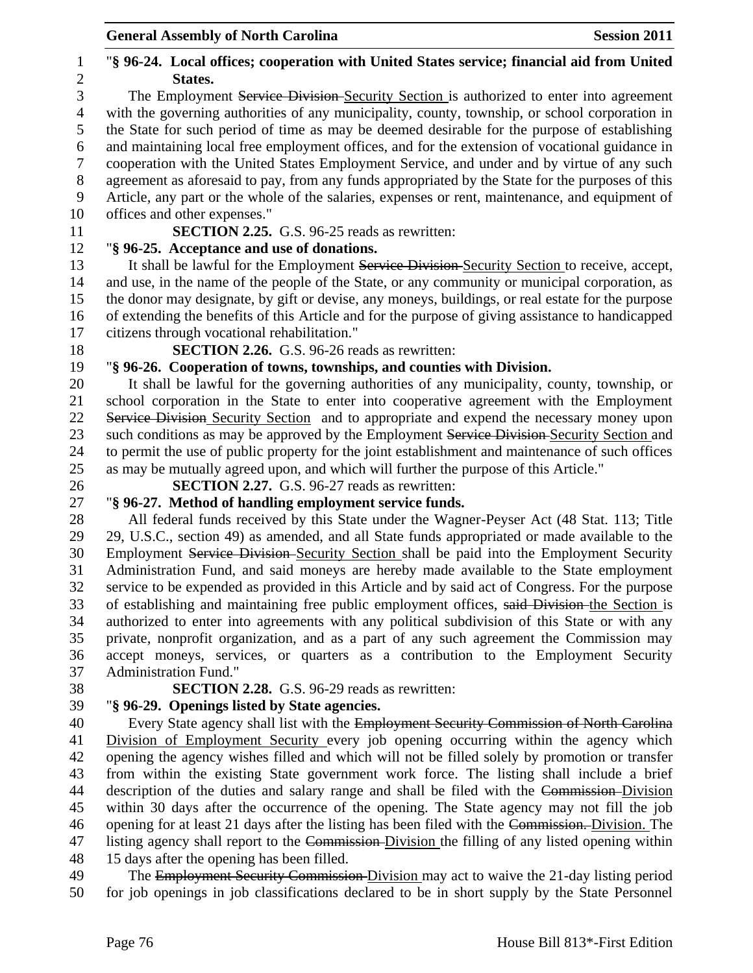for job openings in job classifications declared to be in short supply by the State Personnel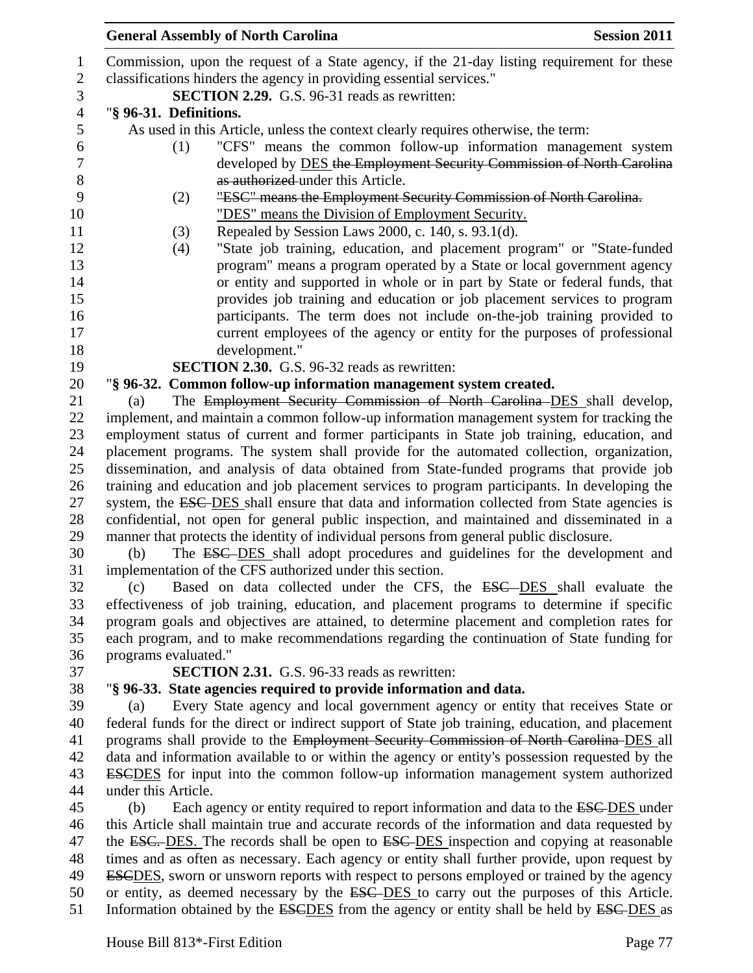Commission, upon the request of a State agency, if the 21-day listing requirement for these classifications hinders the agency in providing essential services." **SECTION 2.29.** G.S. 96-31 reads as rewritten: "**§ 96-31. Definitions.** As used in this Article, unless the context clearly requires otherwise, the term: (1) "CFS" means the common follow-up information management system developed by DES the Employment Security Commission of North Carolina 8 as authorized under this Article. (2) "ESC" means the Employment Security Commission of North Carolina. "DES" means the Division of Employment Security. (3) Repealed by Session Laws 2000, c. 140, s. 93.1(d). (4) "State job training, education, and placement program" or "State-funded program" means a program operated by a State or local government agency or entity and supported in whole or in part by State or federal funds, that provides job training and education or job placement services to program participants. The term does not include on-the-job training provided to current employees of the agency or entity for the purposes of professional development." **SECTION 2.30.** G.S. 96-32 reads as rewritten: "**§ 96-32. Common follow-up information management system created.** (a) The Employment Security Commission of North Carolina DES shall develop, implement, and maintain a common follow-up information management system for tracking the employment status of current and former participants in State job training, education, and placement programs. The system shall provide for the automated collection, organization, dissemination, and analysis of data obtained from State-funded programs that provide job training and education and job placement services to program participants. In developing the 27 system, the ESC-DES shall ensure that data and information collected from State agencies is confidential, not open for general public inspection, and maintained and disseminated in a manner that protects the identity of individual persons from general public disclosure. (b) The ESC DES shall adopt procedures and guidelines for the development and implementation of the CFS authorized under this section. (c) Based on data collected under the CFS, the ESC DES shall evaluate the effectiveness of job training, education, and placement programs to determine if specific program goals and objectives are attained, to determine placement and completion rates for each program, and to make recommendations regarding the continuation of State funding for programs evaluated." **SECTION 2.31.** G.S. 96-33 reads as rewritten: "**§ 96-33. State agencies required to provide information and data.** (a) Every State agency and local government agency or entity that receives State or federal funds for the direct or indirect support of State job training, education, and placement programs shall provide to the Employment Security Commission of North Carolina DES all data and information available to or within the agency or entity's possession requested by the ESCDES for input into the common follow-up information management system authorized under this Article. 45 (b) Each agency or entity required to report information and data to the **ESC-DES** under this Article shall maintain true and accurate records of the information and data requested by 47 the ESC. DES. The records shall be open to ESC-DES inspection and copying at reasonable times and as often as necessary. Each agency or entity shall further provide, upon request by 49 ESCDES, sworn or unsworn reports with respect to persons employed or trained by the agency or entity, as deemed necessary by the ESC DES to carry out the purposes of this Article.

51 Information obtained by the ESCDES from the agency or entity shall be held by ESC-DES as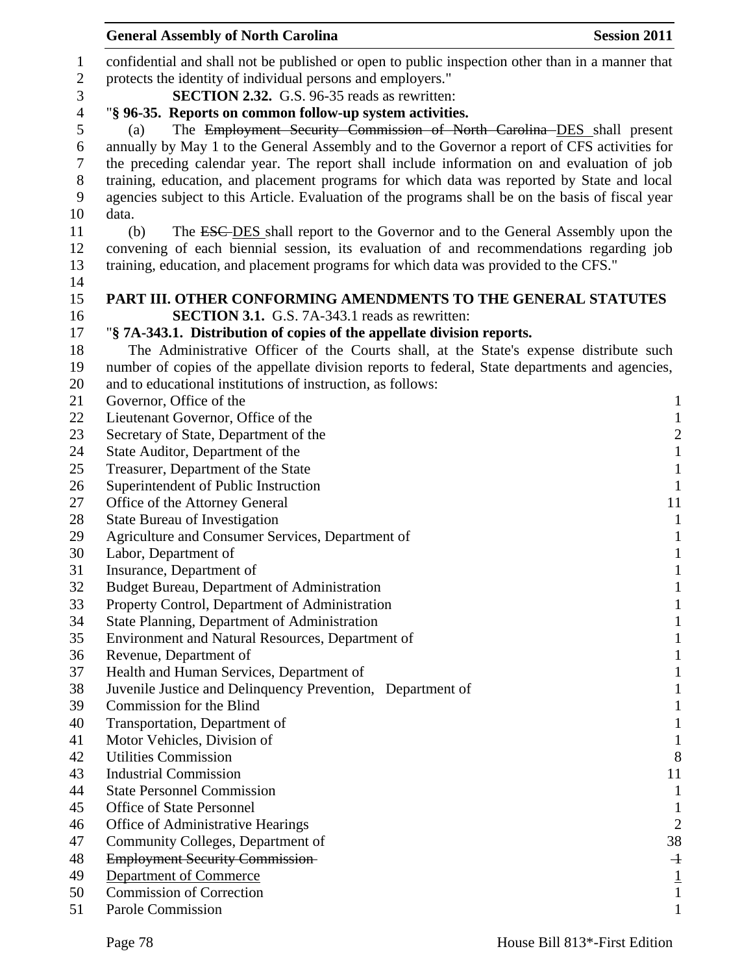|                | <b>General Assembly of North Carolina</b>                                                         | <b>Session 2011</b>                   |
|----------------|---------------------------------------------------------------------------------------------------|---------------------------------------|
| 1              | confidential and shall not be published or open to public inspection other than in a manner that  |                                       |
| $\overline{c}$ | protects the identity of individual persons and employers."                                       |                                       |
| 3              | <b>SECTION 2.32.</b> G.S. 96-35 reads as rewritten:                                               |                                       |
| 4              | "§ 96-35. Reports on common follow-up system activities.                                          |                                       |
| 5              | The Employment Security Commission of North Carolina DES shall present<br>(a)                     |                                       |
| 6              | annually by May 1 to the General Assembly and to the Governor a report of CFS activities for      |                                       |
| 7              | the preceding calendar year. The report shall include information on and evaluation of job        |                                       |
| 8              | training, education, and placement programs for which data was reported by State and local        |                                       |
| 9              | agencies subject to this Article. Evaluation of the programs shall be on the basis of fiscal year |                                       |
| 10             | data.                                                                                             |                                       |
| 11             | The ESC-DES shall report to the Governor and to the General Assembly upon the<br>(b)              |                                       |
| 12             | convening of each biennial session, its evaluation of and recommendations regarding job           |                                       |
| 13             | training, education, and placement programs for which data was provided to the CFS."              |                                       |
| 14             |                                                                                                   |                                       |
| 15             | PART III. OTHER CONFORMING AMENDMENTS TO THE GENERAL STATUTES                                     |                                       |
| 16             | <b>SECTION 3.1.</b> G.S. 7A-343.1 reads as rewritten:                                             |                                       |
| 17             | "§ 7A-343.1. Distribution of copies of the appellate division reports.                            |                                       |
| 18             | The Administrative Officer of the Courts shall, at the State's expense distribute such            |                                       |
| 19             | number of copies of the appellate division reports to federal, State departments and agencies,    |                                       |
| 20             | and to educational institutions of instruction, as follows:                                       |                                       |
| 21             | Governor, Office of the                                                                           | 1                                     |
| 22             | Lieutenant Governor, Office of the                                                                | $\mathbf{1}$                          |
| 23             | Secretary of State, Department of the                                                             |                                       |
| 24             | State Auditor, Department of the                                                                  | $\begin{array}{c} 2 \\ 1 \end{array}$ |
| 25             | Treasurer, Department of the State                                                                | $\mathbf{1}$                          |
| 26             | Superintendent of Public Instruction                                                              | $\mathbf{1}$                          |
| 27             | Office of the Attorney General                                                                    | 11                                    |
| 28             | <b>State Bureau of Investigation</b>                                                              | $\mathbf{1}$                          |
| 29             | Agriculture and Consumer Services, Department of                                                  | $\mathbf{1}$                          |
| 30             | Labor, Department of                                                                              | $\mathbf{1}$                          |
| 31             | Insurance, Department of                                                                          | $\mathbf{1}$                          |
| 32             | Budget Bureau, Department of Administration                                                       | 1                                     |
| 33             | Property Control, Department of Administration                                                    |                                       |
| 34             | State Planning, Department of Administration                                                      | 1                                     |
| 35             | Environment and Natural Resources, Department of                                                  | T                                     |
| 36             | Revenue, Department of                                                                            | 1                                     |
| 37             | Health and Human Services, Department of                                                          | 1                                     |
| 38             | Juvenile Justice and Delinquency Prevention, Department of                                        | 1                                     |
| 39             | Commission for the Blind                                                                          | 1                                     |
| 40             | Transportation, Department of                                                                     | 1                                     |
| 41             | Motor Vehicles, Division of                                                                       | 1                                     |
| 42             | <b>Utilities Commission</b>                                                                       | 8                                     |
| 43             | <b>Industrial Commission</b>                                                                      | 11                                    |
| 44             | <b>State Personnel Commission</b>                                                                 | 1                                     |
| 45             | <b>Office of State Personnel</b>                                                                  | 1                                     |
| 46             | Office of Administrative Hearings                                                                 | $\overline{2}$                        |
| 47             | Community Colleges, Department of                                                                 | 38                                    |
| 48             | <b>Employment Security Commission-</b>                                                            | $\overline{+}$                        |
| 49             | Department of Commerce                                                                            | $\frac{1}{1}$                         |
| 50             | <b>Commission of Correction</b>                                                                   |                                       |
| 51             | Parole Commission                                                                                 |                                       |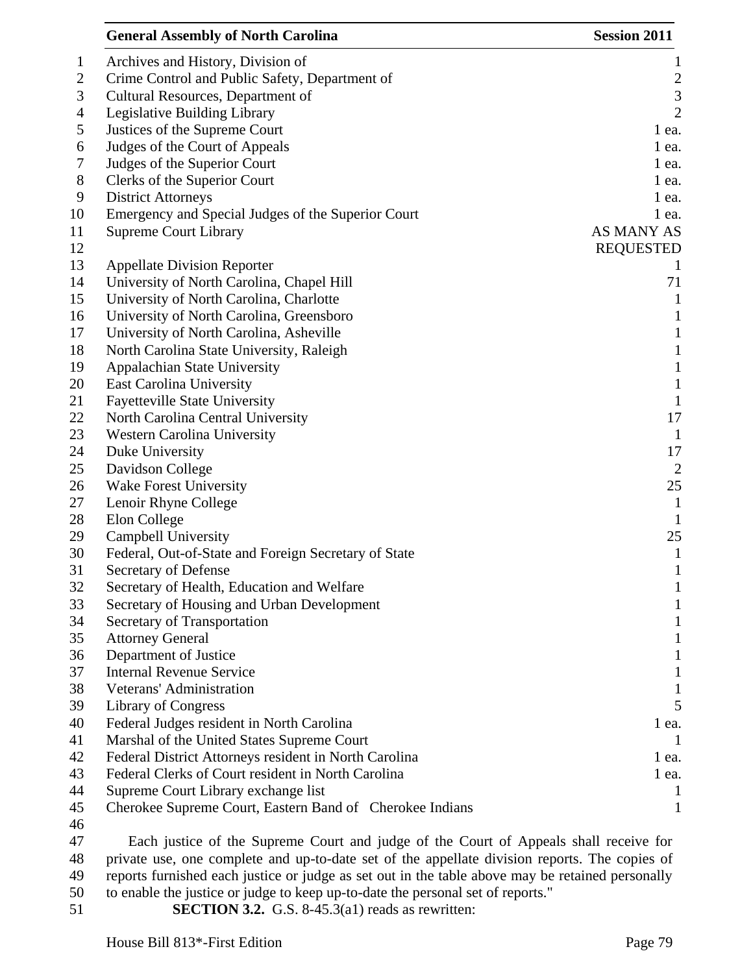|              | <b>General Assembly of North Carolina</b>                                 | <b>Session 2011</b> |
|--------------|---------------------------------------------------------------------------|---------------------|
| $\mathbf{1}$ | Archives and History, Division of                                         | $\mathbf{1}$        |
| 2            | Crime Control and Public Safety, Department of                            | $\frac{2}{3}$       |
| 3            | Cultural Resources, Department of                                         |                     |
| 4            | Legislative Building Library                                              | $\overline{2}$      |
| 5            | Justices of the Supreme Court                                             | 1 ea.               |
| 6            | Judges of the Court of Appeals                                            | $1$ ea.             |
| 7            | Judges of the Superior Court                                              | $1$ ea.             |
| $8\,$        | Clerks of the Superior Court                                              | 1 ea.               |
| 9            | <b>District Attorneys</b>                                                 | $1$ ea.             |
| 10           | Emergency and Special Judges of the Superior Court                        | $1$ ea.             |
| 11           | <b>Supreme Court Library</b>                                              | AS MANY AS          |
| 12           |                                                                           | <b>REQUESTED</b>    |
| 13           | <b>Appellate Division Reporter</b>                                        |                     |
| 14           | University of North Carolina, Chapel Hill                                 | 71                  |
| 15           | University of North Carolina, Charlotte                                   | $\mathbf{1}$        |
| 16           | University of North Carolina, Greensboro                                  | $\mathbf{1}$        |
| 17           | University of North Carolina, Asheville                                   | $\mathbf{1}$        |
| 18           | North Carolina State University, Raleigh                                  | $\mathbf{1}$        |
| 19           | Appalachian State University                                              | $\mathbf{1}$        |
| 20           | <b>East Carolina University</b>                                           | $\mathbf{1}$        |
| 21<br>22     | <b>Fayetteville State University</b><br>North Carolina Central University | $\mathbf{1}$<br>17  |
| 23           | <b>Western Carolina University</b>                                        | $\mathbf{1}$        |
| 24           | Duke University                                                           | 17                  |
| 25           | Davidson College                                                          | $\overline{2}$      |
| 26           | <b>Wake Forest University</b>                                             | 25                  |
| 27           | Lenoir Rhyne College                                                      | 1                   |
| 28           | Elon College                                                              | $\mathbf{1}$        |
| 29           | Campbell University                                                       | 25                  |
| 30           | Federal, Out-of-State and Foreign Secretary of State                      | $\mathbf{1}$        |
| 31           | Secretary of Defense                                                      | $\mathbf{1}$        |
| 32           | Secretary of Health, Education and Welfare                                | T                   |
| 33           | Secretary of Housing and Urban Development                                | $\bf{l}$            |
| 34           | Secretary of Transportation                                               | $\mathbf 1$         |
| 35           | <b>Attorney General</b>                                                   | 1                   |
| 36           | Department of Justice                                                     | $\mathbf{I}$        |
| 37           | <b>Internal Revenue Service</b>                                           | 1                   |
| 38           | Veterans' Administration                                                  | 1                   |
| 39           | Library of Congress                                                       | 5                   |
| 40           | Federal Judges resident in North Carolina                                 | 1 ea.               |
| 41           | Marshal of the United States Supreme Court                                | -1                  |
| 42           | Federal District Attorneys resident in North Carolina                     | $1$ ea.             |
| 43           | Federal Clerks of Court resident in North Carolina                        | $1$ ea.             |
| 44           | Supreme Court Library exchange list                                       | 1                   |
| 45           | Cherokee Supreme Court, Eastern Band of Cherokee Indians                  | 1                   |
| 46           |                                                                           |                     |

47 Each justice of the Supreme Court and judge of the Court of Appeals shall receive for 48 private use, one complete and up-to-date set of the appellate division reports. The copies of 49 reports furnished each justice or judge as set out in the table above may be retained personally

50 to enable the justice or judge to keep up-to-date the personal set of reports." **SECTION 3.2.** G.S. 8-45.3(a1) reads as rewritten: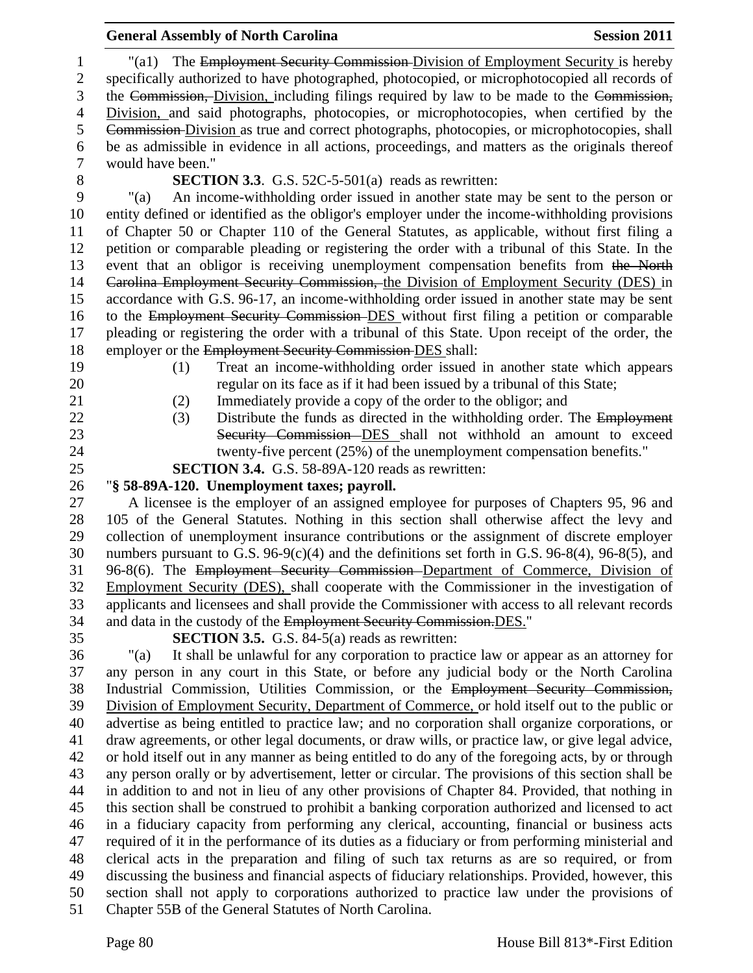| $\mathbf{1}$   | "(a1) The Employment Security Commission-Division of Employment Security is hereby                                                                   |
|----------------|------------------------------------------------------------------------------------------------------------------------------------------------------|
| $\mathbf{2}$   | specifically authorized to have photographed, photocopied, or microphotocopied all records of                                                        |
| 3              | the Commission, Division, including filings required by law to be made to the Commission,                                                            |
| $\overline{4}$ | Division, and said photographs, photocopies, or microphotocopies, when certified by the                                                              |
| 5              | Commission-Division as true and correct photographs, photocopies, or microphotocopies, shall                                                         |
| 6              | be as admissible in evidence in all actions, proceedings, and matters as the originals thereof                                                       |
| $\tau$         | would have been."                                                                                                                                    |
| $8\,$          | <b>SECTION 3.3.</b> G.S. 52C-5-501(a) reads as rewritten:                                                                                            |
| 9              | An income-withholding order issued in another state may be sent to the person or<br>" $(a)$                                                          |
| 10             | entity defined or identified as the obligor's employer under the income-withholding provisions                                                       |
| 11             | of Chapter 50 or Chapter 110 of the General Statutes, as applicable, without first filing a                                                          |
| 12             | petition or comparable pleading or registering the order with a tribunal of this State. In the                                                       |
| 13             | event that an obligor is receiving unemployment compensation benefits from the North                                                                 |
| 14             | Carolina Employment Security Commission, the Division of Employment Security (DES) in                                                                |
| 15             | accordance with G.S. 96-17, an income-withholding order issued in another state may be sent                                                          |
| 16             | to the Employment Security Commission-DES without first filing a petition or comparable                                                              |
| 17             | pleading or registering the order with a tribunal of this State. Upon receipt of the order, the                                                      |
| 18             | employer or the Employment Security Commission DES shall:                                                                                            |
| 19             | Treat an income-withholding order issued in another state which appears<br>(1)                                                                       |
| 20             | regular on its face as if it had been issued by a tribunal of this State;                                                                            |
| 21             | Immediately provide a copy of the order to the obligor; and<br>(2)                                                                                   |
| 22             | Distribute the funds as directed in the withholding order. The Employment<br>(3)                                                                     |
| 23             | Security Commission DES shall not withhold an amount to exceed                                                                                       |
| 24             | twenty-five percent (25%) of the unemployment compensation benefits."                                                                                |
| 25             | <b>SECTION 3.4.</b> G.S. 58-89A-120 reads as rewritten:                                                                                              |
|                |                                                                                                                                                      |
| 26             | "§ 58-89A-120. Unemployment taxes; payroll.                                                                                                          |
| 27             | A licensee is the employer of an assigned employee for purposes of Chapters 95, 96 and                                                               |
| 28             | 105 of the General Statutes. Nothing in this section shall otherwise affect the levy and                                                             |
| 29             | collection of unemployment insurance contributions or the assignment of discrete employer                                                            |
| 30             | numbers pursuant to G.S. $96-9(c)(4)$ and the definitions set forth in G.S. $96-8(4)$ , $96-8(5)$ , and                                              |
| 31             | 96-8(6). The Employment Security Commission-Department of Commerce, Division of                                                                      |
| 32             | Employment Security (DES), shall cooperate with the Commissioner in the investigation of                                                             |
| 33             | applicants and licensees and shall provide the Commissioner with access to all relevant records                                                      |
| 34             | and data in the custody of the Employment Security Commission. DES."                                                                                 |
| 35             | <b>SECTION 3.5.</b> G.S. 84-5(a) reads as rewritten:                                                                                                 |
| 36             | It shall be unlawful for any corporation to practice law or appear as an attorney for<br>"(a)                                                        |
| 37             | any person in any court in this State, or before any judicial body or the North Carolina                                                             |
| 38             | Industrial Commission, Utilities Commission, or the Employment Security Commission,                                                                  |
| 39             | Division of Employment Security, Department of Commerce, or hold itself out to the public or                                                         |
| 40             | advertise as being entitled to practice law; and no corporation shall organize corporations, or                                                      |
| 41             | draw agreements, or other legal documents, or draw wills, or practice law, or give legal advice,                                                     |
| 42             | or hold itself out in any manner as being entitled to do any of the foregoing acts, by or through                                                    |
| 43             | any person orally or by advertisement, letter or circular. The provisions of this section shall be                                                   |
| 44             | in addition to and not in lieu of any other provisions of Chapter 84. Provided, that nothing in                                                      |
| 45             | this section shall be construed to prohibit a banking corporation authorized and licensed to act                                                     |
| 46             | in a fiduciary capacity from performing any clerical, accounting, financial or business acts                                                         |
| 47             | required of it in the performance of its duties as a fiduciary or from performing ministerial and                                                    |
| 48             | clerical acts in the preparation and filing of such tax returns as are so required, or from                                                          |
| 49             | discussing the business and financial aspects of fiduciary relationships. Provided, however, this                                                    |
| 50<br>51       | section shall not apply to corporations authorized to practice law under the provisions of<br>Chapter 55B of the General Statutes of North Carolina. |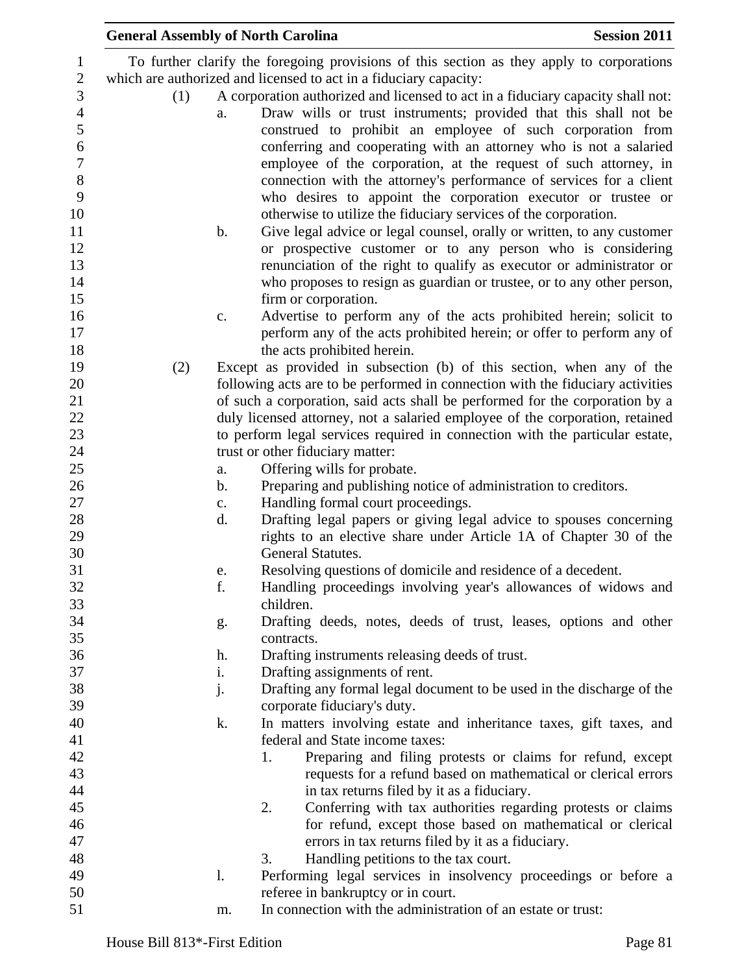|     |                | <b>General Assembly of North Carolina</b>                                                                                                                                                                                                                               | <b>Session 2011</b> |
|-----|----------------|-------------------------------------------------------------------------------------------------------------------------------------------------------------------------------------------------------------------------------------------------------------------------|---------------------|
|     |                | To further clarify the foregoing provisions of this section as they apply to corporations                                                                                                                                                                               |                     |
|     |                | which are authorized and licensed to act in a fiduciary capacity:                                                                                                                                                                                                       |                     |
| (1) |                | A corporation authorized and licensed to act in a fiduciary capacity shall not:                                                                                                                                                                                         |                     |
|     | a.             | Draw wills or trust instruments; provided that this shall not be<br>construed to prohibit an employee of such corporation from<br>conferring and cooperating with an attorney who is not a salaried<br>employee of the corporation, at the request of such attorney, in |                     |
|     |                | connection with the attorney's performance of services for a client<br>who desires to appoint the corporation executor or trustee or<br>otherwise to utilize the fiduciary services of the corporation.                                                                 |                     |
|     | $\mathbf b$ .  | Give legal advice or legal counsel, orally or written, to any customer<br>or prospective customer or to any person who is considering                                                                                                                                   |                     |
|     |                | renunciation of the right to qualify as executor or administrator or<br>who proposes to resign as guardian or trustee, or to any other person,<br>firm or corporation.                                                                                                  |                     |
|     |                |                                                                                                                                                                                                                                                                         |                     |
|     | $C_{\bullet}$  | Advertise to perform any of the acts prohibited herein; solicit to<br>perform any of the acts prohibited herein; or offer to perform any of<br>the acts prohibited herein.                                                                                              |                     |
| (2) |                | Except as provided in subsection (b) of this section, when any of the                                                                                                                                                                                                   |                     |
|     |                | following acts are to be performed in connection with the fiduciary activities                                                                                                                                                                                          |                     |
|     |                | of such a corporation, said acts shall be performed for the corporation by a                                                                                                                                                                                            |                     |
|     |                | duly licensed attorney, not a salaried employee of the corporation, retained                                                                                                                                                                                            |                     |
|     |                | to perform legal services required in connection with the particular estate,                                                                                                                                                                                            |                     |
|     |                | trust or other fiduciary matter:                                                                                                                                                                                                                                        |                     |
|     | a.             | Offering wills for probate.                                                                                                                                                                                                                                             |                     |
|     | b.             | Preparing and publishing notice of administration to creditors.                                                                                                                                                                                                         |                     |
|     | $\mathbf{c}$ . | Handling formal court proceedings.                                                                                                                                                                                                                                      |                     |
|     | d.             | Drafting legal papers or giving legal advice to spouses concerning                                                                                                                                                                                                      |                     |
|     |                | rights to an elective share under Article 1A of Chapter 30 of the<br>General Statutes.                                                                                                                                                                                  |                     |
|     | e.             | Resolving questions of domicile and residence of a decedent.                                                                                                                                                                                                            |                     |
|     | f.             | Handling proceedings involving year's allowances of widows and                                                                                                                                                                                                          |                     |
|     |                | children.                                                                                                                                                                                                                                                               |                     |
|     | g.             | Drafting deeds, notes, deeds of trust, leases, options and other                                                                                                                                                                                                        |                     |
|     |                | contracts.                                                                                                                                                                                                                                                              |                     |
|     | h.             | Drafting instruments releasing deeds of trust.                                                                                                                                                                                                                          |                     |
|     | i.             | Drafting assignments of rent.                                                                                                                                                                                                                                           |                     |
|     | j.             | Drafting any formal legal document to be used in the discharge of the                                                                                                                                                                                                   |                     |
|     |                | corporate fiduciary's duty.                                                                                                                                                                                                                                             |                     |
|     | k.             | In matters involving estate and inheritance taxes, gift taxes, and                                                                                                                                                                                                      |                     |
|     |                | federal and State income taxes:                                                                                                                                                                                                                                         |                     |
|     |                | Preparing and filing protests or claims for refund, except<br>1.                                                                                                                                                                                                        |                     |
|     |                | requests for a refund based on mathematical or clerical errors                                                                                                                                                                                                          |                     |
|     |                | in tax returns filed by it as a fiduciary.                                                                                                                                                                                                                              |                     |
|     |                | Conferring with tax authorities regarding protests or claims<br>2.                                                                                                                                                                                                      |                     |
|     |                | for refund, except those based on mathematical or clerical                                                                                                                                                                                                              |                     |
|     |                | errors in tax returns filed by it as a fiduciary.                                                                                                                                                                                                                       |                     |
|     |                | Handling petitions to the tax court.<br>3.                                                                                                                                                                                                                              |                     |
|     | 1.             | Performing legal services in insolvency proceedings or before a                                                                                                                                                                                                         |                     |
|     |                | referee in bankruptcy or in court.                                                                                                                                                                                                                                      |                     |
|     | m.             | In connection with the administration of an estate or trust:                                                                                                                                                                                                            |                     |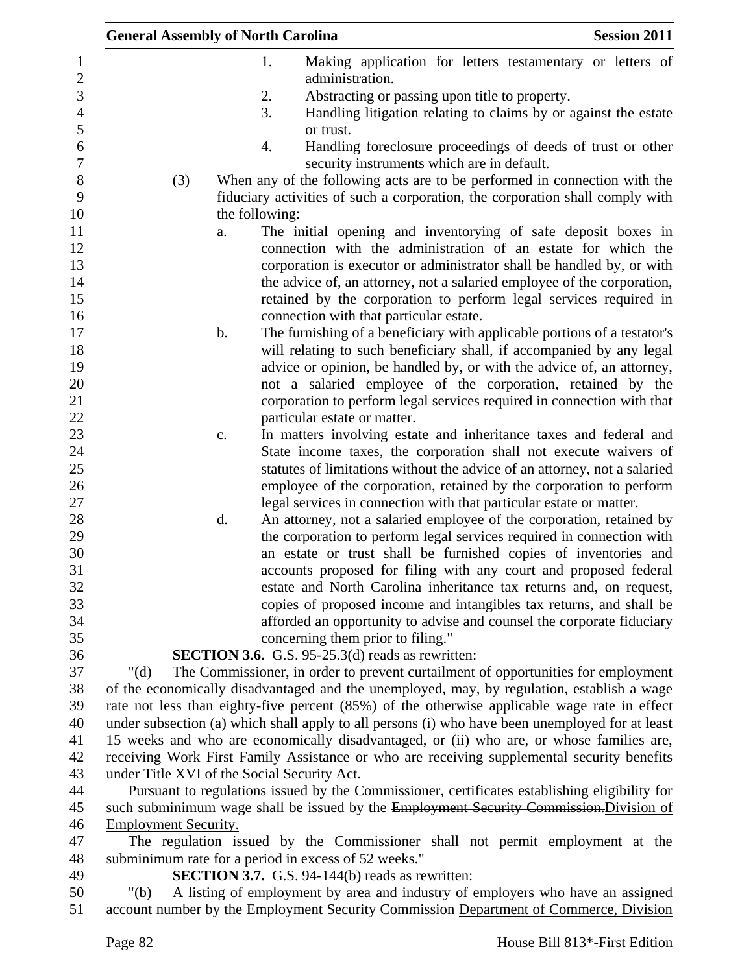| 1.<br>Making application for letters testamentary or letters of<br>$\mathbf{1}$<br>$\overline{2}$<br>administration.<br>3<br>2.<br>Abstracting or passing upon title to property.<br>$\overline{4}$<br>3.<br>Handling litigation relating to claims by or against the estate<br>5<br>or trust.<br>6<br>Handling foreclosure proceedings of deeds of trust or other<br>4.<br>$\boldsymbol{7}$<br>security instruments which are in default.<br>$\,8\,$<br>When any of the following acts are to be performed in connection with the<br>(3)<br>9<br>fiduciary activities of such a corporation, the corporation shall comply with<br>10<br>the following:<br>11<br>The initial opening and inventorying of safe deposit boxes in<br>a.<br>12<br>connection with the administration of an estate for which the<br>13<br>corporation is executor or administrator shall be handled by, or with<br>14<br>the advice of, an attorney, not a salaried employee of the corporation,<br>15<br>retained by the corporation to perform legal services required in<br>16<br>connection with that particular estate.<br>17<br>The furnishing of a beneficiary with applicable portions of a testator's<br>b.<br>18<br>will relating to such beneficiary shall, if accompanied by any legal<br>19<br>advice or opinion, be handled by, or with the advice of, an attorney,<br>20<br>not a salaried employee of the corporation, retained by the |
|-----------------------------------------------------------------------------------------------------------------------------------------------------------------------------------------------------------------------------------------------------------------------------------------------------------------------------------------------------------------------------------------------------------------------------------------------------------------------------------------------------------------------------------------------------------------------------------------------------------------------------------------------------------------------------------------------------------------------------------------------------------------------------------------------------------------------------------------------------------------------------------------------------------------------------------------------------------------------------------------------------------------------------------------------------------------------------------------------------------------------------------------------------------------------------------------------------------------------------------------------------------------------------------------------------------------------------------------------------------------------------------------------------------------------------------|
|                                                                                                                                                                                                                                                                                                                                                                                                                                                                                                                                                                                                                                                                                                                                                                                                                                                                                                                                                                                                                                                                                                                                                                                                                                                                                                                                                                                                                                   |
|                                                                                                                                                                                                                                                                                                                                                                                                                                                                                                                                                                                                                                                                                                                                                                                                                                                                                                                                                                                                                                                                                                                                                                                                                                                                                                                                                                                                                                   |
|                                                                                                                                                                                                                                                                                                                                                                                                                                                                                                                                                                                                                                                                                                                                                                                                                                                                                                                                                                                                                                                                                                                                                                                                                                                                                                                                                                                                                                   |
|                                                                                                                                                                                                                                                                                                                                                                                                                                                                                                                                                                                                                                                                                                                                                                                                                                                                                                                                                                                                                                                                                                                                                                                                                                                                                                                                                                                                                                   |
|                                                                                                                                                                                                                                                                                                                                                                                                                                                                                                                                                                                                                                                                                                                                                                                                                                                                                                                                                                                                                                                                                                                                                                                                                                                                                                                                                                                                                                   |
|                                                                                                                                                                                                                                                                                                                                                                                                                                                                                                                                                                                                                                                                                                                                                                                                                                                                                                                                                                                                                                                                                                                                                                                                                                                                                                                                                                                                                                   |
|                                                                                                                                                                                                                                                                                                                                                                                                                                                                                                                                                                                                                                                                                                                                                                                                                                                                                                                                                                                                                                                                                                                                                                                                                                                                                                                                                                                                                                   |
|                                                                                                                                                                                                                                                                                                                                                                                                                                                                                                                                                                                                                                                                                                                                                                                                                                                                                                                                                                                                                                                                                                                                                                                                                                                                                                                                                                                                                                   |
|                                                                                                                                                                                                                                                                                                                                                                                                                                                                                                                                                                                                                                                                                                                                                                                                                                                                                                                                                                                                                                                                                                                                                                                                                                                                                                                                                                                                                                   |
|                                                                                                                                                                                                                                                                                                                                                                                                                                                                                                                                                                                                                                                                                                                                                                                                                                                                                                                                                                                                                                                                                                                                                                                                                                                                                                                                                                                                                                   |
|                                                                                                                                                                                                                                                                                                                                                                                                                                                                                                                                                                                                                                                                                                                                                                                                                                                                                                                                                                                                                                                                                                                                                                                                                                                                                                                                                                                                                                   |
|                                                                                                                                                                                                                                                                                                                                                                                                                                                                                                                                                                                                                                                                                                                                                                                                                                                                                                                                                                                                                                                                                                                                                                                                                                                                                                                                                                                                                                   |
|                                                                                                                                                                                                                                                                                                                                                                                                                                                                                                                                                                                                                                                                                                                                                                                                                                                                                                                                                                                                                                                                                                                                                                                                                                                                                                                                                                                                                                   |
|                                                                                                                                                                                                                                                                                                                                                                                                                                                                                                                                                                                                                                                                                                                                                                                                                                                                                                                                                                                                                                                                                                                                                                                                                                                                                                                                                                                                                                   |
|                                                                                                                                                                                                                                                                                                                                                                                                                                                                                                                                                                                                                                                                                                                                                                                                                                                                                                                                                                                                                                                                                                                                                                                                                                                                                                                                                                                                                                   |
|                                                                                                                                                                                                                                                                                                                                                                                                                                                                                                                                                                                                                                                                                                                                                                                                                                                                                                                                                                                                                                                                                                                                                                                                                                                                                                                                                                                                                                   |
|                                                                                                                                                                                                                                                                                                                                                                                                                                                                                                                                                                                                                                                                                                                                                                                                                                                                                                                                                                                                                                                                                                                                                                                                                                                                                                                                                                                                                                   |
|                                                                                                                                                                                                                                                                                                                                                                                                                                                                                                                                                                                                                                                                                                                                                                                                                                                                                                                                                                                                                                                                                                                                                                                                                                                                                                                                                                                                                                   |
| corporation to perform legal services required in connection with that                                                                                                                                                                                                                                                                                                                                                                                                                                                                                                                                                                                                                                                                                                                                                                                                                                                                                                                                                                                                                                                                                                                                                                                                                                                                                                                                                            |
| particular estate or matter.                                                                                                                                                                                                                                                                                                                                                                                                                                                                                                                                                                                                                                                                                                                                                                                                                                                                                                                                                                                                                                                                                                                                                                                                                                                                                                                                                                                                      |
| In matters involving estate and inheritance taxes and federal and<br>c.                                                                                                                                                                                                                                                                                                                                                                                                                                                                                                                                                                                                                                                                                                                                                                                                                                                                                                                                                                                                                                                                                                                                                                                                                                                                                                                                                           |
| State income taxes, the corporation shall not execute waivers of                                                                                                                                                                                                                                                                                                                                                                                                                                                                                                                                                                                                                                                                                                                                                                                                                                                                                                                                                                                                                                                                                                                                                                                                                                                                                                                                                                  |
| statutes of limitations without the advice of an attorney, not a salaried                                                                                                                                                                                                                                                                                                                                                                                                                                                                                                                                                                                                                                                                                                                                                                                                                                                                                                                                                                                                                                                                                                                                                                                                                                                                                                                                                         |
| employee of the corporation, retained by the corporation to perform                                                                                                                                                                                                                                                                                                                                                                                                                                                                                                                                                                                                                                                                                                                                                                                                                                                                                                                                                                                                                                                                                                                                                                                                                                                                                                                                                               |
| legal services in connection with that particular estate or matter.                                                                                                                                                                                                                                                                                                                                                                                                                                                                                                                                                                                                                                                                                                                                                                                                                                                                                                                                                                                                                                                                                                                                                                                                                                                                                                                                                               |
| d.<br>An attorney, not a salaried employee of the corporation, retained by                                                                                                                                                                                                                                                                                                                                                                                                                                                                                                                                                                                                                                                                                                                                                                                                                                                                                                                                                                                                                                                                                                                                                                                                                                                                                                                                                        |
| the corporation to perform legal services required in connection with                                                                                                                                                                                                                                                                                                                                                                                                                                                                                                                                                                                                                                                                                                                                                                                                                                                                                                                                                                                                                                                                                                                                                                                                                                                                                                                                                             |
| an estate or trust shall be furnished copies of inventories and<br>accounts proposed for filing with any court and proposed federal                                                                                                                                                                                                                                                                                                                                                                                                                                                                                                                                                                                                                                                                                                                                                                                                                                                                                                                                                                                                                                                                                                                                                                                                                                                                                               |
| estate and North Carolina inheritance tax returns and, on request,                                                                                                                                                                                                                                                                                                                                                                                                                                                                                                                                                                                                                                                                                                                                                                                                                                                                                                                                                                                                                                                                                                                                                                                                                                                                                                                                                                |
| copies of proposed income and intangibles tax returns, and shall be                                                                                                                                                                                                                                                                                                                                                                                                                                                                                                                                                                                                                                                                                                                                                                                                                                                                                                                                                                                                                                                                                                                                                                                                                                                                                                                                                               |
| afforded an opportunity to advise and counsel the corporate fiduciary                                                                                                                                                                                                                                                                                                                                                                                                                                                                                                                                                                                                                                                                                                                                                                                                                                                                                                                                                                                                                                                                                                                                                                                                                                                                                                                                                             |
| concerning them prior to filing."                                                                                                                                                                                                                                                                                                                                                                                                                                                                                                                                                                                                                                                                                                                                                                                                                                                                                                                                                                                                                                                                                                                                                                                                                                                                                                                                                                                                 |
| <b>SECTION 3.6.</b> G.S. $95-25.3(d)$ reads as rewritten:                                                                                                                                                                                                                                                                                                                                                                                                                                                                                                                                                                                                                                                                                                                                                                                                                                                                                                                                                                                                                                                                                                                                                                                                                                                                                                                                                                         |
| The Commissioner, in order to prevent curtailment of opportunities for employment<br>" $(d)$                                                                                                                                                                                                                                                                                                                                                                                                                                                                                                                                                                                                                                                                                                                                                                                                                                                                                                                                                                                                                                                                                                                                                                                                                                                                                                                                      |
| of the economically disadvantaged and the unemployed, may, by regulation, establish a wage                                                                                                                                                                                                                                                                                                                                                                                                                                                                                                                                                                                                                                                                                                                                                                                                                                                                                                                                                                                                                                                                                                                                                                                                                                                                                                                                        |
| rate not less than eighty-five percent (85%) of the otherwise applicable wage rate in effect                                                                                                                                                                                                                                                                                                                                                                                                                                                                                                                                                                                                                                                                                                                                                                                                                                                                                                                                                                                                                                                                                                                                                                                                                                                                                                                                      |
| under subsection (a) which shall apply to all persons (i) who have been unemployed for at least                                                                                                                                                                                                                                                                                                                                                                                                                                                                                                                                                                                                                                                                                                                                                                                                                                                                                                                                                                                                                                                                                                                                                                                                                                                                                                                                   |
| 15 weeks and who are economically disadvantaged, or (ii) who are, or whose families are,                                                                                                                                                                                                                                                                                                                                                                                                                                                                                                                                                                                                                                                                                                                                                                                                                                                                                                                                                                                                                                                                                                                                                                                                                                                                                                                                          |
| receiving Work First Family Assistance or who are receiving supplemental security benefits                                                                                                                                                                                                                                                                                                                                                                                                                                                                                                                                                                                                                                                                                                                                                                                                                                                                                                                                                                                                                                                                                                                                                                                                                                                                                                                                        |
| under Title XVI of the Social Security Act.                                                                                                                                                                                                                                                                                                                                                                                                                                                                                                                                                                                                                                                                                                                                                                                                                                                                                                                                                                                                                                                                                                                                                                                                                                                                                                                                                                                       |
| Pursuant to regulations issued by the Commissioner, certificates establishing eligibility for                                                                                                                                                                                                                                                                                                                                                                                                                                                                                                                                                                                                                                                                                                                                                                                                                                                                                                                                                                                                                                                                                                                                                                                                                                                                                                                                     |
| such subminimum wage shall be issued by the Employment Security Commission. Division of                                                                                                                                                                                                                                                                                                                                                                                                                                                                                                                                                                                                                                                                                                                                                                                                                                                                                                                                                                                                                                                                                                                                                                                                                                                                                                                                           |
| <b>Employment Security.</b>                                                                                                                                                                                                                                                                                                                                                                                                                                                                                                                                                                                                                                                                                                                                                                                                                                                                                                                                                                                                                                                                                                                                                                                                                                                                                                                                                                                                       |
| The regulation issued by the Commissioner shall not permit employment at the                                                                                                                                                                                                                                                                                                                                                                                                                                                                                                                                                                                                                                                                                                                                                                                                                                                                                                                                                                                                                                                                                                                                                                                                                                                                                                                                                      |
| subminimum rate for a period in excess of 52 weeks."                                                                                                                                                                                                                                                                                                                                                                                                                                                                                                                                                                                                                                                                                                                                                                                                                                                                                                                                                                                                                                                                                                                                                                                                                                                                                                                                                                              |
| <b>SECTION 3.7.</b> G.S. 94-144(b) reads as rewritten:                                                                                                                                                                                                                                                                                                                                                                                                                                                                                                                                                                                                                                                                                                                                                                                                                                                                                                                                                                                                                                                                                                                                                                                                                                                                                                                                                                            |
| A listing of employment by area and industry of employers who have an assigned<br>" $(b)$                                                                                                                                                                                                                                                                                                                                                                                                                                                                                                                                                                                                                                                                                                                                                                                                                                                                                                                                                                                                                                                                                                                                                                                                                                                                                                                                         |
| account number by the Employment Security Commission-Department of Commerce, Division                                                                                                                                                                                                                                                                                                                                                                                                                                                                                                                                                                                                                                                                                                                                                                                                                                                                                                                                                                                                                                                                                                                                                                                                                                                                                                                                             |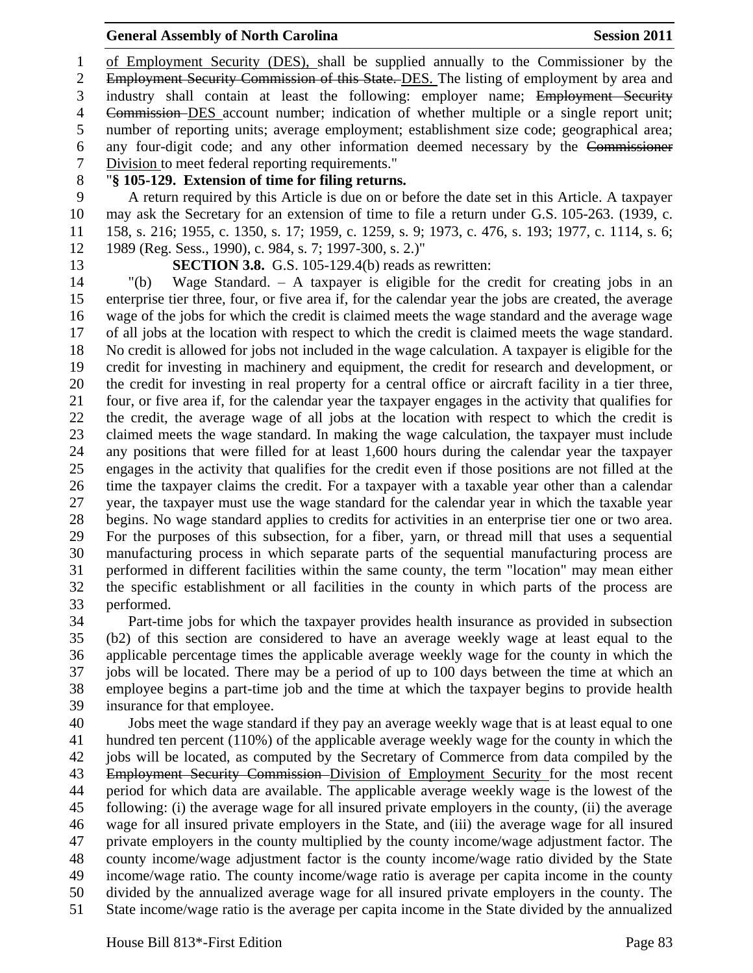of Employment Security (DES), shall be supplied annually to the Commissioner by the 2 Employment Security Commission of this State. DES. The listing of employment by area and industry shall contain at least the following: employer name; Employment Security Commission DES account number; indication of whether multiple or a single report unit; number of reporting units; average employment; establishment size code; geographical area; any four-digit code; and any other information deemed necessary by the Commissioner Division to meet federal reporting requirements."

## "**§ 105-129. Extension of time for filing returns.**

 A return required by this Article is due on or before the date set in this Article. A taxpayer may ask the Secretary for an extension of time to file a return under G.S. 105-263. (1939, c. 158, s. 216; 1955, c. 1350, s. 17; 1959, c. 1259, s. 9; 1973, c. 476, s. 193; 1977, c. 1114, s. 6; 1989 (Reg. Sess., 1990), c. 984, s. 7; 1997-300, s. 2.)"

## **SECTION 3.8.** G.S. 105-129.4(b) reads as rewritten:

 "(b) Wage Standard. – A taxpayer is eligible for the credit for creating jobs in an enterprise tier three, four, or five area if, for the calendar year the jobs are created, the average wage of the jobs for which the credit is claimed meets the wage standard and the average wage of all jobs at the location with respect to which the credit is claimed meets the wage standard. No credit is allowed for jobs not included in the wage calculation. A taxpayer is eligible for the credit for investing in machinery and equipment, the credit for research and development, or the credit for investing in real property for a central office or aircraft facility in a tier three, four, or five area if, for the calendar year the taxpayer engages in the activity that qualifies for the credit, the average wage of all jobs at the location with respect to which the credit is claimed meets the wage standard. In making the wage calculation, the taxpayer must include any positions that were filled for at least 1,600 hours during the calendar year the taxpayer engages in the activity that qualifies for the credit even if those positions are not filled at the time the taxpayer claims the credit. For a taxpayer with a taxable year other than a calendar year, the taxpayer must use the wage standard for the calendar year in which the taxable year begins. No wage standard applies to credits for activities in an enterprise tier one or two area. For the purposes of this subsection, for a fiber, yarn, or thread mill that uses a sequential manufacturing process in which separate parts of the sequential manufacturing process are performed in different facilities within the same county, the term "location" may mean either the specific establishment or all facilities in the county in which parts of the process are performed.

 Part-time jobs for which the taxpayer provides health insurance as provided in subsection (b2) of this section are considered to have an average weekly wage at least equal to the applicable percentage times the applicable average weekly wage for the county in which the jobs will be located. There may be a period of up to 100 days between the time at which an employee begins a part-time job and the time at which the taxpayer begins to provide health insurance for that employee.

 Jobs meet the wage standard if they pay an average weekly wage that is at least equal to one hundred ten percent (110%) of the applicable average weekly wage for the county in which the jobs will be located, as computed by the Secretary of Commerce from data compiled by the Employment Security Commission Division of Employment Security for the most recent period for which data are available. The applicable average weekly wage is the lowest of the following: (i) the average wage for all insured private employers in the county, (ii) the average wage for all insured private employers in the State, and (iii) the average wage for all insured private employers in the county multiplied by the county income/wage adjustment factor. The county income/wage adjustment factor is the county income/wage ratio divided by the State income/wage ratio. The county income/wage ratio is average per capita income in the county divided by the annualized average wage for all insured private employers in the county. The State income/wage ratio is the average per capita income in the State divided by the annualized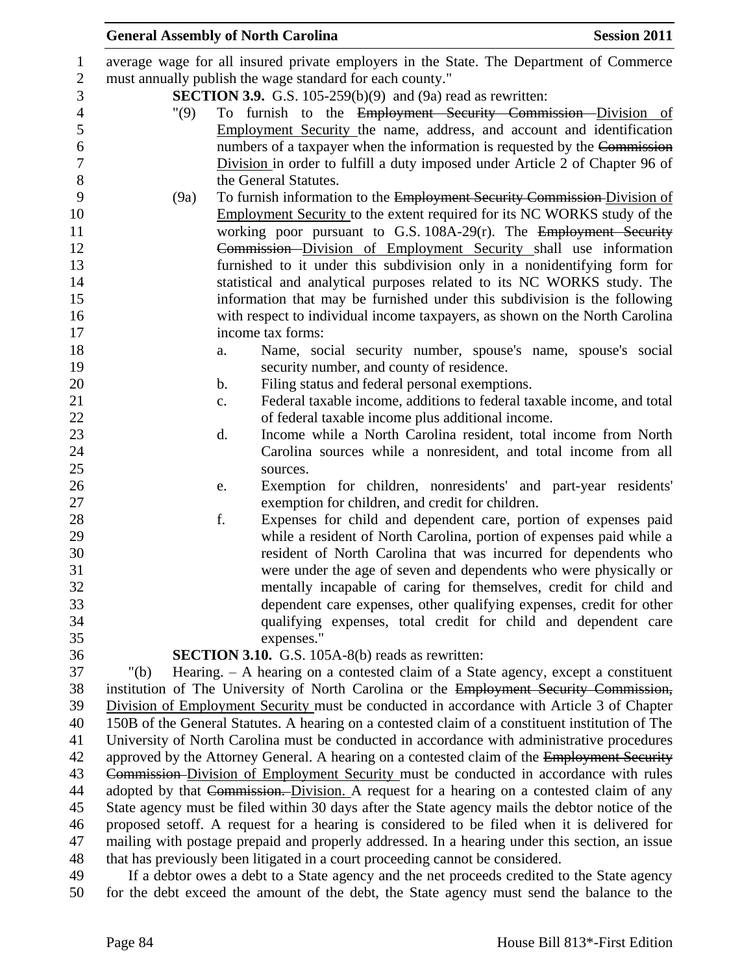|                | <b>Session 2011</b><br><b>General Assembly of North Carolina</b>                                                                       |
|----------------|----------------------------------------------------------------------------------------------------------------------------------------|
| $\mathbf{1}$   | average wage for all insured private employers in the State. The Department of Commerce                                                |
| $\sqrt{2}$     | must annually publish the wage standard for each county."                                                                              |
| 3              | <b>SECTION 3.9.</b> G.S. $105-259(b)(9)$ and $(9a)$ read as rewritten:                                                                 |
| $\overline{4}$ | To furnish to the Employment Security Commission Division of<br>"(9)                                                                   |
| 5              | Employment Security the name, address, and account and identification                                                                  |
| 6              | numbers of a taxpayer when the information is requested by the Commission                                                              |
| $\overline{7}$ | Division in order to fulfill a duty imposed under Article 2 of Chapter 96 of                                                           |
| $\,8\,$        | the General Statutes.                                                                                                                  |
| 9              | To furnish information to the Employment Security Commission Division of<br>(9a)                                                       |
| 10             | <b>Employment Security to the extent required for its NC WORKS study of the</b>                                                        |
| 11             | working poor pursuant to G.S. 108A-29(r). The Employment Security                                                                      |
| 12             | Commission-Division of Employment Security shall use information                                                                       |
| 13             | furnished to it under this subdivision only in a nonidentifying form for                                                               |
| 14             | statistical and analytical purposes related to its NC WORKS study. The                                                                 |
| 15             | information that may be furnished under this subdivision is the following                                                              |
| 16             | with respect to individual income taxpayers, as shown on the North Carolina                                                            |
| 17             | income tax forms:                                                                                                                      |
| 18             | Name, social security number, spouse's name, spouse's social<br>a.                                                                     |
| 19             | security number, and county of residence.                                                                                              |
| 20             | Filing status and federal personal exemptions.<br>b.                                                                                   |
| 21             | Federal taxable income, additions to federal taxable income, and total<br>c.                                                           |
| 22             | of federal taxable income plus additional income.                                                                                      |
| 23             | Income while a North Carolina resident, total income from North<br>d.                                                                  |
| 24             | Carolina sources while a nonresident, and total income from all                                                                        |
| 25             | sources.                                                                                                                               |
| 26             | Exemption for children, nonresidents' and part-year residents'<br>e.                                                                   |
| 27             | exemption for children, and credit for children.                                                                                       |
| 28             | f.<br>Expenses for child and dependent care, portion of expenses paid                                                                  |
| 29             | while a resident of North Carolina, portion of expenses paid while a                                                                   |
| 30<br>31       | resident of North Carolina that was incurred for dependents who                                                                        |
| 32             | were under the age of seven and dependents who were physically or<br>mentally incapable of caring for themselves, credit for child and |
| 33             | dependent care expenses, other qualifying expenses, credit for other                                                                   |
| 34             | qualifying expenses, total credit for child and dependent care                                                                         |
| 35             | expenses."                                                                                                                             |
| 36             | SECTION 3.10. G.S. 105A-8(b) reads as rewritten:                                                                                       |
| 37             | Hearing. $-$ A hearing on a contested claim of a State agency, except a constituent<br>" $(b)$                                         |
| 38             | institution of The University of North Carolina or the Employment Security Commission,                                                 |
| 39             | Division of Employment Security must be conducted in accordance with Article 3 of Chapter                                              |
| 40             | 150B of the General Statutes. A hearing on a contested claim of a constituent institution of The                                       |
| 41             | University of North Carolina must be conducted in accordance with administrative procedures                                            |
| 42             | approved by the Attorney General. A hearing on a contested claim of the Employment Security                                            |
| 43             | Commission-Division of Employment Security must be conducted in accordance with rules                                                  |
| 44             | adopted by that Commission. Division. A request for a hearing on a contested claim of any                                              |
| 45             | State agency must be filed within 30 days after the State agency mails the debtor notice of the                                        |
| 46             | proposed setoff. A request for a hearing is considered to be filed when it is delivered for                                            |
| 47             | mailing with postage prepaid and properly addressed. In a hearing under this section, an issue                                         |
| 48             | that has previously been litigated in a court proceeding cannot be considered.                                                         |
| 49             | If a debtor owes a debt to a State agency and the net proceeds credited to the State agency                                            |
| 50             | for the debt exceed the amount of the debt, the State agency must send the balance to the                                              |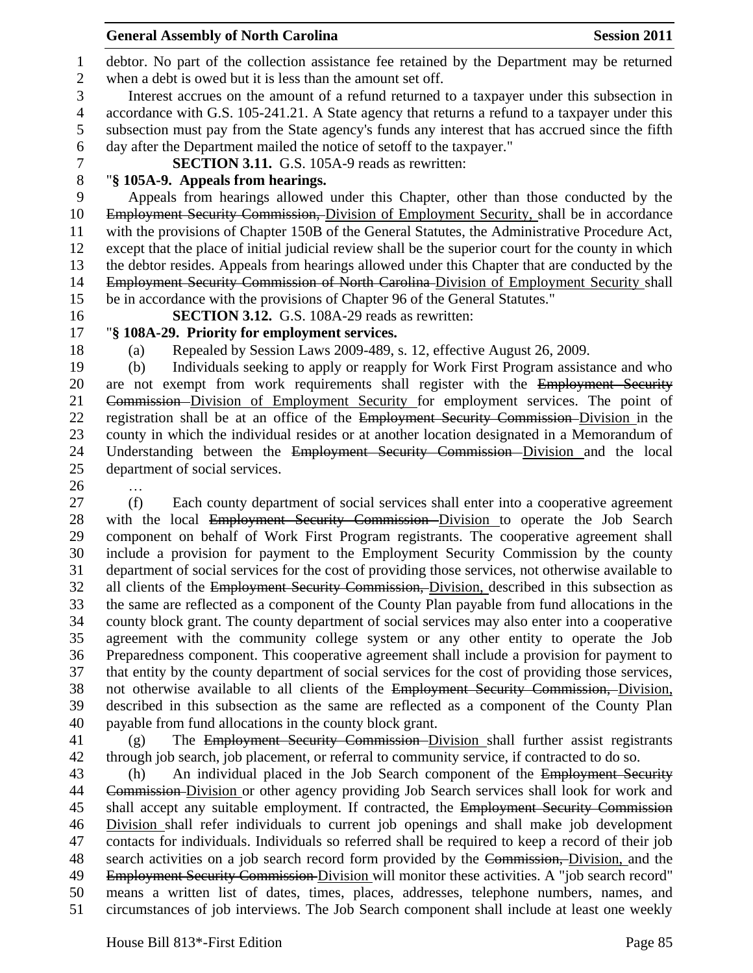debtor. No part of the collection assistance fee retained by the Department may be returned when a debt is owed but it is less than the amount set off. Interest accrues on the amount of a refund returned to a taxpayer under this subsection in accordance with G.S. 105-241.21. A State agency that returns a refund to a taxpayer under this subsection must pay from the State agency's funds any interest that has accrued since the fifth

day after the Department mailed the notice of setoff to the taxpayer."

**SECTION 3.11.** G.S. 105A-9 reads as rewritten:

### "**§ 105A-9. Appeals from hearings.**

 Appeals from hearings allowed under this Chapter, other than those conducted by the 10 Employment Security Commission, Division of Employment Security, shall be in accordance with the provisions of Chapter 150B of the General Statutes, the Administrative Procedure Act, except that the place of initial judicial review shall be the superior court for the county in which the debtor resides. Appeals from hearings allowed under this Chapter that are conducted by the 14 Employment Security Commission of North Carolina-Division of Employment Security shall be in accordance with the provisions of Chapter 96 of the General Statutes."

### **SECTION 3.12.** G.S. 108A-29 reads as rewritten:

# "**§ 108A-29. Priority for employment services.**

(a) Repealed by Session Laws 2009-489, s. 12, effective August 26, 2009.

 (b) Individuals seeking to apply or reapply for Work First Program assistance and who 20 are not exempt from work requirements shall register with the Employment Security Commission Division of Employment Security for employment services. The point of 22 registration shall be at an office of the Employment Security Commission-Division in the county in which the individual resides or at another location designated in a Memorandum of Understanding between the Employment Security Commission Division and the local department of social services.

…

 (f) Each county department of social services shall enter into a cooperative agreement 28 with the local Employment Security Commission–Division to operate the Job Search component on behalf of Work First Program registrants. The cooperative agreement shall include a provision for payment to the Employment Security Commission by the county department of social services for the cost of providing those services, not otherwise available to 32 all clients of the Employment Security Commission, Division, described in this subsection as the same are reflected as a component of the County Plan payable from fund allocations in the county block grant. The county department of social services may also enter into a cooperative agreement with the community college system or any other entity to operate the Job Preparedness component. This cooperative agreement shall include a provision for payment to that entity by the county department of social services for the cost of providing those services, not otherwise available to all clients of the Employment Security Commission, Division, described in this subsection as the same are reflected as a component of the County Plan payable from fund allocations in the county block grant.

 (g) The Employment Security Commission Division shall further assist registrants through job search, job placement, or referral to community service, if contracted to do so.

 (h) An individual placed in the Job Search component of the Employment Security Commission Division or other agency providing Job Search services shall look for work and 45 shall accept any suitable employment. If contracted, the Employment Security Commission Division shall refer individuals to current job openings and shall make job development contacts for individuals. Individuals so referred shall be required to keep a record of their job 48 search activities on a job search record form provided by the Commission, Division, and the Employment Security Commission Division will monitor these activities. A "job search record" means a written list of dates, times, places, addresses, telephone numbers, names, and circumstances of job interviews. The Job Search component shall include at least one weekly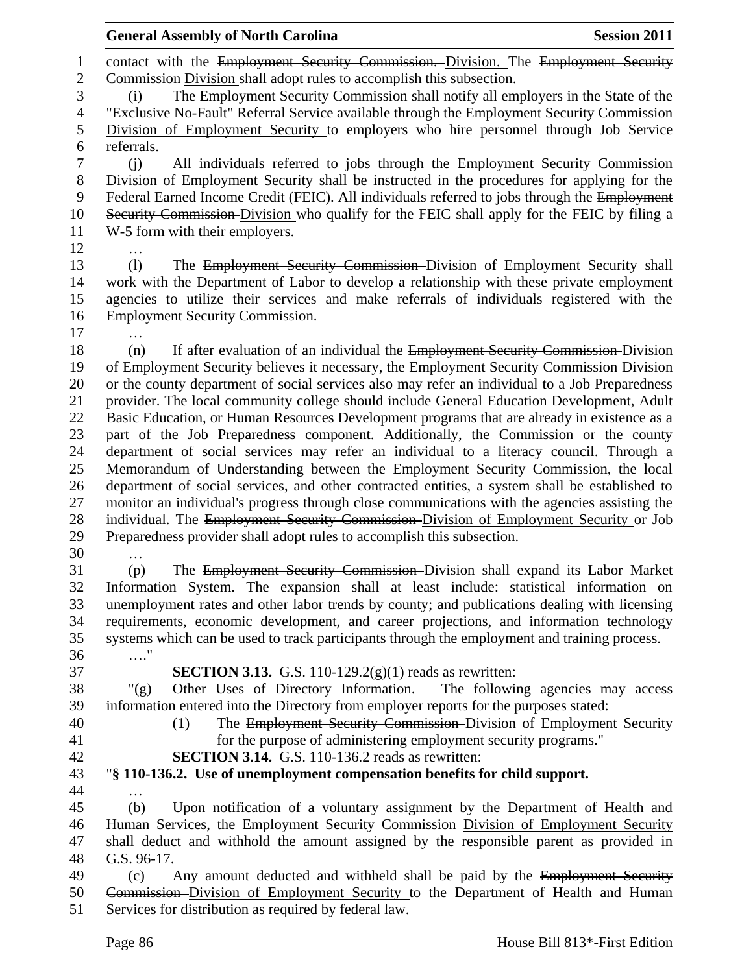|                          | <b>Session 2011</b><br><b>General Assembly of North Carolina</b>                                                                                                      |
|--------------------------|-----------------------------------------------------------------------------------------------------------------------------------------------------------------------|
| $\mathbf{1}$             | contact with the Employment Security Commission. Division. The Employment Security                                                                                    |
| $\overline{2}$           | Commission Division shall adopt rules to accomplish this subsection.                                                                                                  |
| 3                        | The Employment Security Commission shall notify all employers in the State of the<br>(i)                                                                              |
| $\overline{\mathcal{A}}$ | "Exclusive No-Fault" Referral Service available through the Employment Security Commission                                                                            |
| 5                        | Division of Employment Security to employers who hire personnel through Job Service                                                                                   |
| 6                        | referrals.                                                                                                                                                            |
| 7                        | All individuals referred to jobs through the Employment Security Commission<br>(i)                                                                                    |
| $8\,$                    | Division of Employment Security shall be instructed in the procedures for applying for the                                                                            |
| 9                        | Federal Earned Income Credit (FEIC). All individuals referred to jobs through the Employment                                                                          |
| 10                       | Security Commission Division who qualify for the FEIC shall apply for the FEIC by filing a                                                                            |
| 11                       | W-5 form with their employers.                                                                                                                                        |
| 12<br>13                 | (1)                                                                                                                                                                   |
| 14                       | The Employment Security Commission Division of Employment Security shall<br>work with the Department of Labor to develop a relationship with these private employment |
| 15                       | agencies to utilize their services and make referrals of individuals registered with the                                                                              |
| 16                       | <b>Employment Security Commission.</b>                                                                                                                                |
| 17                       |                                                                                                                                                                       |
| 18                       | If after evaluation of an individual the Employment Security Commission Division<br>(n)                                                                               |
| 19                       | of Employment Security believes it necessary, the Employment Security Commission-Division                                                                             |
| 20                       | or the county department of social services also may refer an individual to a Job Preparedness                                                                        |
| 21                       | provider. The local community college should include General Education Development, Adult                                                                             |
| 22                       | Basic Education, or Human Resources Development programs that are already in existence as a                                                                           |
| 23                       | part of the Job Preparedness component. Additionally, the Commission or the county                                                                                    |
| 24                       | department of social services may refer an individual to a literacy council. Through a                                                                                |
| 25                       | Memorandum of Understanding between the Employment Security Commission, the local                                                                                     |
| 26                       | department of social services, and other contracted entities, a system shall be established to                                                                        |
| 27                       | monitor an individual's progress through close communications with the agencies assisting the                                                                         |
| 28                       | individual. The Employment Security Commission-Division of Employment Security or Job                                                                                 |
| 29<br>30                 | Preparedness provider shall adopt rules to accomplish this subsection.                                                                                                |
| 31                       | The Employment Security Commission-Division shall expand its Labor Market<br>(p)                                                                                      |
| 32                       | Information System. The expansion shall at least include: statistical information on                                                                                  |
| 33                       | unemployment rates and other labor trends by county; and publications dealing with licensing                                                                          |
| 34                       | requirements, economic development, and career projections, and information technology                                                                                |
| 35                       | systems which can be used to track participants through the employment and training process.                                                                          |
| 36                       | $\ldots$ ."                                                                                                                                                           |
| 37                       | <b>SECTION 3.13.</b> G.S. 110-129.2(g)(1) reads as rewritten:                                                                                                         |
| 38                       | Other Uses of Directory Information. - The following agencies may access<br>" $(g)$                                                                                   |
| 39                       | information entered into the Directory from employer reports for the purposes stated:                                                                                 |
| 40                       | The Employment Security Commission Division of Employment Security<br>(1)                                                                                             |
| 41                       | for the purpose of administering employment security programs."                                                                                                       |
| 42                       | <b>SECTION 3.14.</b> G.S. 110-136.2 reads as rewritten:                                                                                                               |
| 43                       | "§ 110-136.2. Use of unemployment compensation benefits for child support.                                                                                            |
| 44<br>45                 | Upon notification of a voluntary assignment by the Department of Health and<br>(b)                                                                                    |
| 46                       | Human Services, the Employment Security Commission-Division of Employment Security                                                                                    |
| 47                       | shall deduct and withhold the amount assigned by the responsible parent as provided in                                                                                |
| 48                       | G.S. 96-17.                                                                                                                                                           |
| 49                       | Any amount deducted and withheld shall be paid by the Employment Security<br>(c)                                                                                      |
| 50                       | Commission–Division of Employment Security to the Department of Health and Human                                                                                      |
| 51                       | Services for distribution as required by federal law.                                                                                                                 |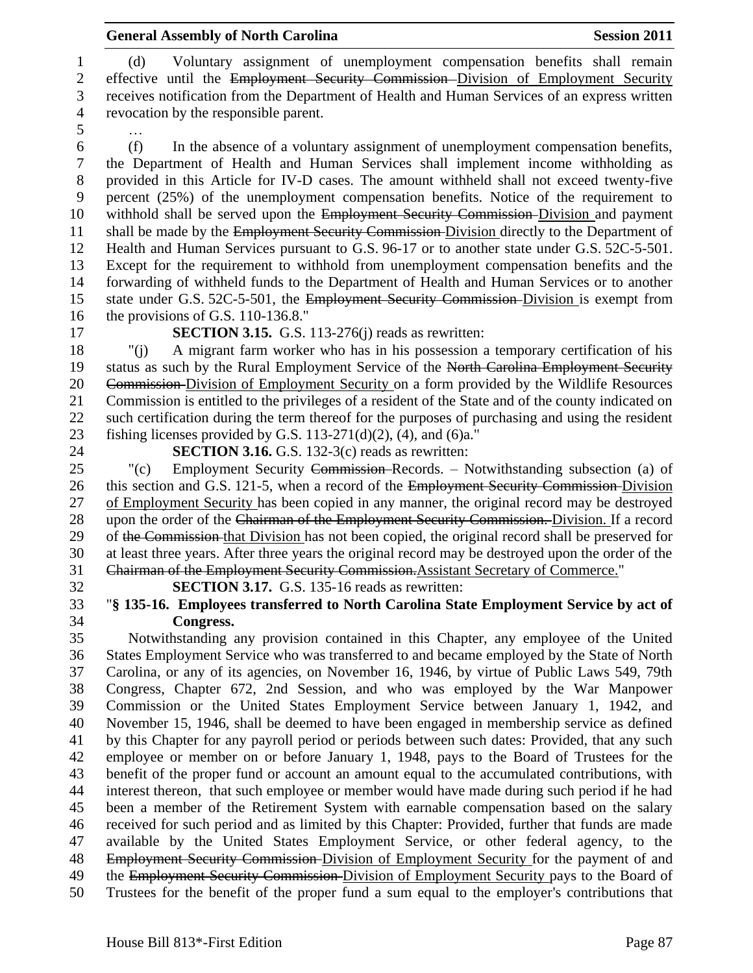(d) Voluntary assignment of unemployment compensation benefits shall remain 2 effective until the Employment Security Commission–Division of Employment Security receives notification from the Department of Health and Human Services of an express written revocation by the responsible parent.

…

 (f) In the absence of a voluntary assignment of unemployment compensation benefits, the Department of Health and Human Services shall implement income withholding as provided in this Article for IV-D cases. The amount withheld shall not exceed twenty-five percent (25%) of the unemployment compensation benefits. Notice of the requirement to 10 withhold shall be served upon the Employment Security Commission-Division and payment 11 shall be made by the Employment Security Commission-Division directly to the Department of Health and Human Services pursuant to G.S. 96-17 or to another state under G.S. 52C-5-501. Except for the requirement to withhold from unemployment compensation benefits and the forwarding of withheld funds to the Department of Health and Human Services or to another 15 state under G.S. 52C-5-501, the Employment Security Commission-Division is exempt from the provisions of G.S. 110-136.8."

**SECTION 3.15.** G.S. 113-276(j) reads as rewritten:

 "(j) A migrant farm worker who has in his possession a temporary certification of his 19 status as such by the Rural Employment Service of the North Carolina Employment Security 20 Commission-Division of Employment Security on a form provided by the Wildlife Resources Commission is entitled to the privileges of a resident of the State and of the county indicated on such certification during the term thereof for the purposes of purchasing and using the resident fishing licenses provided by G.S. 113-271(d)(2), (4), and (6)a."

**SECTION 3.16.** G.S. 132-3(c) reads as rewritten:

 "(c) Employment Security Commission Records. – Notwithstanding subsection (a) of 26 this section and G.S. 121-5, when a record of the Employment Security Commission-Division of Employment Security has been copied in any manner, the original record may be destroyed 28 upon the order of the Chairman of the Employment Security Commission. Division. If a record 29 of the Commission-that Division has not been copied, the original record shall be preserved for at least three years. After three years the original record may be destroyed upon the order of the Chairman of the Employment Security Commission.Assistant Secretary of Commerce."

**SECTION 3.17.** G.S. 135-16 reads as rewritten:

# "**§ 135-16. Employees transferred to North Carolina State Employment Service by act of Congress.**

 Notwithstanding any provision contained in this Chapter, any employee of the United States Employment Service who was transferred to and became employed by the State of North Carolina, or any of its agencies, on November 16, 1946, by virtue of Public Laws 549, 79th Congress, Chapter 672, 2nd Session, and who was employed by the War Manpower Commission or the United States Employment Service between January 1, 1942, and November 15, 1946, shall be deemed to have been engaged in membership service as defined by this Chapter for any payroll period or periods between such dates: Provided, that any such employee or member on or before January 1, 1948, pays to the Board of Trustees for the benefit of the proper fund or account an amount equal to the accumulated contributions, with interest thereon, that such employee or member would have made during such period if he had been a member of the Retirement System with earnable compensation based on the salary received for such period and as limited by this Chapter: Provided, further that funds are made available by the United States Employment Service, or other federal agency, to the Employment Security Commission Division of Employment Security for the payment of and 49 the Employment Security Commission-Division of Employment Security pays to the Board of Trustees for the benefit of the proper fund a sum equal to the employer's contributions that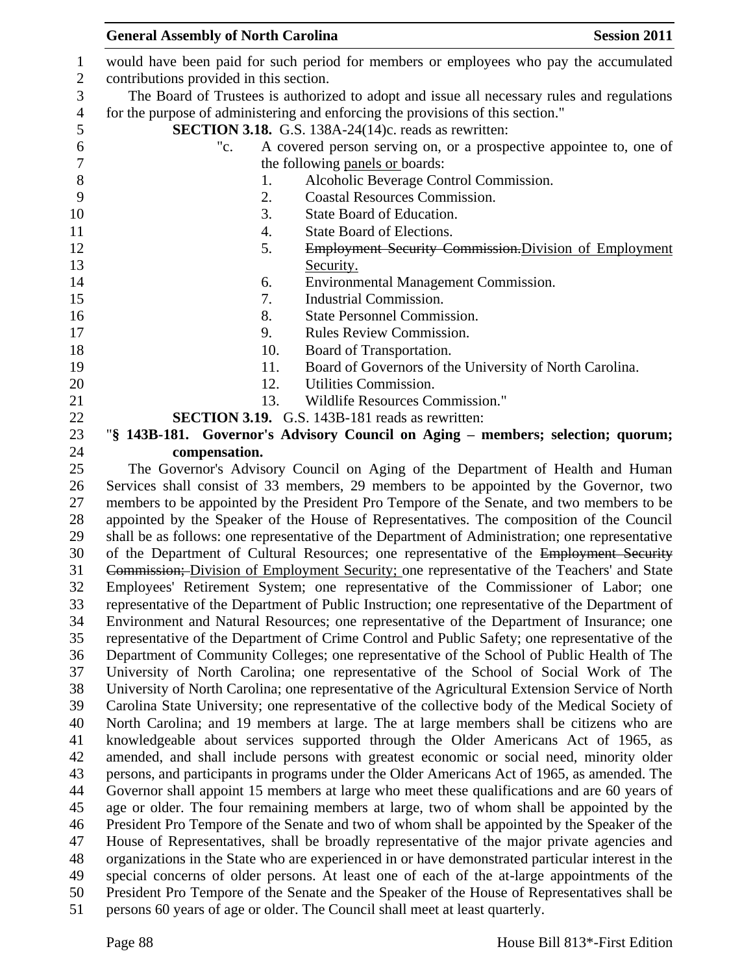| $\mathbf{1}$                           |                                         | would have been paid for such period for members or employees who pay the accumulated                                                                                        |
|----------------------------------------|-----------------------------------------|------------------------------------------------------------------------------------------------------------------------------------------------------------------------------|
| 2                                      | contributions provided in this section. |                                                                                                                                                                              |
| 3                                      |                                         | The Board of Trustees is authorized to adopt and issue all necessary rules and regulations                                                                                   |
| $\overline{4}$                         |                                         | for the purpose of administering and enforcing the provisions of this section."                                                                                              |
| 5                                      |                                         | SECTION 3.18. G.S. 138A-24(14)c. reads as rewritten:                                                                                                                         |
| 6                                      | "c.                                     | A covered person serving on, or a prospective appointee to, one of                                                                                                           |
| $\boldsymbol{7}$                       |                                         | the following panels or boards:                                                                                                                                              |
| 8                                      | 1.                                      | Alcoholic Beverage Control Commission.                                                                                                                                       |
| 9                                      | 2.                                      | <b>Coastal Resources Commission.</b>                                                                                                                                         |
| 10                                     | 3.                                      | State Board of Education.                                                                                                                                                    |
| 11                                     | 4.                                      | State Board of Elections.                                                                                                                                                    |
| 12                                     | 5.                                      | Employment Security Commission. Division of Employment                                                                                                                       |
| 13                                     |                                         | Security.                                                                                                                                                                    |
| 14                                     | 6.                                      | Environmental Management Commission.                                                                                                                                         |
| 15                                     | 7.                                      | Industrial Commission.                                                                                                                                                       |
| 16                                     | 8.                                      | <b>State Personnel Commission.</b>                                                                                                                                           |
| 17                                     | 9.                                      | Rules Review Commission.                                                                                                                                                     |
| 18                                     | 10.                                     | Board of Transportation.                                                                                                                                                     |
| 19                                     | 11.                                     | Board of Governors of the University of North Carolina.                                                                                                                      |
| 20                                     | 12.                                     | Utilities Commission.                                                                                                                                                        |
| 21                                     | 13.                                     | Wildlife Resources Commission."                                                                                                                                              |
| 22                                     |                                         | <b>SECTION 3.19.</b> G.S. 143B-181 reads as rewritten:                                                                                                                       |
| 23                                     |                                         | "§ 143B-181. Governor's Advisory Council on Aging - members; selection; quorum;                                                                                              |
| 24                                     | compensation.                           |                                                                                                                                                                              |
| 25                                     |                                         | The Governor's Advisory Council on Aging of the Department of Health and Human                                                                                               |
| 26                                     |                                         | Services shall consist of 33 members, 29 members to be appointed by the Governor, two                                                                                        |
| 27                                     |                                         | members to be appointed by the President Pro Tempore of the Senate, and two members to be                                                                                    |
| 28                                     |                                         | appointed by the Speaker of the House of Representatives. The composition of the Council                                                                                     |
|                                        |                                         |                                                                                                                                                                              |
|                                        |                                         | shall be as follows: one representative of the Department of Administration; one representative                                                                              |
| 30                                     |                                         | of the Department of Cultural Resources; one representative of the Employment Security                                                                                       |
|                                        |                                         | Commission; Division of Employment Security; one representative of the Teachers' and State                                                                                   |
| 29<br>31<br>32                         |                                         | Employees' Retirement System; one representative of the Commissioner of Labor; one                                                                                           |
| 33                                     |                                         | representative of the Department of Public Instruction; one representative of the Department of                                                                              |
| 34                                     |                                         | Environment and Natural Resources; one representative of the Department of Insurance; one                                                                                    |
| 35                                     |                                         | representative of the Department of Crime Control and Public Safety; one representative of the                                                                               |
| 36                                     |                                         | Department of Community Colleges; one representative of the School of Public Health of The                                                                                   |
| 37                                     |                                         | University of North Carolina; one representative of the School of Social Work of The                                                                                         |
|                                        |                                         | University of North Carolina; one representative of the Agricultural Extension Service of North                                                                              |
| 39                                     |                                         | Carolina State University; one representative of the collective body of the Medical Society of                                                                               |
| 40                                     |                                         | North Carolina; and 19 members at large. The at large members shall be citizens who are                                                                                      |
|                                        |                                         | knowledgeable about services supported through the Older Americans Act of 1965, as                                                                                           |
|                                        |                                         | amended, and shall include persons with greatest economic or social need, minority older                                                                                     |
| 43                                     |                                         | persons, and participants in programs under the Older Americans Act of 1965, as amended. The                                                                                 |
|                                        |                                         | Governor shall appoint 15 members at large who meet these qualifications and are 60 years of                                                                                 |
|                                        |                                         | age or older. The four remaining members at large, two of whom shall be appointed by the                                                                                     |
| 46                                     |                                         | President Pro Tempore of the Senate and two of whom shall be appointed by the Speaker of the                                                                                 |
| 47                                     |                                         | House of Representatives, shall be broadly representative of the major private agencies and                                                                                  |
|                                        |                                         | organizations in the State who are experienced in or have demonstrated particular interest in the                                                                            |
| 38<br>41<br>42<br>44<br>45<br>48<br>49 |                                         | special concerns of older persons. At least one of each of the at-large appointments of the                                                                                  |
| 50<br>51                               |                                         | President Pro Tempore of the Senate and the Speaker of the House of Representatives shall be<br>persons 60 years of age or older. The Council shall meet at least quarterly. |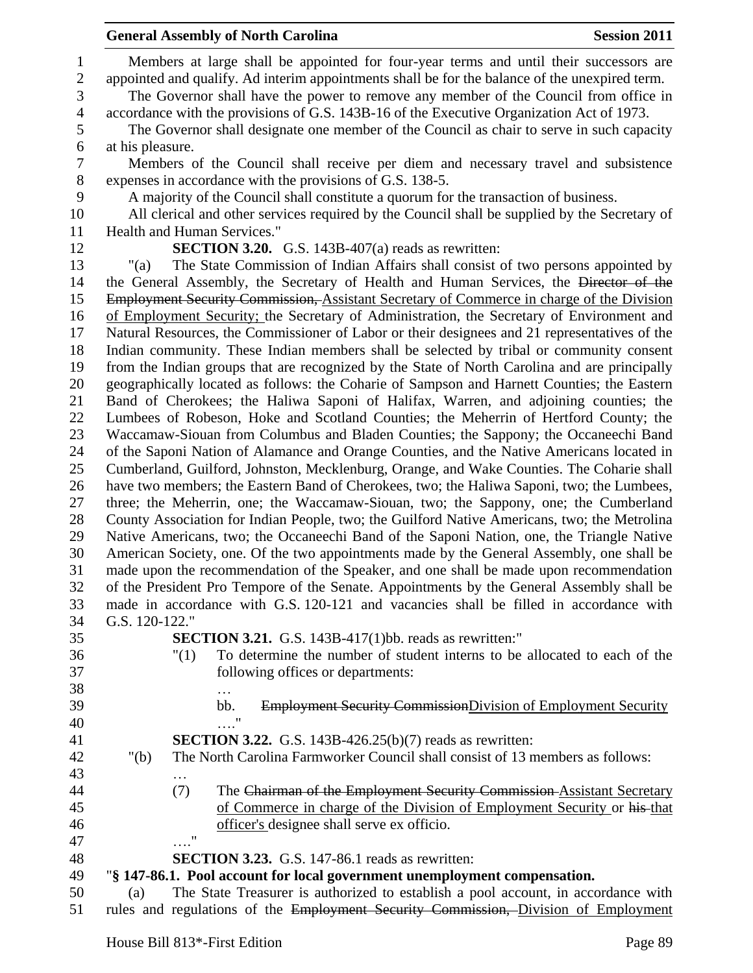Members at large shall be appointed for four-year terms and until their successors are appointed and qualify. Ad interim appointments shall be for the balance of the unexpired term. The Governor shall have the power to remove any member of the Council from office in accordance with the provisions of G.S. 143B-16 of the Executive Organization Act of 1973. The Governor shall designate one member of the Council as chair to serve in such capacity at his pleasure. Members of the Council shall receive per diem and necessary travel and subsistence expenses in accordance with the provisions of G.S. 138-5. A majority of the Council shall constitute a quorum for the transaction of business. All clerical and other services required by the Council shall be supplied by the Secretary of 11 Health and Human Services." **SECTION 3.20.** G.S. 143B-407(a) reads as rewritten: "(a) The State Commission of Indian Affairs shall consist of two persons appointed by the General Assembly, the Secretary of Health and Human Services, the Director of the 15 Employment Security Commission, Assistant Secretary of Commerce in charge of the Division of Employment Security; the Secretary of Administration, the Secretary of Environment and Natural Resources, the Commissioner of Labor or their designees and 21 representatives of the Indian community. These Indian members shall be selected by tribal or community consent from the Indian groups that are recognized by the State of North Carolina and are principally geographically located as follows: the Coharie of Sampson and Harnett Counties; the Eastern Band of Cherokees; the Haliwa Saponi of Halifax, Warren, and adjoining counties; the Lumbees of Robeson, Hoke and Scotland Counties; the Meherrin of Hertford County; the Waccamaw-Siouan from Columbus and Bladen Counties; the Sappony; the Occaneechi Band of the Saponi Nation of Alamance and Orange Counties, and the Native Americans located in Cumberland, Guilford, Johnston, Mecklenburg, Orange, and Wake Counties. The Coharie shall have two members; the Eastern Band of Cherokees, two; the Haliwa Saponi, two; the Lumbees, three; the Meherrin, one; the Waccamaw-Siouan, two; the Sappony, one; the Cumberland County Association for Indian People, two; the Guilford Native Americans, two; the Metrolina Native Americans, two; the Occaneechi Band of the Saponi Nation, one, the Triangle Native American Society, one. Of the two appointments made by the General Assembly, one shall be made upon the recommendation of the Speaker, and one shall be made upon recommendation of the President Pro Tempore of the Senate. Appointments by the General Assembly shall be made in accordance with G.S. 120-121 and vacancies shall be filled in accordance with G.S. 120-122." **SECTION 3.21.** G.S. 143B-417(1)bb. reads as rewritten:" "(1) To determine the number of student interns to be allocated to each of the following offices or departments: … 39 bb. Employment Security CommissionDivision of Employment Security …." **SECTION 3.22.** G.S. 143B-426.25(b)(7) reads as rewritten: "(b) The North Carolina Farmworker Council shall consist of 13 members as follows: … (7) The Chairman of the Employment Security Commission Assistant Secretary of Commerce in charge of the Division of Employment Security or his that officer's designee shall serve ex officio. …." **SECTION 3.23.** G.S. 147-86.1 reads as rewritten: "**§ 147-86.1. Pool account for local government unemployment compensation.** (a) The State Treasurer is authorized to establish a pool account, in accordance with

rules and regulations of the Employment Security Commission, Division of Employment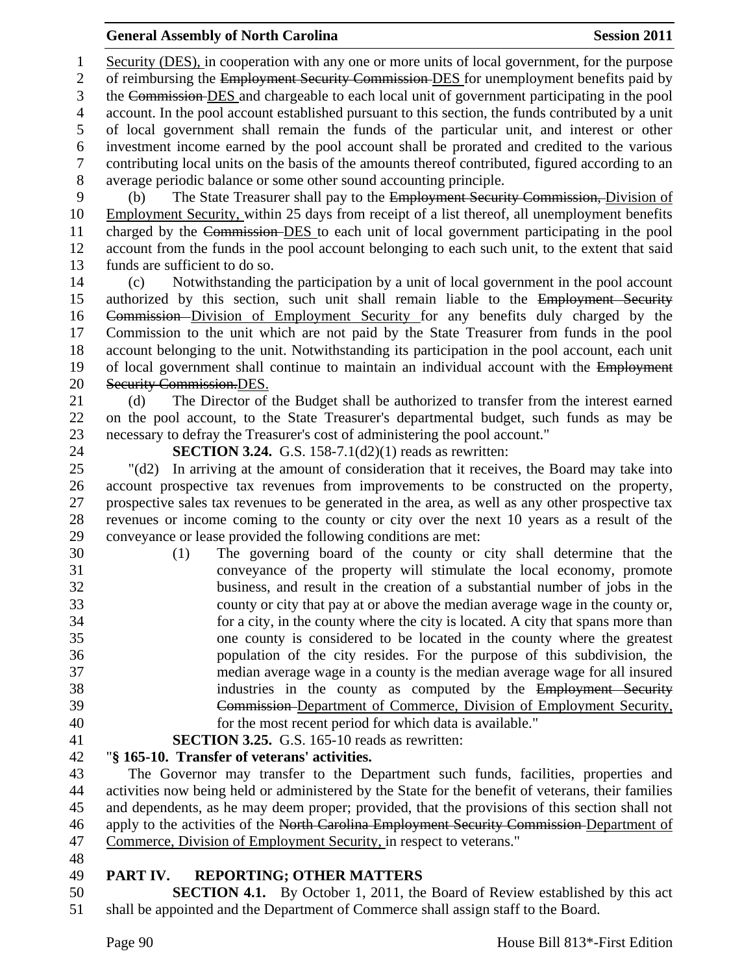Security (DES), in cooperation with any one or more units of local government, for the purpose 2 of reimbursing the Employment Security Commission-DES for unemployment benefits paid by the Commission DES and chargeable to each local unit of government participating in the pool account. In the pool account established pursuant to this section, the funds contributed by a unit of local government shall remain the funds of the particular unit, and interest or other investment income earned by the pool account shall be prorated and credited to the various contributing local units on the basis of the amounts thereof contributed, figured according to an average periodic balance or some other sound accounting principle. (b) The State Treasurer shall pay to the Employment Security Commission, Division of 10 Employment Security, within 25 days from receipt of a list thereof, all unemployment benefits charged by the Commission DES to each unit of local government participating in the pool account from the funds in the pool account belonging to each such unit, to the extent that said funds are sufficient to do so. (c) Notwithstanding the participation by a unit of local government in the pool account 15 authorized by this section, such unit shall remain liable to the Employment Security Commission Division of Employment Security for any benefits duly charged by the Commission to the unit which are not paid by the State Treasurer from funds in the pool account belonging to the unit. Notwithstanding its participation in the pool account, each unit 19 of local government shall continue to maintain an individual account with the Employment Security Commission.DES. (d) The Director of the Budget shall be authorized to transfer from the interest earned on the pool account, to the State Treasurer's departmental budget, such funds as may be necessary to defray the Treasurer's cost of administering the pool account." **SECTION 3.24.** G.S. 158-7.1(d2)(1) reads as rewritten: "(d2) In arriving at the amount of consideration that it receives, the Board may take into account prospective tax revenues from improvements to be constructed on the property, prospective sales tax revenues to be generated in the area, as well as any other prospective tax revenues or income coming to the county or city over the next 10 years as a result of the conveyance or lease provided the following conditions are met: (1) The governing board of the county or city shall determine that the conveyance of the property will stimulate the local economy, promote business, and result in the creation of a substantial number of jobs in the county or city that pay at or above the median average wage in the county or, for a city, in the county where the city is located. A city that spans more than one county is considered to be located in the county where the greatest population of the city resides. For the purpose of this subdivision, the median average wage in a county is the median average wage for all insured industries in the county as computed by the Employment Security Commission Department of Commerce, Division of Employment Security, for the most recent period for which data is available." **SECTION 3.25.** G.S. 165-10 reads as rewritten: "**§ 165-10. Transfer of veterans' activities.** The Governor may transfer to the Department such funds, facilities, properties and activities now being held or administered by the State for the benefit of veterans, their families and dependents, as he may deem proper; provided, that the provisions of this section shall not 46 apply to the activities of the North Carolina Employment Security Commission-Department of Commerce, Division of Employment Security, in respect to veterans." **PART IV. REPORTING; OTHER MATTERS SECTION 4.1.** By October 1, 2011, the Board of Review established by this act

shall be appointed and the Department of Commerce shall assign staff to the Board.